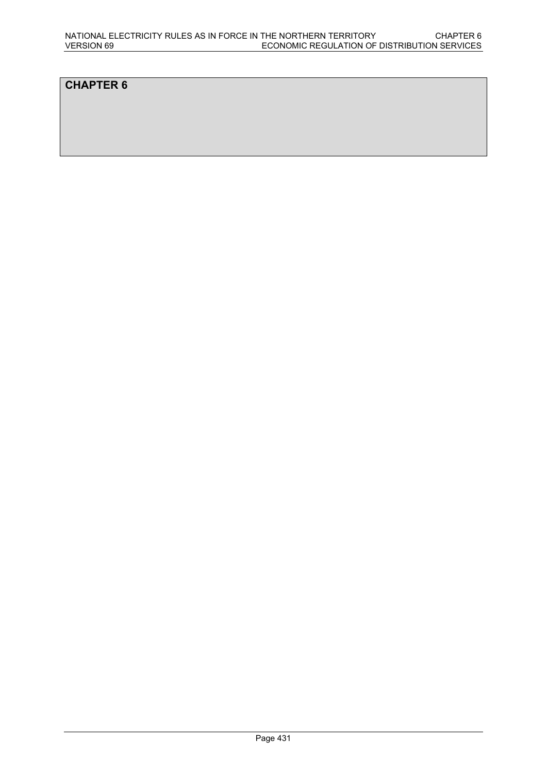# **CHAPTER 6**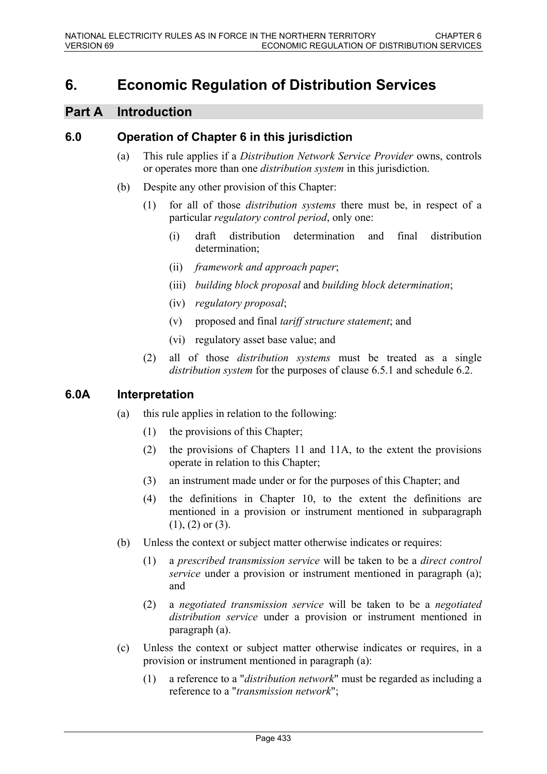# **6. Economic Regulation of Distribution Services**

# **Part A Introduction**

### **6.0 Operation of Chapter 6 in this jurisdiction**

- (a) This rule applies if a *Distribution Network Service Provider* owns, controls or operates more than one *distribution system* in this jurisdiction.
- (b) Despite any other provision of this Chapter:
	- (1) for all of those *distribution systems* there must be, in respect of a particular *regulatory control period*, only one:
		- (i) draft distribution determination and final distribution determination;
		- (ii) *framework and approach paper*;
		- (iii) *building block proposal* and *building block determination*;
		- (iv) *regulatory proposal*;
		- (v) proposed and final *tariff structure statement*; and
		- (vi) regulatory asset base value; and
	- (2) all of those *distribution systems* must be treated as a single *distribution system* for the purposes of clause 6.5.1 and schedule 6.2.

### **6.0A Interpretation**

- (a) this rule applies in relation to the following:
	- (1) the provisions of this Chapter;
	- (2) the provisions of Chapters 11 and 11A, to the extent the provisions operate in relation to this Chapter;
	- (3) an instrument made under or for the purposes of this Chapter; and
	- (4) the definitions in Chapter 10, to the extent the definitions are mentioned in a provision or instrument mentioned in subparagraph (1), (2) or (3).
- (b) Unless the context or subject matter otherwise indicates or requires:
	- (1) a *prescribed transmission service* will be taken to be a *direct control service* under a provision or instrument mentioned in paragraph (a); and
	- (2) a *negotiated transmission service* will be taken to be a *negotiated distribution service* under a provision or instrument mentioned in paragraph (a).
- (c) Unless the context or subject matter otherwise indicates or requires, in a provision or instrument mentioned in paragraph (a):
	- (1) a reference to a "*distribution network*" must be regarded as including a reference to a "*transmission network*";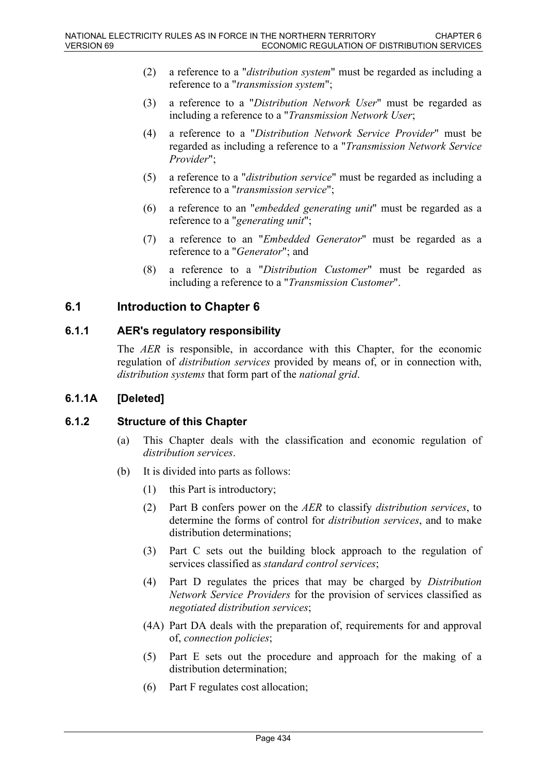- (2) a reference to a "*distribution system*" must be regarded as including a reference to a "*transmission system*";
- (3) a reference to a "*Distribution Network User*" must be regarded as including a reference to a "*Transmission Network User*;
- (4) a reference to a "*Distribution Network Service Provider*" must be regarded as including a reference to a "*Transmission Network Service Provider*";
- (5) a reference to a "*distribution service*" must be regarded as including a reference to a "*transmission service*";
- (6) a reference to an "*embedded generating unit*" must be regarded as a reference to a "*generating unit*";
- (7) a reference to an "*Embedded Generator*" must be regarded as a reference to a "*Generator*"; and
- (8) a reference to a "*Distribution Customer*" must be regarded as including a reference to a "*Transmission Customer*".

# **6.1 Introduction to Chapter 6**

### **6.1.1 AER's regulatory responsibility**

The *AER* is responsible, in accordance with this Chapter, for the economic regulation of *distribution services* provided by means of, or in connection with, *distribution systems* that form part of the *national grid*.

### **6.1.1A [Deleted]**

#### **6.1.2 Structure of this Chapter**

- (a) This Chapter deals with the classification and economic regulation of *distribution services*.
- (b) It is divided into parts as follows:
	- (1) this Part is introductory;
	- (2) Part B confers power on the *AER* to classify *distribution services*, to determine the forms of control for *distribution services*, and to make distribution determinations;
	- (3) Part C sets out the building block approach to the regulation of services classified as *standard control services*;
	- (4) Part D regulates the prices that may be charged by *Distribution Network Service Providers* for the provision of services classified as *negotiated distribution services*;
	- (4A) Part DA deals with the preparation of, requirements for and approval of, *connection policies*;
	- (5) Part E sets out the procedure and approach for the making of a distribution determination;
	- (6) Part F regulates cost allocation;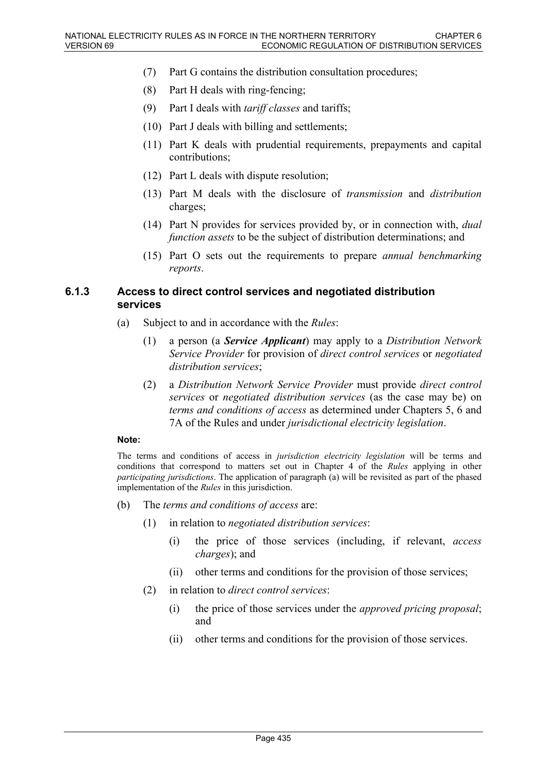- (7) Part G contains the distribution consultation procedures;
- (8) Part H deals with ring-fencing;
- (9) Part I deals with *tariff classes* and tariffs;
- (10) Part J deals with billing and settlements;
- (11) Part K deals with prudential requirements, prepayments and capital contributions;
- (12) Part L deals with dispute resolution;
- (13) Part M deals with the disclosure of *transmission* and *distribution* charges;
- (14) Part N provides for services provided by, or in connection with, *dual function assets* to be the subject of distribution determinations; and
- (15) Part O sets out the requirements to prepare *annual benchmarking reports*.

#### **6.1.3 Access to direct control services and negotiated distribution services**

- (a) Subject to and in accordance with the *Rules*:
	- (1) a person (a *Service Applicant*) may apply to a *Distribution Network Service Provider* for provision of *direct control services* or *negotiated distribution services*;
	- (2) a *Distribution Network Service Provider* must provide *direct control services* or *negotiated distribution services* (as the case may be) on *terms and conditions of access* as determined under Chapters 5, 6 and 7A of the Rules and under *jurisdictional electricity legislation*.

#### **Note:**

The terms and conditions of access in *jurisdiction electricity legislation* will be terms and conditions that correspond to matters set out in Chapter 4 of the *Rules* applying in other *participating jurisdictions*. The application of paragraph (a) will be revisited as part of the phased implementation of the *Rules* in this jurisdiction.

- (b) The *terms and conditions of access* are:
	- (1) in relation to *negotiated distribution services*:
		- (i) the price of those services (including, if relevant, *access charges*); and
		- (ii) other terms and conditions for the provision of those services;
	- (2) in relation to *direct control services*:
		- (i) the price of those services under the *approved pricing proposal*; and
		- (ii) other terms and conditions for the provision of those services.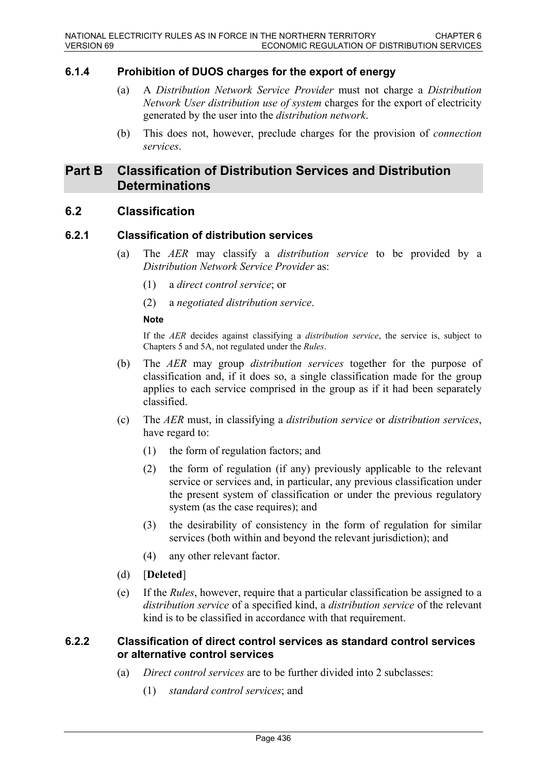### **6.1.4 Prohibition of DUOS charges for the export of energy**

- (a) A *Distribution Network Service Provider* must not charge a *Distribution Network User distribution use of system* charges for the export of electricity generated by the user into the *distribution network*.
- (b) This does not, however, preclude charges for the provision of *connection services*.

# **Part B Classification of Distribution Services and Distribution Determinations**

### **6.2 Classification**

### **6.2.1 Classification of distribution services**

- (a) The *AER* may classify a *distribution service* to be provided by a *Distribution Network Service Provider* as:
	- (1) a *direct control service*; or
	- (2) a *negotiated distribution service*.

#### **Note**

If the *AER* decides against classifying a *distribution service*, the service is, subject to Chapters 5 and 5A, not regulated under the *Rules*.

- (b) The *AER* may group *distribution services* together for the purpose of classification and, if it does so, a single classification made for the group applies to each service comprised in the group as if it had been separately classified.
- (c) The *AER* must, in classifying a *distribution service* or *distribution services*, have regard to:
	- (1) the form of regulation factors; and
	- (2) the form of regulation (if any) previously applicable to the relevant service or services and, in particular, any previous classification under the present system of classification or under the previous regulatory system (as the case requires); and
	- (3) the desirability of consistency in the form of regulation for similar services (both within and beyond the relevant jurisdiction); and
	- (4) any other relevant factor.
- (d) [**Deleted**]
- (e) If the *Rules*, however, require that a particular classification be assigned to a *distribution service* of a specified kind, a *distribution service* of the relevant kind is to be classified in accordance with that requirement.

### **6.2.2 Classification of direct control services as standard control services or alternative control services**

- (a) *Direct control services* are to be further divided into 2 subclasses:
	- (1) *standard control services*; and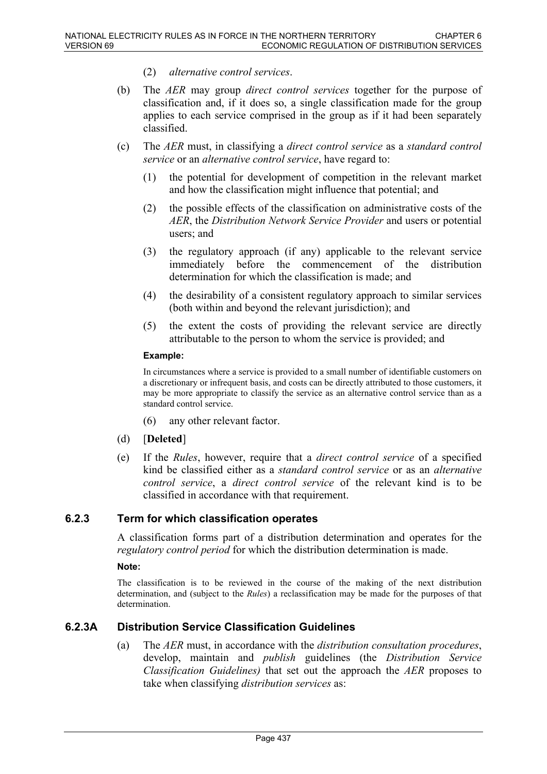- (2) *alternative control services*.
- (b) The *AER* may group *direct control services* together for the purpose of classification and, if it does so, a single classification made for the group applies to each service comprised in the group as if it had been separately classified.
- (c) The *AER* must, in classifying a *direct control service* as a *standard control service* or an *alternative control service*, have regard to:
	- (1) the potential for development of competition in the relevant market and how the classification might influence that potential; and
	- (2) the possible effects of the classification on administrative costs of the *AER*, the *Distribution Network Service Provider* and users or potential users; and
	- (3) the regulatory approach (if any) applicable to the relevant service immediately before the commencement of the distribution determination for which the classification is made; and
	- (4) the desirability of a consistent regulatory approach to similar services (both within and beyond the relevant jurisdiction); and
	- (5) the extent the costs of providing the relevant service are directly attributable to the person to whom the service is provided; and

#### **Example:**

In circumstances where a service is provided to a small number of identifiable customers on a discretionary or infrequent basis, and costs can be directly attributed to those customers, it may be more appropriate to classify the service as an alternative control service than as a standard control service.

- (6) any other relevant factor.
- (d) [**Deleted**]
- (e) If the *Rules*, however, require that a *direct control service* of a specified kind be classified either as a *standard control service* or as an *alternative control service*, a *direct control service* of the relevant kind is to be classified in accordance with that requirement.

#### **6.2.3 Term for which classification operates**

A classification forms part of a distribution determination and operates for the *regulatory control period* for which the distribution determination is made.

#### **Note:**

The classification is to be reviewed in the course of the making of the next distribution determination, and (subject to the *Rules*) a reclassification may be made for the purposes of that determination.

### **6.2.3A Distribution Service Classification Guidelines**

(a) The *AER* must, in accordance with the *distribution consultation procedures*, develop, maintain and *publish* guidelines (the *Distribution Service Classification Guidelines)* that set out the approach the *AER* proposes to take when classifying *distribution services* as: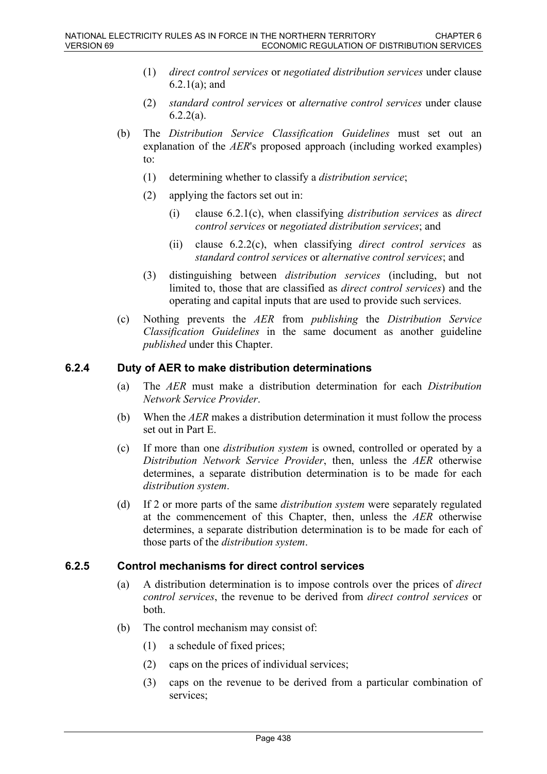- (1) *direct control services* or *negotiated distribution services* under clause 6.2.1(a); and
- (2) *standard control services* or *alternative control services* under clause 6.2.2(a).
- (b) The *Distribution Service Classification Guidelines* must set out an explanation of the *AER*'s proposed approach (including worked examples) to:
	- (1) determining whether to classify a *distribution service*;
	- (2) applying the factors set out in:
		- (i) clause 6.2.1(c), when classifying *distribution services* as *direct control services* or *negotiated distribution services*; and
		- (ii) clause 6.2.2(c), when classifying *direct control services* as *standard control services* or *alternative control services*; and
	- (3) distinguishing between *distribution services* (including, but not limited to, those that are classified as *direct control services*) and the operating and capital inputs that are used to provide such services.
- (c) Nothing prevents the *AER* from *publishing* the *Distribution Service Classification Guidelines* in the same document as another guideline *published* under this Chapter.

### **6.2.4 Duty of AER to make distribution determinations**

- (a) The *AER* must make a distribution determination for each *Distribution Network Service Provider*.
- (b) When the *AER* makes a distribution determination it must follow the process set out in Part E.
- (c) If more than one *distribution system* is owned, controlled or operated by a *Distribution Network Service Provider*, then, unless the *AER* otherwise determines, a separate distribution determination is to be made for each *distribution system*.
- (d) If 2 or more parts of the same *distribution system* were separately regulated at the commencement of this Chapter, then, unless the *AER* otherwise determines, a separate distribution determination is to be made for each of those parts of the *distribution system*.

#### **6.2.5 Control mechanisms for direct control services**

- (a) A distribution determination is to impose controls over the prices of *direct control services*, the revenue to be derived from *direct control services* or both.
- (b) The control mechanism may consist of:
	- (1) a schedule of fixed prices;
	- (2) caps on the prices of individual services;
	- (3) caps on the revenue to be derived from a particular combination of services;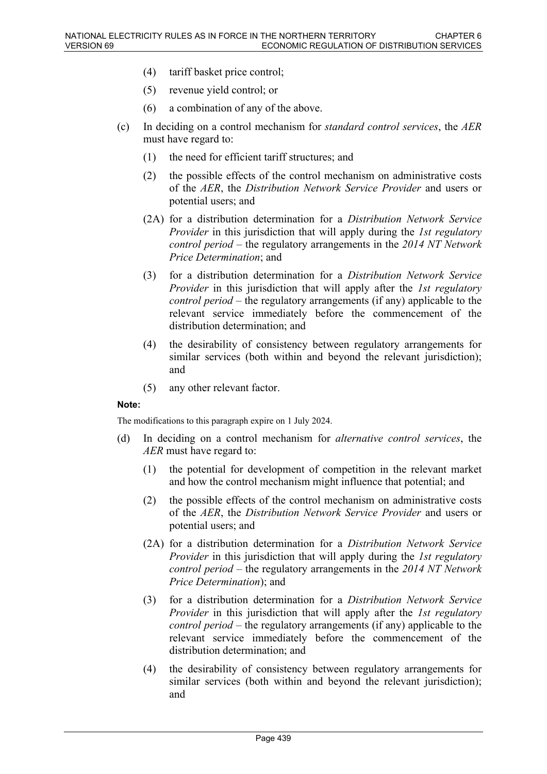- (4) tariff basket price control;
- (5) revenue yield control; or
- (6) a combination of any of the above.
- (c) In deciding on a control mechanism for *standard control services*, the *AER* must have regard to:
	- (1) the need for efficient tariff structures; and
	- (2) the possible effects of the control mechanism on administrative costs of the *AER*, the *Distribution Network Service Provider* and users or potential users; and
	- (2A) for a distribution determination for a *Distribution Network Service Provider* in this jurisdiction that will apply during the *1st regulatory control period* – the regulatory arrangements in the *2014 NT Network Price Determination*; and
	- (3) for a distribution determination for a *Distribution Network Service Provider* in this jurisdiction that will apply after the *1st regulatory control period* – the regulatory arrangements (if any) applicable to the relevant service immediately before the commencement of the distribution determination; and
	- (4) the desirability of consistency between regulatory arrangements for similar services (both within and beyond the relevant jurisdiction); and
	- (5) any other relevant factor.

#### **Note:**

The modifications to this paragraph expire on 1 July 2024.

- (d) In deciding on a control mechanism for *alternative control services*, the *AER* must have regard to:
	- (1) the potential for development of competition in the relevant market and how the control mechanism might influence that potential; and
	- (2) the possible effects of the control mechanism on administrative costs of the *AER*, the *Distribution Network Service Provider* and users or potential users; and
	- (2A) for a distribution determination for a *Distribution Network Service Provider* in this jurisdiction that will apply during the *1st regulatory control period* – the regulatory arrangements in the *2014 NT Network Price Determination*); and
	- (3) for a distribution determination for a *Distribution Network Service Provider* in this jurisdiction that will apply after the *1st regulatory control period* – the regulatory arrangements (if any) applicable to the relevant service immediately before the commencement of the distribution determination; and
	- (4) the desirability of consistency between regulatory arrangements for similar services (both within and beyond the relevant jurisdiction); and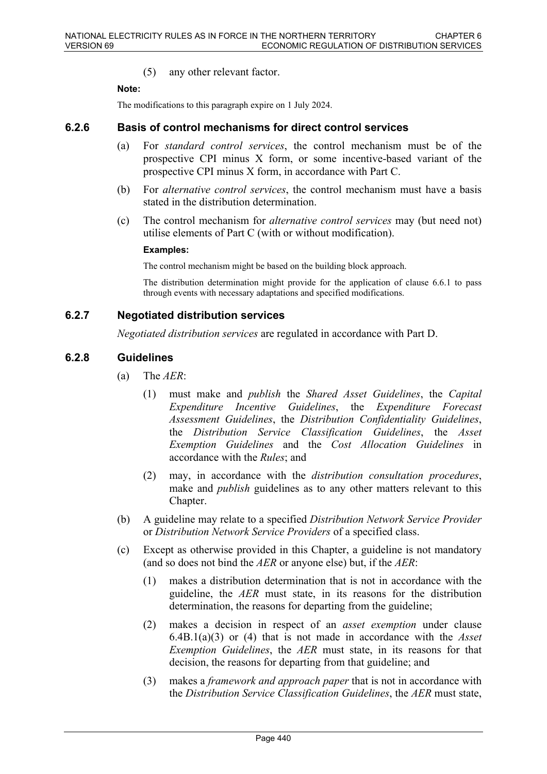(5) any other relevant factor.

#### **Note:**

The modifications to this paragraph expire on 1 July 2024.

### **6.2.6 Basis of control mechanisms for direct control services**

- (a) For *standard control services*, the control mechanism must be of the prospective CPI minus X form, or some incentive-based variant of the prospective CPI minus X form, in accordance with Part C.
- (b) For *alternative control services*, the control mechanism must have a basis stated in the distribution determination.
- (c) The control mechanism for *alternative control services* may (but need not) utilise elements of Part C (with or without modification).

#### **Examples:**

The control mechanism might be based on the building block approach.

The distribution determination might provide for the application of clause 6.6.1 to pass through events with necessary adaptations and specified modifications.

### **6.2.7 Negotiated distribution services**

*Negotiated distribution services* are regulated in accordance with Part D.

#### **6.2.8 Guidelines**

- (a) The *AER*:
	- (1) must make and *publish* the *Shared Asset Guidelines*, the *Capital Expenditure Incentive Guidelines*, the *Expenditure Forecast Assessment Guidelines*, the *Distribution Confidentiality Guidelines*, the *Distribution Service Classification Guidelines*, the *Asset Exemption Guidelines* and the *Cost Allocation Guidelines* in accordance with the *Rules*; and
	- (2) may, in accordance with the *distribution consultation procedures*, make and *publish* guidelines as to any other matters relevant to this Chapter.
- (b) A guideline may relate to a specified *Distribution Network Service Provider* or *Distribution Network Service Providers* of a specified class.
- (c) Except as otherwise provided in this Chapter, a guideline is not mandatory (and so does not bind the *AER* or anyone else) but, if the *AER*:
	- (1) makes a distribution determination that is not in accordance with the guideline, the *AER* must state, in its reasons for the distribution determination, the reasons for departing from the guideline;
	- (2) makes a decision in respect of an *asset exemption* under clause 6.4B.1(a)(3) or (4) that is not made in accordance with the *Asset Exemption Guidelines*, the *AER* must state, in its reasons for that decision, the reasons for departing from that guideline; and
	- (3) makes a *framework and approach paper* that is not in accordance with the *Distribution Service Classification Guidelines*, the *AER* must state,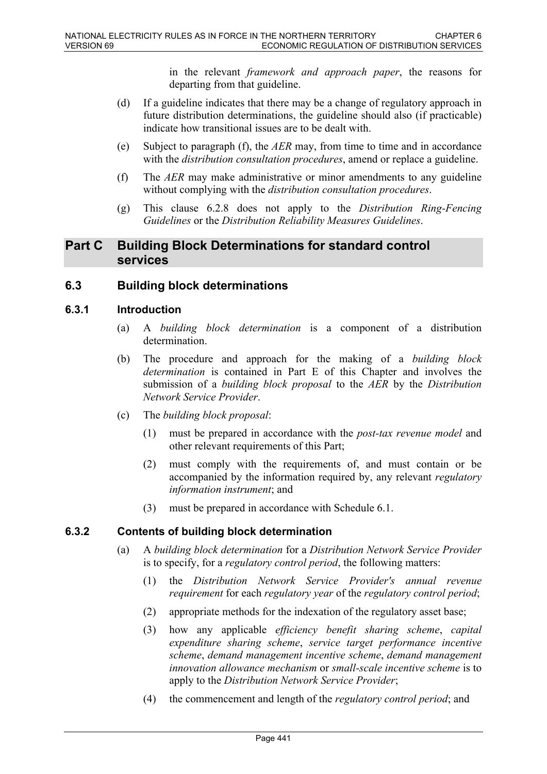in the relevant *framework and approach paper*, the reasons for departing from that guideline.

- (d) If a guideline indicates that there may be a change of regulatory approach in future distribution determinations, the guideline should also (if practicable) indicate how transitional issues are to be dealt with.
- (e) Subject to paragraph (f), the *AER* may, from time to time and in accordance with the *distribution consultation procedures*, amend or replace a guideline.
- (f) The *AER* may make administrative or minor amendments to any guideline without complying with the *distribution consultation procedures*.
- (g) This clause 6.2.8 does not apply to the *Distribution Ring-Fencing Guidelines* or the *Distribution Reliability Measures Guidelines*.

# **Part C Building Block Determinations for standard control services**

# **6.3 Building block determinations**

### **6.3.1 Introduction**

- (a) A *building block determination* is a component of a distribution determination.
- (b) The procedure and approach for the making of a *building block determination* is contained in Part E of this Chapter and involves the submission of a *building block proposal* to the *AER* by the *Distribution Network Service Provider*.
- (c) The *building block proposal*:
	- (1) must be prepared in accordance with the *post-tax revenue model* and other relevant requirements of this Part;
	- (2) must comply with the requirements of, and must contain or be accompanied by the information required by, any relevant *regulatory information instrument*; and
	- (3) must be prepared in accordance with Schedule 6.1.

### **6.3.2 Contents of building block determination**

- (a) A *building block determination* for a *Distribution Network Service Provider* is to specify, for a *regulatory control period*, the following matters:
	- (1) the *Distribution Network Service Provider's annual revenue requirement* for each *regulatory year* of the *regulatory control period*;
	- (2) appropriate methods for the indexation of the regulatory asset base;
	- (3) how any applicable *efficiency benefit sharing scheme*, *capital expenditure sharing scheme*, *service target performance incentive scheme*, *demand management incentive scheme*, *demand management innovation allowance mechanism* or *small-scale incentive scheme* is to apply to the *Distribution Network Service Provider*;
	- (4) the commencement and length of the *regulatory control period*; and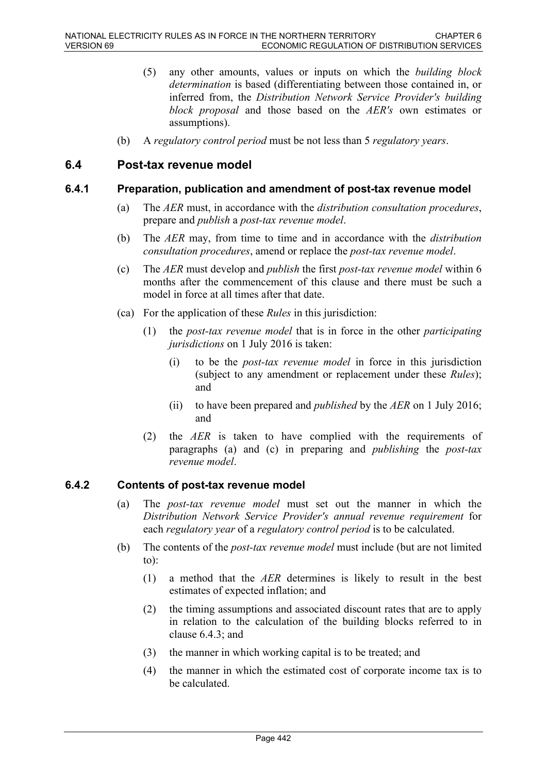- (5) any other amounts, values or inputs on which the *building block determination* is based (differentiating between those contained in, or inferred from, the *Distribution Network Service Provider's building block proposal* and those based on the *AER's* own estimates or assumptions).
- (b) A *regulatory control period* must be not less than 5 *regulatory years*.

### **6.4 Post-tax revenue model**

### **6.4.1 Preparation, publication and amendment of post-tax revenue model**

- (a) The *AER* must, in accordance with the *distribution consultation procedures*, prepare and *publish* a *post-tax revenue model*.
- (b) The *AER* may, from time to time and in accordance with the *distribution consultation procedures*, amend or replace the *post-tax revenue model*.
- (c) The *AER* must develop and *publish* the first *post-tax revenue model* within 6 months after the commencement of this clause and there must be such a model in force at all times after that date.
- (ca) For the application of these *Rules* in this jurisdiction:
	- (1) the *post-tax revenue model* that is in force in the other *participating jurisdictions* on 1 July 2016 is taken:
		- (i) to be the *post-tax revenue model* in force in this jurisdiction (subject to any amendment or replacement under these *Rules*); and
		- (ii) to have been prepared and *published* by the *AER* on 1 July 2016; and
	- (2) the *AER* is taken to have complied with the requirements of paragraphs (a) and (c) in preparing and *publishing* the *post-tax revenue model*.

### **6.4.2 Contents of post-tax revenue model**

- (a) The *post-tax revenue model* must set out the manner in which the *Distribution Network Service Provider's annual revenue requirement* for each *regulatory year* of a *regulatory control period* is to be calculated.
- (b) The contents of the *post-tax revenue model* must include (but are not limited to):
	- (1) a method that the *AER* determines is likely to result in the best estimates of expected inflation; and
	- (2) the timing assumptions and associated discount rates that are to apply in relation to the calculation of the building blocks referred to in clause 6.4.3; and
	- (3) the manner in which working capital is to be treated; and
	- (4) the manner in which the estimated cost of corporate income tax is to be calculated.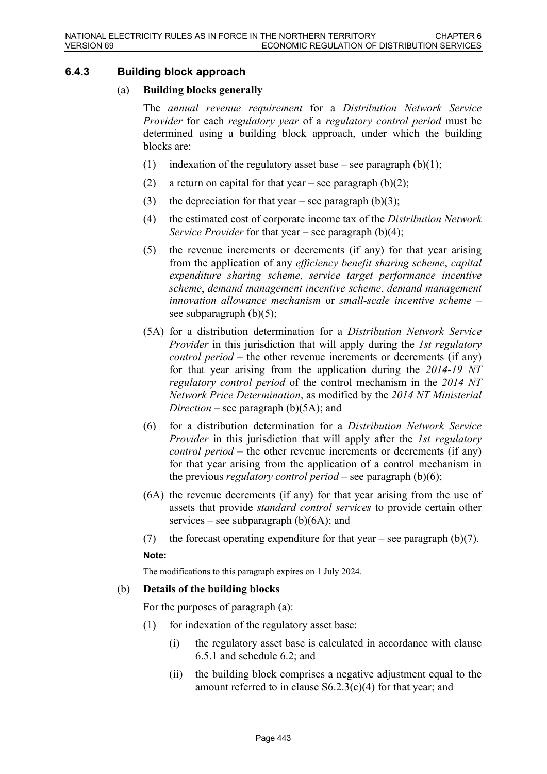### **6.4.3 Building block approach**

### (a) **Building blocks generally**

The *annual revenue requirement* for a *Distribution Network Service Provider* for each *regulatory year* of a *regulatory control period* must be determined using a building block approach, under which the building blocks are:

- (1) indexation of the regulatory asset base see paragraph  $(b)(1)$ ;
- (2) a return on capital for that year see paragraph  $(b)(2)$ ;
- (3) the depreciation for that year see paragraph  $(b)(3)$ ;
- (4) the estimated cost of corporate income tax of the *Distribution Network Service Provider* for that year – see paragraph (b)(4);
- (5) the revenue increments or decrements (if any) for that year arising from the application of any *efficiency benefit sharing scheme*, *capital expenditure sharing scheme*, *service target performance incentive scheme*, *demand management incentive scheme*, *demand management innovation allowance mechanism* or *small-scale incentive scheme* – see subparagraph  $(b)(5)$ ;
- (5A) for a distribution determination for a *Distribution Network Service Provider* in this jurisdiction that will apply during the *1st regulatory control period* – the other revenue increments or decrements (if any) for that year arising from the application during the *2014-19 NT regulatory control period* of the control mechanism in the *2014 NT Network Price Determination*, as modified by the *2014 NT Ministerial Direction* – see paragraph (b)(5A); and
- (6) for a distribution determination for a *Distribution Network Service Provider* in this jurisdiction that will apply after the *1st regulatory control period* – the other revenue increments or decrements (if any) for that year arising from the application of a control mechanism in the previous *regulatory control period* – see paragraph (b)(6);
- (6A) the revenue decrements (if any) for that year arising from the use of assets that provide *standard control services* to provide certain other services – see subparagraph  $(b)(6A)$ ; and
- (7) the forecast operating expenditure for that year see paragraph (b)(7).

#### **Note:**

The modifications to this paragraph expires on 1 July 2024.

#### (b) **Details of the building blocks**

For the purposes of paragraph (a):

- (1) for indexation of the regulatory asset base:
	- (i) the regulatory asset base is calculated in accordance with clause 6.5.1 and schedule 6.2; and
	- (ii) the building block comprises a negative adjustment equal to the amount referred to in clause  $S6.2.3(c)(4)$  for that year; and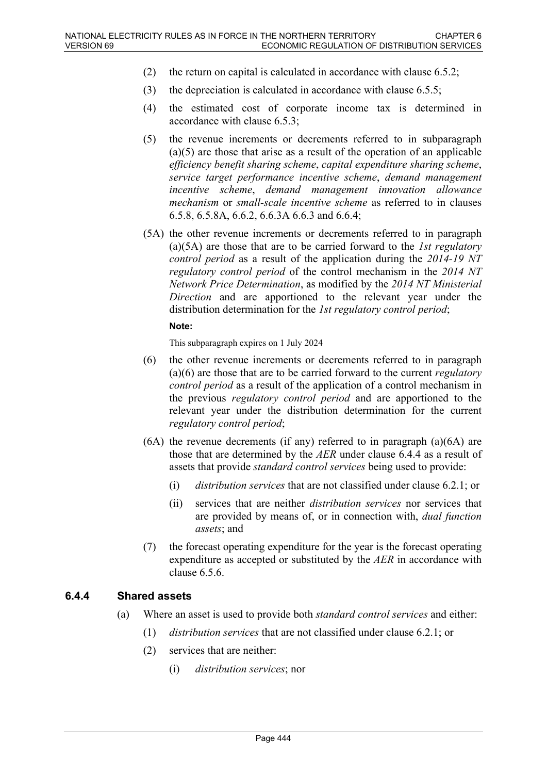- (2) the return on capital is calculated in accordance with clause 6.5.2;
- (3) the depreciation is calculated in accordance with clause 6.5.5;
- (4) the estimated cost of corporate income tax is determined in accordance with clause 6.5.3;
- (5) the revenue increments or decrements referred to in subparagraph (a)(5) are those that arise as a result of the operation of an applicable *efficiency benefit sharing scheme*, *capital expenditure sharing scheme*, *service target performance incentive scheme*, *demand management incentive scheme*, *demand management innovation allowance mechanism* or *small-scale incentive scheme* as referred to in clauses 6.5.8, 6.5.8A, 6.6.2, 6.6.3A 6.6.3 and 6.6.4;
- (5A) the other revenue increments or decrements referred to in paragraph (a)(5A) are those that are to be carried forward to the *1st regulatory control period* as a result of the application during the *2014-19 NT regulatory control period* of the control mechanism in the *2014 NT Network Price Determination*, as modified by the *2014 NT Ministerial Direction* and are apportioned to the relevant year under the distribution determination for the *1st regulatory control period*;

#### **Note:**

This subparagraph expires on 1 July 2024

- (6) the other revenue increments or decrements referred to in paragraph (a)(6) are those that are to be carried forward to the current *regulatory control period* as a result of the application of a control mechanism in the previous *regulatory control period* and are apportioned to the relevant year under the distribution determination for the current *regulatory control period*;
- (6A) the revenue decrements (if any) referred to in paragraph (a)(6A) are those that are determined by the *AER* under clause 6.4.4 as a result of assets that provide *standard control services* being used to provide:
	- (i) *distribution services* that are not classified under clause 6.2.1; or
	- (ii) services that are neither *distribution services* nor services that are provided by means of, or in connection with, *dual function assets*; and
- (7) the forecast operating expenditure for the year is the forecast operating expenditure as accepted or substituted by the *AER* in accordance with clause 6.5.6.

### **6.4.4 Shared assets**

- (a) Where an asset is used to provide both *standard control services* and either:
	- (1) *distribution services* that are not classified under clause 6.2.1; or
	- (2) services that are neither:
		- (i) *distribution services*; nor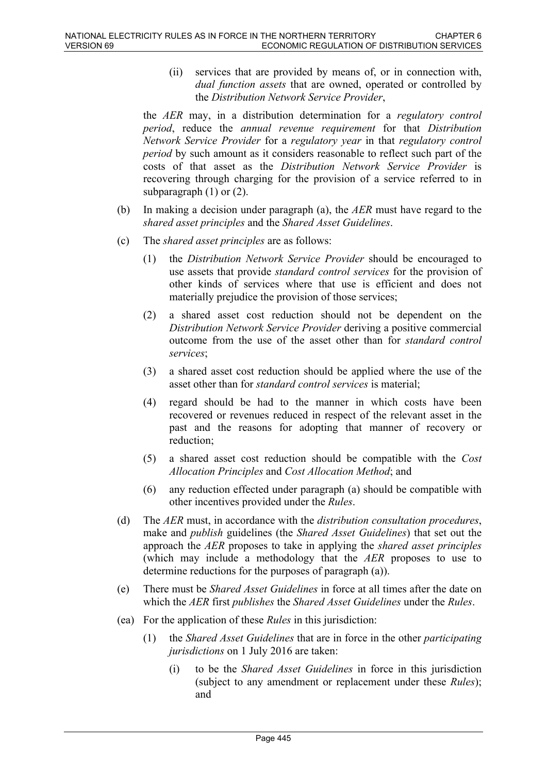(ii) services that are provided by means of, or in connection with, *dual function assets* that are owned, operated or controlled by the *Distribution Network Service Provider*,

the *AER* may, in a distribution determination for a *regulatory control period*, reduce the *annual revenue requirement* for that *Distribution Network Service Provider* for a *regulatory year* in that *regulatory control period* by such amount as it considers reasonable to reflect such part of the costs of that asset as the *Distribution Network Service Provider* is recovering through charging for the provision of a service referred to in subparagraph (1) or (2).

- (b) In making a decision under paragraph (a), the *AER* must have regard to the *shared asset principles* and the *Shared Asset Guidelines*.
- (c) The *shared asset principles* are as follows:
	- (1) the *Distribution Network Service Provider* should be encouraged to use assets that provide *standard control services* for the provision of other kinds of services where that use is efficient and does not materially prejudice the provision of those services;
	- (2) a shared asset cost reduction should not be dependent on the *Distribution Network Service Provider* deriving a positive commercial outcome from the use of the asset other than for *standard control services*;
	- (3) a shared asset cost reduction should be applied where the use of the asset other than for *standard control services* is material;
	- (4) regard should be had to the manner in which costs have been recovered or revenues reduced in respect of the relevant asset in the past and the reasons for adopting that manner of recovery or reduction;
	- (5) a shared asset cost reduction should be compatible with the *Cost Allocation Principles* and *Cost Allocation Method*; and
	- (6) any reduction effected under paragraph (a) should be compatible with other incentives provided under the *Rules*.
- (d) The *AER* must, in accordance with the *distribution consultation procedures*, make and *publish* guidelines (the *Shared Asset Guidelines*) that set out the approach the *AER* proposes to take in applying the *shared asset principles* (which may include a methodology that the *AER* proposes to use to determine reductions for the purposes of paragraph (a)).
- (e) There must be *Shared Asset Guidelines* in force at all times after the date on which the *AER* first *publishes* the *Shared Asset Guidelines* under the *Rules*.
- (ea) For the application of these *Rules* in this jurisdiction:
	- (1) the *Shared Asset Guidelines* that are in force in the other *participating jurisdictions* on 1 July 2016 are taken:
		- (i) to be the *Shared Asset Guidelines* in force in this jurisdiction (subject to any amendment or replacement under these *Rules*); and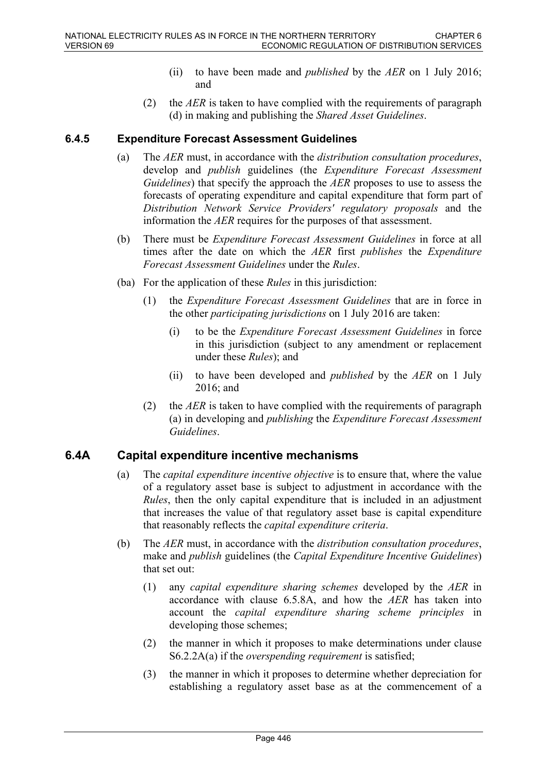- (ii) to have been made and *published* by the *AER* on 1 July 2016; and
- (2) the *AER* is taken to have complied with the requirements of paragraph (d) in making and publishing the *Shared Asset Guidelines*.

### **6.4.5 Expenditure Forecast Assessment Guidelines**

- (a) The *AER* must, in accordance with the *distribution consultation procedures*, develop and *publish* guidelines (the *Expenditure Forecast Assessment Guidelines*) that specify the approach the *AER* proposes to use to assess the forecasts of operating expenditure and capital expenditure that form part of *Distribution Network Service Providers' regulatory proposals* and the information the *AER* requires for the purposes of that assessment.
- (b) There must be *Expenditure Forecast Assessment Guidelines* in force at all times after the date on which the *AER* first *publishes* the *Expenditure Forecast Assessment Guidelines* under the *Rules*.
- (ba) For the application of these *Rules* in this jurisdiction:
	- (1) the *Expenditure Forecast Assessment Guidelines* that are in force in the other *participating jurisdictions* on 1 July 2016 are taken:
		- (i) to be the *Expenditure Forecast Assessment Guidelines* in force in this jurisdiction (subject to any amendment or replacement under these *Rules*); and
		- (ii) to have been developed and *published* by the *AER* on 1 July 2016; and
	- (2) the *AER* is taken to have complied with the requirements of paragraph (a) in developing and *publishing* the *Expenditure Forecast Assessment Guidelines*.

# **6.4A Capital expenditure incentive mechanisms**

- (a) The *capital expenditure incentive objective* is to ensure that, where the value of a regulatory asset base is subject to adjustment in accordance with the *Rules*, then the only capital expenditure that is included in an adjustment that increases the value of that regulatory asset base is capital expenditure that reasonably reflects the *capital expenditure criteria*.
- (b) The *AER* must, in accordance with the *distribution consultation procedures*, make and *publish* guidelines (the *Capital Expenditure Incentive Guidelines*) that set out:
	- (1) any *capital expenditure sharing schemes* developed by the *AER* in accordance with clause 6.5.8A, and how the *AER* has taken into account the *capital expenditure sharing scheme principles* in developing those schemes;
	- (2) the manner in which it proposes to make determinations under clause S6.2.2A(a) if the *overspending requirement* is satisfied;
	- (3) the manner in which it proposes to determine whether depreciation for establishing a regulatory asset base as at the commencement of a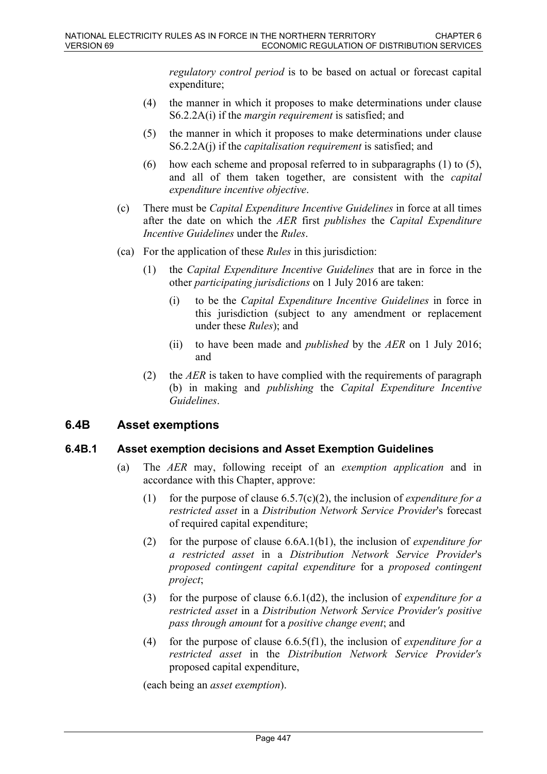*regulatory control period* is to be based on actual or forecast capital expenditure;

- (4) the manner in which it proposes to make determinations under clause S6.2.2A(i) if the *margin requirement* is satisfied; and
- (5) the manner in which it proposes to make determinations under clause S6.2.2A(j) if the *capitalisation requirement* is satisfied; and
- (6) how each scheme and proposal referred to in subparagraphs (1) to (5), and all of them taken together, are consistent with the *capital expenditure incentive objective*.
- (c) There must be *Capital Expenditure Incentive Guidelines* in force at all times after the date on which the *AER* first *publishes* the *Capital Expenditure Incentive Guidelines* under the *Rules*.
- (ca) For the application of these *Rules* in this jurisdiction:
	- (1) the *Capital Expenditure Incentive Guidelines* that are in force in the other *participating jurisdictions* on 1 July 2016 are taken:
		- (i) to be the *Capital Expenditure Incentive Guidelines* in force in this jurisdiction (subject to any amendment or replacement under these *Rules*); and
		- (ii) to have been made and *published* by the *AER* on 1 July 2016; and
	- (2) the *AER* is taken to have complied with the requirements of paragraph (b) in making and *publishing* the *Capital Expenditure Incentive Guidelines*.

### **6.4B Asset exemptions**

### **6.4B.1 Asset exemption decisions and Asset Exemption Guidelines**

- (a) The *AER* may, following receipt of an *exemption application* and in accordance with this Chapter, approve:
	- (1) for the purpose of clause 6.5.7(c)(2), the inclusion of *expenditure for a restricted asset* in a *Distribution Network Service Provider*'s forecast of required capital expenditure;
	- (2) for the purpose of clause 6.6A.1(b1), the inclusion of *expenditure for a restricted asset* in a *Distribution Network Service Provider*'s *proposed contingent capital expenditure* for a *proposed contingent project*;
	- (3) for the purpose of clause 6.6.1(d2), the inclusion of *expenditure for a restricted asset* in a *Distribution Network Service Provider's positive pass through amount* for a *positive change event*; and
	- (4) for the purpose of clause 6.6.5(f1), the inclusion of *expenditure for a restricted asset* in the *Distribution Network Service Provider's* proposed capital expenditure,

(each being an *asset exemption*).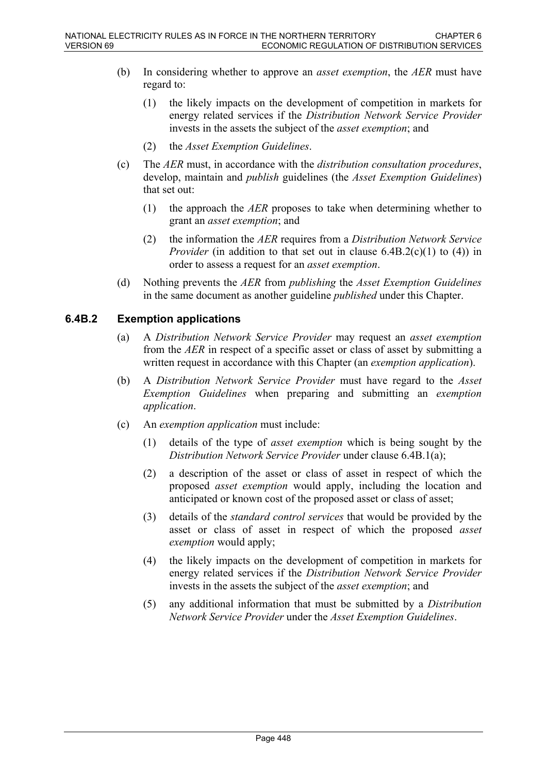- (b) In considering whether to approve an *asset exemption*, the *AER* must have regard to:
	- (1) the likely impacts on the development of competition in markets for energy related services if the *Distribution Network Service Provider* invests in the assets the subject of the *asset exemption*; and
	- (2) the *Asset Exemption Guidelines*.
- (c) The *AER* must, in accordance with the *distribution consultation procedures*, develop, maintain and *publish* guidelines (the *Asset Exemption Guidelines*) that set out:
	- (1) the approach the *AER* proposes to take when determining whether to grant an *asset exemption*; and
	- (2) the information the *AER* requires from a *Distribution Network Service Provider* (in addition to that set out in clause 6.4B.2(c)(1) to (4)) in order to assess a request for an *asset exemption*.
- (d) Nothing prevents the *AER* from *publishing* the *Asset Exemption Guidelines* in the same document as another guideline *published* under this Chapter.

### **6.4B.2 Exemption applications**

- (a) A *Distribution Network Service Provider* may request an *asset exemption*  from the *AER* in respect of a specific asset or class of asset by submitting a written request in accordance with this Chapter (an *exemption application*).
- (b) A *Distribution Network Service Provider* must have regard to the *Asset Exemption Guidelines* when preparing and submitting an *exemption application*.
- (c) An *exemption application* must include:
	- (1) details of the type of *asset exemption* which is being sought by the *Distribution Network Service Provider* under clause 6.4B.1(a);
	- (2) a description of the asset or class of asset in respect of which the proposed *asset exemption* would apply, including the location and anticipated or known cost of the proposed asset or class of asset;
	- (3) details of the *standard control services* that would be provided by the asset or class of asset in respect of which the proposed *asset exemption* would apply;
	- (4) the likely impacts on the development of competition in markets for energy related services if the *Distribution Network Service Provider* invests in the assets the subject of the *asset exemption*; and
	- (5) any additional information that must be submitted by a *Distribution Network Service Provider* under the *Asset Exemption Guidelines*.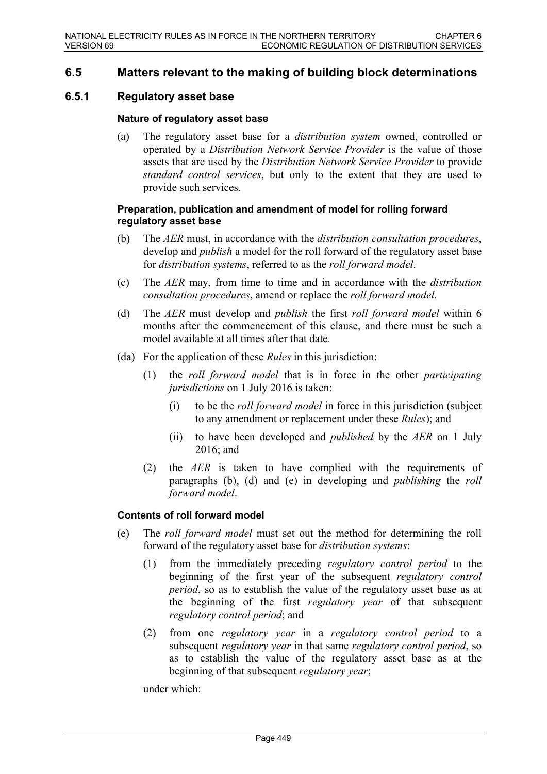### **6.5 Matters relevant to the making of building block determinations**

### **6.5.1 Regulatory asset base**

#### **Nature of regulatory asset base**

(a) The regulatory asset base for a *distribution system* owned, controlled or operated by a *Distribution Network Service Provider* is the value of those assets that are used by the *Distribution Network Service Provider* to provide *standard control services*, but only to the extent that they are used to provide such services.

#### **Preparation, publication and amendment of model for rolling forward regulatory asset base**

- (b) The *AER* must, in accordance with the *distribution consultation procedures*, develop and *publish* a model for the roll forward of the regulatory asset base for *distribution systems*, referred to as the *roll forward model*.
- (c) The *AER* may, from time to time and in accordance with the *distribution consultation procedures*, amend or replace the *roll forward model*.
- (d) The *AER* must develop and *publish* the first *roll forward model* within 6 months after the commencement of this clause, and there must be such a model available at all times after that date.
- (da) For the application of these *Rules* in this jurisdiction:
	- (1) the *roll forward model* that is in force in the other *participating jurisdictions* on 1 July 2016 is taken:
		- (i) to be the *roll forward model* in force in this jurisdiction (subject to any amendment or replacement under these *Rules*); and
		- (ii) to have been developed and *published* by the *AER* on 1 July 2016; and
	- (2) the *AER* is taken to have complied with the requirements of paragraphs (b), (d) and (e) in developing and *publishing* the *roll forward model*.

#### **Contents of roll forward model**

- (e) The *roll forward model* must set out the method for determining the roll forward of the regulatory asset base for *distribution systems*:
	- (1) from the immediately preceding *regulatory control period* to the beginning of the first year of the subsequent *regulatory control period*, so as to establish the value of the regulatory asset base as at the beginning of the first *regulatory year* of that subsequent *regulatory control period*; and
	- (2) from one *regulatory year* in a *regulatory control period* to a subsequent *regulatory year* in that same *regulatory control period*, so as to establish the value of the regulatory asset base as at the beginning of that subsequent *regulatory year*;

under which: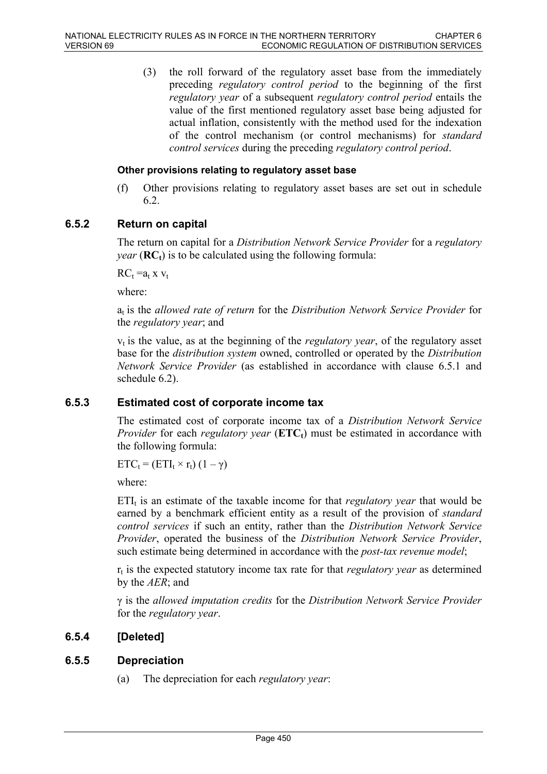(3) the roll forward of the regulatory asset base from the immediately preceding *regulatory control period* to the beginning of the first *regulatory year* of a subsequent *regulatory control period* entails the value of the first mentioned regulatory asset base being adjusted for actual inflation, consistently with the method used for the indexation of the control mechanism (or control mechanisms) for *standard control services* during the preceding *regulatory control period*.

#### **Other provisions relating to regulatory asset base**

(f) Other provisions relating to regulatory asset bases are set out in schedule 6.2.

#### **6.5.2 Return on capital**

The return on capital for a *Distribution Network Service Provider* for a *regulatory year* ( $\mathbf{RC}_t$ ) is to be calculated using the following formula:

 $RC_t = a_t x v_t$ 

where:

a<sub>t</sub> is the *allowed rate of return* for the *Distribution Network Service Provider* for the *regulatory year*; and

 $v_t$  is the value, as at the beginning of the *regulatory year*, of the regulatory asset base for the *distribution system* owned, controlled or operated by the *Distribution Network Service Provider* (as established in accordance with clause 6.5.1 and schedule 6.2).

#### **6.5.3 Estimated cost of corporate income tax**

The estimated cost of corporate income tax of a *Distribution Network Service Provider* for each *regulatory year* (**ETCt**) must be estimated in accordance with the following formula:

 $ETC_t = (ETI_t \times r_t) (1 - \gamma)$ 

where:

 $ETI_t$  is an estimate of the taxable income for that *regulatory year* that would be earned by a benchmark efficient entity as a result of the provision of *standard control services* if such an entity, rather than the *Distribution Network Service Provider*, operated the business of the *Distribution Network Service Provider*, such estimate being determined in accordance with the *post-tax revenue model*;

 $r_t$  is the expected statutory income tax rate for that *regulatory year* as determined by the *AER*; and

γ is the *allowed imputation credits* for the *Distribution Network Service Provider* for the *regulatory year*.

### **6.5.4 [Deleted]**

#### **6.5.5 Depreciation**

(a) The depreciation for each *regulatory year*: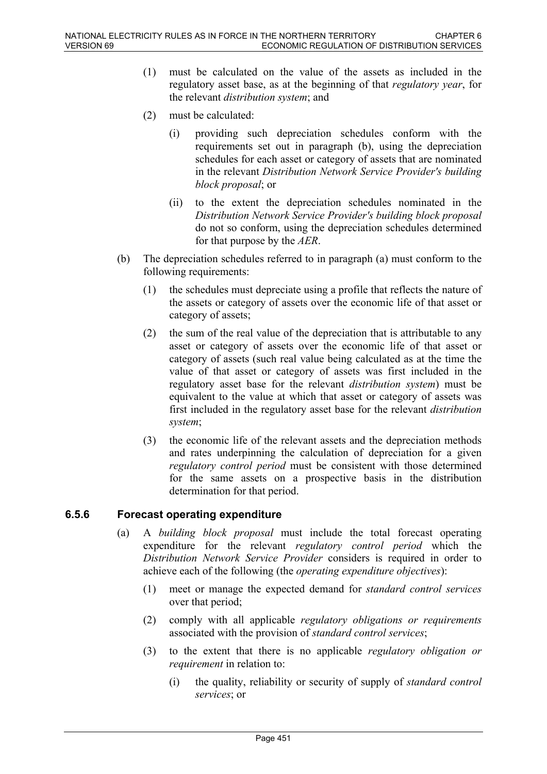- (1) must be calculated on the value of the assets as included in the regulatory asset base, as at the beginning of that *regulatory year*, for the relevant *distribution system*; and
- (2) must be calculated:
	- (i) providing such depreciation schedules conform with the requirements set out in paragraph (b), using the depreciation schedules for each asset or category of assets that are nominated in the relevant *Distribution Network Service Provider's building block proposal*; or
	- (ii) to the extent the depreciation schedules nominated in the *Distribution Network Service Provider's building block proposal* do not so conform, using the depreciation schedules determined for that purpose by the *AER*.
- (b) The depreciation schedules referred to in paragraph (a) must conform to the following requirements:
	- (1) the schedules must depreciate using a profile that reflects the nature of the assets or category of assets over the economic life of that asset or category of assets;
	- (2) the sum of the real value of the depreciation that is attributable to any asset or category of assets over the economic life of that asset or category of assets (such real value being calculated as at the time the value of that asset or category of assets was first included in the regulatory asset base for the relevant *distribution system*) must be equivalent to the value at which that asset or category of assets was first included in the regulatory asset base for the relevant *distribution system*;
	- (3) the economic life of the relevant assets and the depreciation methods and rates underpinning the calculation of depreciation for a given *regulatory control period* must be consistent with those determined for the same assets on a prospective basis in the distribution determination for that period.

# **6.5.6 Forecast operating expenditure**

- (a) A *building block proposal* must include the total forecast operating expenditure for the relevant *regulatory control period* which the *Distribution Network Service Provider* considers is required in order to achieve each of the following (the *operating expenditure objectives*):
	- (1) meet or manage the expected demand for *standard control services* over that period;
	- (2) comply with all applicable *regulatory obligations or requirements* associated with the provision of *standard control services*;
	- (3) to the extent that there is no applicable *regulatory obligation or requirement* in relation to:
		- (i) the quality, reliability or security of supply of *standard control services*; or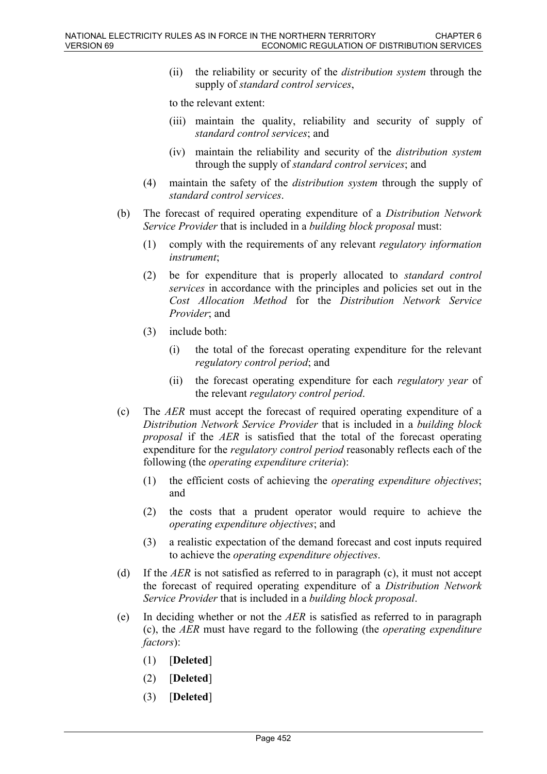(ii) the reliability or security of the *distribution system* through the supply of *standard control services*,

to the relevant extent:

- (iii) maintain the quality, reliability and security of supply of *standard control services*; and
- (iv) maintain the reliability and security of the *distribution system* through the supply of *standard control services*; and
- (4) maintain the safety of the *distribution system* through the supply of *standard control services*.
- (b) The forecast of required operating expenditure of a *Distribution Network Service Provider* that is included in a *building block proposal* must:
	- (1) comply with the requirements of any relevant *regulatory information instrument*;
	- (2) be for expenditure that is properly allocated to *standard control services* in accordance with the principles and policies set out in the *Cost Allocation Method* for the *Distribution Network Service Provider*; and
	- (3) include both:
		- (i) the total of the forecast operating expenditure for the relevant *regulatory control period*; and
		- (ii) the forecast operating expenditure for each *regulatory year* of the relevant *regulatory control period*.
- (c) The *AER* must accept the forecast of required operating expenditure of a *Distribution Network Service Provider* that is included in a *building block proposal* if the *AER* is satisfied that the total of the forecast operating expenditure for the *regulatory control period* reasonably reflects each of the following (the *operating expenditure criteria*):
	- (1) the efficient costs of achieving the *operating expenditure objectives*; and
	- (2) the costs that a prudent operator would require to achieve the *operating expenditure objectives*; and
	- (3) a realistic expectation of the demand forecast and cost inputs required to achieve the *operating expenditure objectives*.
- (d) If the *AER* is not satisfied as referred to in paragraph (c), it must not accept the forecast of required operating expenditure of a *Distribution Network Service Provider* that is included in a *building block proposal*.
- (e) In deciding whether or not the *AER* is satisfied as referred to in paragraph (c), the *AER* must have regard to the following (the *operating expenditure factors*):
	- (1) [**Deleted**]
	- (2) [**Deleted**]
	- (3) [**Deleted**]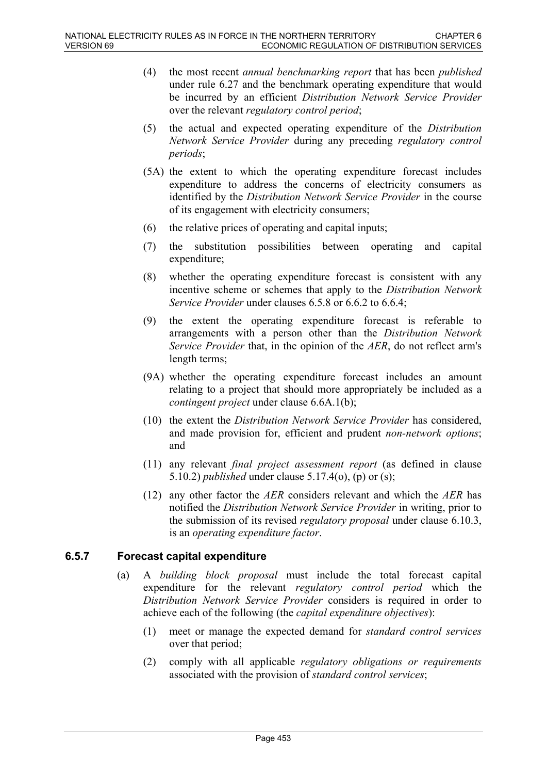- (4) the most recent *annual benchmarking report* that has been *published* under rule 6.27 and the benchmark operating expenditure that would be incurred by an efficient *Distribution Network Service Provider* over the relevant *regulatory control period*;
- (5) the actual and expected operating expenditure of the *Distribution Network Service Provider* during any preceding *regulatory control periods*;
- (5A) the extent to which the operating expenditure forecast includes expenditure to address the concerns of electricity consumers as identified by the *Distribution Network Service Provider* in the course of its engagement with electricity consumers;
- (6) the relative prices of operating and capital inputs;
- (7) the substitution possibilities between operating and capital expenditure;
- (8) whether the operating expenditure forecast is consistent with any incentive scheme or schemes that apply to the *Distribution Network Service Provider* under clauses 6.5.8 or 6.6.2 to 6.6.4;
- (9) the extent the operating expenditure forecast is referable to arrangements with a person other than the *Distribution Network Service Provider* that, in the opinion of the *AER*, do not reflect arm's length terms;
- (9A) whether the operating expenditure forecast includes an amount relating to a project that should more appropriately be included as a *contingent project* under clause 6.6A.1(b);
- (10) the extent the *Distribution Network Service Provider* has considered, and made provision for, efficient and prudent *non-network options*; and
- (11) any relevant *final project assessment report* (as defined in clause 5.10.2) *published* under clause 5.17.4(o), (p) or (s);
- (12) any other factor the *AER* considers relevant and which the *AER* has notified the *Distribution Network Service Provider* in writing, prior to the submission of its revised *regulatory proposal* under clause 6.10.3, is an *operating expenditure factor*.

### **6.5.7 Forecast capital expenditure**

- (a) A *building block proposal* must include the total forecast capital expenditure for the relevant *regulatory control period* which the *Distribution Network Service Provider* considers is required in order to achieve each of the following (the *capital expenditure objectives*):
	- (1) meet or manage the expected demand for *standard control services* over that period;
	- (2) comply with all applicable *regulatory obligations or requirements* associated with the provision of *standard control services*;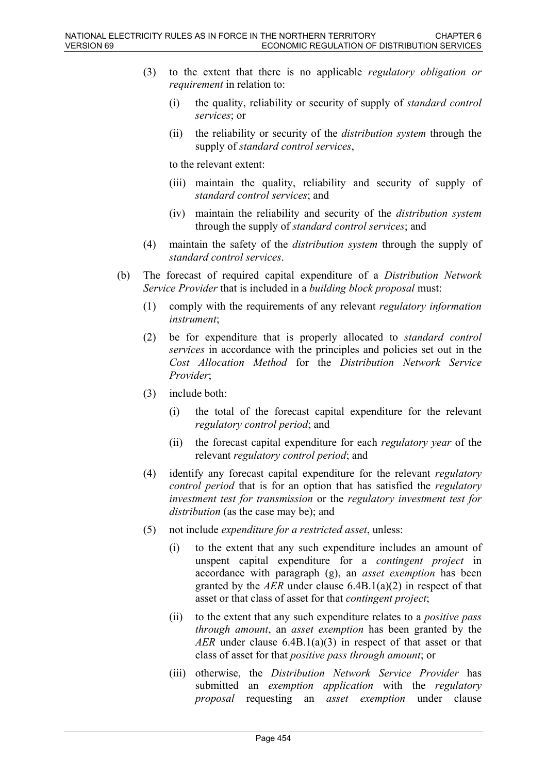- (3) to the extent that there is no applicable *regulatory obligation or requirement* in relation to:
	- (i) the quality, reliability or security of supply of *standard control services*; or
	- (ii) the reliability or security of the *distribution system* through the supply of *standard control services*,

to the relevant extent:

- (iii) maintain the quality, reliability and security of supply of *standard control services*; and
- (iv) maintain the reliability and security of the *distribution system* through the supply of *standard control services*; and
- (4) maintain the safety of the *distribution system* through the supply of *standard control services*.
- (b) The forecast of required capital expenditure of a *Distribution Network Service Provider* that is included in a *building block proposal* must:
	- (1) comply with the requirements of any relevant *regulatory information instrument*;
	- (2) be for expenditure that is properly allocated to *standard control services* in accordance with the principles and policies set out in the *Cost Allocation Method* for the *Distribution Network Service Provider*;
	- (3) include both:
		- (i) the total of the forecast capital expenditure for the relevant *regulatory control period*; and
		- (ii) the forecast capital expenditure for each *regulatory year* of the relevant *regulatory control period*; and
	- (4) identify any forecast capital expenditure for the relevant *regulatory control period* that is for an option that has satisfied the *regulatory investment test for transmission* or the *regulatory investment test for distribution* (as the case may be); and
	- (5) not include *expenditure for a restricted asset*, unless:
		- (i) to the extent that any such expenditure includes an amount of unspent capital expenditure for a *contingent project* in accordance with paragraph (g), an *asset exemption* has been granted by the *AER* under clause 6.4B.1(a)(2) in respect of that asset or that class of asset for that *contingent project*;
		- (ii) to the extent that any such expenditure relates to a *positive pass through amount*, an *asset exemption* has been granted by the *AER* under clause 6.4B.1(a)(3) in respect of that asset or that class of asset for that *positive pass through amount*; or
		- (iii) otherwise, the *Distribution Network Service Provider* has submitted an *exemption application* with the *regulatory proposal* requesting an *asset exemption* under clause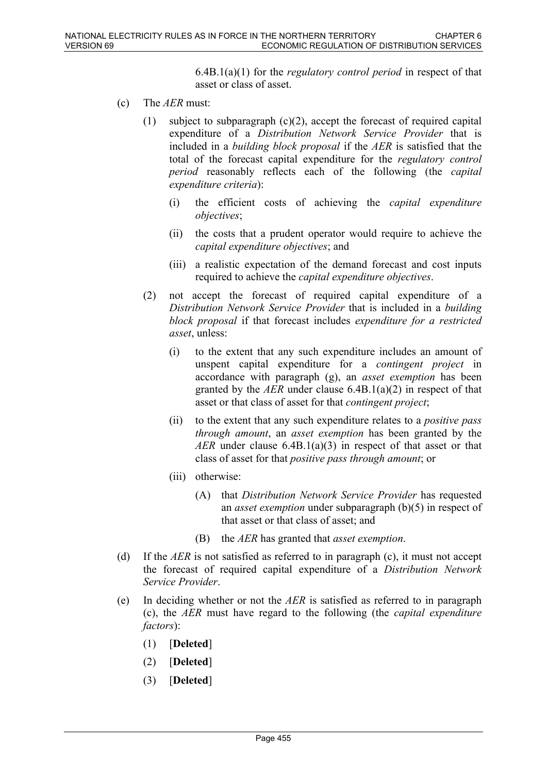6.4B.1(a)(1) for the *regulatory control period* in respect of that asset or class of asset.

- (c) The *AER* must:
	- (1) subject to subparagraph  $(c)(2)$ , accept the forecast of required capital expenditure of a *Distribution Network Service Provider* that is included in a *building block proposal* if the *AER* is satisfied that the total of the forecast capital expenditure for the *regulatory control period* reasonably reflects each of the following (the *capital expenditure criteria*):
		- (i) the efficient costs of achieving the *capital expenditure objectives*;
		- (ii) the costs that a prudent operator would require to achieve the *capital expenditure objectives*; and
		- (iii) a realistic expectation of the demand forecast and cost inputs required to achieve the *capital expenditure objectives*.
	- (2) not accept the forecast of required capital expenditure of a *Distribution Network Service Provider* that is included in a *building block proposal* if that forecast includes *expenditure for a restricted asset*, unless:
		- (i) to the extent that any such expenditure includes an amount of unspent capital expenditure for a *contingent project* in accordance with paragraph (g), an *asset exemption* has been granted by the *AER* under clause 6.4B.1(a)(2) in respect of that asset or that class of asset for that *contingent project*;
		- (ii) to the extent that any such expenditure relates to a *positive pass through amount*, an *asset exemption* has been granted by the *AER* under clause 6.4B.1(a)(3) in respect of that asset or that class of asset for that *positive pass through amount*; or
		- (iii) otherwise:
			- (A) that *Distribution Network Service Provider* has requested an *asset exemption* under subparagraph (b)(5) in respect of that asset or that class of asset; and
			- (B) the *AER* has granted that *asset exemption*.
- (d) If the *AER* is not satisfied as referred to in paragraph (c), it must not accept the forecast of required capital expenditure of a *Distribution Network Service Provider*.
- (e) In deciding whether or not the *AER* is satisfied as referred to in paragraph (c), the *AER* must have regard to the following (the *capital expenditure factors*):
	- (1) [**Deleted**]
	- (2) [**Deleted**]
	- (3) [**Deleted**]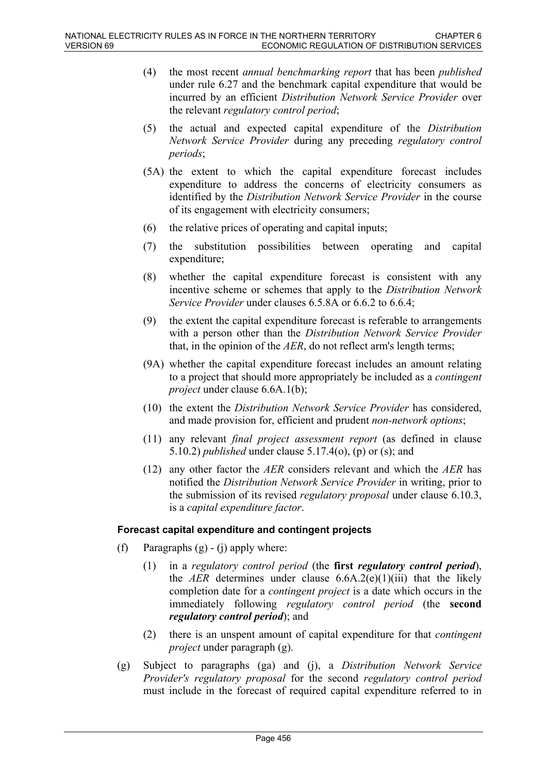- (4) the most recent *annual benchmarking report* that has been *published* under rule 6.27 and the benchmark capital expenditure that would be incurred by an efficient *Distribution Network Service Provider* over the relevant *regulatory control period*;
- (5) the actual and expected capital expenditure of the *Distribution Network Service Provider* during any preceding *regulatory control periods*;
- (5A) the extent to which the capital expenditure forecast includes expenditure to address the concerns of electricity consumers as identified by the *Distribution Network Service Provider* in the course of its engagement with electricity consumers;
- (6) the relative prices of operating and capital inputs;
- (7) the substitution possibilities between operating and capital expenditure;
- (8) whether the capital expenditure forecast is consistent with any incentive scheme or schemes that apply to the *Distribution Network Service Provider* under clauses 6.5.8A or 6.6.2 to 6.6.4;
- (9) the extent the capital expenditure forecast is referable to arrangements with a person other than the *Distribution Network Service Provider* that, in the opinion of the *AER*, do not reflect arm's length terms;
- (9A) whether the capital expenditure forecast includes an amount relating to a project that should more appropriately be included as a *contingent project* under clause 6.6A.1(b);
- (10) the extent the *Distribution Network Service Provider* has considered, and made provision for, efficient and prudent *non-network options*;
- (11) any relevant *final project assessment report* (as defined in clause 5.10.2) *published* under clause 5.17.4(o), (p) or (s); and
- (12) any other factor the *AER* considers relevant and which the *AER* has notified the *Distribution Network Service Provider* in writing, prior to the submission of its revised *regulatory proposal* under clause 6.10.3, is a *capital expenditure factor*.

#### **Forecast capital expenditure and contingent projects**

- (f) Paragraphs  $(g) (i)$  apply where:
	- (1) in a *regulatory control period* (the **first** *regulatory control period*), the *AER* determines under clause  $6.6A.2(e)(1)(iii)$  that the likely completion date for a *contingent project* is a date which occurs in the immediately following *regulatory control period* (the **second**  *regulatory control period*); and
	- (2) there is an unspent amount of capital expenditure for that *contingent project* under paragraph (g).
- (g) Subject to paragraphs (ga) and (j), a *Distribution Network Service Provider's regulatory proposal* for the second *regulatory control period* must include in the forecast of required capital expenditure referred to in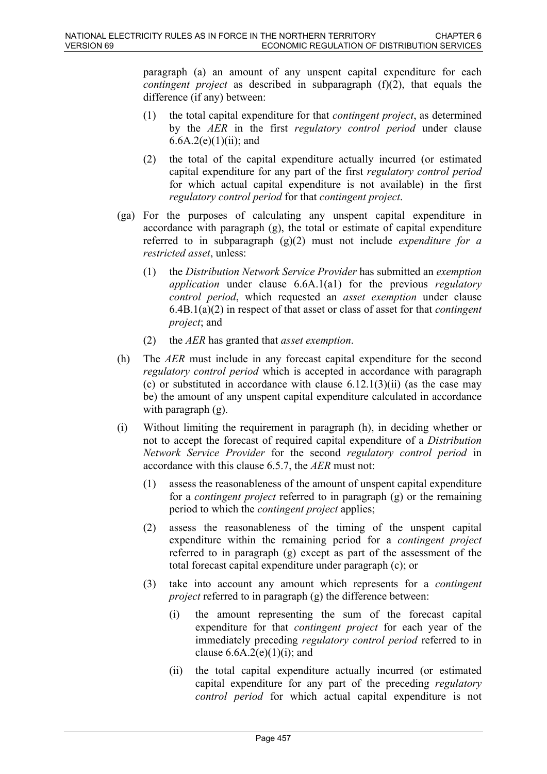paragraph (a) an amount of any unspent capital expenditure for each *contingent project* as described in subparagraph (f)(2), that equals the difference (if any) between:

- (1) the total capital expenditure for that *contingent project*, as determined by the *AER* in the first *regulatory control period* under clause 6.6A.2(e)(1)(ii); and
- (2) the total of the capital expenditure actually incurred (or estimated capital expenditure for any part of the first *regulatory control period*  for which actual capital expenditure is not available) in the first *regulatory control period* for that *contingent project*.
- (ga) For the purposes of calculating any unspent capital expenditure in accordance with paragraph (g), the total or estimate of capital expenditure referred to in subparagraph (g)(2) must not include *expenditure for a restricted asset*, unless:
	- (1) the *Distribution Network Service Provider* has submitted an *exemption application* under clause 6.6A.1(a1) for the previous *regulatory control period*, which requested an *asset exemption* under clause 6.4B.1(a)(2) in respect of that asset or class of asset for that *contingent project*; and
	- (2) the *AER* has granted that *asset exemption*.
- (h) The *AER* must include in any forecast capital expenditure for the second *regulatory control period* which is accepted in accordance with paragraph (c) or substituted in accordance with clause  $6.12.1(3)(ii)$  (as the case may be) the amount of any unspent capital expenditure calculated in accordance with paragraph (g).
- (i) Without limiting the requirement in paragraph (h), in deciding whether or not to accept the forecast of required capital expenditure of a *Distribution Network Service Provider* for the second *regulatory control period* in accordance with this clause 6.5.7, the *AER* must not:
	- (1) assess the reasonableness of the amount of unspent capital expenditure for a *contingent project* referred to in paragraph (g) or the remaining period to which the *contingent project* applies;
	- (2) assess the reasonableness of the timing of the unspent capital expenditure within the remaining period for a *contingent project* referred to in paragraph (g) except as part of the assessment of the total forecast capital expenditure under paragraph (c); or
	- (3) take into account any amount which represents for a *contingent project* referred to in paragraph (g) the difference between:
		- (i) the amount representing the sum of the forecast capital expenditure for that *contingent project* for each year of the immediately preceding *regulatory control period* referred to in clause  $6.6A.2(e)(1)(i)$ ; and
		- (ii) the total capital expenditure actually incurred (or estimated capital expenditure for any part of the preceding *regulatory control period* for which actual capital expenditure is not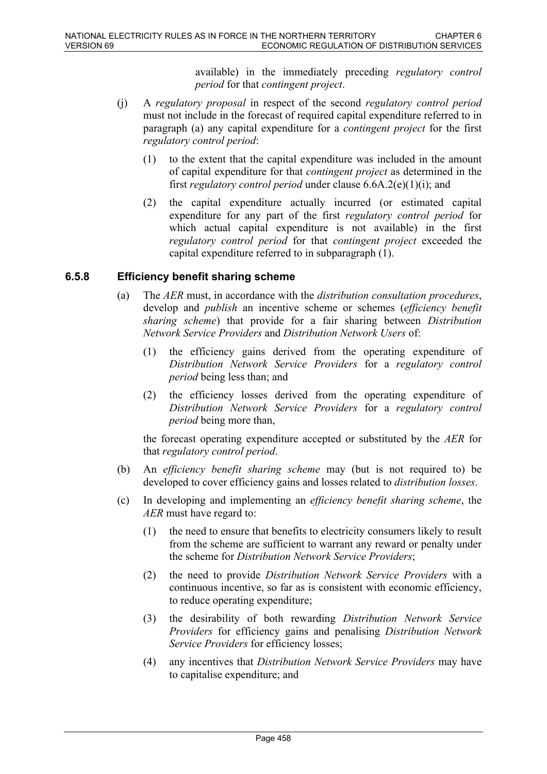available) in the immediately preceding *regulatory control period* for that *contingent project*.

- (j) A *regulatory proposal* in respect of the second *regulatory control period* must not include in the forecast of required capital expenditure referred to in paragraph (a) any capital expenditure for a *contingent project* for the first *regulatory control period*:
	- (1) to the extent that the capital expenditure was included in the amount of capital expenditure for that *contingent project* as determined in the first *regulatory control period* under clause 6.6A.2(e)(1)(i); and
	- (2) the capital expenditure actually incurred (or estimated capital expenditure for any part of the first *regulatory control period* for which actual capital expenditure is not available) in the first *regulatory control period* for that *contingent project* exceeded the capital expenditure referred to in subparagraph (1).

### **6.5.8 Efficiency benefit sharing scheme**

- (a) The *AER* must, in accordance with the *distribution consultation procedures*, develop and *publish* an incentive scheme or schemes (*efficiency benefit sharing scheme*) that provide for a fair sharing between *Distribution Network Service Providers* and *Distribution Network Users* of:
	- (1) the efficiency gains derived from the operating expenditure of *Distribution Network Service Providers* for a *regulatory control period* being less than; and
	- (2) the efficiency losses derived from the operating expenditure of *Distribution Network Service Providers* for a *regulatory control period* being more than,

the forecast operating expenditure accepted or substituted by the *AER* for that *regulatory control period*.

- (b) An *efficiency benefit sharing scheme* may (but is not required to) be developed to cover efficiency gains and losses related to *distribution losses*.
- (c) In developing and implementing an *efficiency benefit sharing scheme*, the *AER* must have regard to:
	- (1) the need to ensure that benefits to electricity consumers likely to result from the scheme are sufficient to warrant any reward or penalty under the scheme for *Distribution Network Service Providers*;
	- (2) the need to provide *Distribution Network Service Providers* with a continuous incentive, so far as is consistent with economic efficiency, to reduce operating expenditure;
	- (3) the desirability of both rewarding *Distribution Network Service Providers* for efficiency gains and penalising *Distribution Network Service Providers* for efficiency losses;
	- (4) any incentives that *Distribution Network Service Providers* may have to capitalise expenditure; and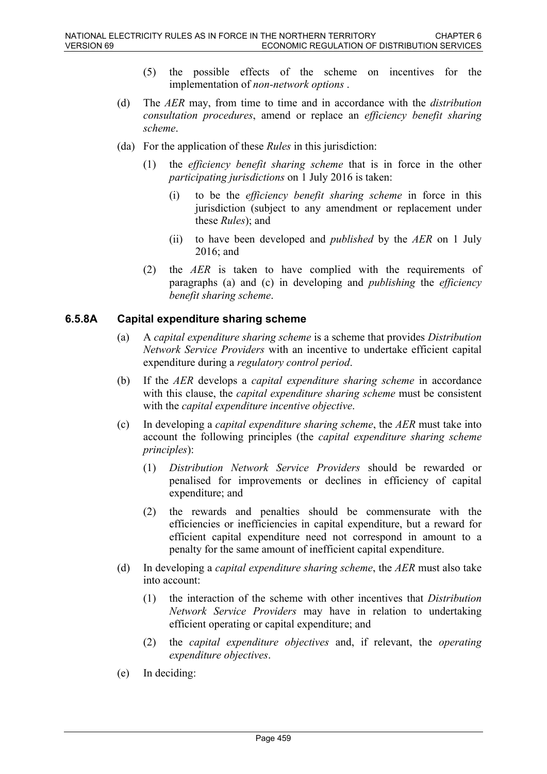- (5) the possible effects of the scheme on incentives for the implementation of *non-network options* .
- (d) The *AER* may, from time to time and in accordance with the *distribution consultation procedures*, amend or replace an *efficiency benefit sharing scheme*.
- (da) For the application of these *Rules* in this jurisdiction:
	- (1) the *efficiency benefit sharing scheme* that is in force in the other *participating jurisdictions* on 1 July 2016 is taken:
		- (i) to be the *efficiency benefit sharing scheme* in force in this jurisdiction (subject to any amendment or replacement under these *Rules*); and
		- (ii) to have been developed and *published* by the *AER* on 1 July 2016; and
	- (2) the *AER* is taken to have complied with the requirements of paragraphs (a) and (c) in developing and *publishing* the *efficiency benefit sharing scheme*.

### **6.5.8A Capital expenditure sharing scheme**

- (a) A *capital expenditure sharing scheme* is a scheme that provides *Distribution Network Service Providers* with an incentive to undertake efficient capital expenditure during a *regulatory control period*.
- (b) If the *AER* develops a *capital expenditure sharing scheme* in accordance with this clause, the *capital expenditure sharing scheme* must be consistent with the *capital expenditure incentive objective*.
- (c) In developing a *capital expenditure sharing scheme*, the *AER* must take into account the following principles (the *capital expenditure sharing scheme principles*):
	- (1) *Distribution Network Service Providers* should be rewarded or penalised for improvements or declines in efficiency of capital expenditure; and
	- (2) the rewards and penalties should be commensurate with the efficiencies or inefficiencies in capital expenditure, but a reward for efficient capital expenditure need not correspond in amount to a penalty for the same amount of inefficient capital expenditure.
- (d) In developing a *capital expenditure sharing scheme*, the *AER* must also take into account:
	- (1) the interaction of the scheme with other incentives that *Distribution Network Service Providers* may have in relation to undertaking efficient operating or capital expenditure; and
	- (2) the *capital expenditure objectives* and, if relevant, the *operating expenditure objectives*.
- (e) In deciding: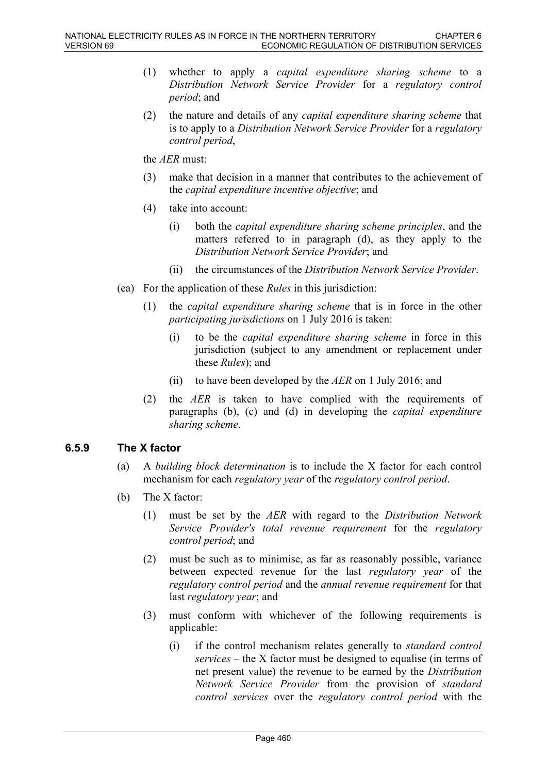- (1) whether to apply a *capital expenditure sharing scheme* to a *Distribution Network Service Provider* for a *regulatory control period*; and
- (2) the nature and details of any *capital expenditure sharing scheme* that is to apply to a *Distribution Network Service Provider* for a *regulatory control period*,

the *AER* must:

- (3) make that decision in a manner that contributes to the achievement of the *capital expenditure incentive objective*; and
- (4) take into account:
	- (i) both the *capital expenditure sharing scheme principles*, and the matters referred to in paragraph (d), as they apply to the *Distribution Network Service Provider*; and
	- (ii) the circumstances of the *Distribution Network Service Provider*.
- (ea) For the application of these *Rules* in this jurisdiction:
	- (1) the *capital expenditure sharing scheme* that is in force in the other *participating jurisdictions* on 1 July 2016 is taken:
		- (i) to be the *capital expenditure sharing scheme* in force in this jurisdiction (subject to any amendment or replacement under these *Rules*); and
		- (ii) to have been developed by the *AER* on 1 July 2016; and
	- (2) the *AER* is taken to have complied with the requirements of paragraphs (b), (c) and (d) in developing the *capital expenditure sharing scheme*.

#### **6.5.9 The X factor**

- (a) A *building block determination* is to include the X factor for each control mechanism for each *regulatory year* of the *regulatory control period*.
- (b) The X factor:
	- (1) must be set by the *AER* with regard to the *Distribution Network Service Provider's total revenue requirement* for the *regulatory control period*; and
	- (2) must be such as to minimise, as far as reasonably possible, variance between expected revenue for the last *regulatory year* of the *regulatory control period* and the *annual revenue requirement* for that last *regulatory year*; and
	- (3) must conform with whichever of the following requirements is applicable:
		- (i) if the control mechanism relates generally to *standard control services* – the X factor must be designed to equalise (in terms of net present value) the revenue to be earned by the *Distribution Network Service Provider* from the provision of *standard control services* over the *regulatory control period* with the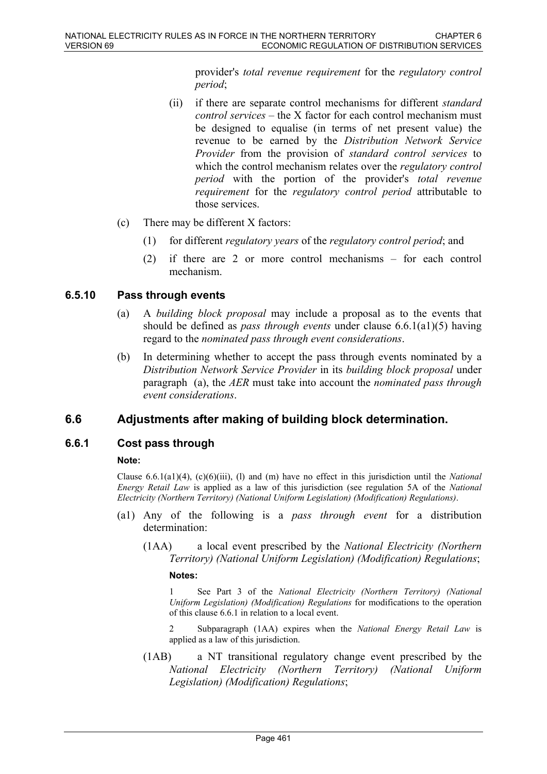provider's *total revenue requirement* for the *regulatory control period*;

- (ii) if there are separate control mechanisms for different *standard control services* – the X factor for each control mechanism must be designed to equalise (in terms of net present value) the revenue to be earned by the *Distribution Network Service Provider* from the provision of *standard control services* to which the control mechanism relates over the *regulatory control period* with the portion of the provider's *total revenue requirement* for the *regulatory control period* attributable to those services.
- (c) There may be different X factors:
	- (1) for different *regulatory years* of the *regulatory control period*; and
	- (2) if there are 2 or more control mechanisms for each control mechanism.

### **6.5.10 Pass through events**

- (a) A *building block proposal* may include a proposal as to the events that should be defined as *pass through events* under clause 6.6.1(a1)(5) having regard to the *nominated pass through event considerations*.
- (b) In determining whether to accept the pass through events nominated by a *Distribution Network Service Provider* in its *building block proposal* under paragraph (a), the *AER* must take into account the *nominated pass through event considerations*.

# **6.6 Adjustments after making of building block determination.**

### **6.6.1 Cost pass through**

#### **Note:**

Clause 6.6.1(a1)(4), (c)(6)(iii), (l) and (m) have no effect in this jurisdiction until the *National Energy Retail Law* is applied as a law of this jurisdiction (see regulation 5A of the *National Electricity (Northern Territory) (National Uniform Legislation) (Modification) Regulations)*.

- (a1) Any of the following is a *pass through event* for a distribution determination:
	- (1AA) a local event prescribed by the *National Electricity (Northern Territory) (National Uniform Legislation) (Modification) Regulations*;

**Notes:**

1 See Part 3 of the *National Electricity (Northern Territory) (National Uniform Legislation) (Modification) Regulations* for modifications to the operation of this clause 6.6.1 in relation to a local event.

2 Subparagraph (1AA) expires when the *National Energy Retail Law* is applied as a law of this jurisdiction.

(1AB) a NT transitional regulatory change event prescribed by the *National Electricity (Northern Territory) (National Uniform Legislation) (Modification) Regulations*;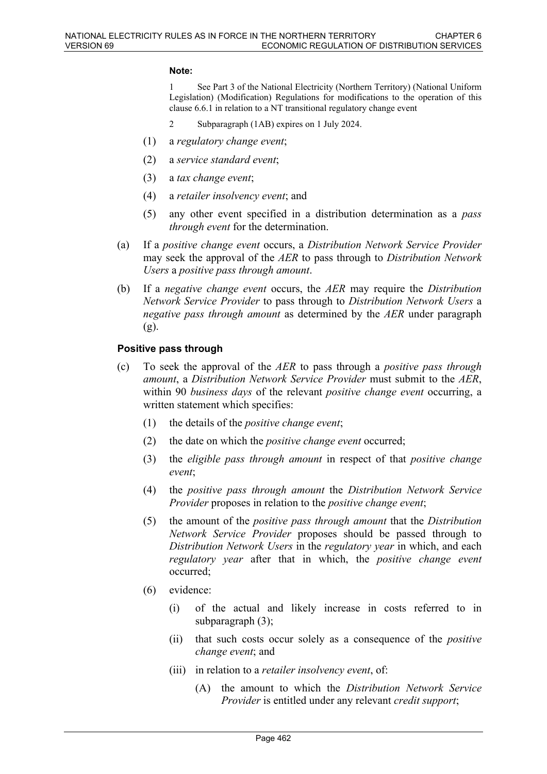#### **Note:**

1 See Part 3 of the National Electricity (Northern Territory) (National Uniform Legislation) (Modification) Regulations for modifications to the operation of this clause 6.6.1 in relation to a NT transitional regulatory change event

- 2 Subparagraph (1AB) expires on 1 July 2024.
- (1) a *regulatory change event*;
- (2) a *service standard event*;
- (3) a *tax change event*;
- (4) a *retailer insolvency event*; and
- (5) any other event specified in a distribution determination as a *pass through event* for the determination.
- (a) If a *positive change event* occurs, a *Distribution Network Service Provider* may seek the approval of the *AER* to pass through to *Distribution Network Users* a *positive pass through amount*.
- (b) If a *negative change event* occurs, the *AER* may require the *Distribution Network Service Provider* to pass through to *Distribution Network Users* a *negative pass through amount* as determined by the *AER* under paragraph (g).

#### **Positive pass through**

- (c) To seek the approval of the *AER* to pass through a *positive pass through amount*, a *Distribution Network Service Provider* must submit to the *AER*, within 90 *business days* of the relevant *positive change event* occurring, a written statement which specifies:
	- (1) the details of the *positive change event*;
	- (2) the date on which the *positive change event* occurred;
	- (3) the *eligible pass through amount* in respect of that *positive change event*;
	- (4) the *positive pass through amount* the *Distribution Network Service Provider* proposes in relation to the *positive change event*;
	- (5) the amount of the *positive pass through amount* that the *Distribution Network Service Provider* proposes should be passed through to *Distribution Network Users* in the *regulatory year* in which, and each *regulatory year* after that in which, the *positive change event* occurred;
	- (6) evidence:
		- (i) of the actual and likely increase in costs referred to in subparagraph (3);
		- (ii) that such costs occur solely as a consequence of the *positive change event*; and
		- (iii) in relation to a *retailer insolvency event*, of:
			- (A) the amount to which the *Distribution Network Service Provider* is entitled under any relevant *credit support*;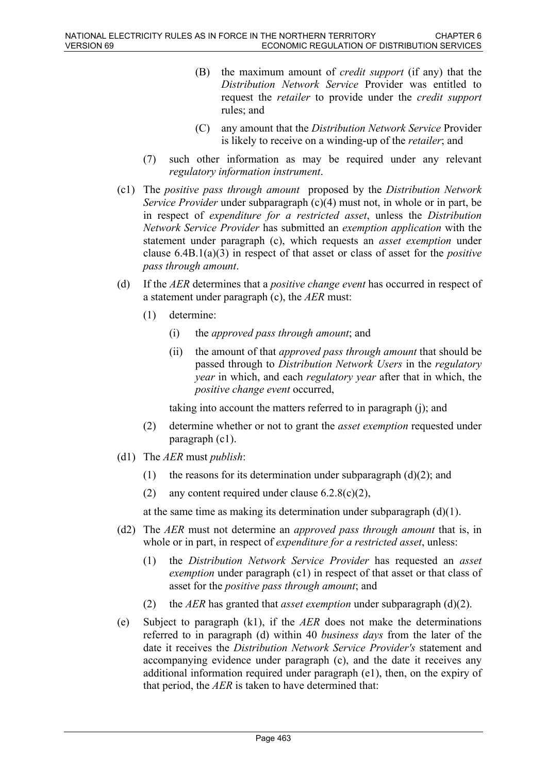- (B) the maximum amount of *credit support* (if any) that the *Distribution Network Service* Provider was entitled to request the *retailer* to provide under the *credit support* rules; and
- (C) any amount that the *Distribution Network Service* Provider is likely to receive on a winding-up of the *retailer*; and
- (7) such other information as may be required under any relevant *regulatory information instrument*.
- (c1) The *positive pass through amount* proposed by the *Distribution Network Service Provider* under subparagraph (c)(4) must not, in whole or in part, be in respect of *expenditure for a restricted asset*, unless the *Distribution Network Service Provider* has submitted an *exemption application* with the statement under paragraph (c), which requests an *asset exemption* under clause 6.4B.1(a)(3) in respect of that asset or class of asset for the *positive pass through amount*.
- (d) If the *AER* determines that a *positive change event* has occurred in respect of a statement under paragraph (c), the *AER* must:
	- (1) determine:
		- (i) the *approved pass through amount*; and
		- (ii) the amount of that *approved pass through amount* that should be passed through to *Distribution Network Users* in the *regulatory year* in which, and each *regulatory year* after that in which, the *positive change event* occurred,

taking into account the matters referred to in paragraph (j); and

- (2) determine whether or not to grant the *asset exemption* requested under paragraph (c1).
- (d1) The *AER* must *publish*:
	- (1) the reasons for its determination under subparagraph  $(d)(2)$ ; and
	- (2) any content required under clause  $6.2.8(c)(2)$ ,

at the same time as making its determination under subparagraph  $(d)(1)$ .

- (d2) The *AER* must not determine an *approved pass through amount* that is, in whole or in part, in respect of *expenditure for a restricted asset*, unless:
	- (1) the *Distribution Network Service Provider* has requested an *asset exemption* under paragraph (c1) in respect of that asset or that class of asset for the *positive pass through amount*; and
	- (2) the *AER* has granted that *asset exemption* under subparagraph (d)(2).
- (e) Subject to paragraph (k1), if the *AER* does not make the determinations referred to in paragraph (d) within 40 *business days* from the later of the date it receives the *Distribution Network Service Provider's* statement and accompanying evidence under paragraph (c), and the date it receives any additional information required under paragraph (e1), then, on the expiry of that period, the *AER* is taken to have determined that: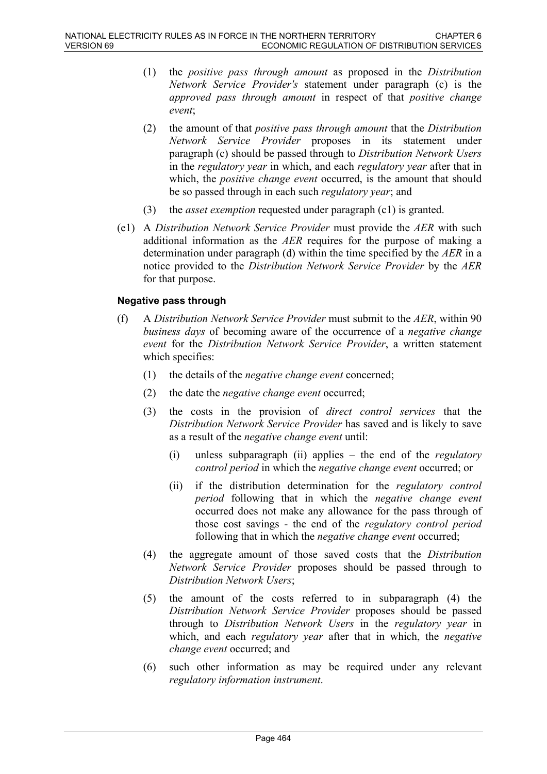- (1) the *positive pass through amount* as proposed in the *Distribution Network Service Provider's* statement under paragraph (c) is the *approved pass through amount* in respect of that *positive change event*;
- (2) the amount of that *positive pass through amount* that the *Distribution Network Service Provider* proposes in its statement under paragraph (c) should be passed through to *Distribution Network Users* in the *regulatory year* in which, and each *regulatory year* after that in which, the *positive change event* occurred, is the amount that should be so passed through in each such *regulatory year*; and
- (3) the *asset exemption* requested under paragraph (c1) is granted.
- (e1) A *Distribution Network Service Provider* must provide the *AER* with such additional information as the *AER* requires for the purpose of making a determination under paragraph (d) within the time specified by the *AER* in a notice provided to the *Distribution Network Service Provider* by the *AER* for that purpose.

### **Negative pass through**

- (f) A *Distribution Network Service Provider* must submit to the *AER*, within 90 *business days* of becoming aware of the occurrence of a *negative change event* for the *Distribution Network Service Provider*, a written statement which specifies:
	- (1) the details of the *negative change event* concerned;
	- (2) the date the *negative change event* occurred;
	- (3) the costs in the provision of *direct control services* that the *Distribution Network Service Provider* has saved and is likely to save as a result of the *negative change event* until:
		- (i) unless subparagraph (ii) applies the end of the *regulatory control period* in which the *negative change event* occurred; or
		- (ii) if the distribution determination for the *regulatory control period* following that in which the *negative change event* occurred does not make any allowance for the pass through of those cost savings - the end of the *regulatory control period* following that in which the *negative change event* occurred;
	- (4) the aggregate amount of those saved costs that the *Distribution Network Service Provider* proposes should be passed through to *Distribution Network Users*;
	- (5) the amount of the costs referred to in subparagraph (4) the *Distribution Network Service Provider* proposes should be passed through to *Distribution Network Users* in the *regulatory year* in which, and each *regulatory year* after that in which, the *negative change event* occurred; and
	- (6) such other information as may be required under any relevant *regulatory information instrument*.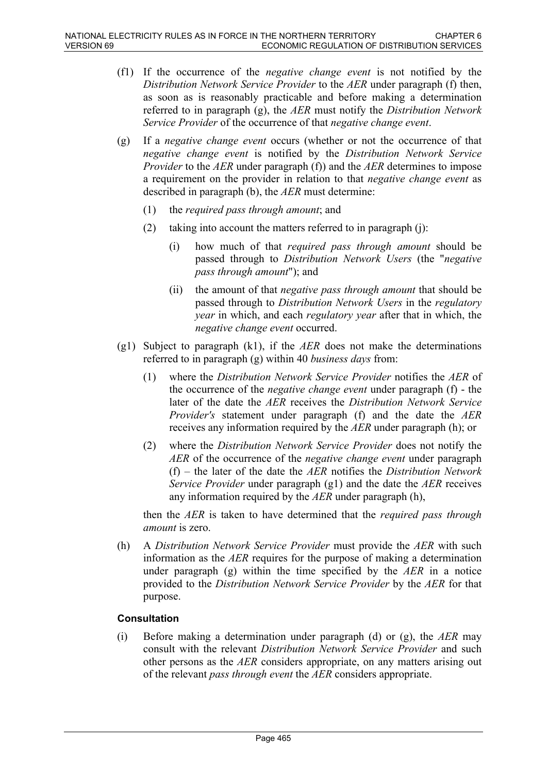- (f1) If the occurrence of the *negative change event* is not notified by the *Distribution Network Service Provider* to the *AER* under paragraph (f) then, as soon as is reasonably practicable and before making a determination referred to in paragraph (g), the *AER* must notify the *Distribution Network Service Provider* of the occurrence of that *negative change event*.
- (g) If a *negative change event* occurs (whether or not the occurrence of that *negative change event* is notified by the *Distribution Network Service Provider* to the *AER* under paragraph (f)) and the *AER* determines to impose a requirement on the provider in relation to that *negative change event* as described in paragraph (b), the *AER* must determine:
	- (1) the *required pass through amount*; and
	- (2) taking into account the matters referred to in paragraph (j):
		- (i) how much of that *required pass through amount* should be passed through to *Distribution Network Users* (the "*negative pass through amount*"); and
		- (ii) the amount of that *negative pass through amount* that should be passed through to *Distribution Network Users* in the *regulatory year* in which, and each *regulatory year* after that in which, the *negative change event* occurred.
- (g1) Subject to paragraph (k1), if the *AER* does not make the determinations referred to in paragraph (g) within 40 *business days* from:
	- (1) where the *Distribution Network Service Provider* notifies the *AER* of the occurrence of the *negative change event* under paragraph (f) - the later of the date the *AER* receives the *Distribution Network Service Provider's* statement under paragraph (f) and the date the *AER* receives any information required by the *AER* under paragraph (h); or
	- (2) where the *Distribution Network Service Provider* does not notify the *AER* of the occurrence of the *negative change event* under paragraph (f) – the later of the date the *AER* notifies the *Distribution Network Service Provider* under paragraph (g1) and the date the *AER* receives any information required by the *AER* under paragraph (h),

then the *AER* is taken to have determined that the *required pass through amount* is zero.

(h) A *Distribution Network Service Provider* must provide the *AER* with such information as the *AER* requires for the purpose of making a determination under paragraph (g) within the time specified by the *AER* in a notice provided to the *Distribution Network Service Provider* by the *AER* for that purpose.

#### **Consultation**

(i) Before making a determination under paragraph (d) or (g), the *AER* may consult with the relevant *Distribution Network Service Provider* and such other persons as the *AER* considers appropriate, on any matters arising out of the relevant *pass through event* the *AER* considers appropriate.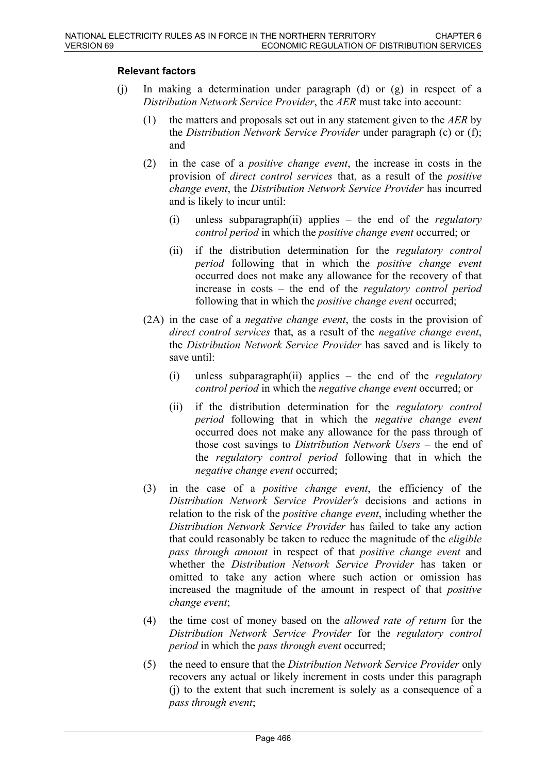### **Relevant factors**

- (j) In making a determination under paragraph (d) or (g) in respect of a *Distribution Network Service Provider*, the *AER* must take into account:
	- (1) the matters and proposals set out in any statement given to the *AER* by the *Distribution Network Service Provider* under paragraph (c) or (f); and
	- (2) in the case of a *positive change event*, the increase in costs in the provision of *direct control services* that, as a result of the *positive change event*, the *Distribution Network Service Provider* has incurred and is likely to incur until:
		- (i) unless subparagraph(ii) applies the end of the *regulatory control period* in which the *positive change event* occurred; or
		- (ii) if the distribution determination for the *regulatory control period* following that in which the *positive change event* occurred does not make any allowance for the recovery of that increase in costs – the end of the *regulatory control period* following that in which the *positive change event* occurred;
	- (2A) in the case of a *negative change event*, the costs in the provision of *direct control services* that, as a result of the *negative change event*, the *Distribution Network Service Provider* has saved and is likely to save until:
		- (i) unless subparagraph(ii) applies the end of the *regulatory control period* in which the *negative change event* occurred; or
		- (ii) if the distribution determination for the *regulatory control period* following that in which the *negative change event* occurred does not make any allowance for the pass through of those cost savings to *Distribution Network Users* – the end of the *regulatory control period* following that in which the *negative change event* occurred;
	- (3) in the case of a *positive change event*, the efficiency of the *Distribution Network Service Provider's* decisions and actions in relation to the risk of the *positive change event*, including whether the *Distribution Network Service Provider* has failed to take any action that could reasonably be taken to reduce the magnitude of the *eligible pass through amount* in respect of that *positive change event* and whether the *Distribution Network Service Provider* has taken or omitted to take any action where such action or omission has increased the magnitude of the amount in respect of that *positive change event*;
	- (4) the time cost of money based on the *allowed rate of return* for the *Distribution Network Service Provider* for the *regulatory control period* in which the *pass through event* occurred;
	- (5) the need to ensure that the *Distribution Network Service Provider* only recovers any actual or likely increment in costs under this paragraph (j) to the extent that such increment is solely as a consequence of a *pass through event*;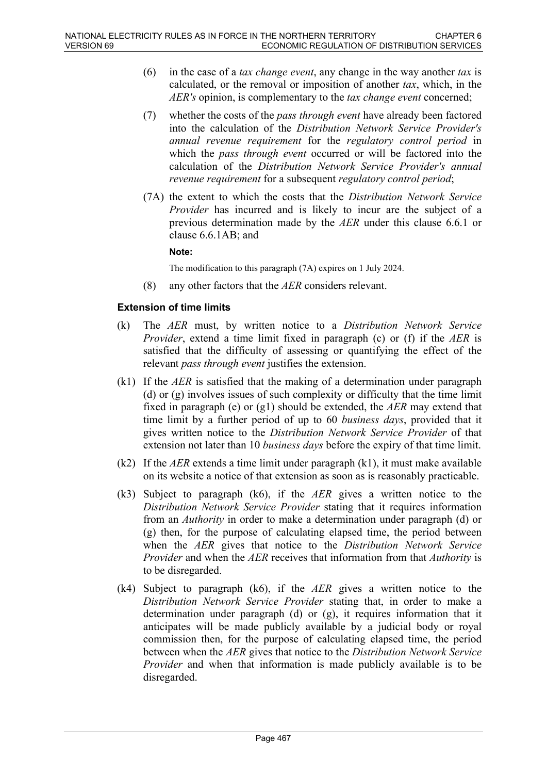- (6) in the case of a *tax change event*, any change in the way another *tax* is calculated, or the removal or imposition of another *tax*, which, in the *AER's* opinion, is complementary to the *tax change event* concerned;
- (7) whether the costs of the *pass through event* have already been factored into the calculation of the *Distribution Network Service Provider's annual revenue requirement* for the *regulatory control period* in which the *pass through event* occurred or will be factored into the calculation of the *Distribution Network Service Provider's annual revenue requirement* for a subsequent *regulatory control period*;
- (7A) the extent to which the costs that the *Distribution Network Service Provider* has incurred and is likely to incur are the subject of a previous determination made by the *AER* under this clause 6.6.1 or clause 6.6.1AB; and

#### **Note:**

The modification to this paragraph (7A) expires on 1 July 2024.

(8) any other factors that the *AER* considers relevant.

#### **Extension of time limits**

- (k) The *AER* must, by written notice to a *Distribution Network Service Provider*, extend a time limit fixed in paragraph (c) or (f) if the *AER* is satisfied that the difficulty of assessing or quantifying the effect of the relevant *pass through event* justifies the extension.
- (k1) If the *AER* is satisfied that the making of a determination under paragraph (d) or (g) involves issues of such complexity or difficulty that the time limit fixed in paragraph (e) or (g1) should be extended, the *AER* may extend that time limit by a further period of up to 60 *business days*, provided that it gives written notice to the *Distribution Network Service Provider* of that extension not later than 10 *business days* before the expiry of that time limit.
- (k2) If the *AER* extends a time limit under paragraph  $(k1)$ , it must make available on its website a notice of that extension as soon as is reasonably practicable.
- (k3) Subject to paragraph (k6), if the *AER* gives a written notice to the *Distribution Network Service Provider* stating that it requires information from an *Authority* in order to make a determination under paragraph (d) or (g) then, for the purpose of calculating elapsed time, the period between when the *AER* gives that notice to the *Distribution Network Service Provider* and when the *AER* receives that information from that *Authority* is to be disregarded.
- (k4) Subject to paragraph (k6), if the *AER* gives a written notice to the *Distribution Network Service Provider* stating that, in order to make a determination under paragraph (d) or (g), it requires information that it anticipates will be made publicly available by a judicial body or royal commission then, for the purpose of calculating elapsed time, the period between when the *AER* gives that notice to the *Distribution Network Service Provider* and when that information is made publicly available is to be disregarded.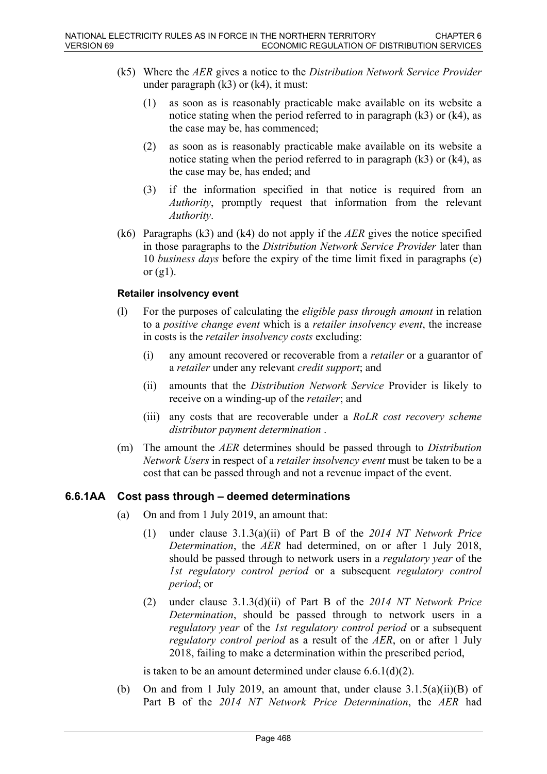- (k5) Where the *AER* gives a notice to the *Distribution Network Service Provider* under paragraph  $(k3)$  or  $(k4)$ , it must:
	- (1) as soon as is reasonably practicable make available on its website a notice stating when the period referred to in paragraph (k3) or (k4), as the case may be, has commenced;
	- (2) as soon as is reasonably practicable make available on its website a notice stating when the period referred to in paragraph (k3) or (k4), as the case may be, has ended; and
	- (3) if the information specified in that notice is required from an *Authority*, promptly request that information from the relevant *Authority*.
- (k6) Paragraphs (k3) and (k4) do not apply if the *AER* gives the notice specified in those paragraphs to the *Distribution Network Service Provider* later than 10 *business days* before the expiry of the time limit fixed in paragraphs (e) or  $(g1)$ .

#### **Retailer insolvency event**

- (l) For the purposes of calculating the *eligible pass through amount* in relation to a *positive change event* which is a *retailer insolvency event*, the increase in costs is the *retailer insolvency costs* excluding:
	- (i) any amount recovered or recoverable from a *retailer* or a guarantor of a *retailer* under any relevant *credit support*; and
	- (ii) amounts that the *Distribution Network Service* Provider is likely to receive on a winding-up of the *retailer*; and
	- (iii) any costs that are recoverable under a *RoLR cost recovery scheme distributor payment determination* .
- (m) The amount the *AER* determines should be passed through to *Distribution Network Users* in respect of a *retailer insolvency event* must be taken to be a cost that can be passed through and not a revenue impact of the event.

#### **6.6.1AA Cost pass through – deemed determinations**

- (a) On and from 1 July 2019, an amount that:
	- (1) under clause 3.1.3(a)(ii) of Part B of the *2014 NT Network Price Determination*, the *AER* had determined, on or after 1 July 2018, should be passed through to network users in a *regulatory year* of the *1st regulatory control period* or a subsequent *regulatory control period*; or
	- (2) under clause 3.1.3(d)(ii) of Part B of the *2014 NT Network Price Determination*, should be passed through to network users in a *regulatory year* of the *1st regulatory control period* or a subsequent *regulatory control period* as a result of the *AER*, on or after 1 July 2018, failing to make a determination within the prescribed period,

is taken to be an amount determined under clause 6.6.1(d)(2).

(b) On and from 1 July 2019, an amount that, under clause  $3.1.5(a)(ii)(B)$  of Part B of the *2014 NT Network Price Determination*, the *AER* had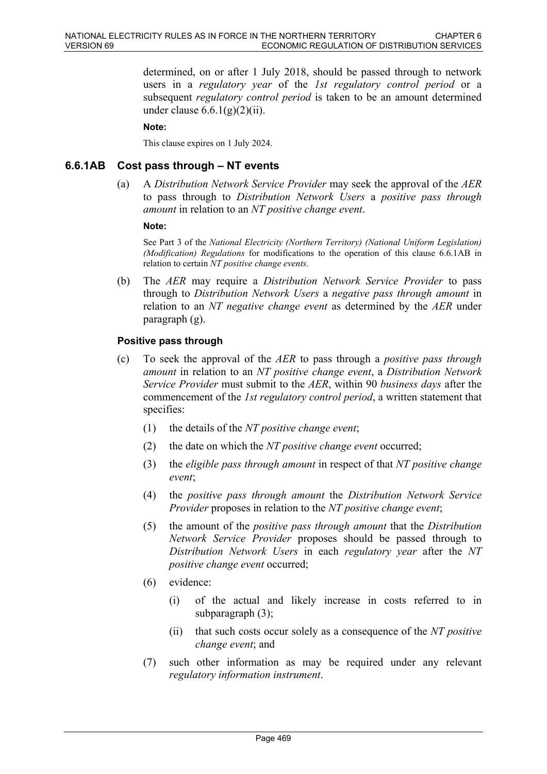determined, on or after 1 July 2018, should be passed through to network users in a *regulatory year* of the *1st regulatory control period* or a subsequent *regulatory control period* is taken to be an amount determined under clause  $6.6.1(g)(2)(ii)$ .

#### **Note:**

This clause expires on 1 July 2024.

### **6.6.1AB Cost pass through – NT events**

(a) A *Distribution Network Service Provider* may seek the approval of the *AER* to pass through to *Distribution Network Users* a *positive pass through amount* in relation to an *NT positive change event*.

#### **Note:**

See Part 3 of the *National Electricity (Northern Territory) (National Uniform Legislation) (Modification) Regulations* for modifications to the operation of this clause 6.6.1AB in relation to certain *NT positive change events*.

(b) The *AER* may require a *Distribution Network Service Provider* to pass through to *Distribution Network Users* a *negative pass through amount* in relation to an *NT negative change event* as determined by the *AER* under paragraph (g).

#### **Positive pass through**

- (c) To seek the approval of the *AER* to pass through a *positive pass through amount* in relation to an *NT positive change event*, a *Distribution Network Service Provider* must submit to the *AER*, within 90 *business days* after the commencement of the *1st regulatory control period*, a written statement that specifies:
	- (1) the details of the *NT positive change event*;
	- (2) the date on which the *NT positive change event* occurred;
	- (3) the *eligible pass through amount* in respect of that *NT positive change event*;
	- (4) the *positive pass through amount* the *Distribution Network Service Provider* proposes in relation to the *NT positive change event*;
	- (5) the amount of the *positive pass through amount* that the *Distribution Network Service Provider* proposes should be passed through to *Distribution Network Users* in each *regulatory year* after the *NT positive change event* occurred;
	- (6) evidence:
		- (i) of the actual and likely increase in costs referred to in subparagraph (3);
		- (ii) that such costs occur solely as a consequence of the *NT positive change event*; and
	- (7) such other information as may be required under any relevant *regulatory information instrument*.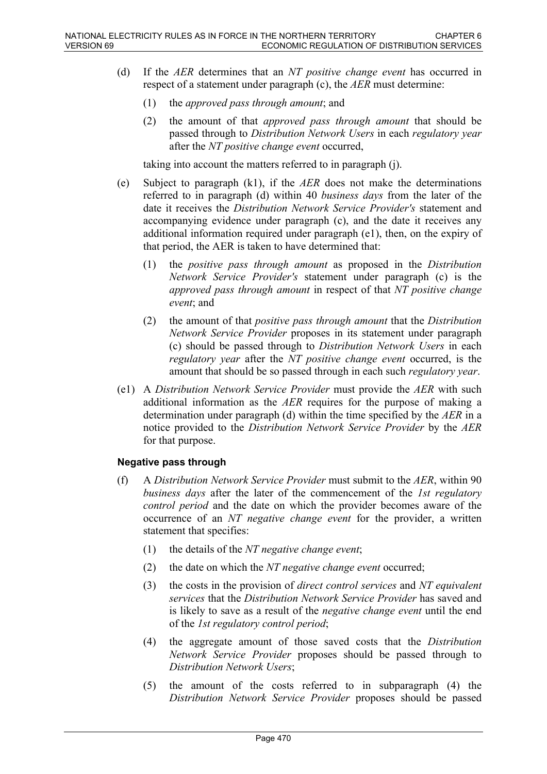- (d) If the *AER* determines that an *NT positive change event* has occurred in respect of a statement under paragraph (c), the *AER* must determine:
	- (1) the *approved pass through amount*; and
	- (2) the amount of that *approved pass through amount* that should be passed through to *Distribution Network Users* in each *regulatory year* after the *NT positive change event* occurred,

taking into account the matters referred to in paragraph (j).

- (e) Subject to paragraph (k1), if the *AER* does not make the determinations referred to in paragraph (d) within 40 *business days* from the later of the date it receives the *Distribution Network Service Provider's* statement and accompanying evidence under paragraph (c), and the date it receives any additional information required under paragraph (e1), then, on the expiry of that period, the AER is taken to have determined that:
	- (1) the *positive pass through amount* as proposed in the *Distribution Network Service Provider's* statement under paragraph (c) is the *approved pass through amount* in respect of that *NT positive change event*; and
	- (2) the amount of that *positive pass through amount* that the *Distribution Network Service Provider* proposes in its statement under paragraph (c) should be passed through to *Distribution Network Users* in each *regulatory year* after the *NT positive change event* occurred, is the amount that should be so passed through in each such *regulatory year*.
- (e1) A *Distribution Network Service Provider* must provide the *AER* with such additional information as the *AER* requires for the purpose of making a determination under paragraph (d) within the time specified by the *AER* in a notice provided to the *Distribution Network Service Provider* by the *AER* for that purpose.

### **Negative pass through**

- (f) A *Distribution Network Service Provider* must submit to the *AER*, within 90 *business days* after the later of the commencement of the *1st regulatory control period* and the date on which the provider becomes aware of the occurrence of an *NT negative change event* for the provider, a written statement that specifies:
	- (1) the details of the *NT negative change event*;
	- (2) the date on which the *NT negative change event* occurred;
	- (3) the costs in the provision of *direct control services* and *NT equivalent services* that the *Distribution Network Service Provider* has saved and is likely to save as a result of the *negative change event* until the end of the *1st regulatory control period*;
	- (4) the aggregate amount of those saved costs that the *Distribution Network Service Provider* proposes should be passed through to *Distribution Network Users*;
	- (5) the amount of the costs referred to in subparagraph (4) the *Distribution Network Service Provider* proposes should be passed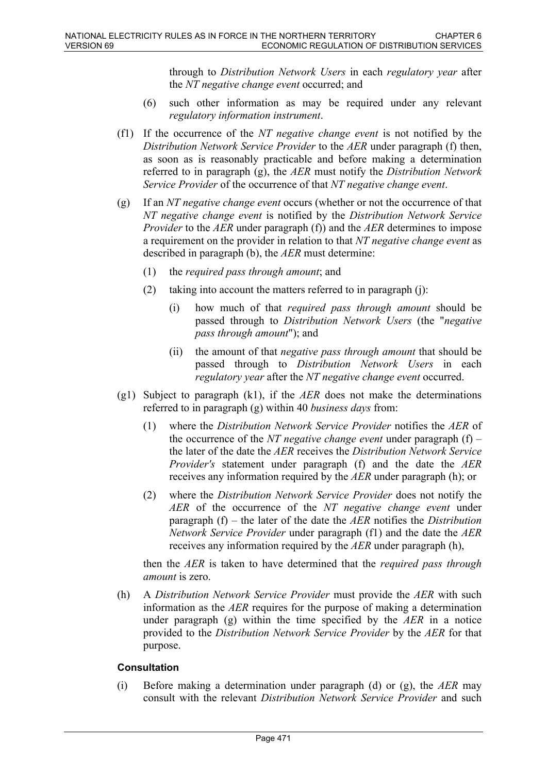through to *Distribution Network Users* in each *regulatory year* after the *NT negative change event* occurred; and

- (6) such other information as may be required under any relevant *regulatory information instrument*.
- (f1) If the occurrence of the *NT negative change event* is not notified by the *Distribution Network Service Provider* to the *AER* under paragraph (f) then, as soon as is reasonably practicable and before making a determination referred to in paragraph (g), the *AER* must notify the *Distribution Network Service Provider* of the occurrence of that *NT negative change event*.
- (g) If an *NT negative change event* occurs (whether or not the occurrence of that *NT negative change event* is notified by the *Distribution Network Service Provider* to the *AER* under paragraph (f)) and the *AER* determines to impose a requirement on the provider in relation to that *NT negative change event* as described in paragraph (b), the *AER* must determine:
	- (1) the *required pass through amount*; and
	- (2) taking into account the matters referred to in paragraph (j):
		- (i) how much of that *required pass through amount* should be passed through to *Distribution Network Users* (the "*negative pass through amount*"); and
		- (ii) the amount of that *negative pass through amount* that should be passed through to *Distribution Network Users* in each *regulatory year* after the *NT negative change event* occurred.
- (g1) Subject to paragraph (k1), if the *AER* does not make the determinations referred to in paragraph (g) within 40 *business days* from:
	- (1) where the *Distribution Network Service Provider* notifies the *AER* of the occurrence of the *NT negative change event* under paragraph (f) – the later of the date the *AER* receives the *Distribution Network Service Provider's* statement under paragraph (f) and the date the *AER* receives any information required by the *AER* under paragraph (h); or
	- (2) where the *Distribution Network Service Provider* does not notify the *AER* of the occurrence of the *NT negative change event* under paragraph (f) – the later of the date the *AER* notifies the *Distribution Network Service Provider* under paragraph (f1) and the date the *AER* receives any information required by the *AER* under paragraph (h),

then the *AER* is taken to have determined that the *required pass through amount* is zero.

(h) A *Distribution Network Service Provider* must provide the *AER* with such information as the *AER* requires for the purpose of making a determination under paragraph (g) within the time specified by the *AER* in a notice provided to the *Distribution Network Service Provider* by the *AER* for that purpose.

#### **Consultation**

(i) Before making a determination under paragraph (d) or (g), the *AER* may consult with the relevant *Distribution Network Service Provider* and such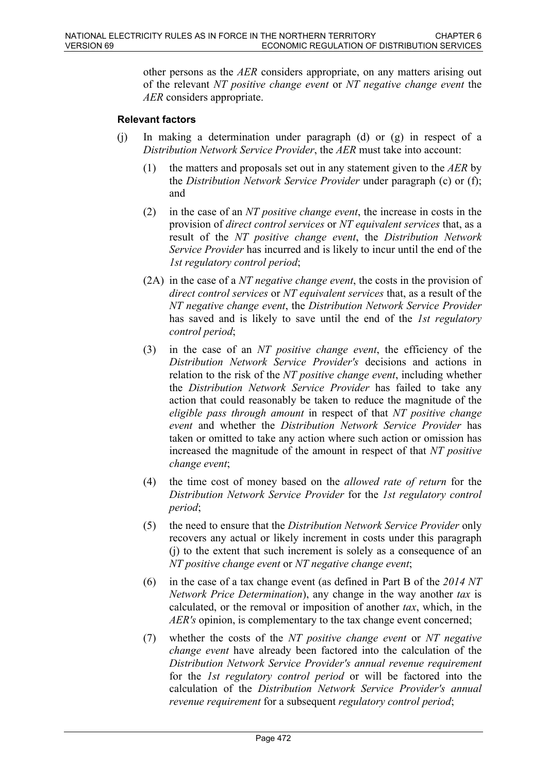other persons as the *AER* considers appropriate, on any matters arising out of the relevant *NT positive change event* or *NT negative change event* the *AER* considers appropriate.

#### **Relevant factors**

- (j) In making a determination under paragraph (d) or (g) in respect of a *Distribution Network Service Provider*, the *AER* must take into account:
	- (1) the matters and proposals set out in any statement given to the *AER* by the *Distribution Network Service Provider* under paragraph (c) or (f); and
	- (2) in the case of an *NT positive change event*, the increase in costs in the provision of *direct control services* or *NT equivalent services* that, as a result of the *NT positive change event*, the *Distribution Network Service Provider* has incurred and is likely to incur until the end of the *1st regulatory control period*;
	- (2A) in the case of a *NT negative change event*, the costs in the provision of *direct control services* or *NT equivalent services* that, as a result of the *NT negative change event*, the *Distribution Network Service Provider*  has saved and is likely to save until the end of the *1st regulatory control period*;
	- (3) in the case of an *NT positive change event*, the efficiency of the *Distribution Network Service Provider's* decisions and actions in relation to the risk of the *NT positive change event*, including whether the *Distribution Network Service Provider* has failed to take any action that could reasonably be taken to reduce the magnitude of the *eligible pass through amount* in respect of that *NT positive change event* and whether the *Distribution Network Service Provider* has taken or omitted to take any action where such action or omission has increased the magnitude of the amount in respect of that *NT positive change event*;
	- (4) the time cost of money based on the *allowed rate of return* for the *Distribution Network Service Provider* for the *1st regulatory control period*;
	- (5) the need to ensure that the *Distribution Network Service Provider* only recovers any actual or likely increment in costs under this paragraph (j) to the extent that such increment is solely as a consequence of an *NT positive change event* or *NT negative change event*;
	- (6) in the case of a tax change event (as defined in Part B of the *2014 NT Network Price Determination*), any change in the way another *tax* is calculated, or the removal or imposition of another *tax*, which, in the *AER's* opinion, is complementary to the tax change event concerned;
	- (7) whether the costs of the *NT positive change event* or *NT negative change event* have already been factored into the calculation of the *Distribution Network Service Provider's annual revenue requirement* for the *1st regulatory control period* or will be factored into the calculation of the *Distribution Network Service Provider's annual revenue requirement* for a subsequent *regulatory control period*;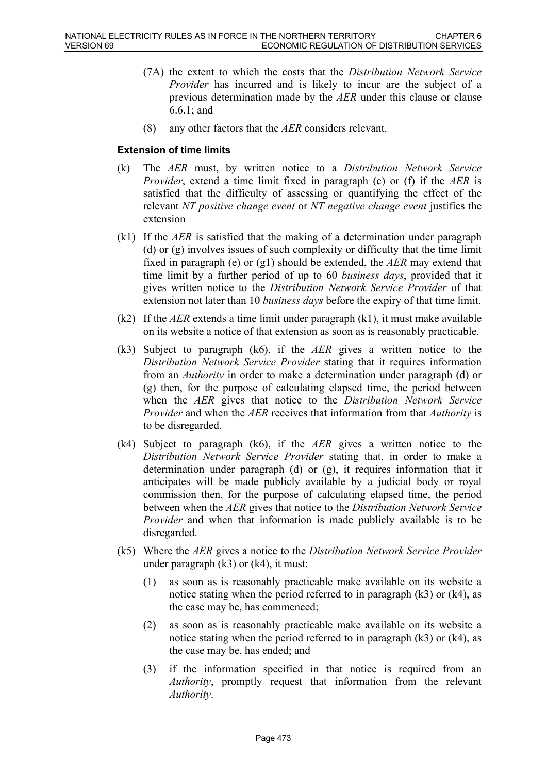- (7A) the extent to which the costs that the *Distribution Network Service Provider* has incurred and is likely to incur are the subject of a previous determination made by the *AER* under this clause or clause 6.6.1; and
- (8) any other factors that the *AER* considers relevant.

#### **Extension of time limits**

- (k) The *AER* must, by written notice to a *Distribution Network Service Provider*, extend a time limit fixed in paragraph (c) or (f) if the *AER* is satisfied that the difficulty of assessing or quantifying the effect of the relevant *NT positive change event* or *NT negative change event* justifies the extension
- (k1) If the *AER* is satisfied that the making of a determination under paragraph (d) or (g) involves issues of such complexity or difficulty that the time limit fixed in paragraph (e) or (g1) should be extended, the *AER* may extend that time limit by a further period of up to 60 *business days*, provided that it gives written notice to the *Distribution Network Service Provider* of that extension not later than 10 *business days* before the expiry of that time limit.
- (k2) If the *AER* extends a time limit under paragraph  $(k1)$ , it must make available on its website a notice of that extension as soon as is reasonably practicable.
- (k3) Subject to paragraph (k6), if the *AER* gives a written notice to the *Distribution Network Service Provider* stating that it requires information from an *Authority* in order to make a determination under paragraph (d) or (g) then, for the purpose of calculating elapsed time, the period between when the *AER* gives that notice to the *Distribution Network Service Provider* and when the *AER* receives that information from that *Authority* is to be disregarded.
- (k4) Subject to paragraph (k6), if the *AER* gives a written notice to the *Distribution Network Service Provider* stating that, in order to make a determination under paragraph (d) or (g), it requires information that it anticipates will be made publicly available by a judicial body or royal commission then, for the purpose of calculating elapsed time, the period between when the *AER* gives that notice to the *Distribution Network Service Provider* and when that information is made publicly available is to be disregarded.
- (k5) Where the *AER* gives a notice to the *Distribution Network Service Provider* under paragraph  $(k3)$  or  $(k4)$ , it must:
	- (1) as soon as is reasonably practicable make available on its website a notice stating when the period referred to in paragraph (k3) or (k4), as the case may be, has commenced;
	- (2) as soon as is reasonably practicable make available on its website a notice stating when the period referred to in paragraph (k3) or (k4), as the case may be, has ended; and
	- (3) if the information specified in that notice is required from an *Authority*, promptly request that information from the relevant *Authority*.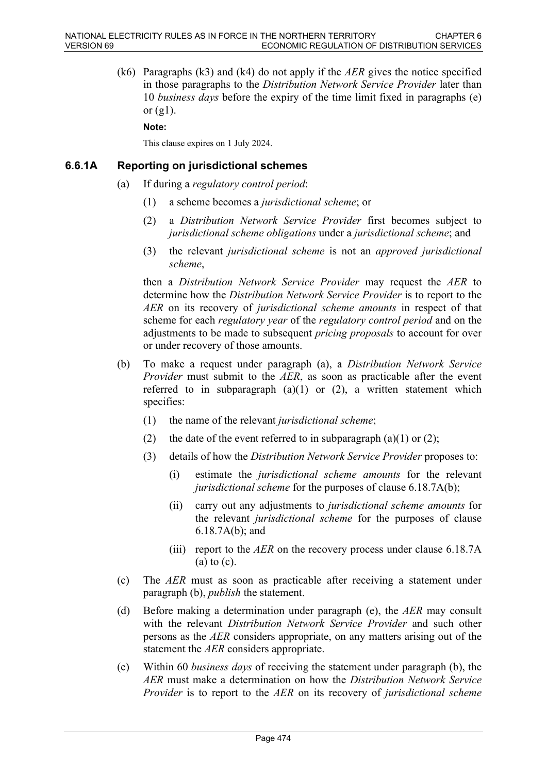(k6) Paragraphs (k3) and (k4) do not apply if the *AER* gives the notice specified in those paragraphs to the *Distribution Network Service Provider* later than 10 *business days* before the expiry of the time limit fixed in paragraphs (e) or  $(g1)$ .

**Note:**

This clause expires on 1 July 2024.

#### **6.6.1A Reporting on jurisdictional schemes**

- (a) If during a *regulatory control period*:
	- (1) a scheme becomes a *jurisdictional scheme*; or
	- (2) a *Distribution Network Service Provider* first becomes subject to *jurisdictional scheme obligations* under a *jurisdictional scheme*; and
	- (3) the relevant *jurisdictional scheme* is not an *approved jurisdictional scheme*,

then a *Distribution Network Service Provider* may request the *AER* to determine how the *Distribution Network Service Provider* is to report to the *AER* on its recovery of *jurisdictional scheme amounts* in respect of that scheme for each *regulatory year* of the *regulatory control period* and on the adjustments to be made to subsequent *pricing proposals* to account for over or under recovery of those amounts.

- (b) To make a request under paragraph (a), a *Distribution Network Service Provider* must submit to the *AER*, as soon as practicable after the event referred to in subparagraph  $(a)(1)$  or  $(2)$ , a written statement which specifies:
	- (1) the name of the relevant *jurisdictional scheme*;
	- (2) the date of the event referred to in subparagraph (a)(1) or (2);
	- (3) details of how the *Distribution Network Service Provider* proposes to:
		- (i) estimate the *jurisdictional scheme amounts* for the relevant *jurisdictional scheme* for the purposes of clause 6.18.7A(b);
		- (ii) carry out any adjustments to *jurisdictional scheme amounts* for the relevant *jurisdictional scheme* for the purposes of clause 6.18.7A(b); and
		- (iii) report to the *AER* on the recovery process under clause 6.18.7A (a) to (c).
- (c) The *AER* must as soon as practicable after receiving a statement under paragraph (b), *publish* the statement.
- (d) Before making a determination under paragraph (e), the *AER* may consult with the relevant *Distribution Network Service Provider* and such other persons as the *AER* considers appropriate, on any matters arising out of the statement the *AER* considers appropriate.
- (e) Within 60 *business days* of receiving the statement under paragraph (b), the *AER* must make a determination on how the *Distribution Network Service Provider* is to report to the *AER* on its recovery of *jurisdictional scheme*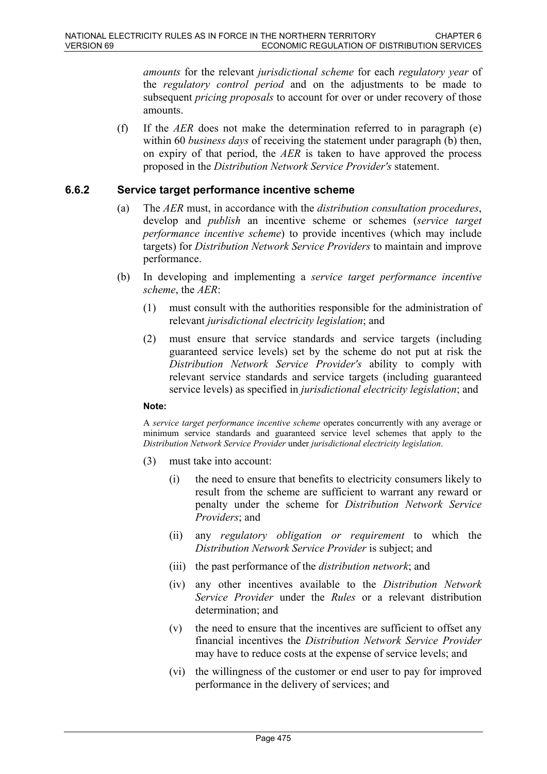*amounts* for the relevant *jurisdictional scheme* for each *regulatory year* of the *regulatory control period* and on the adjustments to be made to subsequent *pricing proposals* to account for over or under recovery of those amounts.

(f) If the *AER* does not make the determination referred to in paragraph (e) within 60 *business days* of receiving the statement under paragraph (b) then, on expiry of that period, the *AER* is taken to have approved the process proposed in the *Distribution Network Service Provider's* statement.

### **6.6.2 Service target performance incentive scheme**

- (a) The *AER* must, in accordance with the *distribution consultation procedures*, develop and *publish* an incentive scheme or schemes (*service target performance incentive scheme*) to provide incentives (which may include targets) for *Distribution Network Service Providers* to maintain and improve performance.
- (b) In developing and implementing a *service target performance incentive scheme*, the *AER*:
	- (1) must consult with the authorities responsible for the administration of relevant *jurisdictional electricity legislation*; and
	- (2) must ensure that service standards and service targets (including guaranteed service levels) set by the scheme do not put at risk the *Distribution Network Service Provider's* ability to comply with relevant service standards and service targets (including guaranteed service levels) as specified in *jurisdictional electricity legislation*; and

#### **Note:**

A *service target performance incentive scheme* operates concurrently with any average or minimum service standards and guaranteed service level schemes that apply to the *Distribution Network Service Provider* under *jurisdictional electricity legislation*.

- (3) must take into account:
	- (i) the need to ensure that benefits to electricity consumers likely to result from the scheme are sufficient to warrant any reward or penalty under the scheme for *Distribution Network Service Providers*; and
	- (ii) any *regulatory obligation or requirement* to which the *Distribution Network Service Provider* is subject; and
	- (iii) the past performance of the *distribution network*; and
	- (iv) any other incentives available to the *Distribution Network Service Provider* under the *Rules* or a relevant distribution determination; and
	- (v) the need to ensure that the incentives are sufficient to offset any financial incentives the *Distribution Network Service Provider* may have to reduce costs at the expense of service levels; and
	- (vi) the willingness of the customer or end user to pay for improved performance in the delivery of services; and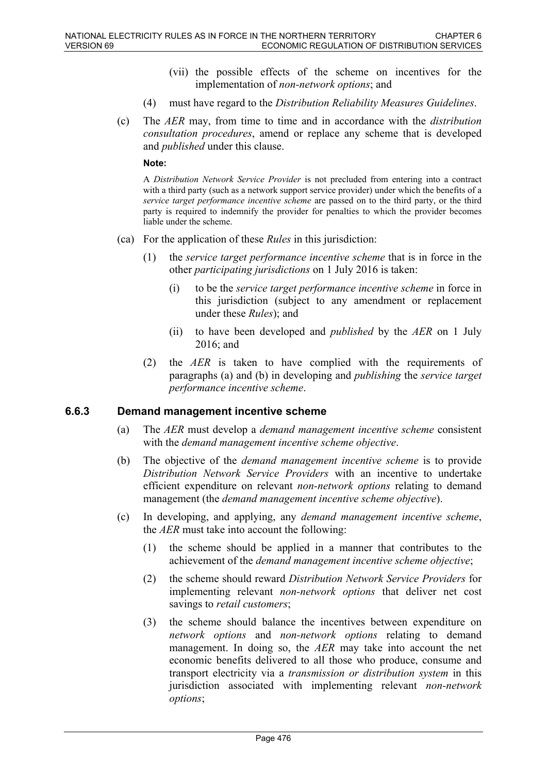- (vii) the possible effects of the scheme on incentives for the implementation of *non-network options*; and
- (4) must have regard to the *Distribution Reliability Measures Guidelines*.
- (c) The *AER* may, from time to time and in accordance with the *distribution consultation procedures*, amend or replace any scheme that is developed and *published* under this clause.

#### **Note:**

A *Distribution Network Service Provider* is not precluded from entering into a contract with a third party (such as a network support service provider) under which the benefits of a *service target performance incentive scheme* are passed on to the third party, or the third party is required to indemnify the provider for penalties to which the provider becomes liable under the scheme.

- (ca) For the application of these *Rules* in this jurisdiction:
	- (1) the *service target performance incentive scheme* that is in force in the other *participating jurisdictions* on 1 July 2016 is taken:
		- (i) to be the *service target performance incentive scheme* in force in this jurisdiction (subject to any amendment or replacement under these *Rules*); and
		- (ii) to have been developed and *published* by the *AER* on 1 July 2016; and
	- (2) the *AER* is taken to have complied with the requirements of paragraphs (a) and (b) in developing and *publishing* the *service target performance incentive scheme*.

#### **6.6.3 Demand management incentive scheme**

- (a) The *AER* must develop a *demand management incentive scheme* consistent with the *demand management incentive scheme objective*.
- (b) The objective of the *demand management incentive scheme* is to provide *Distribution Network Service Providers* with an incentive to undertake efficient expenditure on relevant *non-network options* relating to demand management (the *demand management incentive scheme objective*).
- (c) In developing, and applying, any *demand management incentive scheme*, the *AER* must take into account the following:
	- (1) the scheme should be applied in a manner that contributes to the achievement of the *demand management incentive scheme objective*;
	- (2) the scheme should reward *Distribution Network Service Providers* for implementing relevant *non-network options* that deliver net cost savings to *retail customers*;
	- (3) the scheme should balance the incentives between expenditure on *network options* and *non-network options* relating to demand management. In doing so, the *AER* may take into account the net economic benefits delivered to all those who produce, consume and transport electricity via a *transmission or distribution system* in this jurisdiction associated with implementing relevant *non-network options*;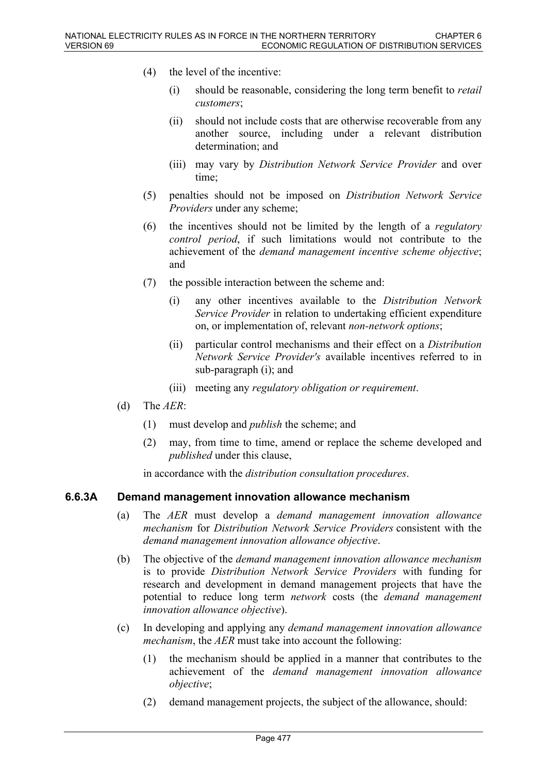- (4) the level of the incentive:
	- (i) should be reasonable, considering the long term benefit to *retail customers*;
	- (ii) should not include costs that are otherwise recoverable from any another source, including under a relevant distribution determination; and
	- (iii) may vary by *Distribution Network Service Provider* and over time;
- (5) penalties should not be imposed on *Distribution Network Service Providers* under any scheme;
- (6) the incentives should not be limited by the length of a *regulatory control period*, if such limitations would not contribute to the achievement of the *demand management incentive scheme objective*; and
- (7) the possible interaction between the scheme and:
	- (i) any other incentives available to the *Distribution Network Service Provider* in relation to undertaking efficient expenditure on, or implementation of, relevant *non-network options*;
	- (ii) particular control mechanisms and their effect on a *Distribution Network Service Provider's* available incentives referred to in sub-paragraph (i); and
	- (iii) meeting any *regulatory obligation or requirement*.
- (d) The *AER*:
	- (1) must develop and *publish* the scheme; and
	- (2) may, from time to time, amend or replace the scheme developed and *published* under this clause,

in accordance with the *distribution consultation procedures*.

#### **6.6.3A Demand management innovation allowance mechanism**

- (a) The *AER* must develop a *demand management innovation allowance mechanism* for *Distribution Network Service Providers* consistent with the *demand management innovation allowance objective*.
- (b) The objective of the *demand management innovation allowance mechanism* is to provide *Distribution Network Service Providers* with funding for research and development in demand management projects that have the potential to reduce long term *network* costs (the *demand management innovation allowance objective*).
- (c) In developing and applying any *demand management innovation allowance mechanism*, the *AER* must take into account the following:
	- (1) the mechanism should be applied in a manner that contributes to the achievement of the *demand management innovation allowance objective*;
	- (2) demand management projects, the subject of the allowance, should: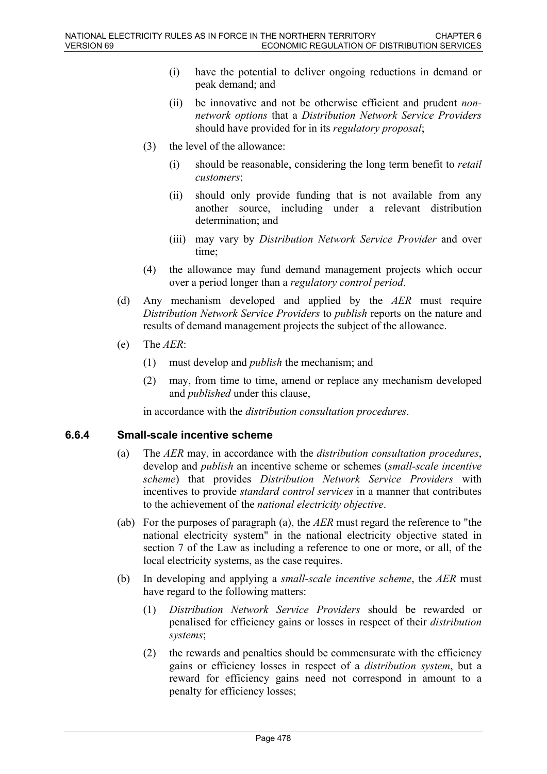- (i) have the potential to deliver ongoing reductions in demand or peak demand; and
- (ii) be innovative and not be otherwise efficient and prudent *nonnetwork options* that a *Distribution Network Service Providers* should have provided for in its *regulatory proposal*;
- (3) the level of the allowance:
	- (i) should be reasonable, considering the long term benefit to *retail customers*;
	- (ii) should only provide funding that is not available from any another source, including under a relevant distribution determination; and
	- (iii) may vary by *Distribution Network Service Provider* and over time;
- (4) the allowance may fund demand management projects which occur over a period longer than a *regulatory control period*.
- (d) Any mechanism developed and applied by the *AER* must require *Distribution Network Service Providers* to *publish* reports on the nature and results of demand management projects the subject of the allowance.
- (e) The *AER*:
	- (1) must develop and *publish* the mechanism; and
	- (2) may, from time to time, amend or replace any mechanism developed and *published* under this clause,

in accordance with the *distribution consultation procedures*.

## **6.6.4 Small-scale incentive scheme**

- (a) The *AER* may, in accordance with the *distribution consultation procedures*, develop and *publish* an incentive scheme or schemes (*small-scale incentive scheme*) that provides *Distribution Network Service Providers* with incentives to provide *standard control services* in a manner that contributes to the achievement of the *national electricity objective*.
- (ab) For the purposes of paragraph (a), the *AER* must regard the reference to "the national electricity system" in the national electricity objective stated in section 7 of the Law as including a reference to one or more, or all, of the local electricity systems, as the case requires.
- (b) In developing and applying a *small-scale incentive scheme*, the *AER* must have regard to the following matters:
	- (1) *Distribution Network Service Providers* should be rewarded or penalised for efficiency gains or losses in respect of their *distribution systems*;
	- (2) the rewards and penalties should be commensurate with the efficiency gains or efficiency losses in respect of a *distribution system*, but a reward for efficiency gains need not correspond in amount to a penalty for efficiency losses;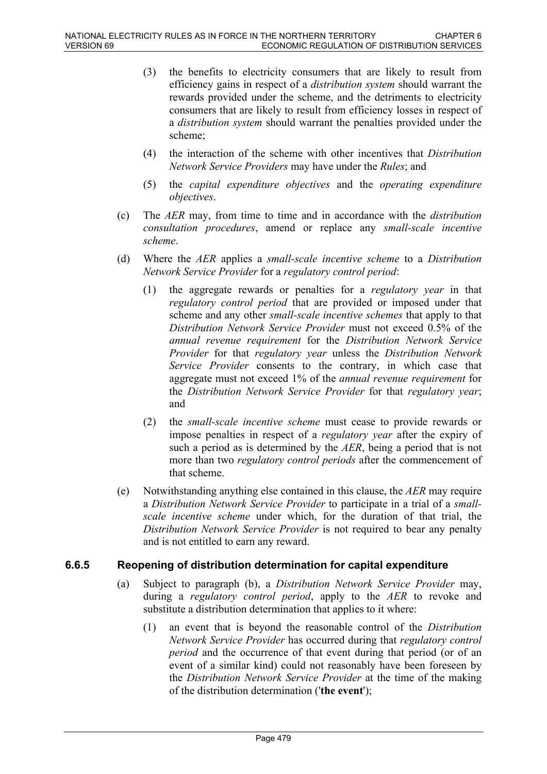- (3) the benefits to electricity consumers that are likely to result from efficiency gains in respect of a *distribution system* should warrant the rewards provided under the scheme, and the detriments to electricity consumers that are likely to result from efficiency losses in respect of a *distribution system* should warrant the penalties provided under the scheme;
- (4) the interaction of the scheme with other incentives that *Distribution Network Service Providers* may have under the *Rules*; and
- (5) the *capital expenditure objectives* and the *operating expenditure objectives*.
- (c) The *AER* may, from time to time and in accordance with the *distribution consultation procedures*, amend or replace any *small-scale incentive scheme*.
- (d) Where the *AER* applies a *small-scale incentive scheme* to a *Distribution Network Service Provider* for a *regulatory control period*:
	- (1) the aggregate rewards or penalties for a *regulatory year* in that *regulatory control period* that are provided or imposed under that scheme and any other *small-scale incentive schemes* that apply to that *Distribution Network Service Provider* must not exceed 0.5% of the *annual revenue requirement* for the *Distribution Network Service Provider* for that *regulatory year* unless the *Distribution Network Service Provider* consents to the contrary, in which case that aggregate must not exceed 1% of the *annual revenue requirement* for the *Distribution Network Service Provider* for that *regulatory year*; and
	- (2) the *small-scale incentive scheme* must cease to provide rewards or impose penalties in respect of a *regulatory year* after the expiry of such a period as is determined by the *AER*, being a period that is not more than two *regulatory control periods* after the commencement of that scheme.
- (e) Notwithstanding anything else contained in this clause, the *AER* may require a *Distribution Network Service Provider* to participate in a trial of a *smallscale incentive scheme* under which, for the duration of that trial, the *Distribution Network Service Provider* is not required to bear any penalty and is not entitled to earn any reward.

### **6.6.5 Reopening of distribution determination for capital expenditure**

- (a) Subject to paragraph (b), a *Distribution Network Service Provider* may, during a *regulatory control period*, apply to the *AER* to revoke and substitute a distribution determination that applies to it where:
	- (1) an event that is beyond the reasonable control of the *Distribution Network Service Provider* has occurred during that *regulatory control period* and the occurrence of that event during that period (or of an event of a similar kind) could not reasonably have been foreseen by the *Distribution Network Service Provider* at the time of the making of the distribution determination ('**the event**');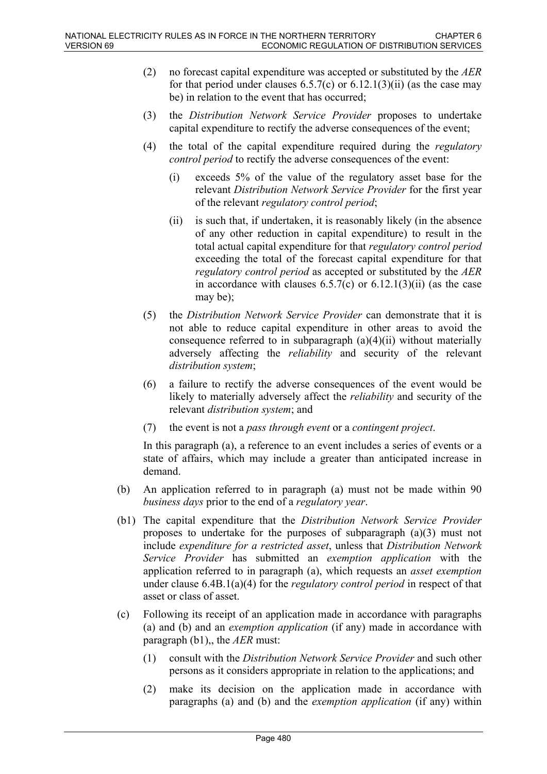- (2) no forecast capital expenditure was accepted or substituted by the *AER* for that period under clauses  $6.5.7(c)$  or  $6.12.1(3)(ii)$  (as the case may be) in relation to the event that has occurred;
- (3) the *Distribution Network Service Provider* proposes to undertake capital expenditure to rectify the adverse consequences of the event;
- (4) the total of the capital expenditure required during the *regulatory control period* to rectify the adverse consequences of the event:
	- (i) exceeds 5% of the value of the regulatory asset base for the relevant *Distribution Network Service Provider* for the first year of the relevant *regulatory control period*;
	- (ii) is such that, if undertaken, it is reasonably likely (in the absence of any other reduction in capital expenditure) to result in the total actual capital expenditure for that *regulatory control period* exceeding the total of the forecast capital expenditure for that *regulatory control period* as accepted or substituted by the *AER* in accordance with clauses  $6.5.7(c)$  or  $6.12.1(3)(ii)$  (as the case may be);
- (5) the *Distribution Network Service Provider* can demonstrate that it is not able to reduce capital expenditure in other areas to avoid the consequence referred to in subparagraph  $(a)(4)(ii)$  without materially adversely affecting the *reliability* and security of the relevant *distribution system*;
- (6) a failure to rectify the adverse consequences of the event would be likely to materially adversely affect the *reliability* and security of the relevant *distribution system*; and
- (7) the event is not a *pass through event* or a *contingent project*.

In this paragraph (a), a reference to an event includes a series of events or a state of affairs, which may include a greater than anticipated increase in demand.

- (b) An application referred to in paragraph (a) must not be made within 90 *business days* prior to the end of a *regulatory year*.
- (b1) The capital expenditure that the *Distribution Network Service Provider* proposes to undertake for the purposes of subparagraph (a)(3) must not include *expenditure for a restricted asset*, unless that *Distribution Network Service Provider* has submitted an *exemption application* with the application referred to in paragraph (a), which requests an *asset exemption* under clause 6.4B.1(a)(4) for the *regulatory control period* in respect of that asset or class of asset.
- (c) Following its receipt of an application made in accordance with paragraphs (a) and (b) and an *exemption application* (if any) made in accordance with paragraph (b1),, the *AER* must:
	- (1) consult with the *Distribution Network Service Provider* and such other persons as it considers appropriate in relation to the applications; and
	- (2) make its decision on the application made in accordance with paragraphs (a) and (b) and the *exemption application* (if any) within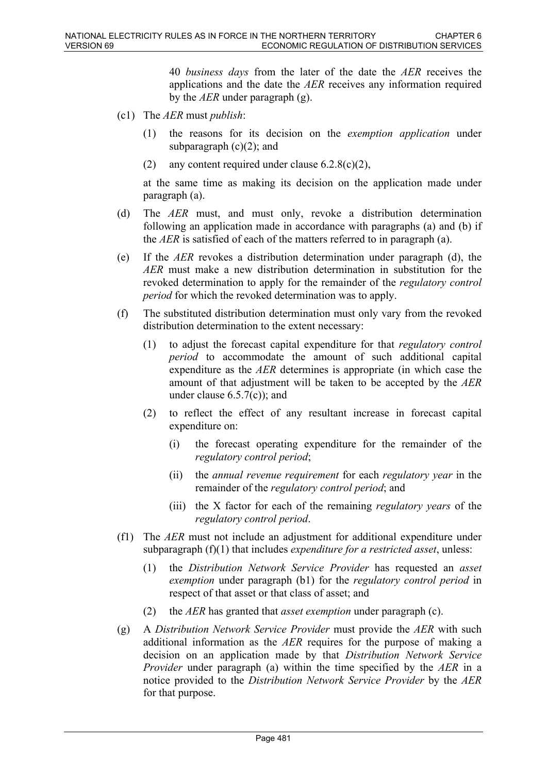40 *business days* from the later of the date the *AER* receives the applications and the date the *AER* receives any information required by the *AER* under paragraph (g).

- (c1) The *AER* must *publish*:
	- (1) the reasons for its decision on the *exemption application* under subparagraph  $(c)(2)$ ; and
	- (2) any content required under clause  $6.2.8(c)(2)$ ,

at the same time as making its decision on the application made under paragraph (a).

- (d) The *AER* must, and must only, revoke a distribution determination following an application made in accordance with paragraphs (a) and (b) if the *AER* is satisfied of each of the matters referred to in paragraph (a).
- (e) If the *AER* revokes a distribution determination under paragraph (d), the *AER* must make a new distribution determination in substitution for the revoked determination to apply for the remainder of the *regulatory control period* for which the revoked determination was to apply.
- (f) The substituted distribution determination must only vary from the revoked distribution determination to the extent necessary:
	- (1) to adjust the forecast capital expenditure for that *regulatory control period* to accommodate the amount of such additional capital expenditure as the *AER* determines is appropriate (in which case the amount of that adjustment will be taken to be accepted by the *AER* under clause  $6.5.7(c)$ ; and
	- (2) to reflect the effect of any resultant increase in forecast capital expenditure on:
		- (i) the forecast operating expenditure for the remainder of the *regulatory control period*;
		- (ii) the *annual revenue requirement* for each *regulatory year* in the remainder of the *regulatory control period*; and
		- (iii) the X factor for each of the remaining *regulatory years* of the *regulatory control period*.
- (f1) The *AER* must not include an adjustment for additional expenditure under subparagraph (f)(1) that includes *expenditure for a restricted asset*, unless:
	- (1) the *Distribution Network Service Provider* has requested an *asset exemption* under paragraph (b1) for the *regulatory control period* in respect of that asset or that class of asset; and
	- (2) the *AER* has granted that *asset exemption* under paragraph (c).
- (g) A *Distribution Network Service Provider* must provide the *AER* with such additional information as the *AER* requires for the purpose of making a decision on an application made by that *Distribution Network Service Provider* under paragraph (a) within the time specified by the *AER* in a notice provided to the *Distribution Network Service Provider* by the *AER*  for that purpose.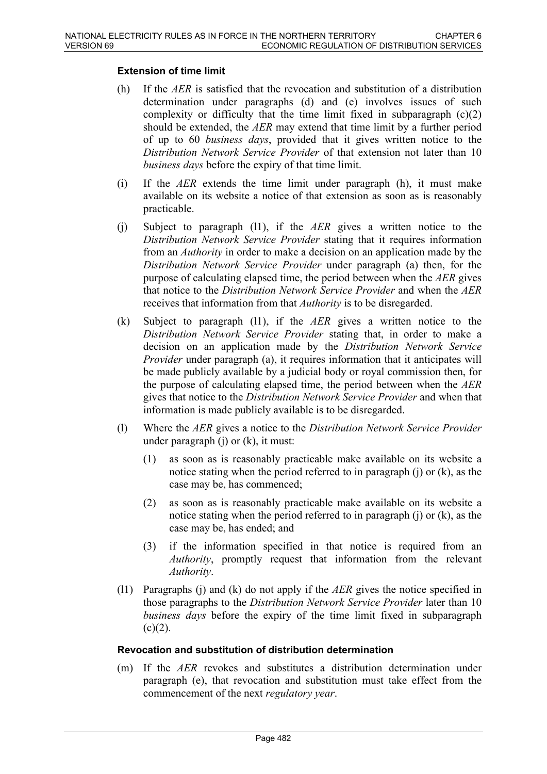#### **Extension of time limit**

- (h) If the *AER* is satisfied that the revocation and substitution of a distribution determination under paragraphs (d) and (e) involves issues of such complexity or difficulty that the time limit fixed in subparagraph  $(c)(2)$ should be extended, the *AER* may extend that time limit by a further period of up to 60 *business days*, provided that it gives written notice to the *Distribution Network Service Provider* of that extension not later than 10 *business days* before the expiry of that time limit.
- (i) If the *AER* extends the time limit under paragraph (h), it must make available on its website a notice of that extension as soon as is reasonably practicable.
- (j) Subject to paragraph (l1), if the *AER* gives a written notice to the *Distribution Network Service Provider* stating that it requires information from an *Authority* in order to make a decision on an application made by the *Distribution Network Service Provider* under paragraph (a) then, for the purpose of calculating elapsed time, the period between when the *AER* gives that notice to the *Distribution Network Service Provider* and when the *AER* receives that information from that *Authority* is to be disregarded.
- (k) Subject to paragraph (l1), if the *AER* gives a written notice to the *Distribution Network Service Provider* stating that, in order to make a decision on an application made by the *Distribution Network Service Provider* under paragraph (a), it requires information that it anticipates will be made publicly available by a judicial body or royal commission then, for the purpose of calculating elapsed time, the period between when the *AER* gives that notice to the *Distribution Network Service Provider* and when that information is made publicly available is to be disregarded.
- (l) Where the *AER* gives a notice to the *Distribution Network Service Provider* under paragraph (j) or (k), it must:
	- (1) as soon as is reasonably practicable make available on its website a notice stating when the period referred to in paragraph (j) or (k), as the case may be, has commenced;
	- (2) as soon as is reasonably practicable make available on its website a notice stating when the period referred to in paragraph (j) or (k), as the case may be, has ended; and
	- (3) if the information specified in that notice is required from an *Authority*, promptly request that information from the relevant *Authority*.
- (l1) Paragraphs (j) and (k) do not apply if the *AER* gives the notice specified in those paragraphs to the *Distribution Network Service Provider* later than 10 *business days* before the expiry of the time limit fixed in subparagraph  $(c)(2)$ .

#### **Revocation and substitution of distribution determination**

(m) If the *AER* revokes and substitutes a distribution determination under paragraph (e), that revocation and substitution must take effect from the commencement of the next *regulatory year*.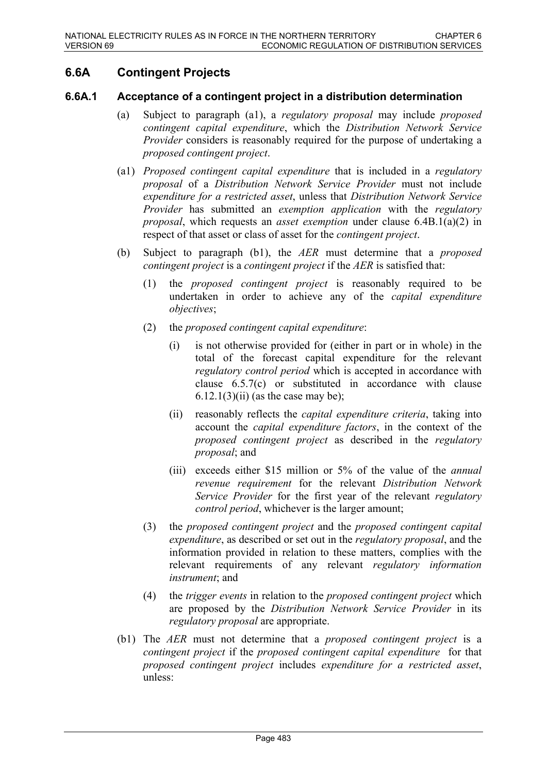# **6.6A Contingent Projects**

#### **6.6A.1 Acceptance of a contingent project in a distribution determination**

- (a) Subject to paragraph (a1), a *regulatory proposal* may include *proposed contingent capital expenditure*, which the *Distribution Network Service Provider* considers is reasonably required for the purpose of undertaking a *proposed contingent project*.
- (a1) *Proposed contingent capital expenditure* that is included in a *regulatory proposal* of a *Distribution Network Service Provider* must not include *expenditure for a restricted asset*, unless that *Distribution Network Service Provider* has submitted an *exemption application* with the *regulatory proposal*, which requests an *asset exemption* under clause 6.4B.1(a)(2) in respect of that asset or class of asset for the *contingent project*.
- (b) Subject to paragraph (b1), the *AER* must determine that a *proposed contingent project* is a *contingent project* if the *AER* is satisfied that:
	- (1) the *proposed contingent project* is reasonably required to be undertaken in order to achieve any of the *capital expenditure objectives*;
	- (2) the *proposed contingent capital expenditure*:
		- (i) is not otherwise provided for (either in part or in whole) in the total of the forecast capital expenditure for the relevant *regulatory control period* which is accepted in accordance with clause 6.5.7(c) or substituted in accordance with clause  $6.12.1(3)(ii)$  (as the case may be);
		- (ii) reasonably reflects the *capital expenditure criteria*, taking into account the *capital expenditure factors*, in the context of the *proposed contingent project* as described in the *regulatory proposal*; and
		- (iii) exceeds either \$15 million or 5% of the value of the *annual revenue requirement* for the relevant *Distribution Network Service Provider* for the first year of the relevant *regulatory control period*, whichever is the larger amount;
	- (3) the *proposed contingent project* and the *proposed contingent capital expenditure*, as described or set out in the *regulatory proposal*, and the information provided in relation to these matters, complies with the relevant requirements of any relevant *regulatory information instrument*; and
	- (4) the *trigger events* in relation to the *proposed contingent project* which are proposed by the *Distribution Network Service Provider* in its *regulatory proposal* are appropriate.
- (b1) The *AER* must not determine that a *proposed contingent project* is a *contingent project* if the *proposed contingent capital expenditure* for that *proposed contingent project* includes *expenditure for a restricted asset*, unless: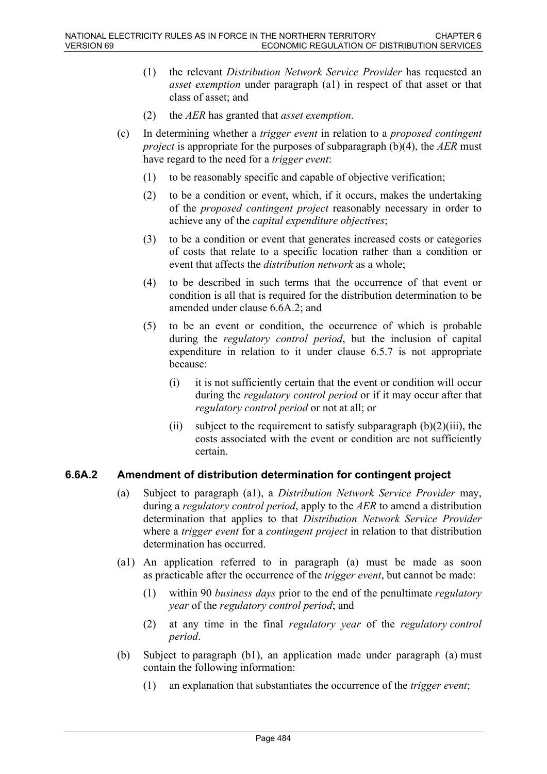- (1) the relevant *Distribution Network Service Provider* has requested an *asset exemption* under paragraph (a1) in respect of that asset or that class of asset; and
- (2) the *AER* has granted that *asset exemption*.
- (c) In determining whether a *trigger event* in relation to a *proposed contingent project* is appropriate for the purposes of subparagraph (b)(4), the *AER* must have regard to the need for a *trigger event*:
	- (1) to be reasonably specific and capable of objective verification;
	- (2) to be a condition or event, which, if it occurs, makes the undertaking of the *proposed contingent project* reasonably necessary in order to achieve any of the *capital expenditure objectives*;
	- (3) to be a condition or event that generates increased costs or categories of costs that relate to a specific location rather than a condition or event that affects the *distribution network* as a whole;
	- (4) to be described in such terms that the occurrence of that event or condition is all that is required for the distribution determination to be amended under clause 6.6A.2; and
	- (5) to be an event or condition, the occurrence of which is probable during the *regulatory control period*, but the inclusion of capital expenditure in relation to it under clause 6.5.7 is not appropriate because:
		- (i) it is not sufficiently certain that the event or condition will occur during the *regulatory control period* or if it may occur after that *regulatory control period* or not at all; or
		- (ii) subject to the requirement to satisfy subparagraph  $(b)(2)(iii)$ , the costs associated with the event or condition are not sufficiently certain.

### **6.6A.2 Amendment of distribution determination for contingent project**

- (a) Subject to paragraph (a1), a *Distribution Network Service Provider* may, during a *regulatory control period*, apply to the *AER* to amend a distribution determination that applies to that *Distribution Network Service Provider* where a *trigger event* for a *contingent project* in relation to that distribution determination has occurred.
- (a1) An application referred to in paragraph (a) must be made as soon as practicable after the occurrence of the *trigger event*, but cannot be made:
	- (1) within 90 *business days* prior to the end of the penultimate *regulatory year* of the *regulatory control period*; and
	- (2) at any time in the final *regulatory year* of the *regulatory control period*.
- (b) Subject to paragraph (b1), an application made under paragraph (a) must contain the following information:
	- (1) an explanation that substantiates the occurrence of the *trigger event*;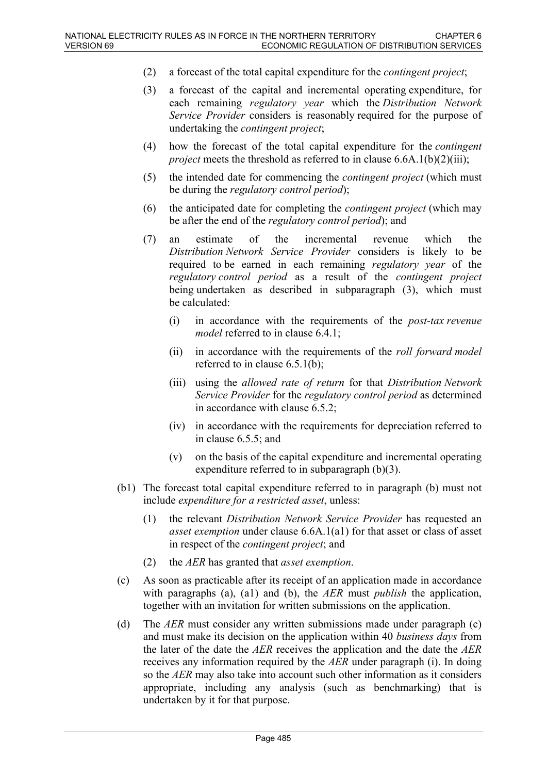- (2) a forecast of the total capital expenditure for the *contingent project*;
- (3) a forecast of the capital and incremental operating expenditure, for each remaining *regulatory year* which the *Distribution Network Service Provider* considers is reasonably required for the purpose of undertaking the *contingent project*;
- (4) how the forecast of the total capital expenditure for the *contingent project* meets the threshold as referred to in clause 6.6A.1(b)(2)(iii);
- (5) the intended date for commencing the *contingent project* (which must be during the *regulatory control period*);
- (6) the anticipated date for completing the *contingent project* (which may be after the end of the *regulatory control period*); and
- (7) an estimate of the incremental revenue which the *Distribution Network Service Provider* considers is likely to be required to be earned in each remaining *regulatory year* of the *regulatory control period* as a result of the *contingent project* being undertaken as described in subparagraph (3), which must be calculated:
	- (i) in accordance with the requirements of the *post-tax revenue model* referred to in clause 6.4.1;
	- (ii) in accordance with the requirements of the *roll forward model* referred to in clause 6.5.1(b);
	- (iii) using the *allowed rate of return* for that *Distribution Network Service Provider* for the *regulatory control period* as determined in accordance with clause 6.5.2;
	- (iv) in accordance with the requirements for depreciation referred to in clause 6.5.5; and
	- (v) on the basis of the capital expenditure and incremental operating expenditure referred to in subparagraph (b)(3).
- (b1) The forecast total capital expenditure referred to in paragraph (b) must not include *expenditure for a restricted asset*, unless:
	- (1) the relevant *Distribution Network Service Provider* has requested an *asset exemption* under clause 6.6A.1(a1) for that asset or class of asset in respect of the *contingent project*; and
	- (2) the *AER* has granted that *asset exemption*.
- (c) As soon as practicable after its receipt of an application made in accordance with paragraphs (a), (a1) and (b), the *AER* must *publish* the application, together with an invitation for written submissions on the application.
- (d) The *AER* must consider any written submissions made under paragraph (c) and must make its decision on the application within 40 *business days* from the later of the date the *AER* receives the application and the date the *AER* receives any information required by the *AER* under paragraph (i). In doing so the *AER* may also take into account such other information as it considers appropriate, including any analysis (such as benchmarking) that is undertaken by it for that purpose.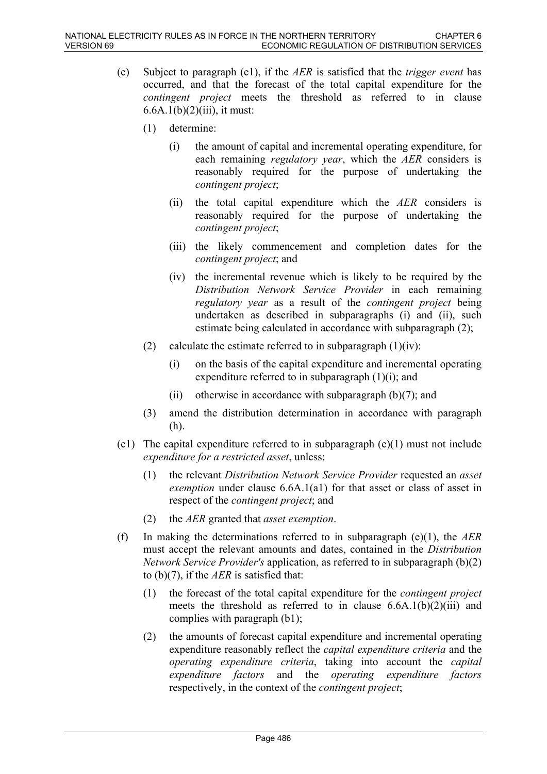- (e) Subject to paragraph (e1), if the *AER* is satisfied that the *trigger event* has occurred, and that the forecast of the total capital expenditure for the *contingent project* meets the threshold as referred to in clause  $6.6A.1(b)(2)(iii)$ , it must:
	- (1) determine:
		- (i) the amount of capital and incremental operating expenditure, for each remaining *regulatory year*, which the *AER* considers is reasonably required for the purpose of undertaking the *contingent project*;
		- (ii) the total capital expenditure which the *AER* considers is reasonably required for the purpose of undertaking the *contingent project*;
		- (iii) the likely commencement and completion dates for the *contingent project*; and
		- (iv) the incremental revenue which is likely to be required by the *Distribution Network Service Provider* in each remaining *regulatory year* as a result of the *contingent project* being undertaken as described in subparagraphs (i) and (ii), such estimate being calculated in accordance with subparagraph (2);
	- (2) calculate the estimate referred to in subparagraph  $(1)(iv)$ :
		- (i) on the basis of the capital expenditure and incremental operating expenditure referred to in subparagraph (1)(i); and
		- (ii) otherwise in accordance with subparagraph  $(b)(7)$ ; and
	- (3) amend the distribution determination in accordance with paragraph (h).
- (e1) The capital expenditure referred to in subparagraph (e)(1) must not include *expenditure for a restricted asset*, unless:
	- (1) the relevant *Distribution Network Service Provider* requested an *asset exemption* under clause 6.6A.1(a1) for that asset or class of asset in respect of the *contingent project*; and
	- (2) the *AER* granted that *asset exemption*.
- (f) In making the determinations referred to in subparagraph (e)(1), the *AER* must accept the relevant amounts and dates, contained in the *Distribution Network Service Provider's* application, as referred to in subparagraph (b)(2) to (b)(7), if the *AER* is satisfied that:
	- (1) the forecast of the total capital expenditure for the *contingent project* meets the threshold as referred to in clause  $6.6A.1(b)(2)(iii)$  and complies with paragraph (b1);
	- (2) the amounts of forecast capital expenditure and incremental operating expenditure reasonably reflect the *capital expenditure criteria* and the *operating expenditure criteria*, taking into account the *capital expenditure factors* and the *operating expenditure factors* respectively, in the context of the *contingent project*;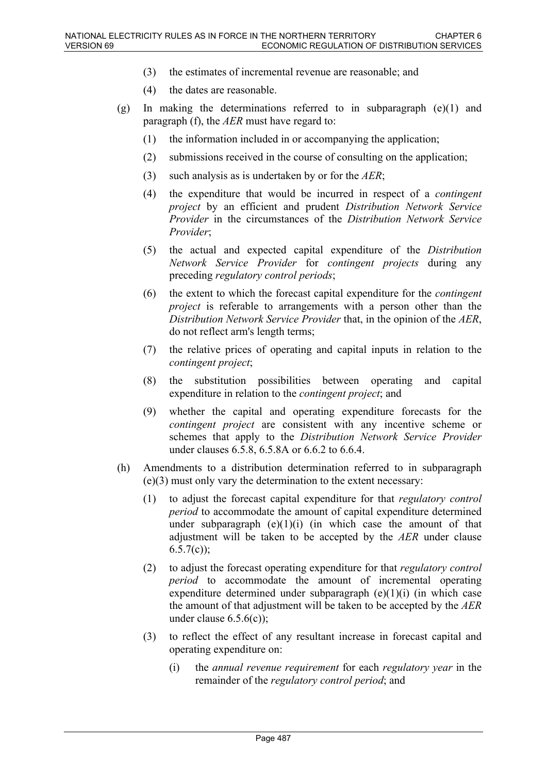- (3) the estimates of incremental revenue are reasonable; and
- (4) the dates are reasonable.
- (g) In making the determinations referred to in subparagraph (e)(1) and paragraph (f), the *AER* must have regard to:
	- (1) the information included in or accompanying the application;
	- (2) submissions received in the course of consulting on the application;
	- (3) such analysis as is undertaken by or for the *AER*;
	- (4) the expenditure that would be incurred in respect of a *contingent project* by an efficient and prudent *Distribution Network Service Provider* in the circumstances of the *Distribution Network Service Provider*;
	- (5) the actual and expected capital expenditure of the *Distribution Network Service Provider* for *contingent projects* during any preceding *regulatory control periods*;
	- (6) the extent to which the forecast capital expenditure for the *contingent project* is referable to arrangements with a person other than the *Distribution Network Service Provider* that, in the opinion of the *AER*, do not reflect arm's length terms;
	- (7) the relative prices of operating and capital inputs in relation to the *contingent project*;
	- (8) the substitution possibilities between operating and capital expenditure in relation to the *contingent project*; and
	- (9) whether the capital and operating expenditure forecasts for the *contingent project* are consistent with any incentive scheme or schemes that apply to the *Distribution Network Service Provider* under clauses 6.5.8, 6.5.8A or 6.6.2 to 6.6.4.
- (h) Amendments to a distribution determination referred to in subparagraph (e)(3) must only vary the determination to the extent necessary:
	- (1) to adjust the forecast capital expenditure for that *regulatory control period* to accommodate the amount of capital expenditure determined under subparagraph  $(e)(1)(i)$  (in which case the amount of that adjustment will be taken to be accepted by the *AER* under clause 6.5.7(c));
	- (2) to adjust the forecast operating expenditure for that *regulatory control period* to accommodate the amount of incremental operating expenditure determined under subparagraph  $(e)(1)(i)$  (in which case the amount of that adjustment will be taken to be accepted by the *AER* under clause  $6.5.6(c)$ ;
	- (3) to reflect the effect of any resultant increase in forecast capital and operating expenditure on:
		- (i) the *annual revenue requirement* for each *regulatory year* in the remainder of the *regulatory control period*; and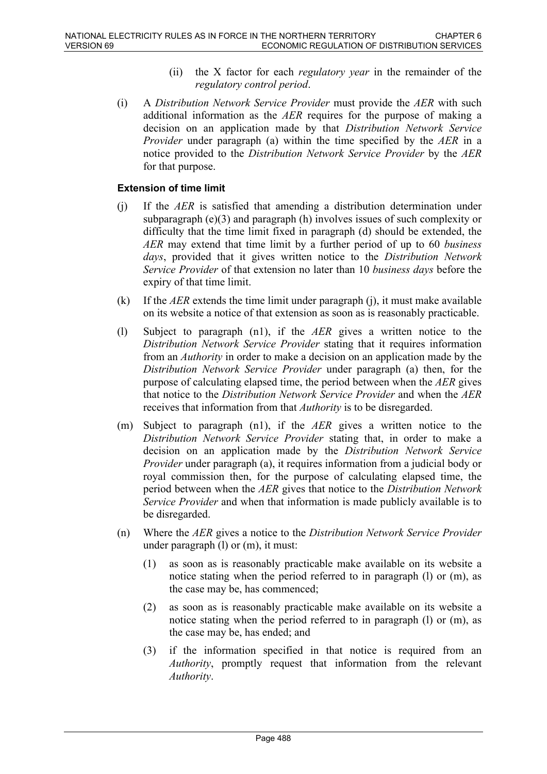- (ii) the X factor for each *regulatory year* in the remainder of the *regulatory control period*.
- (i) A *Distribution Network Service Provider* must provide the *AER* with such additional information as the *AER* requires for the purpose of making a decision on an application made by that *Distribution Network Service Provider* under paragraph (a) within the time specified by the *AER* in a notice provided to the *Distribution Network Service Provider* by the *AER* for that purpose.

#### **Extension of time limit**

- (j) If the *AER* is satisfied that amending a distribution determination under subparagraph  $(e)(3)$  and paragraph (h) involves issues of such complexity or difficulty that the time limit fixed in paragraph (d) should be extended, the *AER* may extend that time limit by a further period of up to 60 *business days*, provided that it gives written notice to the *Distribution Network Service Provider* of that extension no later than 10 *business days* before the expiry of that time limit.
- (k) If the *AER* extends the time limit under paragraph (j), it must make available on its website a notice of that extension as soon as is reasonably practicable.
- (l) Subject to paragraph (n1), if the *AER* gives a written notice to the *Distribution Network Service Provider* stating that it requires information from an *Authority* in order to make a decision on an application made by the *Distribution Network Service Provider* under paragraph (a) then, for the purpose of calculating elapsed time, the period between when the *AER* gives that notice to the *Distribution Network Service Provider* and when the *AER* receives that information from that *Authority* is to be disregarded.
- (m) Subject to paragraph (n1), if the *AER* gives a written notice to the *Distribution Network Service Provider* stating that, in order to make a decision on an application made by the *Distribution Network Service Provider* under paragraph (a), it requires information from a judicial body or royal commission then, for the purpose of calculating elapsed time, the period between when the *AER* gives that notice to the *Distribution Network Service Provider* and when that information is made publicly available is to be disregarded.
- (n) Where the *AER* gives a notice to the *Distribution Network Service Provider* under paragraph (l) or (m), it must:
	- (1) as soon as is reasonably practicable make available on its website a notice stating when the period referred to in paragraph (l) or (m), as the case may be, has commenced;
	- (2) as soon as is reasonably practicable make available on its website a notice stating when the period referred to in paragraph (l) or (m), as the case may be, has ended; and
	- (3) if the information specified in that notice is required from an *Authority*, promptly request that information from the relevant *Authority*.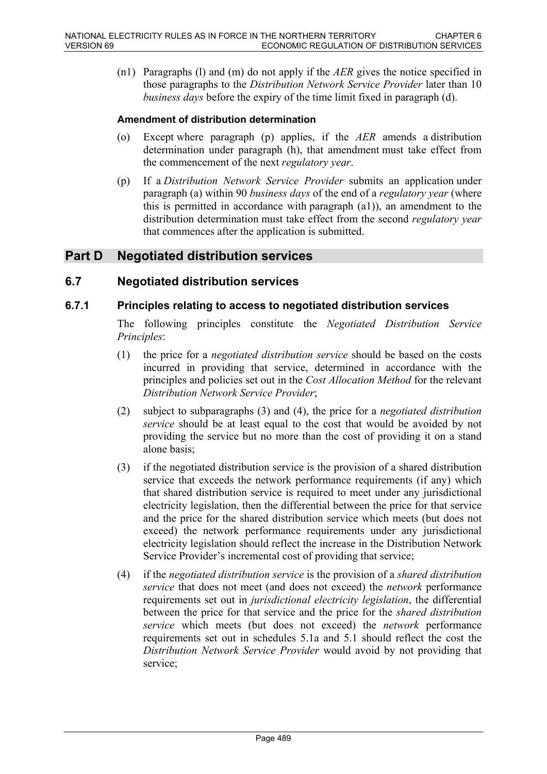(n1) Paragraphs (l) and (m) do not apply if the *AER* gives the notice specified in those paragraphs to the *Distribution Network Service Provider* later than 10 *business days* before the expiry of the time limit fixed in paragraph (d).

#### **Amendment of distribution determination**

- (o) Except where paragraph (p) applies, if the *AER* amends a distribution determination under paragraph (h), that amendment must take effect from the commencement of the next *regulatory year*.
- (p) If a *Distribution Network Service Provider* submits an application under paragraph (a) within 90 *business days* of the end of a *regulatory year* (where this is permitted in accordance with paragraph (a1)), an amendment to the distribution determination must take effect from the second *regulatory year* that commences after the application is submitted.

# **Part D Negotiated distribution services**

### **6.7 Negotiated distribution services**

#### **6.7.1 Principles relating to access to negotiated distribution services**

The following principles constitute the *Negotiated Distribution Service Principles*:

- (1) the price for a *negotiated distribution service* should be based on the costs incurred in providing that service, determined in accordance with the principles and policies set out in the *Cost Allocation Method* for the relevant *Distribution Network Service Provider*;
- (2) subject to subparagraphs (3) and (4), the price for a *negotiated distribution service* should be at least equal to the cost that would be avoided by not providing the service but no more than the cost of providing it on a stand alone basis;
- (3) if the negotiated distribution service is the provision of a shared distribution service that exceeds the network performance requirements (if any) which that shared distribution service is required to meet under any jurisdictional electricity legislation, then the differential between the price for that service and the price for the shared distribution service which meets (but does not exceed) the network performance requirements under any jurisdictional electricity legislation should reflect the increase in the Distribution Network Service Provider's incremental cost of providing that service;
- (4) if the *negotiated distribution service* is the provision of a *shared distribution service* that does not meet (and does not exceed) the *network* performance requirements set out in *jurisdictional electricity legislation*, the differential between the price for that service and the price for the *shared distribution service* which meets (but does not exceed) the *network* performance requirements set out in schedules 5.1a and 5.1 should reflect the cost the *Distribution Network Service Provider* would avoid by not providing that service;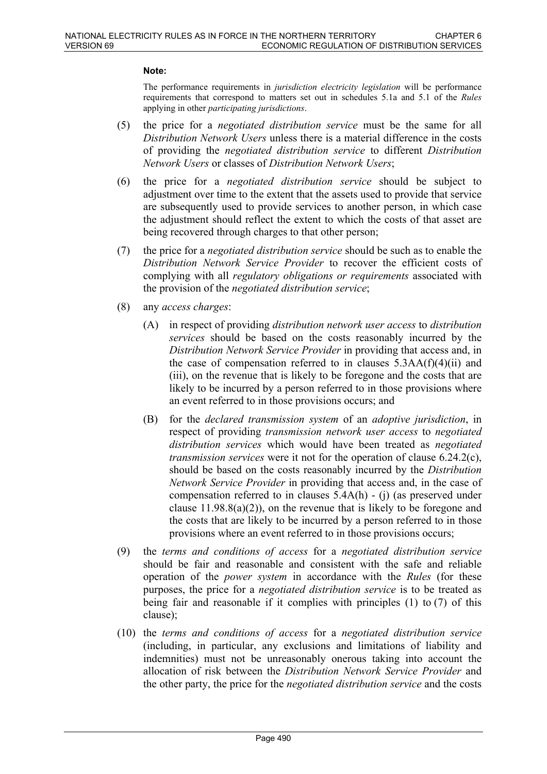#### **Note:**

The performance requirements in *jurisdiction electricity legislation* will be performance requirements that correspond to matters set out in schedules 5.1a and 5.1 of the *Rules* applying in other *participating jurisdictions*.

- (5) the price for a *negotiated distribution service* must be the same for all *Distribution Network Users* unless there is a material difference in the costs of providing the *negotiated distribution service* to different *Distribution Network Users* or classes of *Distribution Network Users*;
- (6) the price for a *negotiated distribution service* should be subject to adjustment over time to the extent that the assets used to provide that service are subsequently used to provide services to another person, in which case the adjustment should reflect the extent to which the costs of that asset are being recovered through charges to that other person;
- (7) the price for a *negotiated distribution service* should be such as to enable the *Distribution Network Service Provider* to recover the efficient costs of complying with all *regulatory obligations or requirements* associated with the provision of the *negotiated distribution service*;
- (8) any *access charges*:
	- (A) in respect of providing *distribution network user access* to *distribution services* should be based on the costs reasonably incurred by the *Distribution Network Service Provider* in providing that access and, in the case of compensation referred to in clauses  $5.3AA(f)(4)(ii)$  and (iii), on the revenue that is likely to be foregone and the costs that are likely to be incurred by a person referred to in those provisions where an event referred to in those provisions occurs; and
	- (B) for the *declared transmission system* of an *adoptive jurisdiction*, in respect of providing *transmission network user access* to *negotiated distribution services* which would have been treated as *negotiated transmission services* were it not for the operation of clause 6.24.2(c), should be based on the costs reasonably incurred by the *Distribution Network Service Provider* in providing that access and, in the case of compensation referred to in clauses 5.4A(h) - (j) (as preserved under clause  $11.98.8(a)(2)$ , on the revenue that is likely to be foregone and the costs that are likely to be incurred by a person referred to in those provisions where an event referred to in those provisions occurs;
- (9) the *terms and conditions of access* for a *negotiated distribution service* should be fair and reasonable and consistent with the safe and reliable operation of the *power system* in accordance with the *Rules* (for these purposes, the price for a *negotiated distribution service* is to be treated as being fair and reasonable if it complies with principles (1) to (7) of this clause);
- (10) the *terms and conditions of access* for a *negotiated distribution service* (including, in particular, any exclusions and limitations of liability and indemnities) must not be unreasonably onerous taking into account the allocation of risk between the *Distribution Network Service Provider* and the other party, the price for the *negotiated distribution service* and the costs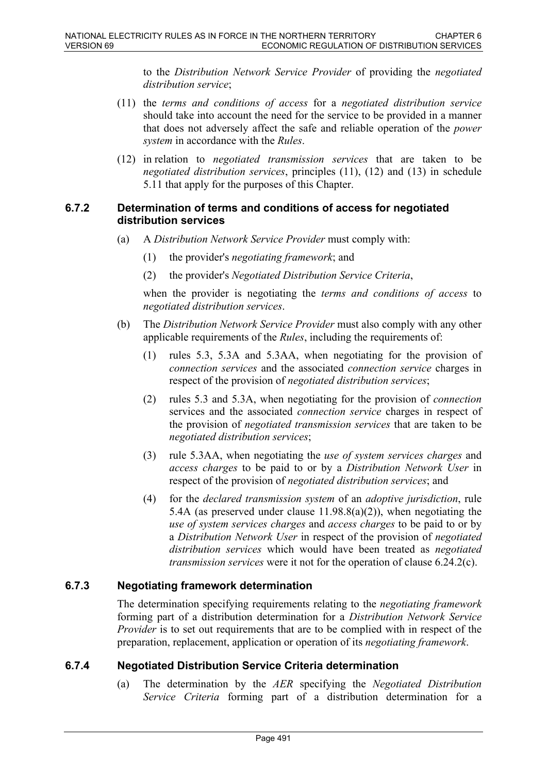to the *Distribution Network Service Provider* of providing the *negotiated distribution service*;

- (11) the *terms and conditions of access* for a *negotiated distribution service* should take into account the need for the service to be provided in a manner that does not adversely affect the safe and reliable operation of the *power system* in accordance with the *Rules*.
- (12) in relation to *negotiated transmission services* that are taken to be *negotiated distribution services*, principles (11), (12) and (13) in schedule 5.11 that apply for the purposes of this Chapter.

#### **6.7.2 Determination of terms and conditions of access for negotiated distribution services**

- (a) A *Distribution Network Service Provider* must comply with:
	- (1) the provider's *negotiating framework*; and
	- (2) the provider's *Negotiated Distribution Service Criteria*,

when the provider is negotiating the *terms and conditions of access* to *negotiated distribution services*.

- (b) The *Distribution Network Service Provider* must also comply with any other applicable requirements of the *Rules*, including the requirements of:
	- (1) rules 5.3, 5.3A and 5.3AA, when negotiating for the provision of *connection services* and the associated *connection service* charges in respect of the provision of *negotiated distribution services*;
	- (2) rules 5.3 and 5.3A, when negotiating for the provision of *connection* services and the associated *connection service* charges in respect of the provision of *negotiated transmission services* that are taken to be *negotiated distribution services*;
	- (3) rule 5.3AA, when negotiating the *use of system services charges* and *access charges* to be paid to or by a *Distribution Network User* in respect of the provision of *negotiated distribution services*; and
	- (4) for the *declared transmission system* of an *adoptive jurisdiction*, rule 5.4A (as preserved under clause 11.98.8(a)(2)), when negotiating the *use of system services charges* and *access charges* to be paid to or by a *Distribution Network User* in respect of the provision of *negotiated distribution services* which would have been treated as *negotiated transmission services* were it not for the operation of clause 6.24.2(c).

### **6.7.3 Negotiating framework determination**

The determination specifying requirements relating to the *negotiating framework* forming part of a distribution determination for a *Distribution Network Service Provider* is to set out requirements that are to be complied with in respect of the preparation, replacement, application or operation of its *negotiating framework*.

### **6.7.4 Negotiated Distribution Service Criteria determination**

(a) The determination by the *AER* specifying the *Negotiated Distribution Service Criteria* forming part of a distribution determination for a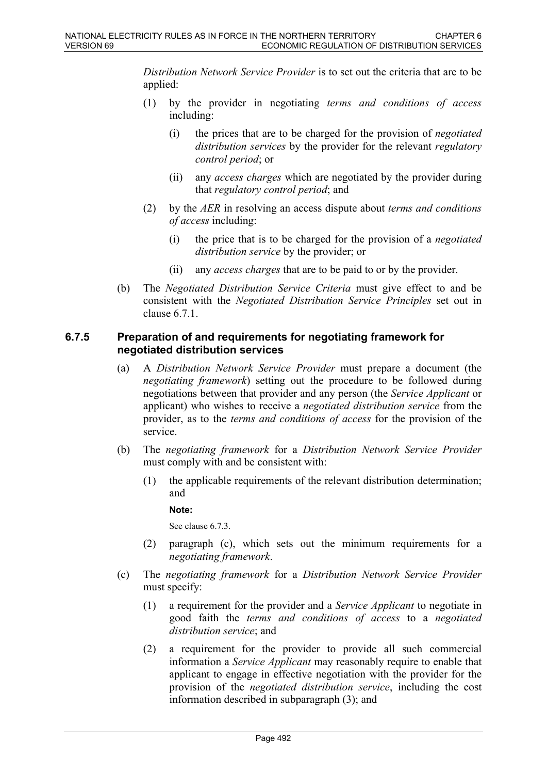*Distribution Network Service Provider* is to set out the criteria that are to be applied:

- (1) by the provider in negotiating *terms and conditions of access* including:
	- (i) the prices that are to be charged for the provision of *negotiated distribution services* by the provider for the relevant *regulatory control period*; or
	- (ii) any *access charges* which are negotiated by the provider during that *regulatory control period*; and
- (2) by the *AER* in resolving an access dispute about *terms and conditions of access* including:
	- (i) the price that is to be charged for the provision of a *negotiated distribution service* by the provider; or
	- (ii) any *access charges* that are to be paid to or by the provider.
- (b) The *Negotiated Distribution Service Criteria* must give effect to and be consistent with the *Negotiated Distribution Service Principles* set out in clause 6.7.1.

## **6.7.5 Preparation of and requirements for negotiating framework for negotiated distribution services**

- (a) A *Distribution Network Service Provider* must prepare a document (the *negotiating framework*) setting out the procedure to be followed during negotiations between that provider and any person (the *Service Applicant* or applicant) who wishes to receive a *negotiated distribution service* from the provider, as to the *terms and conditions of access* for the provision of the service.
- (b) The *negotiating framework* for a *Distribution Network Service Provider* must comply with and be consistent with:
	- (1) the applicable requirements of the relevant distribution determination; and

**Note:**

See clause 6.7.3.

- (2) paragraph (c), which sets out the minimum requirements for a *negotiating framework*.
- (c) The *negotiating framework* for a *Distribution Network Service Provider* must specify:
	- (1) a requirement for the provider and a *Service Applicant* to negotiate in good faith the *terms and conditions of access* to a *negotiated distribution service*; and
	- (2) a requirement for the provider to provide all such commercial information a *Service Applicant* may reasonably require to enable that applicant to engage in effective negotiation with the provider for the provision of the *negotiated distribution service*, including the cost information described in subparagraph (3); and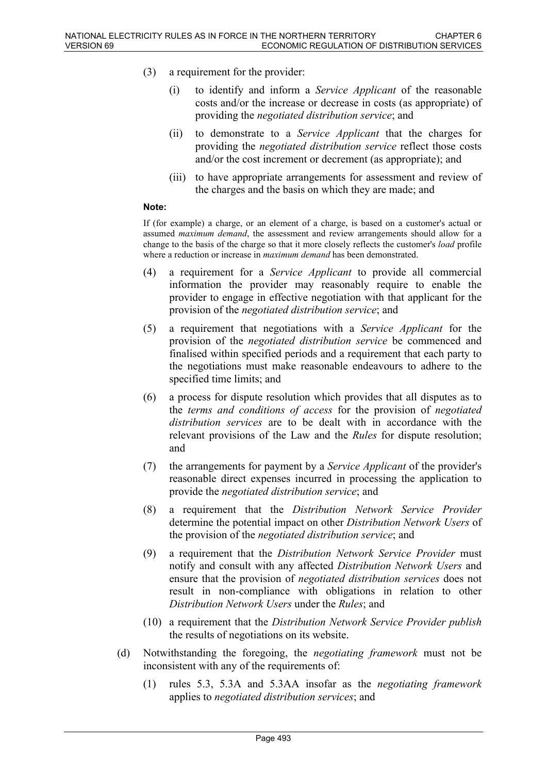- (3) a requirement for the provider:
	- (i) to identify and inform a *Service Applicant* of the reasonable costs and/or the increase or decrease in costs (as appropriate) of providing the *negotiated distribution service*; and
	- (ii) to demonstrate to a *Service Applicant* that the charges for providing the *negotiated distribution service* reflect those costs and/or the cost increment or decrement (as appropriate); and
	- (iii) to have appropriate arrangements for assessment and review of the charges and the basis on which they are made; and

#### **Note:**

If (for example) a charge, or an element of a charge, is based on a customer's actual or assumed *maximum demand*, the assessment and review arrangements should allow for a change to the basis of the charge so that it more closely reflects the customer's *load* profile where a reduction or increase in *maximum demand* has been demonstrated.

- (4) a requirement for a *Service Applicant* to provide all commercial information the provider may reasonably require to enable the provider to engage in effective negotiation with that applicant for the provision of the *negotiated distribution service*; and
- (5) a requirement that negotiations with a *Service Applicant* for the provision of the *negotiated distribution service* be commenced and finalised within specified periods and a requirement that each party to the negotiations must make reasonable endeavours to adhere to the specified time limits; and
- (6) a process for dispute resolution which provides that all disputes as to the *terms and conditions of access* for the provision of *negotiated distribution services* are to be dealt with in accordance with the relevant provisions of the Law and the *Rules* for dispute resolution; and
- (7) the arrangements for payment by a *Service Applicant* of the provider's reasonable direct expenses incurred in processing the application to provide the *negotiated distribution service*; and
- (8) a requirement that the *Distribution Network Service Provider* determine the potential impact on other *Distribution Network Users* of the provision of the *negotiated distribution service*; and
- (9) a requirement that the *Distribution Network Service Provider* must notify and consult with any affected *Distribution Network Users* and ensure that the provision of *negotiated distribution services* does not result in non-compliance with obligations in relation to other *Distribution Network Users* under the *Rules*; and
- (10) a requirement that the *Distribution Network Service Provider publish* the results of negotiations on its website.
- (d) Notwithstanding the foregoing, the *negotiating framework* must not be inconsistent with any of the requirements of:
	- (1) rules 5.3, 5.3A and 5.3AA insofar as the *negotiating framework* applies to *negotiated distribution services*; and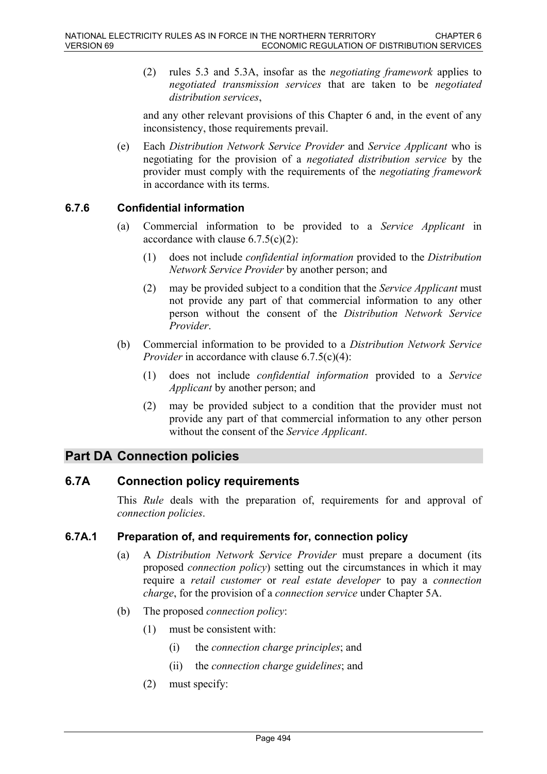(2) rules 5.3 and 5.3A, insofar as the *negotiating framework* applies to *negotiated transmission services* that are taken to be *negotiated distribution services*,

and any other relevant provisions of this Chapter 6 and, in the event of any inconsistency, those requirements prevail.

(e) Each *Distribution Network Service Provider* and *Service Applicant* who is negotiating for the provision of a *negotiated distribution service* by the provider must comply with the requirements of the *negotiating framework* in accordance with its terms.

# **6.7.6 Confidential information**

- (a) Commercial information to be provided to a *Service Applicant* in accordance with clause  $6.7.5(c)(2)$ :
	- (1) does not include *confidential information* provided to the *Distribution Network Service Provider* by another person; and
	- (2) may be provided subject to a condition that the *Service Applicant* must not provide any part of that commercial information to any other person without the consent of the *Distribution Network Service Provider*.
- (b) Commercial information to be provided to a *Distribution Network Service Provider* in accordance with clause 6.7.5(c)(4):
	- (1) does not include *confidential information* provided to a *Service Applicant* by another person; and
	- (2) may be provided subject to a condition that the provider must not provide any part of that commercial information to any other person without the consent of the *Service Applicant*.

# **Part DA Connection policies**

### **6.7A Connection policy requirements**

This *Rule* deals with the preparation of, requirements for and approval of *connection policies*.

### **6.7A.1 Preparation of, and requirements for, connection policy**

- (a) A *Distribution Network Service Provider* must prepare a document (its proposed *connection policy*) setting out the circumstances in which it may require a *retail customer* or *real estate developer* to pay a *connection charge*, for the provision of a *connection service* under Chapter 5A.
- (b) The proposed *connection policy*:
	- (1) must be consistent with:
		- (i) the *connection charge principles*; and
		- (ii) the *connection charge guidelines*; and
	- (2) must specify: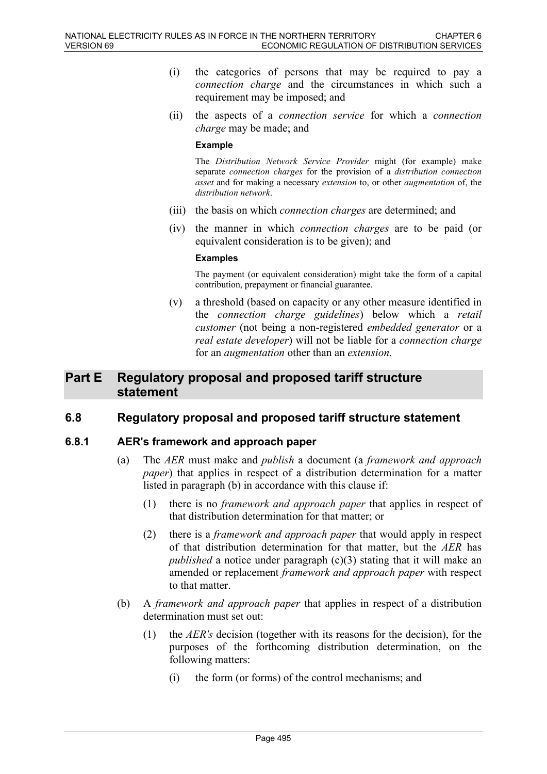- (i) the categories of persons that may be required to pay a *connection charge* and the circumstances in which such a requirement may be imposed; and
- (ii) the aspects of a *connection service* for which a *connection charge* may be made; and

#### **Example**

The *Distribution Network Service Provider* might (for example) make separate *connection charges* for the provision of a *distribution connection asset* and for making a necessary *extension* to, or other *augmentation* of, the *distribution network*.

- (iii) the basis on which *connection charges* are determined; and
- (iv) the manner in which *connection charges* are to be paid (or equivalent consideration is to be given); and

#### **Examples**

The payment (or equivalent consideration) might take the form of a capital contribution, prepayment or financial guarantee.

(v) a threshold (based on capacity or any other measure identified in the *connection charge guidelines*) below which a *retail customer* (not being a non-registered *embedded generator* or a *real estate developer*) will not be liable for a *connection charge* for an *augmentation* other than an *extension*.

# **Part E Regulatory proposal and proposed tariff structure statement**

## **6.8 Regulatory proposal and proposed tariff structure statement**

### **6.8.1 AER's framework and approach paper**

- (a) The *AER* must make and *publish* a document (a *framework and approach paper*) that applies in respect of a distribution determination for a matter listed in paragraph (b) in accordance with this clause if:
	- (1) there is no *framework and approach paper* that applies in respect of that distribution determination for that matter; or
	- (2) there is a *framework and approach paper* that would apply in respect of that distribution determination for that matter, but the *AER* has *published* a notice under paragraph (c)(3) stating that it will make an amended or replacement *framework and approach paper* with respect to that matter.
- (b) A *framework and approach paper* that applies in respect of a distribution determination must set out:
	- (1) the *AER's* decision (together with its reasons for the decision), for the purposes of the forthcoming distribution determination, on the following matters:
		- (i) the form (or forms) of the control mechanisms; and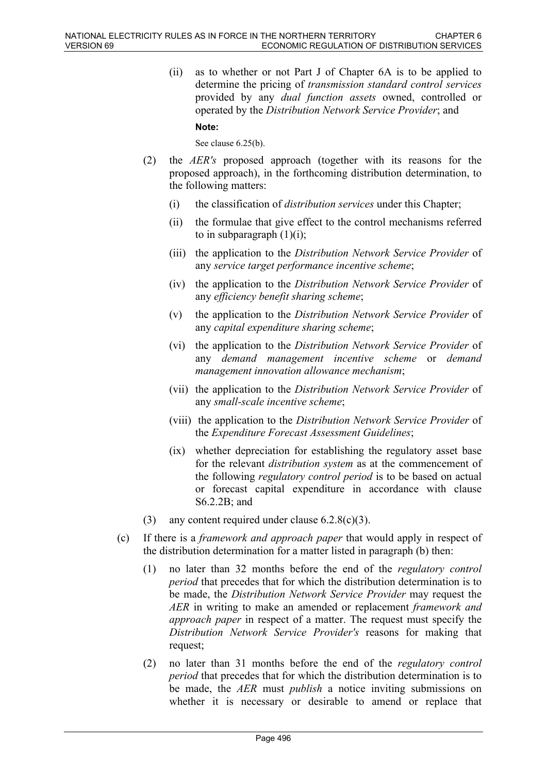(ii) as to whether or not Part J of Chapter 6A is to be applied to determine the pricing of *transmission standard control services* provided by any *dual function assets* owned, controlled or operated by the *Distribution Network Service Provider*; and **Note:**

See clause  $6.25(b)$ .

- (2) the *AER's* proposed approach (together with its reasons for the proposed approach), in the forthcoming distribution determination, to the following matters:
	- (i) the classification of *distribution services* under this Chapter;
	- (ii) the formulae that give effect to the control mechanisms referred to in subparagraph  $(1)(i)$ ;
	- (iii) the application to the *Distribution Network Service Provider* of any *service target performance incentive scheme*;
	- (iv) the application to the *Distribution Network Service Provider* of any *efficiency benefit sharing scheme*;
	- (v) the application to the *Distribution Network Service Provider* of any *capital expenditure sharing scheme*;
	- (vi) the application to the *Distribution Network Service Provider* of any *demand management incentive scheme* or *demand management innovation allowance mechanism*;
	- (vii) the application to the *Distribution Network Service Provider* of any *small-scale incentive scheme*;
	- (viii) the application to the *Distribution Network Service Provider* of the *Expenditure Forecast Assessment Guidelines*;
	- (ix) whether depreciation for establishing the regulatory asset base for the relevant *distribution system* as at the commencement of the following *regulatory control period* is to be based on actual or forecast capital expenditure in accordance with clause S6.2.2B; and
- (3) any content required under clause  $6.2.8(c)(3)$ .
- (c) If there is a *framework and approach paper* that would apply in respect of the distribution determination for a matter listed in paragraph (b) then:
	- (1) no later than 32 months before the end of the *regulatory control period* that precedes that for which the distribution determination is to be made, the *Distribution Network Service Provider* may request the *AER* in writing to make an amended or replacement *framework and approach paper* in respect of a matter. The request must specify the *Distribution Network Service Provider's* reasons for making that request;
	- (2) no later than 31 months before the end of the *regulatory control period* that precedes that for which the distribution determination is to be made, the *AER* must *publish* a notice inviting submissions on whether it is necessary or desirable to amend or replace that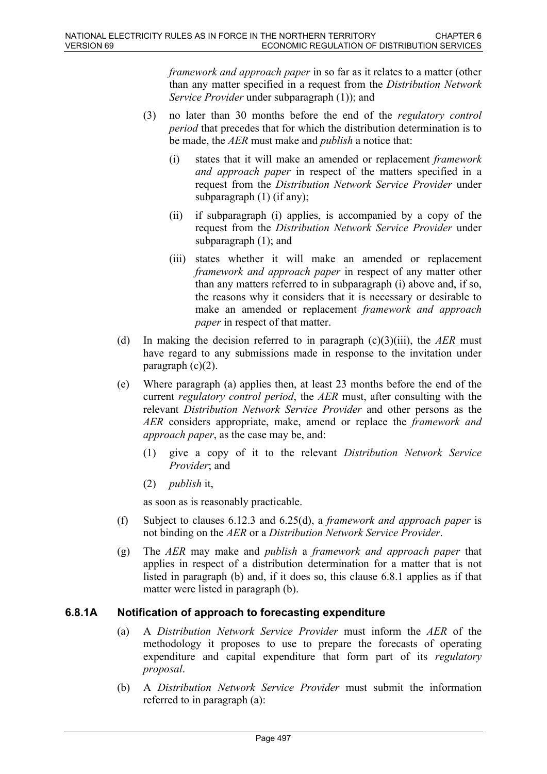*framework and approach paper* in so far as it relates to a matter (other than any matter specified in a request from the *Distribution Network Service Provider* under subparagraph (1)); and

- (3) no later than 30 months before the end of the *regulatory control period* that precedes that for which the distribution determination is to be made, the *AER* must make and *publish* a notice that:
	- (i) states that it will make an amended or replacement *framework and approach paper* in respect of the matters specified in a request from the *Distribution Network Service Provider* under subparagraph (1) (if any);
	- (ii) if subparagraph (i) applies, is accompanied by a copy of the request from the *Distribution Network Service Provider* under subparagraph (1); and
	- (iii) states whether it will make an amended or replacement *framework and approach paper* in respect of any matter other than any matters referred to in subparagraph (i) above and, if so, the reasons why it considers that it is necessary or desirable to make an amended or replacement *framework and approach paper* in respect of that matter.
- (d) In making the decision referred to in paragraph  $(c)(3)(iii)$ , the *AER* must have regard to any submissions made in response to the invitation under paragraph  $(c)(2)$ .
- (e) Where paragraph (a) applies then, at least 23 months before the end of the current *regulatory control period*, the *AER* must, after consulting with the relevant *Distribution Network Service Provider* and other persons as the *AER* considers appropriate, make, amend or replace the *framework and approach paper*, as the case may be, and:
	- (1) give a copy of it to the relevant *Distribution Network Service Provider*; and
	- (2) *publish* it,

as soon as is reasonably practicable.

- (f) Subject to clauses 6.12.3 and 6.25(d), a *framework and approach paper* is not binding on the *AER* or a *Distribution Network Service Provider*.
- (g) The *AER* may make and *publish* a *framework and approach paper* that applies in respect of a distribution determination for a matter that is not listed in paragraph (b) and, if it does so, this clause 6.8.1 applies as if that matter were listed in paragraph (b).

### **6.8.1A Notification of approach to forecasting expenditure**

- (a) A *Distribution Network Service Provider* must inform the *AER* of the methodology it proposes to use to prepare the forecasts of operating expenditure and capital expenditure that form part of its *regulatory proposal*.
- (b) A *Distribution Network Service Provider* must submit the information referred to in paragraph (a):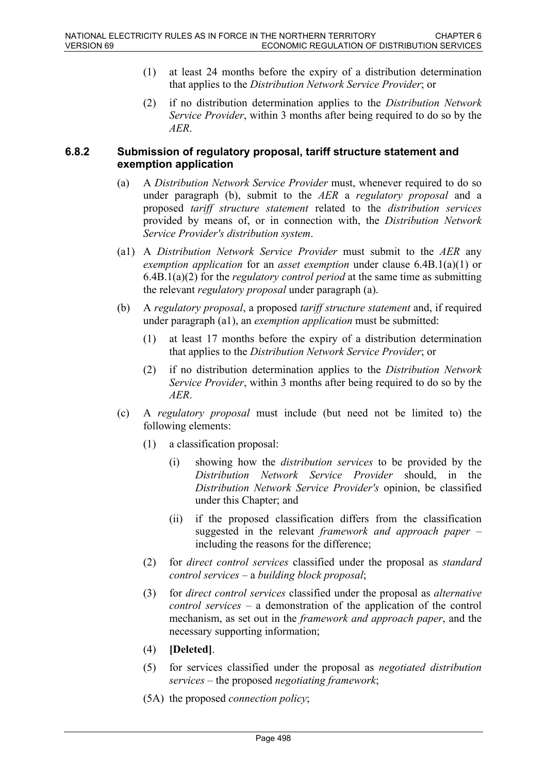- (1) at least 24 months before the expiry of a distribution determination that applies to the *Distribution Network Service Provider*; or
- (2) if no distribution determination applies to the *Distribution Network Service Provider*, within 3 months after being required to do so by the *AER*.

#### **6.8.2 Submission of regulatory proposal, tariff structure statement and exemption application**

- (a) A *Distribution Network Service Provider* must, whenever required to do so under paragraph (b), submit to the *AER* a *regulatory proposal* and a proposed *tariff structure statement* related to the *distribution services* provided by means of, or in connection with, the *Distribution Network Service Provider's distribution system*.
- (a1) A *Distribution Network Service Provider* must submit to the *AER* any *exemption application* for an *asset exemption* under clause 6.4B.1(a)(1) or 6.4B.1(a)(2) for the *regulatory control period* at the same time as submitting the relevant *regulatory proposal* under paragraph (a).
- (b) A *regulatory proposal*, a proposed *tariff structure statement* and, if required under paragraph (a1), an *exemption application* must be submitted:
	- (1) at least 17 months before the expiry of a distribution determination that applies to the *Distribution Network Service Provider*; or
	- (2) if no distribution determination applies to the *Distribution Network Service Provider*, within 3 months after being required to do so by the *AER*.
- (c) A *regulatory proposal* must include (but need not be limited to) the following elements:
	- (1) a classification proposal:
		- (i) showing how the *distribution services* to be provided by the *Distribution Network Service Provider* should, in the *Distribution Network Service Provider's* opinion, be classified under this Chapter; and
		- (ii) if the proposed classification differs from the classification suggested in the relevant *framework and approach paper* – including the reasons for the difference;
	- (2) for *direct control services* classified under the proposal as *standard control services* – a *building block proposal*;
	- (3) for *direct control services* classified under the proposal as *alternative control services* – a demonstration of the application of the control mechanism, as set out in the *framework and approach paper*, and the necessary supporting information;
	- (4) **[Deleted]**.
	- (5) for services classified under the proposal as *negotiated distribution services* – the proposed *negotiating framework*;
	- (5A) the proposed *connection policy*;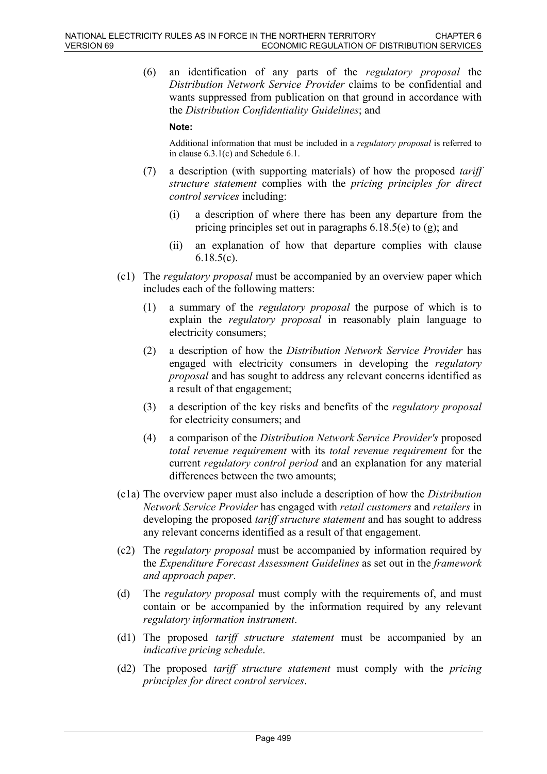(6) an identification of any parts of the *regulatory proposal* the *Distribution Network Service Provider* claims to be confidential and wants suppressed from publication on that ground in accordance with the *Distribution Confidentiality Guidelines*; and

#### **Note:**

Additional information that must be included in a *regulatory proposal* is referred to in clause 6.3.1(c) and Schedule 6.1.

- (7) a description (with supporting materials) of how the proposed *tariff structure statement* complies with the *pricing principles for direct control services* including:
	- (i) a description of where there has been any departure from the pricing principles set out in paragraphs 6.18.5(e) to (g); and
	- (ii) an explanation of how that departure complies with clause 6.18.5(c).
- (c1) The *regulatory proposal* must be accompanied by an overview paper which includes each of the following matters:
	- (1) a summary of the *regulatory proposal* the purpose of which is to explain the *regulatory proposal* in reasonably plain language to electricity consumers;
	- (2) a description of how the *Distribution Network Service Provider* has engaged with electricity consumers in developing the *regulatory proposal* and has sought to address any relevant concerns identified as a result of that engagement;
	- (3) a description of the key risks and benefits of the *regulatory proposal* for electricity consumers; and
	- (4) a comparison of the *Distribution Network Service Provider's* proposed *total revenue requirement* with its *total revenue requirement* for the current *regulatory control period* and an explanation for any material differences between the two amounts;
- (c1a) The overview paper must also include a description of how the *Distribution Network Service Provider* has engaged with *retail customers* and *retailers* in developing the proposed *tariff structure statement* and has sought to address any relevant concerns identified as a result of that engagement.
- (c2) The *regulatory proposal* must be accompanied by information required by the *Expenditure Forecast Assessment Guidelines* as set out in the *framework and approach paper*.
- (d) The *regulatory proposal* must comply with the requirements of, and must contain or be accompanied by the information required by any relevant *regulatory information instrument*.
- (d1) The proposed *tariff structure statement* must be accompanied by an *indicative pricing schedule*.
- (d2) The proposed *tariff structure statement* must comply with the *pricing principles for direct control services*.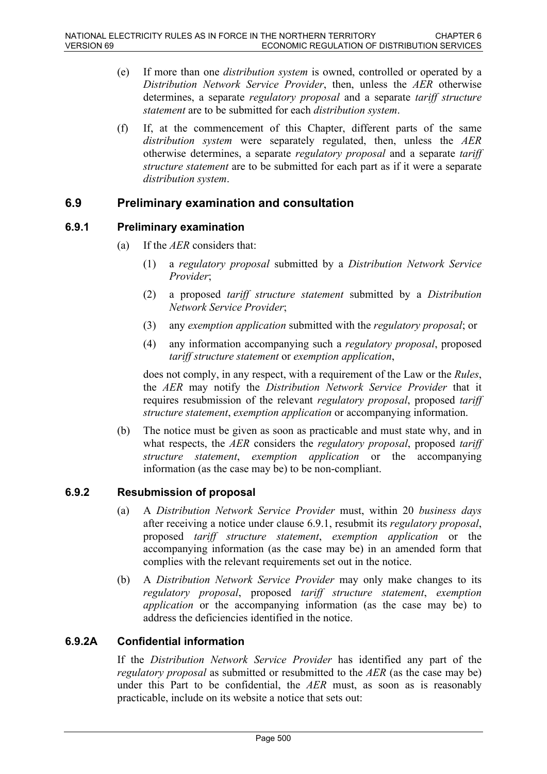- (e) If more than one *distribution system* is owned, controlled or operated by a *Distribution Network Service Provider*, then, unless the *AER* otherwise determines, a separate *regulatory proposal* and a separate *tariff structure statement* are to be submitted for each *distribution system*.
- (f) If, at the commencement of this Chapter, different parts of the same *distribution system* were separately regulated, then, unless the *AER* otherwise determines, a separate *regulatory proposal* and a separate *tariff structure statement* are to be submitted for each part as if it were a separate *distribution system*.

# **6.9 Preliminary examination and consultation**

#### **6.9.1 Preliminary examination**

- (a) If the *AER* considers that:
	- (1) a *regulatory proposal* submitted by a *Distribution Network Service Provider*;
	- (2) a proposed *tariff structure statement* submitted by a *Distribution Network Service Provider*;
	- (3) any *exemption application* submitted with the *regulatory proposal*; or
	- (4) any information accompanying such a *regulatory proposal*, proposed *tariff structure statement* or *exemption application*,

does not comply, in any respect, with a requirement of the Law or the *Rules*, the *AER* may notify the *Distribution Network Service Provider* that it requires resubmission of the relevant *regulatory proposal*, proposed *tariff structure statement*, *exemption application* or accompanying information.

(b) The notice must be given as soon as practicable and must state why, and in what respects, the *AER* considers the *regulatory proposal*, proposed *tariff structure statement*, *exemption application* or the accompanying information (as the case may be) to be non-compliant.

### **6.9.2 Resubmission of proposal**

- (a) A *Distribution Network Service Provider* must, within 20 *business days* after receiving a notice under clause 6.9.1, resubmit its *regulatory proposal*, proposed *tariff structure statement*, *exemption application* or the accompanying information (as the case may be) in an amended form that complies with the relevant requirements set out in the notice.
- (b) A *Distribution Network Service Provider* may only make changes to its *regulatory proposal*, proposed *tariff structure statement*, *exemption application* or the accompanying information (as the case may be) to address the deficiencies identified in the notice.

### **6.9.2A Confidential information**

If the *Distribution Network Service Provider* has identified any part of the *regulatory proposal* as submitted or resubmitted to the *AER* (as the case may be) under this Part to be confidential, the *AER* must, as soon as is reasonably practicable, include on its website a notice that sets out: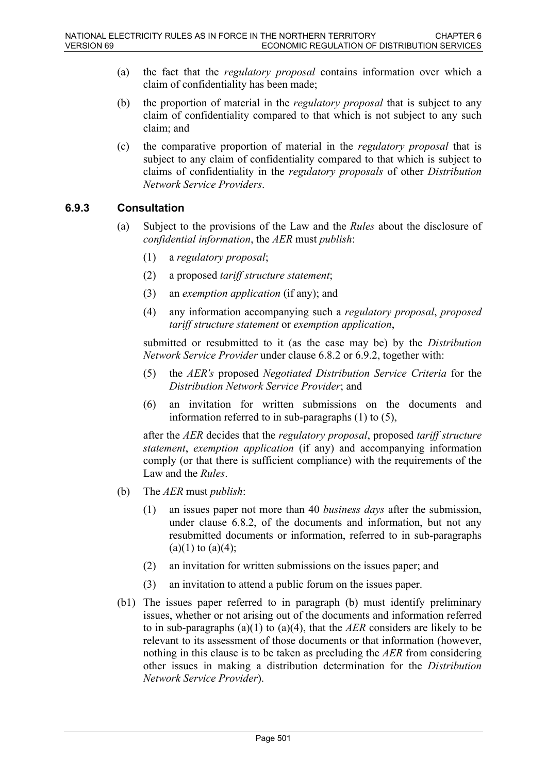- (a) the fact that the *regulatory proposal* contains information over which a claim of confidentiality has been made;
- (b) the proportion of material in the *regulatory proposal* that is subject to any claim of confidentiality compared to that which is not subject to any such claim; and
- (c) the comparative proportion of material in the *regulatory proposal* that is subject to any claim of confidentiality compared to that which is subject to claims of confidentiality in the *regulatory proposals* of other *Distribution Network Service Providers*.

### **6.9.3 Consultation**

- (a) Subject to the provisions of the Law and the *Rules* about the disclosure of *confidential information*, the *AER* must *publish*:
	- (1) a *regulatory proposal*;
	- (2) a proposed *tariff structure statement*;
	- (3) an *exemption application* (if any); and
	- (4) any information accompanying such a *regulatory proposal*, *proposed tariff structure statement* or *exemption application*,

submitted or resubmitted to it (as the case may be) by the *Distribution Network Service Provider* under clause 6.8.2 or 6.9.2, together with:

- (5) the *AER's* proposed *Negotiated Distribution Service Criteria* for the *Distribution Network Service Provider*; and
- (6) an invitation for written submissions on the documents and information referred to in sub-paragraphs (1) to (5),

after the *AER* decides that the *regulatory proposal*, proposed *tariff structure statement*, *exemption application* (if any) and accompanying information comply (or that there is sufficient compliance) with the requirements of the Law and the *Rules*.

- (b) The *AER* must *publish*:
	- (1) an issues paper not more than 40 *business days* after the submission, under clause 6.8.2, of the documents and information, but not any resubmitted documents or information, referred to in sub-paragraphs  $(a)(1)$  to  $(a)(4)$ ;
	- (2) an invitation for written submissions on the issues paper; and
	- (3) an invitation to attend a public forum on the issues paper.
- (b1) The issues paper referred to in paragraph (b) must identify preliminary issues, whether or not arising out of the documents and information referred to in sub-paragraphs (a)(1) to (a)(4), that the *AER* considers are likely to be relevant to its assessment of those documents or that information (however, nothing in this clause is to be taken as precluding the *AER* from considering other issues in making a distribution determination for the *Distribution Network Service Provider*).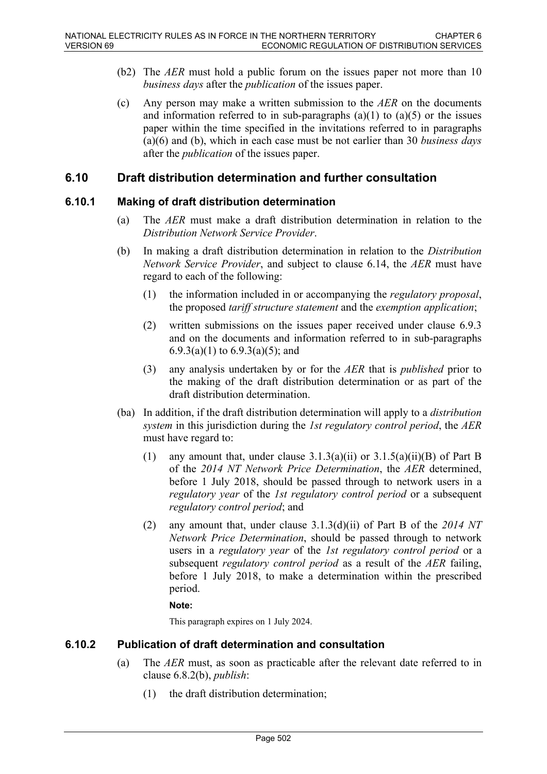- (b2) The *AER* must hold a public forum on the issues paper not more than 10 *business days* after the *publication* of the issues paper.
- (c) Any person may make a written submission to the *AER* on the documents and information referred to in sub-paragraphs  $(a)(1)$  to  $(a)(5)$  or the issues paper within the time specified in the invitations referred to in paragraphs (a)(6) and (b), which in each case must be not earlier than 30 *business days* after the *publication* of the issues paper.

# **6.10 Draft distribution determination and further consultation**

### **6.10.1 Making of draft distribution determination**

- (a) The *AER* must make a draft distribution determination in relation to the *Distribution Network Service Provider*.
- (b) In making a draft distribution determination in relation to the *Distribution Network Service Provider*, and subject to clause 6.14, the *AER* must have regard to each of the following:
	- (1) the information included in or accompanying the *regulatory proposal*, the proposed *tariff structure statement* and the *exemption application*;
	- (2) written submissions on the issues paper received under clause 6.9.3 and on the documents and information referred to in sub-paragraphs 6.9.3(a)(1) to 6.9.3(a)(5); and
	- (3) any analysis undertaken by or for the *AER* that is *published* prior to the making of the draft distribution determination or as part of the draft distribution determination.
- (ba) In addition, if the draft distribution determination will apply to a *distribution system* in this jurisdiction during the *1st regulatory control period*, the *AER* must have regard to:
	- (1) any amount that, under clause  $3.1.3(a)(ii)$  or  $3.1.5(a)(ii)(B)$  of Part B of the *2014 NT Network Price Determination*, the *AER* determined, before 1 July 2018, should be passed through to network users in a *regulatory year* of the *1st regulatory control period* or a subsequent *regulatory control period*; and
	- (2) any amount that, under clause 3.1.3(d)(ii) of Part B of the *2014 NT Network Price Determination*, should be passed through to network users in a *regulatory year* of the *1st regulatory control period* or a subsequent *regulatory control period* as a result of the *AER* failing, before 1 July 2018, to make a determination within the prescribed period.

#### **Note:**

This paragraph expires on 1 July 2024.

### **6.10.2 Publication of draft determination and consultation**

- (a) The *AER* must, as soon as practicable after the relevant date referred to in clause 6.8.2(b), *publish*:
	- (1) the draft distribution determination;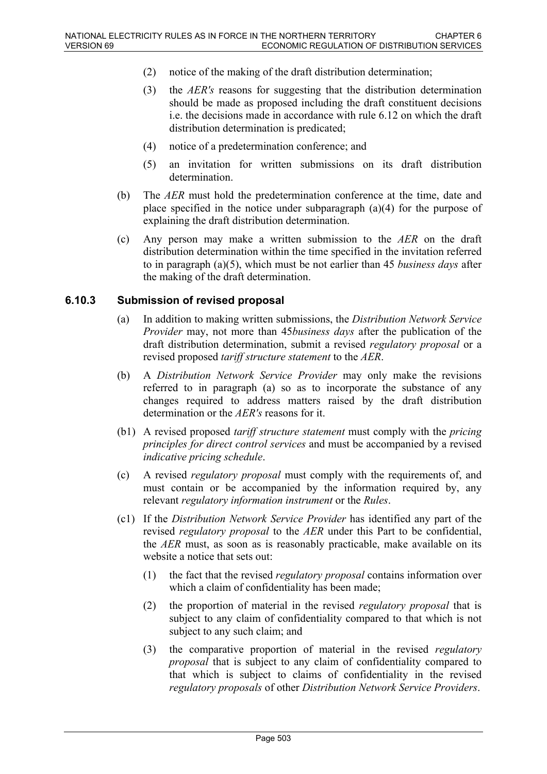- (2) notice of the making of the draft distribution determination;
- (3) the *AER's* reasons for suggesting that the distribution determination should be made as proposed including the draft constituent decisions i.e. the decisions made in accordance with rule 6.12 on which the draft distribution determination is predicated;
- (4) notice of a predetermination conference; and
- (5) an invitation for written submissions on its draft distribution determination.
- (b) The *AER* must hold the predetermination conference at the time, date and place specified in the notice under subparagraph (a)(4) for the purpose of explaining the draft distribution determination.
- (c) Any person may make a written submission to the *AER* on the draft distribution determination within the time specified in the invitation referred to in paragraph (a)(5), which must be not earlier than 45 *business days* after the making of the draft determination.

### **6.10.3 Submission of revised proposal**

- (a) In addition to making written submissions, the *Distribution Network Service Provider* may, not more than 45*business days* after the publication of the draft distribution determination, submit a revised *regulatory proposal* or a revised proposed *tariff structure statement* to the *AER*.
- (b) A *Distribution Network Service Provider* may only make the revisions referred to in paragraph (a) so as to incorporate the substance of any changes required to address matters raised by the draft distribution determination or the *AER's* reasons for it.
- (b1) A revised proposed *tariff structure statement* must comply with the *pricing principles for direct control services* and must be accompanied by a revised *indicative pricing schedule*.
- (c) A revised *regulatory proposal* must comply with the requirements of, and must contain or be accompanied by the information required by, any relevant *regulatory information instrument* or the *Rules*.
- (c1) If the *Distribution Network Service Provider* has identified any part of the revised *regulatory proposal* to the *AER* under this Part to be confidential, the *AER* must, as soon as is reasonably practicable, make available on its website a notice that sets out:
	- (1) the fact that the revised *regulatory proposal* contains information over which a claim of confidentiality has been made;
	- (2) the proportion of material in the revised *regulatory proposal* that is subject to any claim of confidentiality compared to that which is not subject to any such claim; and
	- (3) the comparative proportion of material in the revised *regulatory proposal* that is subject to any claim of confidentiality compared to that which is subject to claims of confidentiality in the revised *regulatory proposals* of other *Distribution Network Service Providers*.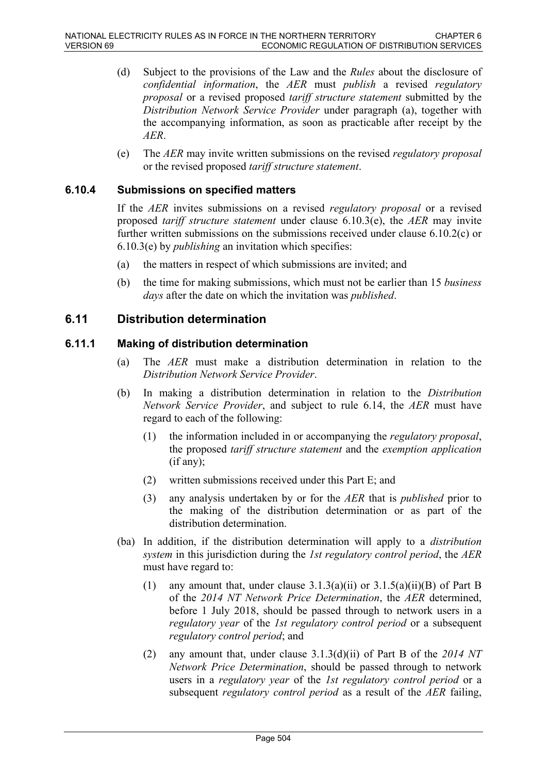- (d) Subject to the provisions of the Law and the *Rules* about the disclosure of *confidential information*, the *AER* must *publish* a revised *regulatory proposal* or a revised proposed *tariff structure statement* submitted by the *Distribution Network Service Provider* under paragraph (a), together with the accompanying information, as soon as practicable after receipt by the *AER*.
- (e) The *AER* may invite written submissions on the revised *regulatory proposal* or the revised proposed *tariff structure statement*.

## **6.10.4 Submissions on specified matters**

If the *AER* invites submissions on a revised *regulatory proposal* or a revised proposed *tariff structure statement* under clause 6.10.3(e), the *AER* may invite further written submissions on the submissions received under clause 6.10.2(c) or 6.10.3(e) by *publishing* an invitation which specifies:

- (a) the matters in respect of which submissions are invited; and
- (b) the time for making submissions, which must not be earlier than 15 *business days* after the date on which the invitation was *published*.

# **6.11 Distribution determination**

### **6.11.1 Making of distribution determination**

- (a) The *AER* must make a distribution determination in relation to the *Distribution Network Service Provider*.
- (b) In making a distribution determination in relation to the *Distribution Network Service Provider*, and subject to rule 6.14, the *AER* must have regard to each of the following:
	- (1) the information included in or accompanying the *regulatory proposal*, the proposed *tariff structure statement* and the *exemption application* (if any);
	- (2) written submissions received under this Part E; and
	- (3) any analysis undertaken by or for the *AER* that is *published* prior to the making of the distribution determination or as part of the distribution determination.
- (ba) In addition, if the distribution determination will apply to a *distribution system* in this jurisdiction during the *1st regulatory control period*, the *AER* must have regard to:
	- (1) any amount that, under clause  $3.1.3(a)(ii)$  or  $3.1.5(a)(ii)(B)$  of Part B of the *2014 NT Network Price Determination*, the *AER* determined, before 1 July 2018, should be passed through to network users in a *regulatory year* of the *1st regulatory control period* or a subsequent *regulatory control period*; and
	- (2) any amount that, under clause 3.1.3(d)(ii) of Part B of the *2014 NT Network Price Determination*, should be passed through to network users in a *regulatory year* of the *1st regulatory control period* or a subsequent *regulatory control period* as a result of the *AER* failing,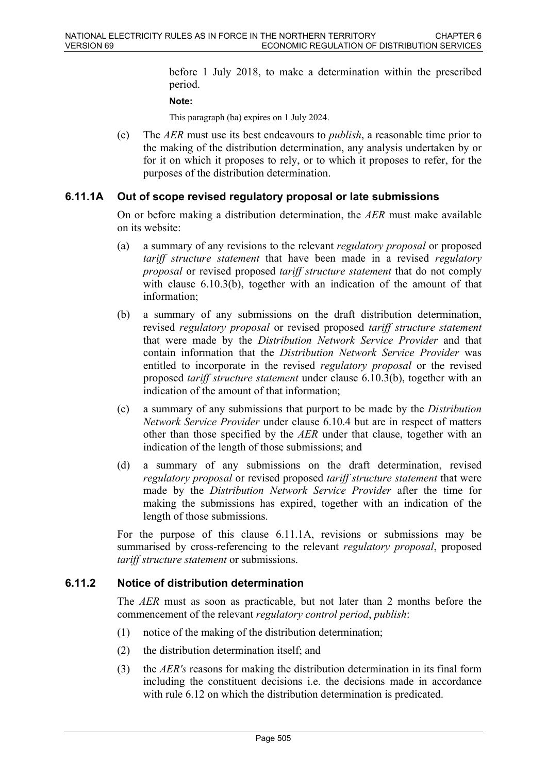before 1 July 2018, to make a determination within the prescribed period.

#### **Note:**

This paragraph (ba) expires on 1 July 2024.

(c) The *AER* must use its best endeavours to *publish*, a reasonable time prior to the making of the distribution determination, any analysis undertaken by or for it on which it proposes to rely, or to which it proposes to refer, for the purposes of the distribution determination.

### **6.11.1A Out of scope revised regulatory proposal or late submissions**

On or before making a distribution determination, the *AER* must make available on its website:

- (a) a summary of any revisions to the relevant *regulatory proposal* or proposed *tariff structure statement* that have been made in a revised *regulatory proposal* or revised proposed *tariff structure statement* that do not comply with clause 6.10.3(b), together with an indication of the amount of that information;
- (b) a summary of any submissions on the draft distribution determination, revised *regulatory proposal* or revised proposed *tariff structure statement* that were made by the *Distribution Network Service Provider* and that contain information that the *Distribution Network Service Provider* was entitled to incorporate in the revised *regulatory proposal* or the revised proposed *tariff structure statement* under clause 6.10.3(b), together with an indication of the amount of that information;
- (c) a summary of any submissions that purport to be made by the *Distribution Network Service Provider* under clause 6.10.4 but are in respect of matters other than those specified by the *AER* under that clause, together with an indication of the length of those submissions; and
- (d) a summary of any submissions on the draft determination, revised *regulatory proposal* or revised proposed *tariff structure statement* that were made by the *Distribution Network Service Provider* after the time for making the submissions has expired, together with an indication of the length of those submissions.

For the purpose of this clause 6.11.1A, revisions or submissions may be summarised by cross-referencing to the relevant *regulatory proposal*, proposed *tariff structure statement* or submissions.

## **6.11.2 Notice of distribution determination**

The *AER* must as soon as practicable, but not later than 2 months before the commencement of the relevant *regulatory control period*, *publish*:

- (1) notice of the making of the distribution determination;
- (2) the distribution determination itself; and
- (3) the *AER's* reasons for making the distribution determination in its final form including the constituent decisions i.e. the decisions made in accordance with rule  $6.12$  on which the distribution determination is predicated.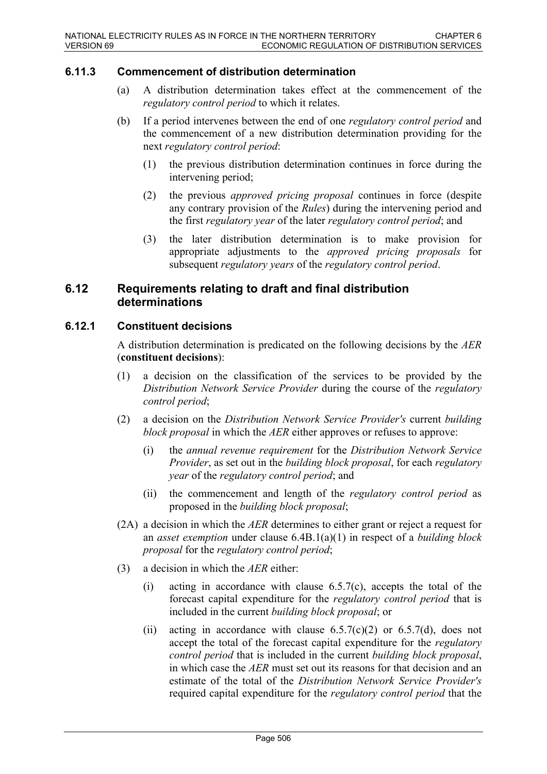# **6.11.3 Commencement of distribution determination**

- (a) A distribution determination takes effect at the commencement of the *regulatory control period* to which it relates.
- (b) If a period intervenes between the end of one *regulatory control period* and the commencement of a new distribution determination providing for the next *regulatory control period*:
	- (1) the previous distribution determination continues in force during the intervening period;
	- (2) the previous *approved pricing proposal* continues in force (despite any contrary provision of the *Rules*) during the intervening period and the first *regulatory year* of the later *regulatory control period*; and
	- (3) the later distribution determination is to make provision for appropriate adjustments to the *approved pricing proposals* for subsequent *regulatory years* of the *regulatory control period*.

# **6.12 Requirements relating to draft and final distribution determinations**

## **6.12.1 Constituent decisions**

A distribution determination is predicated on the following decisions by the *AER* (**constituent decisions**):

- (1) a decision on the classification of the services to be provided by the *Distribution Network Service Provider* during the course of the *regulatory control period*;
- (2) a decision on the *Distribution Network Service Provider's* current *building block proposal* in which the *AER* either approves or refuses to approve:
	- (i) the *annual revenue requirement* for the *Distribution Network Service Provider*, as set out in the *building block proposal*, for each *regulatory year* of the *regulatory control period*; and
	- (ii) the commencement and length of the *regulatory control period* as proposed in the *building block proposal*;
- (2A) a decision in which the *AER* determines to either grant or reject a request for an *asset exemption* under clause 6.4B.1(a)(1) in respect of a *building block proposal* for the *regulatory control period*;
- (3) a decision in which the *AER* either:
	- (i) acting in accordance with clause  $6.5.7(c)$ , accepts the total of the forecast capital expenditure for the *regulatory control period* that is included in the current *building block proposal*; or
	- (ii) acting in accordance with clause  $6.5.7(c)(2)$  or  $6.5.7(d)$ , does not accept the total of the forecast capital expenditure for the *regulatory control period* that is included in the current *building block proposal*, in which case the *AER* must set out its reasons for that decision and an estimate of the total of the *Distribution Network Service Provider's* required capital expenditure for the *regulatory control period* that the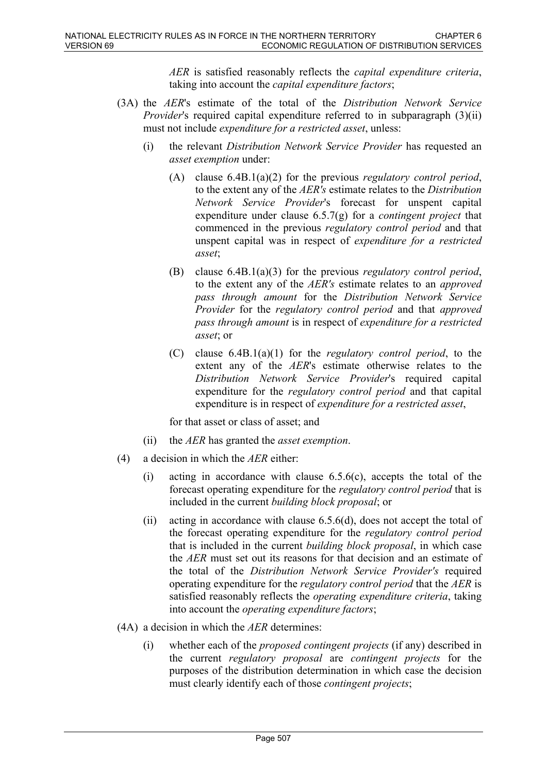*AER* is satisfied reasonably reflects the *capital expenditure criteria*, taking into account the *capital expenditure factors*;

- (3A) the *AER*'s estimate of the total of the *Distribution Network Service Provider's* required capital expenditure referred to in subparagraph (3)(ii) must not include *expenditure for a restricted asset*, unless:
	- (i) the relevant *Distribution Network Service Provider* has requested an *asset exemption* under:
		- (A) clause 6.4B.1(a)(2) for the previous *regulatory control period*, to the extent any of the *AER's* estimate relates to the *Distribution Network Service Provider*'s forecast for unspent capital expenditure under clause 6.5.7(g) for a *contingent project* that commenced in the previous *regulatory control period* and that unspent capital was in respect of *expenditure for a restricted asset*;
		- (B) clause 6.4B.1(a)(3) for the previous *regulatory control period*, to the extent any of the *AER's* estimate relates to an *approved pass through amount* for the *Distribution Network Service Provider* for the *regulatory control period* and that *approved pass through amount* is in respect of *expenditure for a restricted asset*; or
		- (C) clause 6.4B.1(a)(1) for the *regulatory control period*, to the extent any of the *AER*'s estimate otherwise relates to the *Distribution Network Service Provider*'s required capital expenditure for the *regulatory control period* and that capital expenditure is in respect of *expenditure for a restricted asset*,

for that asset or class of asset; and

- (ii) the *AER* has granted the *asset exemption*.
- (4) a decision in which the *AER* either:
	- (i) acting in accordance with clause  $6.5.6(c)$ , accepts the total of the forecast operating expenditure for the *regulatory control period* that is included in the current *building block proposal*; or
	- (ii) acting in accordance with clause 6.5.6(d), does not accept the total of the forecast operating expenditure for the *regulatory control period* that is included in the current *building block proposal*, in which case the *AER* must set out its reasons for that decision and an estimate of the total of the *Distribution Network Service Provider's* required operating expenditure for the *regulatory control period* that the *AER* is satisfied reasonably reflects the *operating expenditure criteria*, taking into account the *operating expenditure factors*;
- (4A) a decision in which the *AER* determines:
	- (i) whether each of the *proposed contingent projects* (if any) described in the current *regulatory proposal* are *contingent projects* for the purposes of the distribution determination in which case the decision must clearly identify each of those *contingent projects*;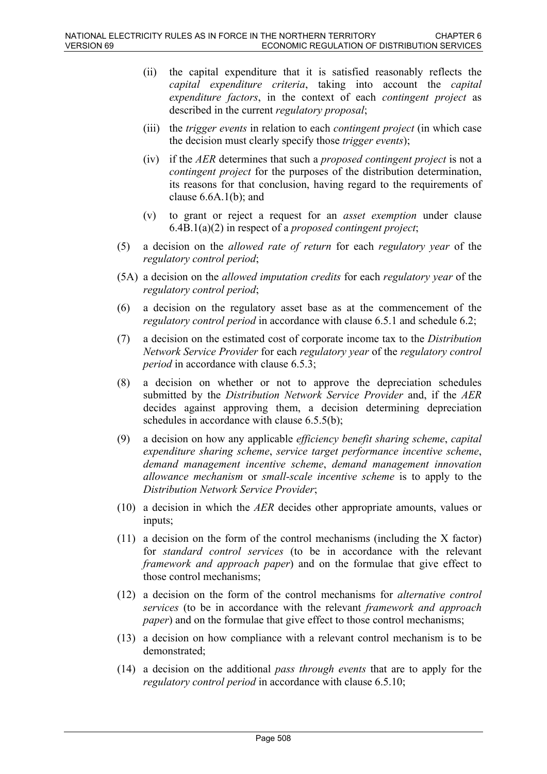- (ii) the capital expenditure that it is satisfied reasonably reflects the *capital expenditure criteria*, taking into account the *capital expenditure factors*, in the context of each *contingent project* as described in the current *regulatory proposal*;
- (iii) the *trigger events* in relation to each *contingent project* (in which case the decision must clearly specify those *trigger events*);
- (iv) if the *AER* determines that such a *proposed contingent project* is not a *contingent project* for the purposes of the distribution determination, its reasons for that conclusion, having regard to the requirements of clause 6.6A.1(b); and
- (v) to grant or reject a request for an *asset exemption* under clause 6.4B.1(a)(2) in respect of a *proposed contingent project*;
- (5) a decision on the *allowed rate of return* for each *regulatory year* of the *regulatory control period*;
- (5A) a decision on the *allowed imputation credits* for each *regulatory year* of the *regulatory control period*;
- (6) a decision on the regulatory asset base as at the commencement of the *regulatory control period* in accordance with clause 6.5.1 and schedule 6.2;
- (7) a decision on the estimated cost of corporate income tax to the *Distribution Network Service Provider* for each *regulatory year* of the *regulatory control period* in accordance with clause 6.5.3;
- (8) a decision on whether or not to approve the depreciation schedules submitted by the *Distribution Network Service Provider* and, if the *AER* decides against approving them, a decision determining depreciation schedules in accordance with clause 6.5.5(b);
- (9) a decision on how any applicable *efficiency benefit sharing scheme*, *capital expenditure sharing scheme*, *service target performance incentive scheme*, *demand management incentive scheme*, *demand management innovation allowance mechanism* or *small-scale incentive scheme* is to apply to the *Distribution Network Service Provider*;
- (10) a decision in which the *AER* decides other appropriate amounts, values or inputs;
- (11) a decision on the form of the control mechanisms (including the X factor) for *standard control services* (to be in accordance with the relevant *framework and approach paper*) and on the formulae that give effect to those control mechanisms;
- (12) a decision on the form of the control mechanisms for *alternative control services* (to be in accordance with the relevant *framework and approach paper*) and on the formulae that give effect to those control mechanisms;
- (13) a decision on how compliance with a relevant control mechanism is to be demonstrated;
- (14) a decision on the additional *pass through events* that are to apply for the *regulatory control period* in accordance with clause 6.5.10;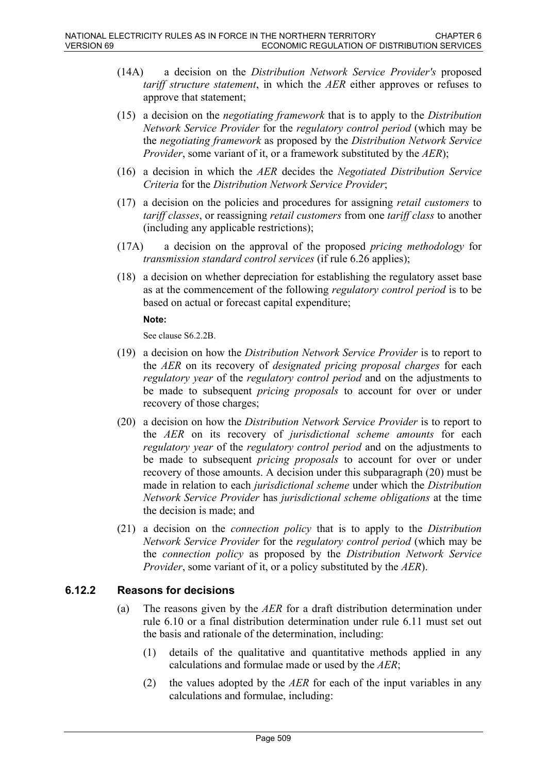- (14A) a decision on the *Distribution Network Service Provider's* proposed *tariff structure statement*, in which the *AER* either approves or refuses to approve that statement;
- (15) a decision on the *negotiating framework* that is to apply to the *Distribution Network Service Provider* for the *regulatory control period* (which may be the *negotiating framework* as proposed by the *Distribution Network Service Provider*, some variant of it, or a framework substituted by the *AER*);
- (16) a decision in which the *AER* decides the *Negotiated Distribution Service Criteria* for the *Distribution Network Service Provider*;
- (17) a decision on the policies and procedures for assigning *retail customers* to *tariff classes*, or reassigning *retail customers* from one *tariff class* to another (including any applicable restrictions);
- (17A) a decision on the approval of the proposed *pricing methodology* for *transmission standard control services* (if rule 6.26 applies);
- (18) a decision on whether depreciation for establishing the regulatory asset base as at the commencement of the following *regulatory control period* is to be based on actual or forecast capital expenditure;

### **Note:**

See clause S6.2.2B.

- (19) a decision on how the *Distribution Network Service Provider* is to report to the *AER* on its recovery of *designated pricing proposal charges* for each *regulatory year* of the *regulatory control period* and on the adjustments to be made to subsequent *pricing proposals* to account for over or under recovery of those charges;
- (20) a decision on how the *Distribution Network Service Provider* is to report to the *AER* on its recovery of *jurisdictional scheme amounts* for each *regulatory year* of the *regulatory control period* and on the adjustments to be made to subsequent *pricing proposals* to account for over or under recovery of those amounts. A decision under this subparagraph (20) must be made in relation to each *jurisdictional scheme* under which the *Distribution Network Service Provider* has *jurisdictional scheme obligations* at the time the decision is made; and
- (21) a decision on the *connection policy* that is to apply to the *Distribution Network Service Provider* for the *regulatory control period* (which may be the *connection policy* as proposed by the *Distribution Network Service Provider*, some variant of it, or a policy substituted by the *AER*).

## **6.12.2 Reasons for decisions**

- (a) The reasons given by the *AER* for a draft distribution determination under rule 6.10 or a final distribution determination under rule 6.11 must set out the basis and rationale of the determination, including:
	- (1) details of the qualitative and quantitative methods applied in any calculations and formulae made or used by the *AER*;
	- (2) the values adopted by the *AER* for each of the input variables in any calculations and formulae, including: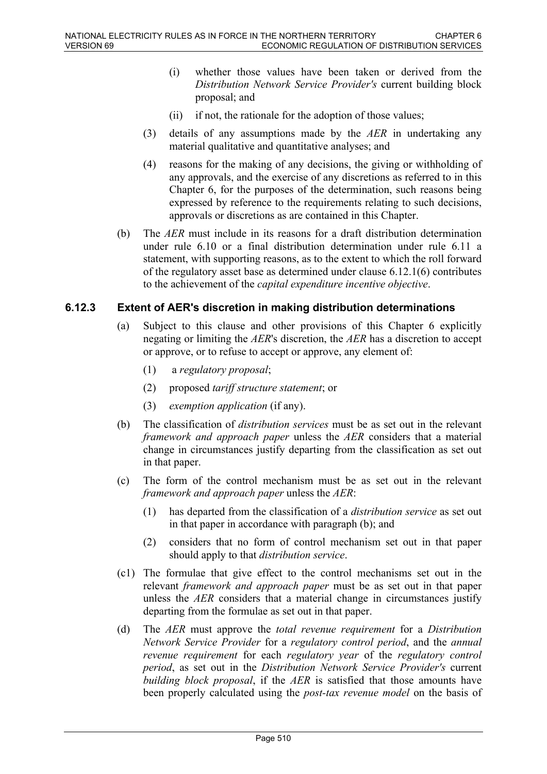- (i) whether those values have been taken or derived from the *Distribution Network Service Provider's* current building block proposal; and
- (ii) if not, the rationale for the adoption of those values;
- (3) details of any assumptions made by the *AER* in undertaking any material qualitative and quantitative analyses; and
- (4) reasons for the making of any decisions, the giving or withholding of any approvals, and the exercise of any discretions as referred to in this Chapter 6, for the purposes of the determination, such reasons being expressed by reference to the requirements relating to such decisions, approvals or discretions as are contained in this Chapter.
- (b) The *AER* must include in its reasons for a draft distribution determination under rule 6.10 or a final distribution determination under rule 6.11 a statement, with supporting reasons, as to the extent to which the roll forward of the regulatory asset base as determined under clause 6.12.1(6) contributes to the achievement of the *capital expenditure incentive objective*.

### **6.12.3 Extent of AER's discretion in making distribution determinations**

- (a) Subject to this clause and other provisions of this Chapter 6 explicitly negating or limiting the *AER*'s discretion, the *AER* has a discretion to accept or approve, or to refuse to accept or approve, any element of:
	- (1) a *regulatory proposal*;
	- (2) proposed *tariff structure statement*; or
	- (3) *exemption application* (if any).
- (b) The classification of *distribution services* must be as set out in the relevant *framework and approach paper* unless the *AER* considers that a material change in circumstances justify departing from the classification as set out in that paper.
- (c) The form of the control mechanism must be as set out in the relevant *framework and approach paper* unless the *AER*:
	- (1) has departed from the classification of a *distribution service* as set out in that paper in accordance with paragraph (b); and
	- (2) considers that no form of control mechanism set out in that paper should apply to that *distribution service*.
- (c1) The formulae that give effect to the control mechanisms set out in the relevant *framework and approach paper* must be as set out in that paper unless the *AER* considers that a material change in circumstances justify departing from the formulae as set out in that paper.
- (d) The *AER* must approve the *total revenue requirement* for a *Distribution Network Service Provider* for a *regulatory control period*, and the *annual revenue requirement* for each *regulatory year* of the *regulatory control period*, as set out in the *Distribution Network Service Provider's* current *building block proposal*, if the *AER* is satisfied that those amounts have been properly calculated using the *post-tax revenue model* on the basis of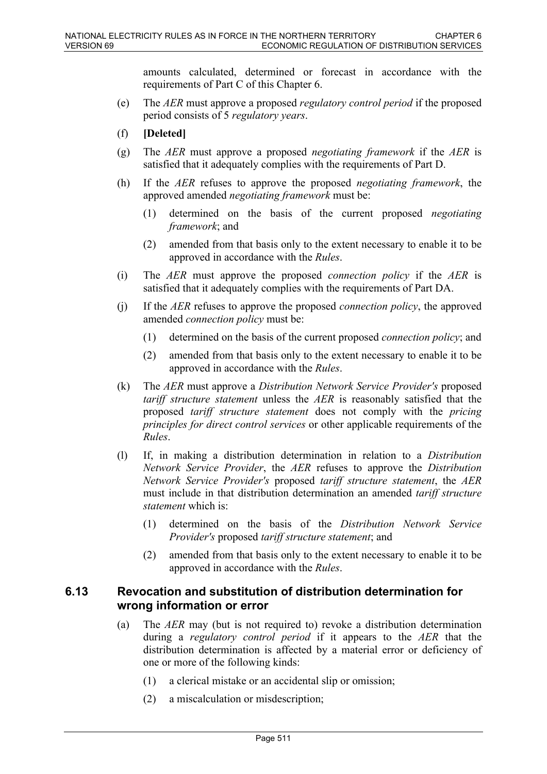amounts calculated, determined or forecast in accordance with the requirements of Part C of this Chapter 6.

- (e) The *AER* must approve a proposed *regulatory control period* if the proposed period consists of 5 *regulatory years*.
- (f) **[Deleted]**
- (g) The *AER* must approve a proposed *negotiating framework* if the *AER* is satisfied that it adequately complies with the requirements of Part D.
- (h) If the *AER* refuses to approve the proposed *negotiating framework*, the approved amended *negotiating framework* must be:
	- (1) determined on the basis of the current proposed *negotiating framework*; and
	- (2) amended from that basis only to the extent necessary to enable it to be approved in accordance with the *Rules*.
- (i) The *AER* must approve the proposed *connection policy* if the *AER* is satisfied that it adequately complies with the requirements of Part DA.
- (j) If the *AER* refuses to approve the proposed *connection policy*, the approved amended *connection policy* must be:
	- (1) determined on the basis of the current proposed *connection policy*; and
	- (2) amended from that basis only to the extent necessary to enable it to be approved in accordance with the *Rules*.
- (k) The *AER* must approve a *Distribution Network Service Provider's* proposed *tariff structure statement* unless the *AER* is reasonably satisfied that the proposed *tariff structure statement* does not comply with the *pricing principles for direct control services* or other applicable requirements of the *Rules*.
- (l) If, in making a distribution determination in relation to a *Distribution Network Service Provider*, the *AER* refuses to approve the *Distribution Network Service Provider's* proposed *tariff structure statement*, the *AER* must include in that distribution determination an amended *tariff structure statement* which is:
	- (1) determined on the basis of the *Distribution Network Service Provider's* proposed *tariff structure statement*; and
	- (2) amended from that basis only to the extent necessary to enable it to be approved in accordance with the *Rules*.

# **6.13 Revocation and substitution of distribution determination for wrong information or error**

- (a) The *AER* may (but is not required to) revoke a distribution determination during a *regulatory control period* if it appears to the *AER* that the distribution determination is affected by a material error or deficiency of one or more of the following kinds:
	- (1) a clerical mistake or an accidental slip or omission;
	- (2) a miscalculation or misdescription;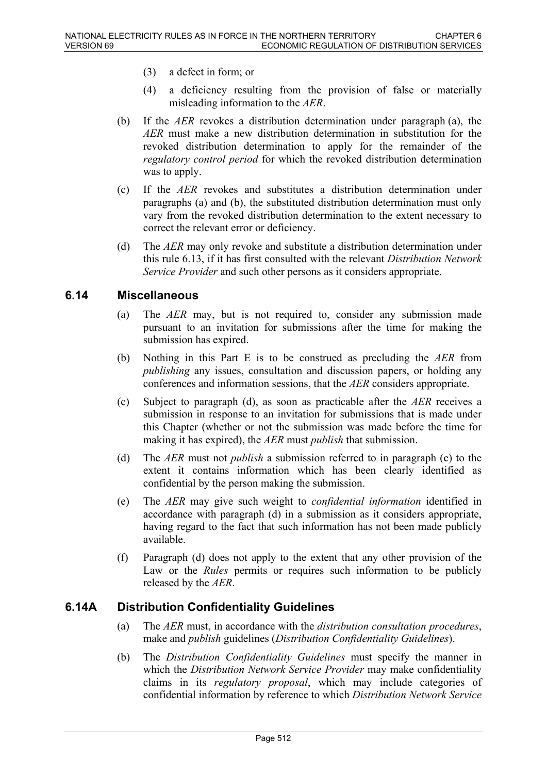- (3) a defect in form; or
- (4) a deficiency resulting from the provision of false or materially misleading information to the *AER*.
- (b) If the *AER* revokes a distribution determination under paragraph (a), the *AER* must make a new distribution determination in substitution for the revoked distribution determination to apply for the remainder of the *regulatory control period* for which the revoked distribution determination was to apply.
- (c) If the *AER* revokes and substitutes a distribution determination under paragraphs (a) and (b), the substituted distribution determination must only vary from the revoked distribution determination to the extent necessary to correct the relevant error or deficiency.
- (d) The *AER* may only revoke and substitute a distribution determination under this rule 6.13, if it has first consulted with the relevant *Distribution Network Service Provider* and such other persons as it considers appropriate.

# **6.14 Miscellaneous**

- (a) The *AER* may, but is not required to, consider any submission made pursuant to an invitation for submissions after the time for making the submission has expired.
- (b) Nothing in this Part E is to be construed as precluding the *AER* from *publishing* any issues, consultation and discussion papers, or holding any conferences and information sessions, that the *AER* considers appropriate.
- (c) Subject to paragraph (d), as soon as practicable after the *AER* receives a submission in response to an invitation for submissions that is made under this Chapter (whether or not the submission was made before the time for making it has expired), the *AER* must *publish* that submission.
- (d) The *AER* must not *publish* a submission referred to in paragraph (c) to the extent it contains information which has been clearly identified as confidential by the person making the submission.
- (e) The *AER* may give such weight to *confidential information* identified in accordance with paragraph (d) in a submission as it considers appropriate, having regard to the fact that such information has not been made publicly available.
- (f) Paragraph (d) does not apply to the extent that any other provision of the Law or the *Rules* permits or requires such information to be publicly released by the *AER*.

# **6.14A Distribution Confidentiality Guidelines**

- (a) The *AER* must, in accordance with the *distribution consultation procedures*, make and *publish* guidelines (*Distribution Confidentiality Guidelines*).
- (b) The *Distribution Confidentiality Guidelines* must specify the manner in which the *Distribution Network Service Provider* may make confidentiality claims in its *regulatory proposal*, which may include categories of confidential information by reference to which *Distribution Network Service*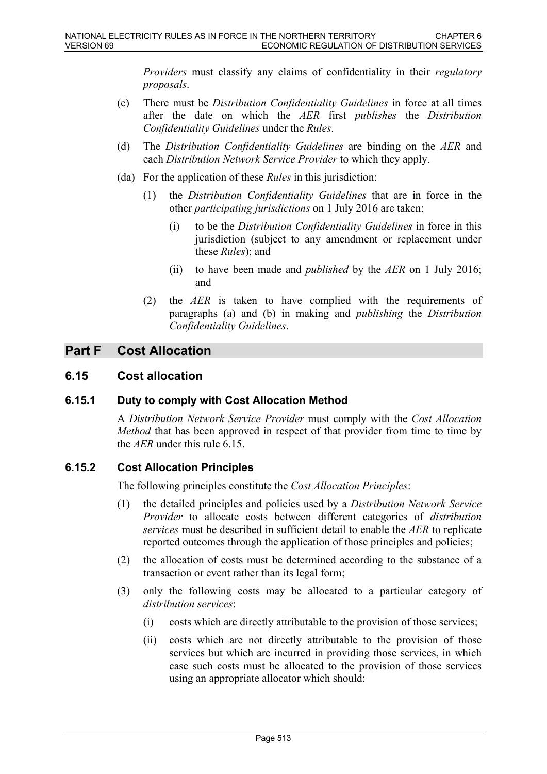*Providers* must classify any claims of confidentiality in their *regulatory proposals*.

- (c) There must be *Distribution Confidentiality Guidelines* in force at all times after the date on which the *AER* first *publishes* the *Distribution Confidentiality Guidelines* under the *Rules*.
- (d) The *Distribution Confidentiality Guidelines* are binding on the *AER* and each *Distribution Network Service Provider* to which they apply.
- (da) For the application of these *Rules* in this jurisdiction:
	- (1) the *Distribution Confidentiality Guidelines* that are in force in the other *participating jurisdictions* on 1 July 2016 are taken:
		- (i) to be the *Distribution Confidentiality Guidelines* in force in this jurisdiction (subject to any amendment or replacement under these *Rules*); and
		- (ii) to have been made and *published* by the *AER* on 1 July 2016; and
	- (2) the *AER* is taken to have complied with the requirements of paragraphs (a) and (b) in making and *publishing* the *Distribution Confidentiality Guidelines*.

# **Part F Cost Allocation**

# **6.15 Cost allocation**

## **6.15.1 Duty to comply with Cost Allocation Method**

A *Distribution Network Service Provider* must comply with the *Cost Allocation Method* that has been approved in respect of that provider from time to time by the *AER* under this rule 6.15.

## **6.15.2 Cost Allocation Principles**

The following principles constitute the *Cost Allocation Principles*:

- (1) the detailed principles and policies used by a *Distribution Network Service Provider* to allocate costs between different categories of *distribution services* must be described in sufficient detail to enable the *AER* to replicate reported outcomes through the application of those principles and policies;
- (2) the allocation of costs must be determined according to the substance of a transaction or event rather than its legal form;
- (3) only the following costs may be allocated to a particular category of *distribution services*:
	- (i) costs which are directly attributable to the provision of those services;
	- (ii) costs which are not directly attributable to the provision of those services but which are incurred in providing those services, in which case such costs must be allocated to the provision of those services using an appropriate allocator which should: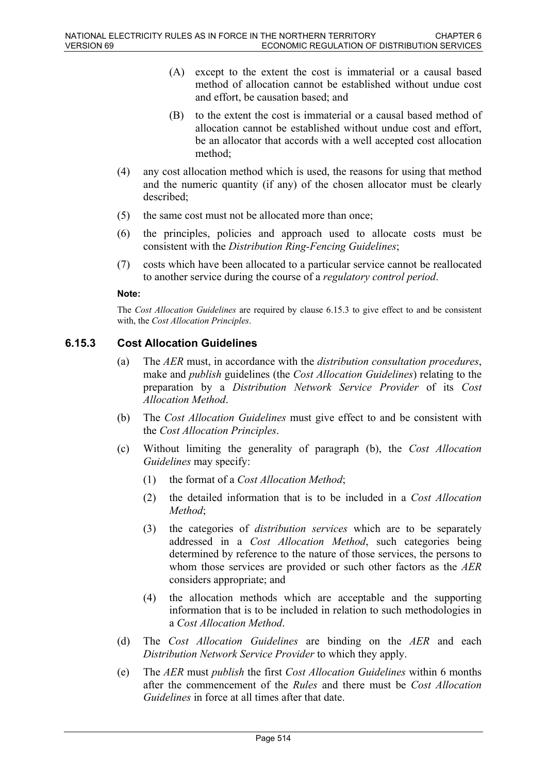- (A) except to the extent the cost is immaterial or a causal based method of allocation cannot be established without undue cost and effort, be causation based; and
- (B) to the extent the cost is immaterial or a causal based method of allocation cannot be established without undue cost and effort, be an allocator that accords with a well accepted cost allocation method;
- (4) any cost allocation method which is used, the reasons for using that method and the numeric quantity (if any) of the chosen allocator must be clearly described;
- (5) the same cost must not be allocated more than once;
- (6) the principles, policies and approach used to allocate costs must be consistent with the *Distribution Ring-Fencing Guidelines*;
- (7) costs which have been allocated to a particular service cannot be reallocated to another service during the course of a *regulatory control period*.

### **Note:**

The *Cost Allocation Guidelines* are required by clause 6.15.3 to give effect to and be consistent with, the *Cost Allocation Principles*.

# **6.15.3 Cost Allocation Guidelines**

- (a) The *AER* must, in accordance with the *distribution consultation procedures*, make and *publish* guidelines (the *Cost Allocation Guidelines*) relating to the preparation by a *Distribution Network Service Provider* of its *Cost Allocation Method*.
- (b) The *Cost Allocation Guidelines* must give effect to and be consistent with the *Cost Allocation Principles*.
- (c) Without limiting the generality of paragraph (b), the *Cost Allocation Guidelines* may specify:
	- (1) the format of a *Cost Allocation Method*;
	- (2) the detailed information that is to be included in a *Cost Allocation Method*;
	- (3) the categories of *distribution services* which are to be separately addressed in a *Cost Allocation Method*, such categories being determined by reference to the nature of those services, the persons to whom those services are provided or such other factors as the *AER* considers appropriate; and
	- (4) the allocation methods which are acceptable and the supporting information that is to be included in relation to such methodologies in a *Cost Allocation Method*.
- (d) The *Cost Allocation Guidelines* are binding on the *AER* and each *Distribution Network Service Provider* to which they apply.
- (e) The *AER* must *publish* the first *Cost Allocation Guidelines* within 6 months after the commencement of the *Rules* and there must be *Cost Allocation Guidelines* in force at all times after that date.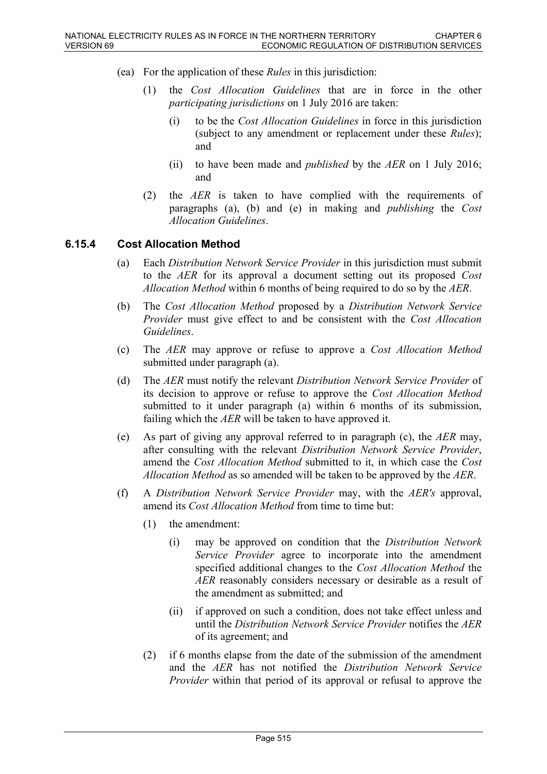- (ea) For the application of these *Rules* in this jurisdiction:
	- (1) the *Cost Allocation Guidelines* that are in force in the other *participating jurisdictions* on 1 July 2016 are taken:
		- (i) to be the *Cost Allocation Guidelines* in force in this jurisdiction (subject to any amendment or replacement under these *Rules*); and
		- (ii) to have been made and *published* by the *AER* on 1 July 2016; and
	- (2) the *AER* is taken to have complied with the requirements of paragraphs (a), (b) and (e) in making and *publishing* the *Cost Allocation Guidelines*.

## **6.15.4 Cost Allocation Method**

- (a) Each *Distribution Network Service Provider* in this jurisdiction must submit to the *AER* for its approval a document setting out its proposed *Cost Allocation Method* within 6 months of being required to do so by the *AER*.
- (b) The *Cost Allocation Method* proposed by a *Distribution Network Service Provider* must give effect to and be consistent with the *Cost Allocation Guidelines*.
- (c) The *AER* may approve or refuse to approve a *Cost Allocation Method* submitted under paragraph (a).
- (d) The *AER* must notify the relevant *Distribution Network Service Provider* of its decision to approve or refuse to approve the *Cost Allocation Method* submitted to it under paragraph (a) within 6 months of its submission, failing which the *AER* will be taken to have approved it.
- (e) As part of giving any approval referred to in paragraph (c), the *AER* may, after consulting with the relevant *Distribution Network Service Provider*, amend the *Cost Allocation Method* submitted to it, in which case the *Cost Allocation Method* as so amended will be taken to be approved by the *AER*.
- (f) A *Distribution Network Service Provider* may, with the *AER's* approval, amend its *Cost Allocation Method* from time to time but:
	- (1) the amendment:
		- (i) may be approved on condition that the *Distribution Network Service Provider* agree to incorporate into the amendment specified additional changes to the *Cost Allocation Method* the *AER* reasonably considers necessary or desirable as a result of the amendment as submitted; and
		- (ii) if approved on such a condition, does not take effect unless and until the *Distribution Network Service Provider* notifies the *AER* of its agreement; and
	- (2) if 6 months elapse from the date of the submission of the amendment and the *AER* has not notified the *Distribution Network Service Provider* within that period of its approval or refusal to approve the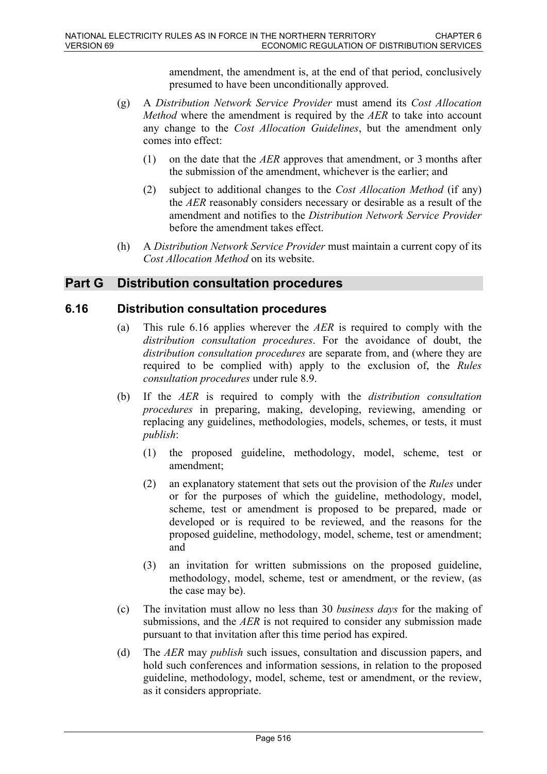amendment, the amendment is, at the end of that period, conclusively presumed to have been unconditionally approved.

- (g) A *Distribution Network Service Provider* must amend its *Cost Allocation Method* where the amendment is required by the *AER* to take into account any change to the *Cost Allocation Guidelines*, but the amendment only comes into effect:
	- (1) on the date that the *AER* approves that amendment, or 3 months after the submission of the amendment, whichever is the earlier; and
	- (2) subject to additional changes to the *Cost Allocation Method* (if any) the *AER* reasonably considers necessary or desirable as a result of the amendment and notifies to the *Distribution Network Service Provider* before the amendment takes effect.
- (h) A *Distribution Network Service Provider* must maintain a current copy of its *Cost Allocation Method* on its website.

# **Part G Distribution consultation procedures**

# **6.16 Distribution consultation procedures**

- (a) This rule 6.16 applies wherever the *AER* is required to comply with the *distribution consultation procedures*. For the avoidance of doubt, the *distribution consultation procedures* are separate from, and (where they are required to be complied with) apply to the exclusion of, the *Rules consultation procedures* under rule 8.9.
- (b) If the *AER* is required to comply with the *distribution consultation procedures* in preparing, making, developing, reviewing, amending or replacing any guidelines, methodologies, models, schemes, or tests, it must *publish*:
	- (1) the proposed guideline, methodology, model, scheme, test or amendment;
	- (2) an explanatory statement that sets out the provision of the *Rules* under or for the purposes of which the guideline, methodology, model, scheme, test or amendment is proposed to be prepared, made or developed or is required to be reviewed, and the reasons for the proposed guideline, methodology, model, scheme, test or amendment; and
	- (3) an invitation for written submissions on the proposed guideline, methodology, model, scheme, test or amendment, or the review, (as the case may be).
- (c) The invitation must allow no less than 30 *business days* for the making of submissions, and the *AER* is not required to consider any submission made pursuant to that invitation after this time period has expired.
- (d) The *AER* may *publish* such issues, consultation and discussion papers, and hold such conferences and information sessions, in relation to the proposed guideline, methodology, model, scheme, test or amendment, or the review, as it considers appropriate.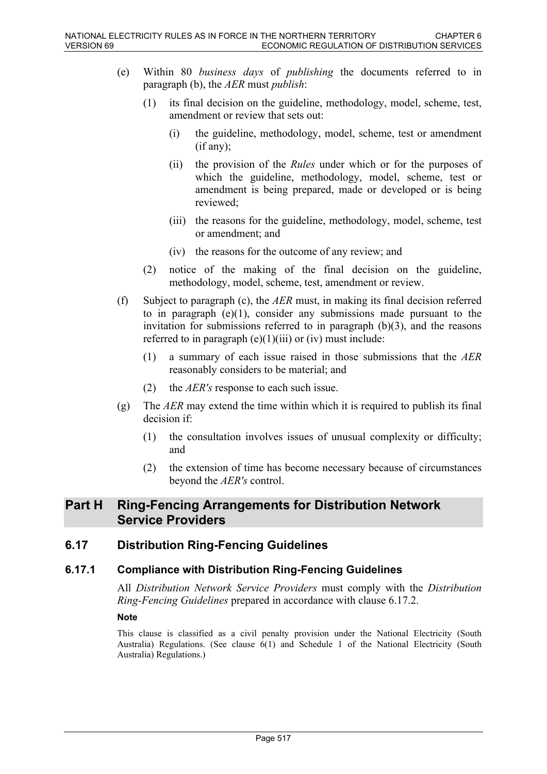- (e) Within 80 *business days* of *publishing* the documents referred to in paragraph (b), the *AER* must *publish*:
	- (1) its final decision on the guideline, methodology, model, scheme, test, amendment or review that sets out:
		- (i) the guideline, methodology, model, scheme, test or amendment (if any);
		- (ii) the provision of the *Rules* under which or for the purposes of which the guideline, methodology, model, scheme, test or amendment is being prepared, made or developed or is being reviewed;
		- (iii) the reasons for the guideline, methodology, model, scheme, test or amendment; and
		- (iv) the reasons for the outcome of any review; and
	- (2) notice of the making of the final decision on the guideline, methodology, model, scheme, test, amendment or review.
- (f) Subject to paragraph (c), the *AER* must, in making its final decision referred to in paragraph  $(e)(1)$ , consider any submissions made pursuant to the invitation for submissions referred to in paragraph  $(b)(3)$ , and the reasons referred to in paragraph  $(e)(1)(iii)$  or (iv) must include:
	- (1) a summary of each issue raised in those submissions that the *AER* reasonably considers to be material; and
	- (2) the *AER's* response to each such issue.
- (g) The *AER* may extend the time within which it is required to publish its final decision if:
	- (1) the consultation involves issues of unusual complexity or difficulty; and
	- (2) the extension of time has become necessary because of circumstances beyond the *AER's* control.

# **Part H Ring-Fencing Arrangements for Distribution Network Service Providers**

# **6.17 Distribution Ring-Fencing Guidelines**

## **6.17.1 Compliance with Distribution Ring-Fencing Guidelines**

All *Distribution Network Service Providers* must comply with the *Distribution Ring-Fencing Guidelines* prepared in accordance with clause 6.17.2.

### **Note**

This clause is classified as a civil penalty provision under the National Electricity (South Australia) Regulations. (See clause 6(1) and Schedule 1 of the National Electricity (South Australia) Regulations.)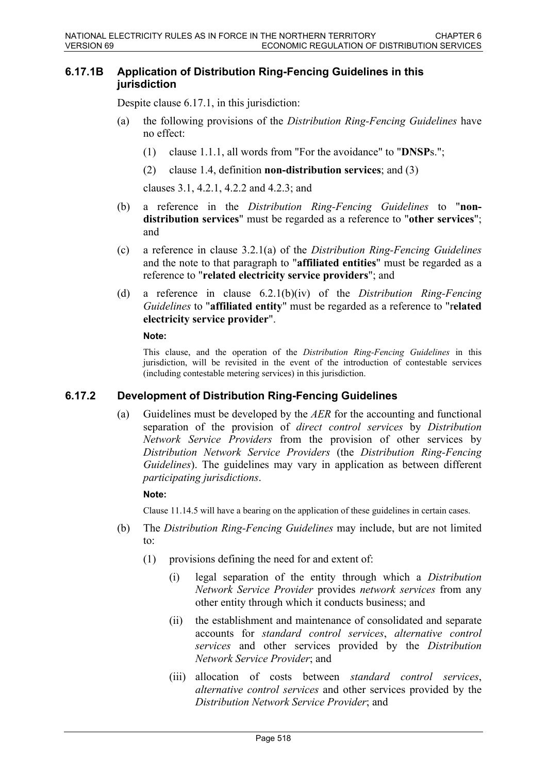### **6.17.1B Application of Distribution Ring-Fencing Guidelines in this jurisdiction**

Despite clause 6.17.1, in this jurisdiction:

- (a) the following provisions of the *Distribution Ring-Fencing Guidelines* have no effect:
	- (1) clause 1.1.1, all words from "For the avoidance" to "**DNSP**s.";
	- (2) clause 1.4, definition **non-distribution services**; and (3)

clauses 3.1, 4.2.1, 4.2.2 and 4.2.3; and

- (b) a reference in the *Distribution Ring-Fencing Guidelines* to "**nondistribution services**" must be regarded as a reference to "**other services**"; and
- (c) a reference in clause 3.2.1(a) of the *Distribution Ring-Fencing Guidelines* and the note to that paragraph to "**affiliated entities**" must be regarded as a reference to "**related electricity service providers**"; and
- (d) a reference in clause 6.2.1(b)(iv) of the *Distribution Ring-Fencing Guidelines* to "**affiliated entity**" must be regarded as a reference to "r**elated electricity service provider**".

**Note:**

This clause, and the operation of the *Distribution Ring-Fencing Guidelines* in this jurisdiction, will be revisited in the event of the introduction of contestable services (including contestable metering services) in this jurisdiction.

## **6.17.2 Development of Distribution Ring-Fencing Guidelines**

(a) Guidelines must be developed by the *AER* for the accounting and functional separation of the provision of *direct control services* by *Distribution Network Service Providers* from the provision of other services by *Distribution Network Service Providers* (the *Distribution Ring-Fencing Guidelines*). The guidelines may vary in application as between different *participating jurisdictions*.

**Note:**

Clause 11.14.5 will have a bearing on the application of these guidelines in certain cases.

- (b) The *Distribution Ring-Fencing Guidelines* may include, but are not limited to:
	- (1) provisions defining the need for and extent of:
		- (i) legal separation of the entity through which a *Distribution Network Service Provider* provides *network services* from any other entity through which it conducts business; and
		- (ii) the establishment and maintenance of consolidated and separate accounts for *standard control services*, *alternative control services* and other services provided by the *Distribution Network Service Provider*; and
		- (iii) allocation of costs between *standard control services*, *alternative control services* and other services provided by the *Distribution Network Service Provider*; and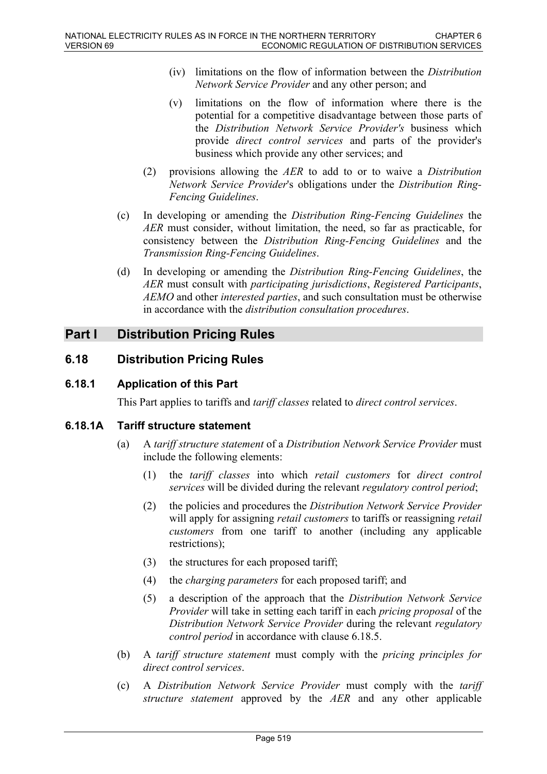- (iv) limitations on the flow of information between the *Distribution Network Service Provider* and any other person; and
- (v) limitations on the flow of information where there is the potential for a competitive disadvantage between those parts of the *Distribution Network Service Provider's* business which provide *direct control services* and parts of the provider's business which provide any other services; and
- (2) provisions allowing the *AER* to add to or to waive a *Distribution Network Service Provider*'s obligations under the *Distribution Ring-Fencing Guidelines*.
- (c) In developing or amending the *Distribution Ring-Fencing Guidelines* the *AER* must consider, without limitation, the need, so far as practicable, for consistency between the *Distribution Ring-Fencing Guidelines* and the *Transmission Ring-Fencing Guidelines*.
- (d) In developing or amending the *Distribution Ring-Fencing Guidelines*, the *AER* must consult with *participating jurisdictions*, *Registered Participants*, *AEMO* and other *interested parties*, and such consultation must be otherwise in accordance with the *distribution consultation procedures*.

# **Part I Distribution Pricing Rules**

# **6.18 Distribution Pricing Rules**

# **6.18.1 Application of this Part**

This Part applies to tariffs and *tariff classes* related to *direct control services*.

# **6.18.1A Tariff structure statement**

- (a) A *tariff structure statement* of a *Distribution Network Service Provider* must include the following elements:
	- (1) the *tariff classes* into which *retail customers* for *direct control services* will be divided during the relevant *regulatory control period*;
	- (2) the policies and procedures the *Distribution Network Service Provider* will apply for assigning *retail customers* to tariffs or reassigning *retail customers* from one tariff to another (including any applicable restrictions);
	- (3) the structures for each proposed tariff;
	- (4) the *charging parameters* for each proposed tariff; and
	- (5) a description of the approach that the *Distribution Network Service Provider* will take in setting each tariff in each *pricing proposal* of the *Distribution Network Service Provider* during the relevant *regulatory control period* in accordance with clause 6.18.5.
- (b) A *tariff structure statement* must comply with the *pricing principles for direct control services*.
- (c) A *Distribution Network Service Provider* must comply with the *tariff structure statement* approved by the *AER* and any other applicable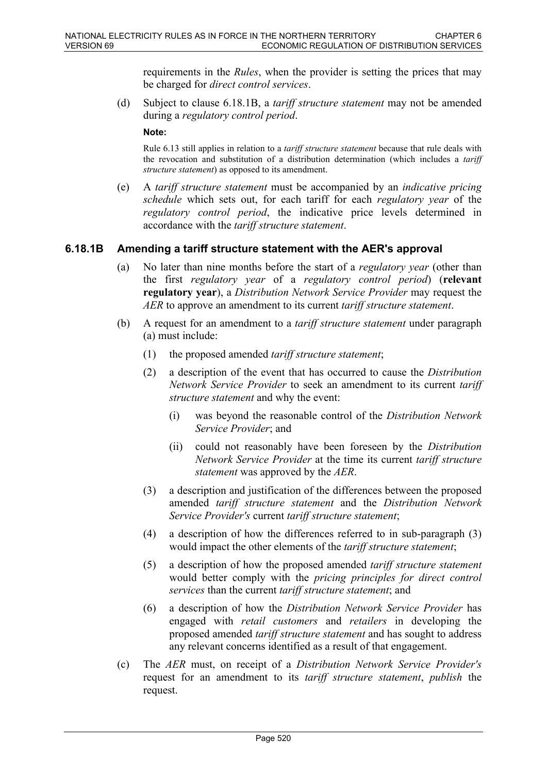requirements in the *Rules*, when the provider is setting the prices that may be charged for *direct control services*.

(d) Subject to clause 6.18.1B, a *tariff structure statement* may not be amended during a *regulatory control period*.

**Note:**

Rule 6.13 still applies in relation to a *tariff structure statement* because that rule deals with the revocation and substitution of a distribution determination (which includes a *tariff structure statement*) as opposed to its amendment.

(e) A *tariff structure statement* must be accompanied by an *indicative pricing schedule* which sets out, for each tariff for each *regulatory year* of the *regulatory control period*, the indicative price levels determined in accordance with the *tariff structure statement*.

## **6.18.1B Amending a tariff structure statement with the AER's approval**

- (a) No later than nine months before the start of a *regulatory year* (other than the first *regulatory year* of a *regulatory control period*) (**relevant regulatory year**), a *Distribution Network Service Provider* may request the *AER* to approve an amendment to its current *tariff structure statement*.
- (b) A request for an amendment to a *tariff structure statement* under paragraph (a) must include:
	- (1) the proposed amended *tariff structure statement*;
	- (2) a description of the event that has occurred to cause the *Distribution Network Service Provider* to seek an amendment to its current *tariff structure statement* and why the event:
		- (i) was beyond the reasonable control of the *Distribution Network Service Provider*; and
		- (ii) could not reasonably have been foreseen by the *Distribution Network Service Provider* at the time its current *tariff structure statement* was approved by the *AER*.
	- (3) a description and justification of the differences between the proposed amended *tariff structure statement* and the *Distribution Network Service Provider's* current *tariff structure statement*;
	- (4) a description of how the differences referred to in sub-paragraph (3) would impact the other elements of the *tariff structure statement*;
	- (5) a description of how the proposed amended *tariff structure statement* would better comply with the *pricing principles for direct control services* than the current *tariff structure statement*; and
	- (6) a description of how the *Distribution Network Service Provider* has engaged with *retail customers* and *retailers* in developing the proposed amended *tariff structure statement* and has sought to address any relevant concerns identified as a result of that engagement.
- (c) The *AER* must, on receipt of a *Distribution Network Service Provider's* request for an amendment to its *tariff structure statement*, *publish* the request.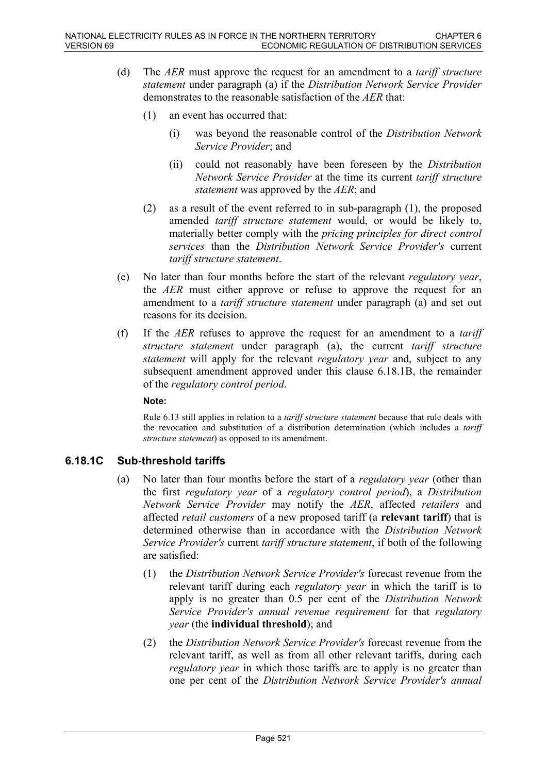- (d) The *AER* must approve the request for an amendment to a *tariff structure statement* under paragraph (a) if the *Distribution Network Service Provider* demonstrates to the reasonable satisfaction of the *AER* that:
	- (1) an event has occurred that:
		- (i) was beyond the reasonable control of the *Distribution Network Service Provider*; and
		- (ii) could not reasonably have been foreseen by the *Distribution Network Service Provider* at the time its current *tariff structure statement* was approved by the *AER*; and
	- (2) as a result of the event referred to in sub-paragraph (1), the proposed amended *tariff structure statement* would, or would be likely to, materially better comply with the *pricing principles for direct control services* than the *Distribution Network Service Provider's* current *tariff structure statement*.
- (e) No later than four months before the start of the relevant *regulatory year*, the *AER* must either approve or refuse to approve the request for an amendment to a *tariff structure statement* under paragraph (a) and set out reasons for its decision.
- (f) If the *AER* refuses to approve the request for an amendment to a *tariff structure statement* under paragraph (a), the current *tariff structure statement* will apply for the relevant *regulatory year* and, subject to any subsequent amendment approved under this clause 6.18.1B, the remainder of the *regulatory control period*.

### **Note:**

Rule 6.13 still applies in relation to a *tariff structure statement* because that rule deals with the revocation and substitution of a distribution determination (which includes a *tariff structure statement*) as opposed to its amendment.

# **6.18.1C Sub-threshold tariffs**

- (a) No later than four months before the start of a *regulatory year* (other than the first *regulatory year* of a *regulatory control period*), a *Distribution Network Service Provider* may notify the *AER*, affected *retailers* and affected *retail customers* of a new proposed tariff (a **relevant tariff**) that is determined otherwise than in accordance with the *Distribution Network Service Provider's* current *tariff structure statement*, if both of the following are satisfied:
	- (1) the *Distribution Network Service Provider's* forecast revenue from the relevant tariff during each *regulatory year* in which the tariff is to apply is no greater than 0.5 per cent of the *Distribution Network Service Provider's annual revenue requirement* for that *regulatory year* (the **individual threshold**); and
	- (2) the *Distribution Network Service Provider's* forecast revenue from the relevant tariff, as well as from all other relevant tariffs, during each *regulatory year* in which those tariffs are to apply is no greater than one per cent of the *Distribution Network Service Provider's annual*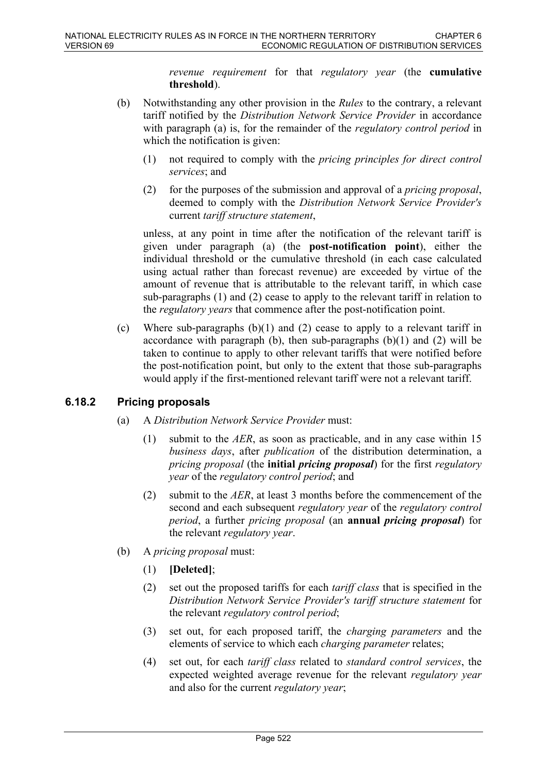*revenue requirement* for that *regulatory year* (the **cumulative threshold**).

- (b) Notwithstanding any other provision in the *Rules* to the contrary, a relevant tariff notified by the *Distribution Network Service Provider* in accordance with paragraph (a) is, for the remainder of the *regulatory control period* in which the notification is given:
	- (1) not required to comply with the *pricing principles for direct control services*; and
	- (2) for the purposes of the submission and approval of a *pricing proposal*, deemed to comply with the *Distribution Network Service Provider's* current *tariff structure statement*,

unless, at any point in time after the notification of the relevant tariff is given under paragraph (a) (the **post-notification point**), either the individual threshold or the cumulative threshold (in each case calculated using actual rather than forecast revenue) are exceeded by virtue of the amount of revenue that is attributable to the relevant tariff, in which case sub-paragraphs (1) and (2) cease to apply to the relevant tariff in relation to the *regulatory years* that commence after the post-notification point.

(c) Where sub-paragraphs (b)(1) and (2) cease to apply to a relevant tariff in accordance with paragraph (b), then sub-paragraphs  $(b)(1)$  and  $(2)$  will be taken to continue to apply to other relevant tariffs that were notified before the post-notification point, but only to the extent that those sub-paragraphs would apply if the first-mentioned relevant tariff were not a relevant tariff.

# **6.18.2 Pricing proposals**

- (a) A *Distribution Network Service Provider* must:
	- (1) submit to the *AER*, as soon as practicable, and in any case within 15 *business days*, after *publication* of the distribution determination, a *pricing proposal* (the **initial** *pricing proposal*) for the first *regulatory year* of the *regulatory control period*; and
	- (2) submit to the *AER*, at least 3 months before the commencement of the second and each subsequent *regulatory year* of the *regulatory control period*, a further *pricing proposal* (an **annual** *pricing proposal*) for the relevant *regulatory year*.
- (b) A *pricing proposal* must:
	- (1) **[Deleted]**;
	- (2) set out the proposed tariffs for each *tariff class* that is specified in the *Distribution Network Service Provider's tariff structure statement* for the relevant *regulatory control period*;
	- (3) set out, for each proposed tariff, the *charging parameters* and the elements of service to which each *charging parameter* relates;
	- (4) set out, for each *tariff class* related to *standard control services*, the expected weighted average revenue for the relevant *regulatory year* and also for the current *regulatory year*;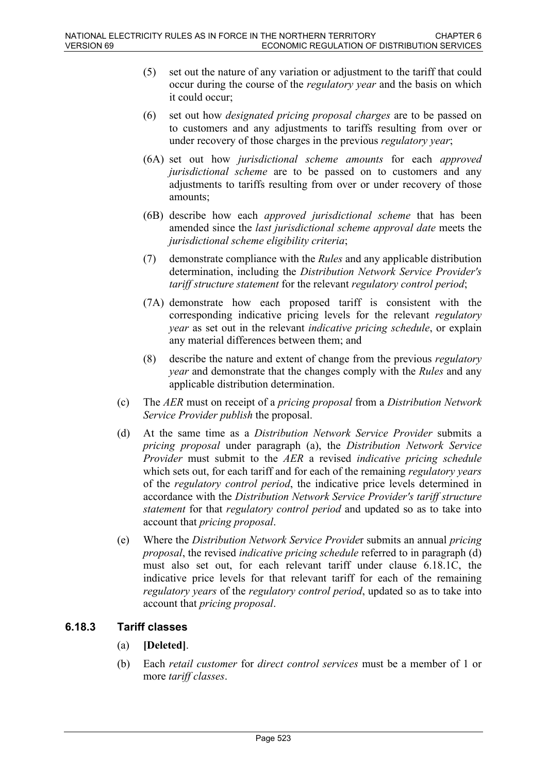- (5) set out the nature of any variation or adjustment to the tariff that could occur during the course of the *regulatory year* and the basis on which it could occur;
- (6) set out how *designated pricing proposal charges* are to be passed on to customers and any adjustments to tariffs resulting from over or under recovery of those charges in the previous *regulatory year*;
- (6A) set out how *jurisdictional scheme amounts* for each *approved jurisdictional scheme* are to be passed on to customers and any adjustments to tariffs resulting from over or under recovery of those amounts;
- (6B) describe how each *approved jurisdictional scheme* that has been amended since the *last jurisdictional scheme approval date* meets the *jurisdictional scheme eligibility criteria*;
- (7) demonstrate compliance with the *Rules* and any applicable distribution determination, including the *Distribution Network Service Provider's tariff structure statement* for the relevant *regulatory control period*;
- (7A) demonstrate how each proposed tariff is consistent with the corresponding indicative pricing levels for the relevant *regulatory year* as set out in the relevant *indicative pricing schedule*, or explain any material differences between them; and
- (8) describe the nature and extent of change from the previous *regulatory year* and demonstrate that the changes comply with the *Rules* and any applicable distribution determination.
- (c) The *AER* must on receipt of a *pricing proposal* from a *Distribution Network Service Provider publish* the proposal.
- (d) At the same time as a *Distribution Network Service Provider* submits a *pricing proposal* under paragraph (a), the *Distribution Network Service Provider* must submit to the *AER* a revised *indicative pricing schedule* which sets out, for each tariff and for each of the remaining *regulatory years* of the *regulatory control period*, the indicative price levels determined in accordance with the *Distribution Network Service Provider's tariff structure statement* for that *regulatory control period* and updated so as to take into account that *pricing proposal*.
- (e) Where the *Distribution Network Service Provide*r submits an annual *pricing proposal*, the revised *indicative pricing schedule* referred to in paragraph (d) must also set out, for each relevant tariff under clause 6.18.1C, the indicative price levels for that relevant tariff for each of the remaining *regulatory years* of the *regulatory control period*, updated so as to take into account that *pricing proposal*.

# **6.18.3 Tariff classes**

- (a) **[Deleted]**.
- (b) Each *retail customer* for *direct control services* must be a member of 1 or more *tariff classes*.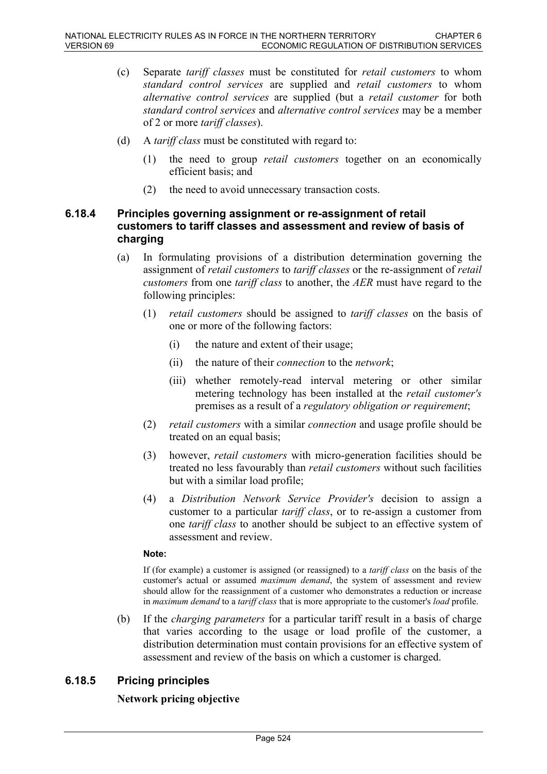- (c) Separate *tariff classes* must be constituted for *retail customers* to whom *standard control services* are supplied and *retail customers* to whom *alternative control services* are supplied (but a *retail customer* for both *standard control services* and *alternative control services* may be a member of 2 or more *tariff classes*).
- (d) A *tariff class* must be constituted with regard to:
	- (1) the need to group *retail customers* together on an economically efficient basis; and
	- (2) the need to avoid unnecessary transaction costs.

## **6.18.4 Principles governing assignment or re-assignment of retail customers to tariff classes and assessment and review of basis of charging**

- (a) In formulating provisions of a distribution determination governing the assignment of *retail customers* to *tariff classes* or the re-assignment of *retail customers* from one *tariff class* to another, the *AER* must have regard to the following principles:
	- (1) *retail customers* should be assigned to *tariff classes* on the basis of one or more of the following factors:
		- (i) the nature and extent of their usage;
		- (ii) the nature of their *connection* to the *network*;
		- (iii) whether remotely-read interval metering or other similar metering technology has been installed at the *retail customer's* premises as a result of a *regulatory obligation or requirement*;
	- (2) *retail customers* with a similar *connection* and usage profile should be treated on an equal basis;
	- (3) however, *retail customers* with micro-generation facilities should be treated no less favourably than *retail customers* without such facilities but with a similar load profile;
	- (4) a *Distribution Network Service Provider's* decision to assign a customer to a particular *tariff class*, or to re-assign a customer from one *tariff class* to another should be subject to an effective system of assessment and review.

#### **Note:**

If (for example) a customer is assigned (or reassigned) to a *tariff class* on the basis of the customer's actual or assumed *maximum demand*, the system of assessment and review should allow for the reassignment of a customer who demonstrates a reduction or increase in *maximum demand* to a *tariff class* that is more appropriate to the customer's *load* profile.

(b) If the *charging parameters* for a particular tariff result in a basis of charge that varies according to the usage or load profile of the customer, a distribution determination must contain provisions for an effective system of assessment and review of the basis on which a customer is charged.

# **6.18.5 Pricing principles**

### **Network pricing objective**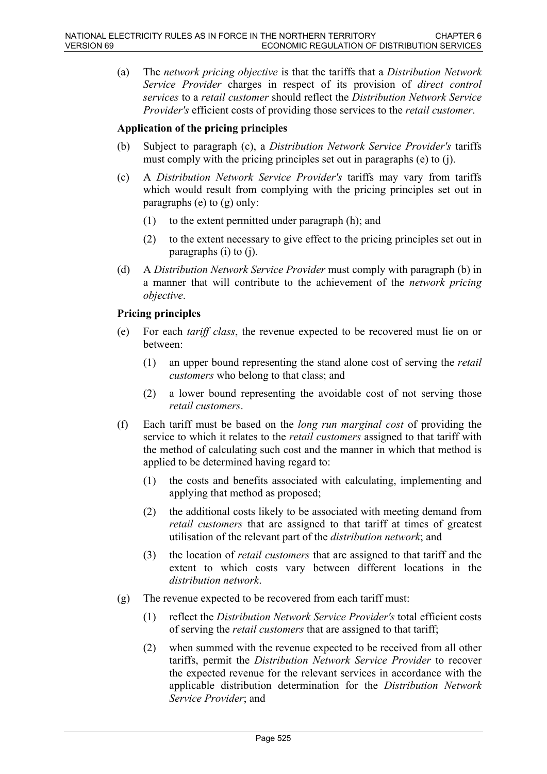(a) The *network pricing objective* is that the tariffs that a *Distribution Network Service Provider* charges in respect of its provision of *direct control services* to a *retail customer* should reflect the *Distribution Network Service Provider's* efficient costs of providing those services to the *retail customer*.

## **Application of the pricing principles**

- (b) Subject to paragraph (c), a *Distribution Network Service Provider's* tariffs must comply with the pricing principles set out in paragraphs (e) to (j).
- (c) A *Distribution Network Service Provider's* tariffs may vary from tariffs which would result from complying with the pricing principles set out in paragraphs (e) to (g) only:
	- (1) to the extent permitted under paragraph (h); and
	- (2) to the extent necessary to give effect to the pricing principles set out in paragraphs (i) to (j).
- (d) A *Distribution Network Service Provider* must comply with paragraph (b) in a manner that will contribute to the achievement of the *network pricing objective*.

### **Pricing principles**

- (e) For each *tariff class*, the revenue expected to be recovered must lie on or between:
	- (1) an upper bound representing the stand alone cost of serving the *retail customers* who belong to that class; and
	- (2) a lower bound representing the avoidable cost of not serving those *retail customers*.
- (f) Each tariff must be based on the *long run marginal cost* of providing the service to which it relates to the *retail customers* assigned to that tariff with the method of calculating such cost and the manner in which that method is applied to be determined having regard to:
	- (1) the costs and benefits associated with calculating, implementing and applying that method as proposed;
	- (2) the additional costs likely to be associated with meeting demand from *retail customers* that are assigned to that tariff at times of greatest utilisation of the relevant part of the *distribution network*; and
	- (3) the location of *retail customers* that are assigned to that tariff and the extent to which costs vary between different locations in the *distribution network*.
- (g) The revenue expected to be recovered from each tariff must:
	- (1) reflect the *Distribution Network Service Provider's* total efficient costs of serving the *retail customers* that are assigned to that tariff;
	- (2) when summed with the revenue expected to be received from all other tariffs, permit the *Distribution Network Service Provider* to recover the expected revenue for the relevant services in accordance with the applicable distribution determination for the *Distribution Network Service Provider*; and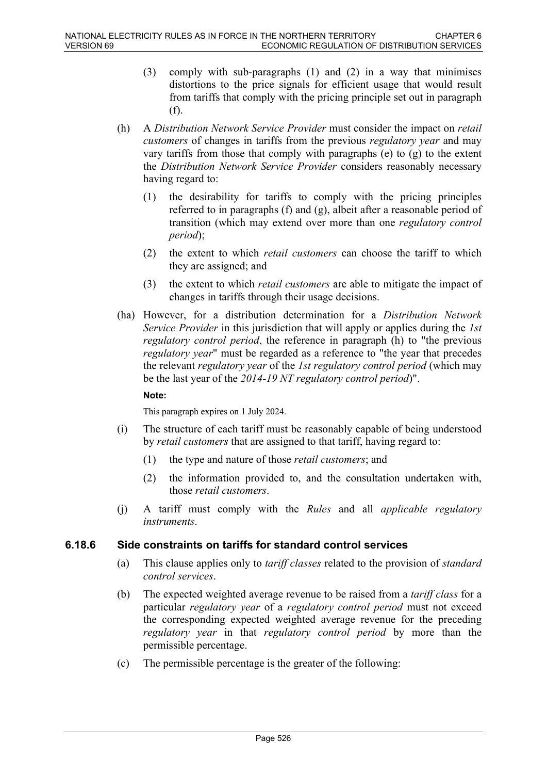- (3) comply with sub-paragraphs (1) and (2) in a way that minimises distortions to the price signals for efficient usage that would result from tariffs that comply with the pricing principle set out in paragraph (f).
- (h) A *Distribution Network Service Provider* must consider the impact on *retail customers* of changes in tariffs from the previous *regulatory year* and may vary tariffs from those that comply with paragraphs (e) to (g) to the extent the *Distribution Network Service Provider* considers reasonably necessary having regard to:
	- (1) the desirability for tariffs to comply with the pricing principles referred to in paragraphs (f) and (g), albeit after a reasonable period of transition (which may extend over more than one *regulatory control period*);
	- (2) the extent to which *retail customers* can choose the tariff to which they are assigned; and
	- (3) the extent to which *retail customers* are able to mitigate the impact of changes in tariffs through their usage decisions.
- (ha) However, for a distribution determination for a *Distribution Network Service Provider* in this jurisdiction that will apply or applies during the *1st regulatory control period*, the reference in paragraph (h) to "the previous *regulatory year*" must be regarded as a reference to "the year that precedes the relevant *regulatory year* of the *1st regulatory control period* (which may be the last year of the *2014-19 NT regulatory control period*)".

### **Note:**

This paragraph expires on 1 July 2024.

- (i) The structure of each tariff must be reasonably capable of being understood by *retail customers* that are assigned to that tariff, having regard to:
	- (1) the type and nature of those *retail customers*; and
	- (2) the information provided to, and the consultation undertaken with, those *retail customers*.
- (j) A tariff must comply with the *Rules* and all *applicable regulatory instruments*.

## **6.18.6 Side constraints on tariffs for standard control services**

- (a) This clause applies only to *tariff classes* related to the provision of *standard control services*.
- (b) The expected weighted average revenue to be raised from a *tariff class* for a particular *regulatory year* of a *regulatory control period* must not exceed the corresponding expected weighted average revenue for the preceding *regulatory year* in that *regulatory control period* by more than the permissible percentage.
- (c) The permissible percentage is the greater of the following: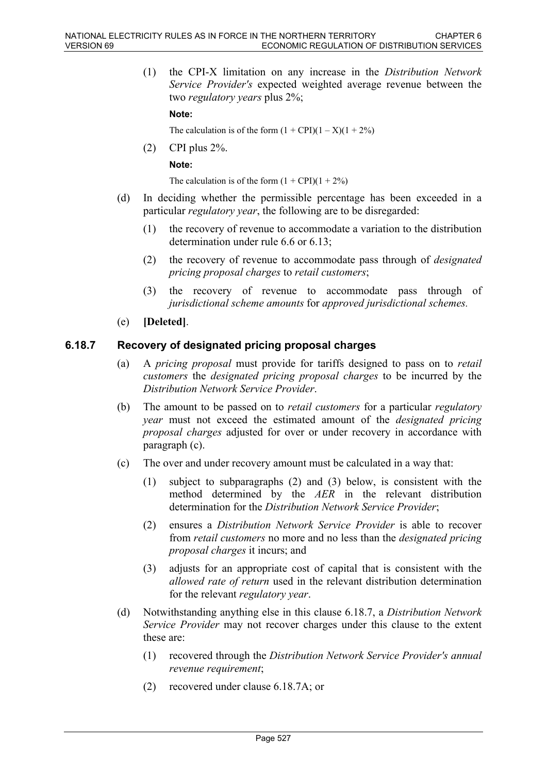(1) the CPI-X limitation on any increase in the *Distribution Network Service Provider's* expected weighted average revenue between the two *regulatory years* plus 2%;

**Note:**

The calculation is of the form  $(1 + \text{CPI})(1 - X)(1 + 2\%)$ 

(2) CPI plus 2%. **Note:**

The calculation is of the form  $(1 + \text{CPI})(1 + 2\%)$ 

- (d) In deciding whether the permissible percentage has been exceeded in a particular *regulatory year*, the following are to be disregarded:
	- (1) the recovery of revenue to accommodate a variation to the distribution determination under rule 6.6 or 6.13;
	- (2) the recovery of revenue to accommodate pass through of *designated pricing proposal charges* to *retail customers*;
	- (3) the recovery of revenue to accommodate pass through of *jurisdictional scheme amounts* for *approved jurisdictional schemes.*
- (e) **[Deleted]**.

### **6.18.7 Recovery of designated pricing proposal charges**

- (a) A *pricing proposal* must provide for tariffs designed to pass on to *retail customers* the *designated pricing proposal charges* to be incurred by the *Distribution Network Service Provider*.
- (b) The amount to be passed on to *retail customers* for a particular *regulatory year* must not exceed the estimated amount of the *designated pricing proposal charges* adjusted for over or under recovery in accordance with paragraph (c).
- (c) The over and under recovery amount must be calculated in a way that:
	- (1) subject to subparagraphs (2) and (3) below, is consistent with the method determined by the *AER* in the relevant distribution determination for the *Distribution Network Service Provider*;
	- (2) ensures a *Distribution Network Service Provider* is able to recover from *retail customers* no more and no less than the *designated pricing proposal charges* it incurs; and
	- (3) adjusts for an appropriate cost of capital that is consistent with the *allowed rate of return* used in the relevant distribution determination for the relevant *regulatory year*.
- (d) Notwithstanding anything else in this clause 6.18.7, a *Distribution Network Service Provider* may not recover charges under this clause to the extent these are:
	- (1) recovered through the *Distribution Network Service Provider's annual revenue requirement*;
	- (2) recovered under clause 6.18.7A; or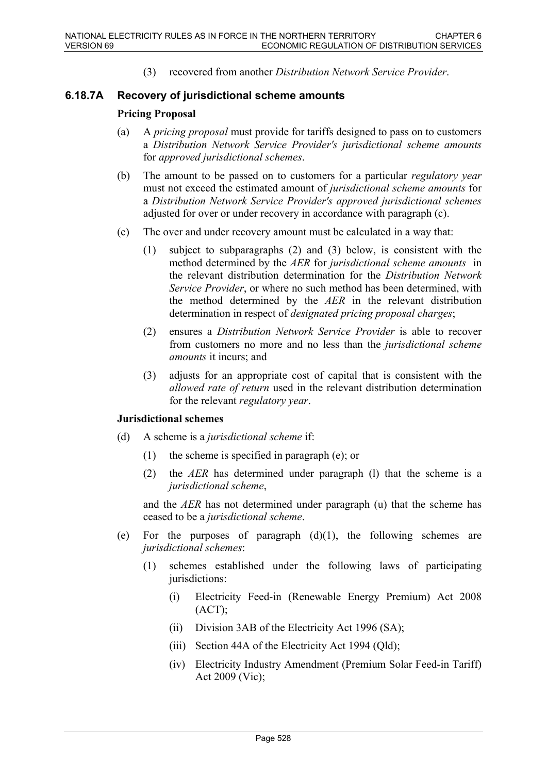(3) recovered from another *Distribution Network Service Provider*.

### **6.18.7A Recovery of jurisdictional scheme amounts**

### **Pricing Proposal**

- (a) A *pricing proposal* must provide for tariffs designed to pass on to customers a *Distribution Network Service Provider's jurisdictional scheme amounts* for *approved jurisdictional schemes*.
- (b) The amount to be passed on to customers for a particular *regulatory year* must not exceed the estimated amount of *jurisdictional scheme amounts* for a *Distribution Network Service Provider's approved jurisdictional schemes* adjusted for over or under recovery in accordance with paragraph (c).
- (c) The over and under recovery amount must be calculated in a way that:
	- (1) subject to subparagraphs (2) and (3) below, is consistent with the method determined by the *AER* for *jurisdictional scheme amounts* in the relevant distribution determination for the *Distribution Network Service Provider*, or where no such method has been determined, with the method determined by the *AER* in the relevant distribution determination in respect of *designated pricing proposal charges*;
	- (2) ensures a *Distribution Network Service Provider* is able to recover from customers no more and no less than the *jurisdictional scheme amounts* it incurs; and
	- (3) adjusts for an appropriate cost of capital that is consistent with the *allowed rate of return* used in the relevant distribution determination for the relevant *regulatory year*.

### **Jurisdictional schemes**

- (d) A scheme is a *jurisdictional scheme* if:
	- (1) the scheme is specified in paragraph (e); or
	- (2) the *AER* has determined under paragraph (l) that the scheme is a *jurisdictional scheme*,

and the *AER* has not determined under paragraph (u) that the scheme has ceased to be a *jurisdictional scheme*.

- (e) For the purposes of paragraph  $(d)(1)$ , the following schemes are *jurisdictional schemes*:
	- (1) schemes established under the following laws of participating jurisdictions:
		- (i) Electricity Feed-in (Renewable Energy Premium) Act 2008  $(ACT);$
		- (ii) Division 3AB of the Electricity Act 1996 (SA);
		- (iii) Section 44A of the Electricity Act 1994 (Qld);
		- (iv) Electricity Industry Amendment (Premium Solar Feed-in Tariff) Act 2009 (Vic);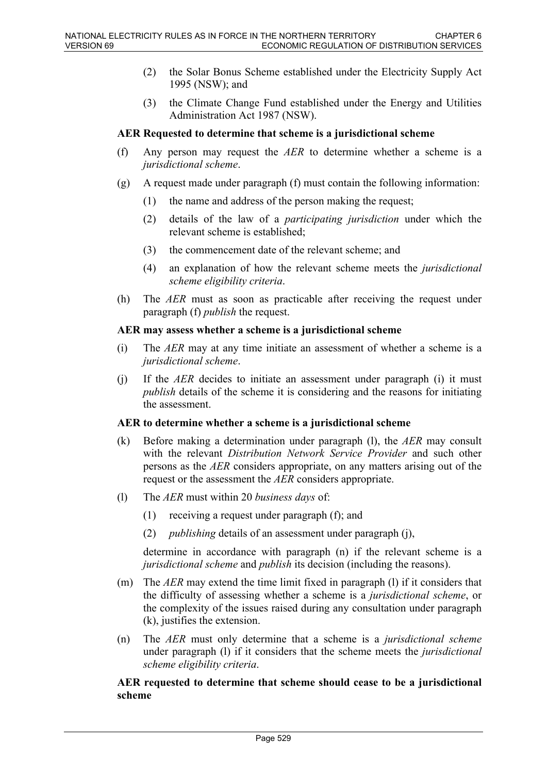- (2) the Solar Bonus Scheme established under the Electricity Supply Act 1995 (NSW); and
- (3) the Climate Change Fund established under the Energy and Utilities Administration Act 1987 (NSW).

#### **AER Requested to determine that scheme is a jurisdictional scheme**

- (f) Any person may request the *AER* to determine whether a scheme is a *jurisdictional scheme*.
- (g) A request made under paragraph (f) must contain the following information:
	- (1) the name and address of the person making the request;
	- (2) details of the law of a *participating jurisdiction* under which the relevant scheme is established;
	- (3) the commencement date of the relevant scheme; and
	- (4) an explanation of how the relevant scheme meets the *jurisdictional scheme eligibility criteria*.
- (h) The *AER* must as soon as practicable after receiving the request under paragraph (f) *publish* the request.

### **AER may assess whether a scheme is a jurisdictional scheme**

- (i) The *AER* may at any time initiate an assessment of whether a scheme is a *jurisdictional scheme*.
- (j) If the *AER* decides to initiate an assessment under paragraph (i) it must *publish* details of the scheme it is considering and the reasons for initiating the assessment.

### **AER to determine whether a scheme is a jurisdictional scheme**

- (k) Before making a determination under paragraph (l), the *AER* may consult with the relevant *Distribution Network Service Provider* and such other persons as the *AER* considers appropriate, on any matters arising out of the request or the assessment the *AER* considers appropriate.
- (l) The *AER* must within 20 *business days* of:
	- (1) receiving a request under paragraph (f); and
	- (2) *publishing* details of an assessment under paragraph (j),

determine in accordance with paragraph (n) if the relevant scheme is a *jurisdictional scheme* and *publish* its decision (including the reasons).

- (m) The *AER* may extend the time limit fixed in paragraph (l) if it considers that the difficulty of assessing whether a scheme is a *jurisdictional scheme*, or the complexity of the issues raised during any consultation under paragraph (k), justifies the extension.
- (n) The *AER* must only determine that a scheme is a *jurisdictional scheme* under paragraph (l) if it considers that the scheme meets the *jurisdictional scheme eligibility criteria*.

### **AER requested to determine that scheme should cease to be a jurisdictional scheme**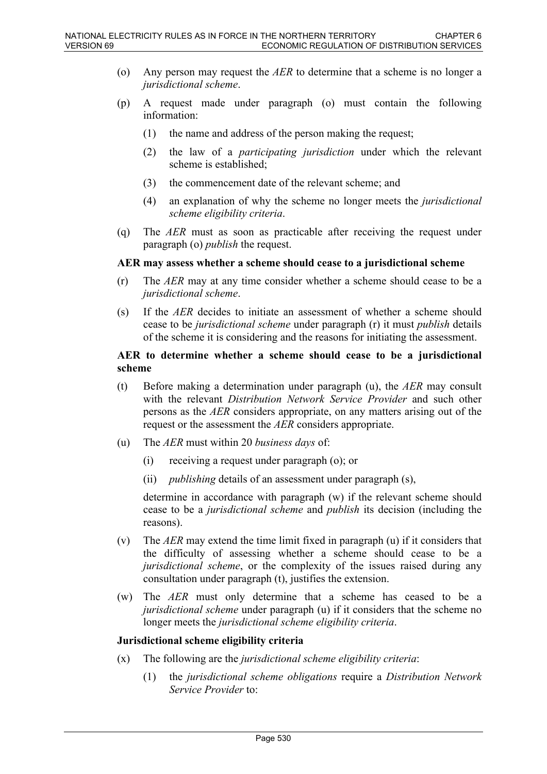- (o) Any person may request the *AER* to determine that a scheme is no longer a *jurisdictional scheme*.
- (p) A request made under paragraph (o) must contain the following information:
	- (1) the name and address of the person making the request;
	- (2) the law of a *participating jurisdiction* under which the relevant scheme is established;
	- (3) the commencement date of the relevant scheme; and
	- (4) an explanation of why the scheme no longer meets the *jurisdictional scheme eligibility criteria*.
- (q) The *AER* must as soon as practicable after receiving the request under paragraph (o) *publish* the request.

#### **AER may assess whether a scheme should cease to a jurisdictional scheme**

- (r) The *AER* may at any time consider whether a scheme should cease to be a *jurisdictional scheme*.
- (s) If the *AER* decides to initiate an assessment of whether a scheme should cease to be *jurisdictional scheme* under paragraph (r) it must *publish* details of the scheme it is considering and the reasons for initiating the assessment.

#### **AER to determine whether a scheme should cease to be a jurisdictional scheme**

- (t) Before making a determination under paragraph (u), the *AER* may consult with the relevant *Distribution Network Service Provider* and such other persons as the *AER* considers appropriate, on any matters arising out of the request or the assessment the *AER* considers appropriate.
- (u) The *AER* must within 20 *business days* of:
	- (i) receiving a request under paragraph (o); or
	- (ii) *publishing* details of an assessment under paragraph (s),

determine in accordance with paragraph (w) if the relevant scheme should cease to be a *jurisdictional scheme* and *publish* its decision (including the reasons).

- (v) The *AER* may extend the time limit fixed in paragraph (u) if it considers that the difficulty of assessing whether a scheme should cease to be a *jurisdictional scheme*, or the complexity of the issues raised during any consultation under paragraph (t), justifies the extension.
- (w) The *AER* must only determine that a scheme has ceased to be a *jurisdictional scheme* under paragraph (u) if it considers that the scheme no longer meets the *jurisdictional scheme eligibility criteria*.

### **Jurisdictional scheme eligibility criteria**

- (x) The following are the *jurisdictional scheme eligibility criteria*:
	- (1) the *jurisdictional scheme obligations* require a *Distribution Network Service Provider* to: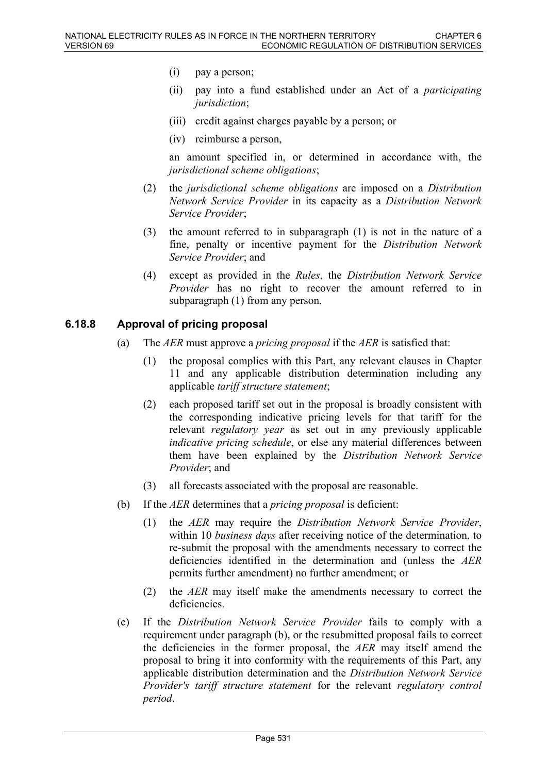- (i) pay a person;
- (ii) pay into a fund established under an Act of a *participating jurisdiction*;
- (iii) credit against charges payable by a person; or
- (iv) reimburse a person,

an amount specified in, or determined in accordance with, the *jurisdictional scheme obligations*;

- (2) the *jurisdictional scheme obligations* are imposed on a *Distribution Network Service Provider* in its capacity as a *Distribution Network Service Provider*;
- (3) the amount referred to in subparagraph (1) is not in the nature of a fine, penalty or incentive payment for the *Distribution Network Service Provider*; and
- (4) except as provided in the *Rules*, the *Distribution Network Service Provider* has no right to recover the amount referred to in subparagraph (1) from any person.

### **6.18.8 Approval of pricing proposal**

- (a) The *AER* must approve a *pricing proposal* if the *AER* is satisfied that:
	- (1) the proposal complies with this Part, any relevant clauses in Chapter 11 and any applicable distribution determination including any applicable *tariff structure statement*;
	- (2) each proposed tariff set out in the proposal is broadly consistent with the corresponding indicative pricing levels for that tariff for the relevant *regulatory year* as set out in any previously applicable *indicative pricing schedule*, or else any material differences between them have been explained by the *Distribution Network Service Provider*; and
	- (3) all forecasts associated with the proposal are reasonable.
- (b) If the *AER* determines that a *pricing proposal* is deficient:
	- (1) the *AER* may require the *Distribution Network Service Provider*, within 10 *business days* after receiving notice of the determination, to re-submit the proposal with the amendments necessary to correct the deficiencies identified in the determination and (unless the *AER* permits further amendment) no further amendment; or
	- (2) the *AER* may itself make the amendments necessary to correct the deficiencies.
- (c) If the *Distribution Network Service Provider* fails to comply with a requirement under paragraph (b), or the resubmitted proposal fails to correct the deficiencies in the former proposal, the *AER* may itself amend the proposal to bring it into conformity with the requirements of this Part, any applicable distribution determination and the *Distribution Network Service Provider's tariff structure statement* for the relevant *regulatory control period*.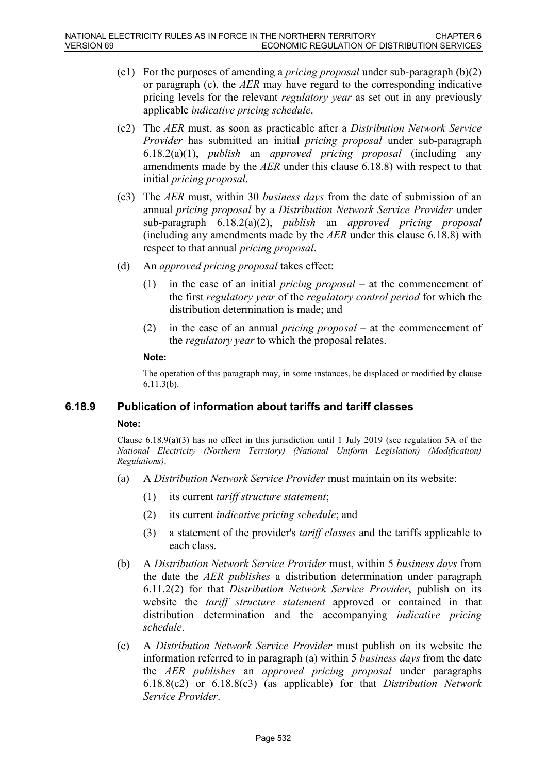- (c1) For the purposes of amending a *pricing proposal* under sub-paragraph (b)(2) or paragraph (c), the *AER* may have regard to the corresponding indicative pricing levels for the relevant *regulatory year* as set out in any previously applicable *indicative pricing schedule*.
- (c2) The *AER* must, as soon as practicable after a *Distribution Network Service Provider* has submitted an initial *pricing proposal* under sub-paragraph 6.18.2(a)(1), *publish* an *approved pricing proposal* (including any amendments made by the *AER* under this clause 6.18.8) with respect to that initial *pricing proposal*.
- (c3) The *AER* must, within 30 *business days* from the date of submission of an annual *pricing proposal* by a *Distribution Network Service Provider* under sub-paragraph 6.18.2(a)(2), *publish* an *approved pricing proposal* (including any amendments made by the *AER* under this clause 6.18.8) with respect to that annual *pricing proposal*.
- (d) An *approved pricing proposal* takes effect:
	- (1) in the case of an initial *pricing proposal* at the commencement of the first *regulatory year* of the *regulatory control period* for which the distribution determination is made; and
	- (2) in the case of an annual *pricing proposal* at the commencement of the *regulatory year* to which the proposal relates.

### **Note:**

The operation of this paragraph may, in some instances, be displaced or modified by clause 6.11.3(b).

## **6.18.9 Publication of information about tariffs and tariff classes**

### **Note:**

Clause 6.18.9(a)(3) has no effect in this jurisdiction until 1 July 2019 (see regulation 5A of the *National Electricity (Northern Territory) (National Uniform Legislation) (Modification) Regulations)*.

- (a) A *Distribution Network Service Provider* must maintain on its website:
	- (1) its current *tariff structure statement*;
	- (2) its current *indicative pricing schedule*; and
	- (3) a statement of the provider's *tariff classes* and the tariffs applicable to each class.
- (b) A *Distribution Network Service Provider* must, within 5 *business days* from the date the *AER publishes* a distribution determination under paragraph 6.11.2(2) for that *Distribution Network Service Provider*, publish on its website the *tariff structure statement* approved or contained in that distribution determination and the accompanying *indicative pricing schedule*.
- (c) A *Distribution Network Service Provider* must publish on its website the information referred to in paragraph (a) within 5 *business days* from the date the *AER publishes* an *approved pricing proposal* under paragraphs 6.18.8(c2) or 6.18.8(c3) (as applicable) for that *Distribution Network Service Provider*.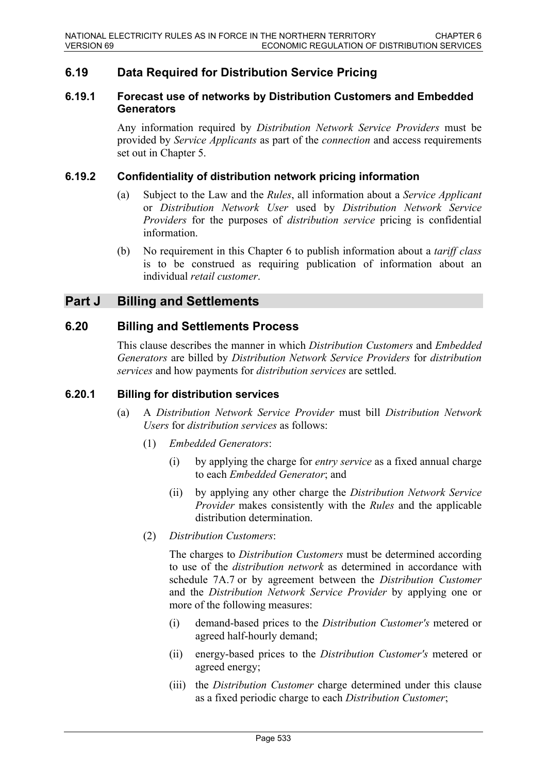# **6.19 Data Required for Distribution Service Pricing**

### **6.19.1 Forecast use of networks by Distribution Customers and Embedded Generators**

Any information required by *Distribution Network Service Providers* must be provided by *Service Applicants* as part of the *connection* and access requirements set out in Chapter 5.

### **6.19.2 Confidentiality of distribution network pricing information**

- (a) Subject to the Law and the *Rules*, all information about a *Service Applicant* or *Distribution Network User* used by *Distribution Network Service Providers* for the purposes of *distribution service* pricing is confidential information.
- (b) No requirement in this Chapter 6 to publish information about a *tariff class* is to be construed as requiring publication of information about an individual *retail customer*.

# **Part J Billing and Settlements**

## **6.20 Billing and Settlements Process**

This clause describes the manner in which *Distribution Customers* and *Embedded Generators* are billed by *Distribution Network Service Providers* for *distribution services* and how payments for *distribution services* are settled.

### **6.20.1 Billing for distribution services**

- (a) A *Distribution Network Service Provider* must bill *Distribution Network Users* for *distribution services* as follows:
	- (1) *Embedded Generators*:
		- (i) by applying the charge for *entry service* as a fixed annual charge to each *Embedded Generator*; and
		- (ii) by applying any other charge the *Distribution Network Service Provider* makes consistently with the *Rules* and the applicable distribution determination.
	- (2) *Distribution Customers*:

The charges to *Distribution Customers* must be determined according to use of the *distribution network* as determined in accordance with schedule 7A.7 or by agreement between the *Distribution Customer* and the *Distribution Network Service Provider* by applying one or more of the following measures:

- (i) demand-based prices to the *Distribution Customer's* metered or agreed half-hourly demand;
- (ii) energy-based prices to the *Distribution Customer's* metered or agreed energy;
- (iii) the *Distribution Customer* charge determined under this clause as a fixed periodic charge to each *Distribution Customer*;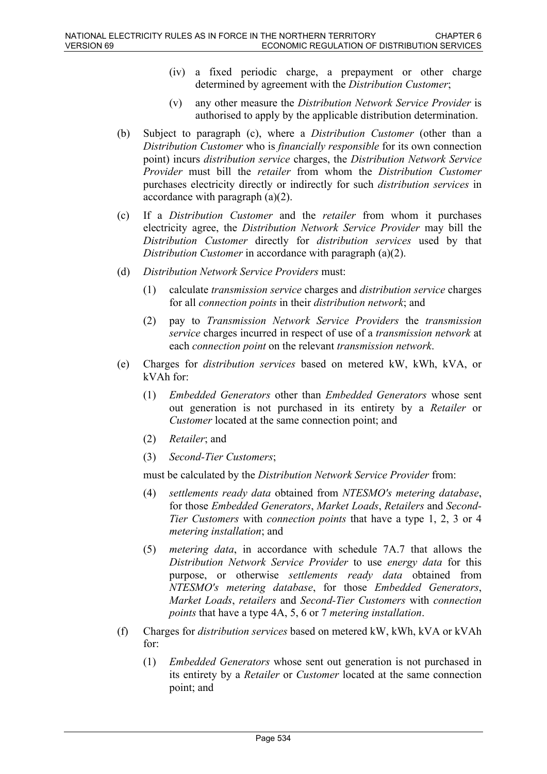- (iv) a fixed periodic charge, a prepayment or other charge determined by agreement with the *Distribution Customer*;
- (v) any other measure the *Distribution Network Service Provider* is authorised to apply by the applicable distribution determination.
- (b) Subject to paragraph (c), where a *Distribution Customer* (other than a *Distribution Customer* who is *financially responsible* for its own connection point) incurs *distribution service* charges, the *Distribution Network Service Provider* must bill the *retailer* from whom the *Distribution Customer* purchases electricity directly or indirectly for such *distribution services* in accordance with paragraph (a)(2).
- (c) If a *Distribution Customer* and the *retailer* from whom it purchases electricity agree, the *Distribution Network Service Provider* may bill the *Distribution Customer* directly for *distribution services* used by that *Distribution Customer* in accordance with paragraph (a)(2).
- (d) *Distribution Network Service Providers* must:
	- (1) calculate *transmission service* charges and *distribution service* charges for all *connection points* in their *distribution network*; and
	- (2) pay to *Transmission Network Service Providers* the *transmission service* charges incurred in respect of use of a *transmission network* at each *connection point* on the relevant *transmission network*.
- (e) Charges for *distribution services* based on metered kW, kWh, kVA, or kVAh for:
	- (1) *Embedded Generators* other than *Embedded Generators* whose sent out generation is not purchased in its entirety by a *Retailer* or *Customer* located at the same connection point; and
	- (2) *Retailer*; and
	- (3) *Second-Tier Customers*;

must be calculated by the *Distribution Network Service Provider* from:

- (4) *settlements ready data* obtained from *NTESMO's metering database*, for those *Embedded Generators*, *Market Loads*, *Retailers* and *Second-Tier Customers* with *connection points* that have a type 1, 2, 3 or 4 *metering installation*; and
- (5) *metering data*, in accordance with schedule 7A.7 that allows the *Distribution Network Service Provider* to use *energy data* for this purpose, or otherwise *settlements ready data* obtained from *NTESMO's metering database*, for those *Embedded Generators*, *Market Loads*, *retailers* and *Second-Tier Customers* with *connection points* that have a type 4A, 5, 6 or 7 *metering installation*.
- (f) Charges for *distribution services* based on metered kW, kWh, kVA or kVAh for:
	- (1) *Embedded Generators* whose sent out generation is not purchased in its entirety by a *Retailer* or *Customer* located at the same connection point; and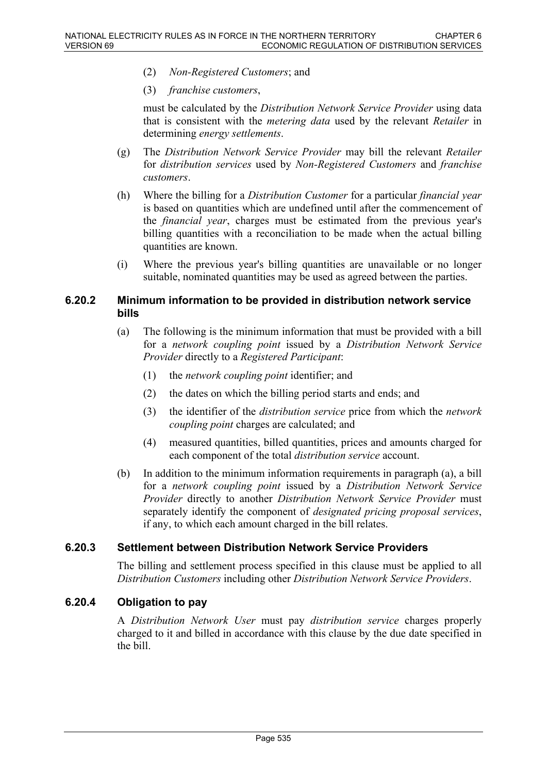- (2) *Non-Registered Customers*; and
- (3) *franchise customers*,

must be calculated by the *Distribution Network Service Provider* using data that is consistent with the *metering data* used by the relevant *Retailer* in determining *energy settlements*.

- (g) The *Distribution Network Service Provider* may bill the relevant *Retailer* for *distribution services* used by *Non-Registered Customers* and *franchise customers*.
- (h) Where the billing for a *Distribution Customer* for a particular *financial year* is based on quantities which are undefined until after the commencement of the *financial year*, charges must be estimated from the previous year's billing quantities with a reconciliation to be made when the actual billing quantities are known.
- (i) Where the previous year's billing quantities are unavailable or no longer suitable, nominated quantities may be used as agreed between the parties.

### **6.20.2 Minimum information to be provided in distribution network service bills**

- (a) The following is the minimum information that must be provided with a bill for a *network coupling point* issued by a *Distribution Network Service Provider* directly to a *Registered Participant*:
	- (1) the *network coupling point* identifier; and
	- (2) the dates on which the billing period starts and ends; and
	- (3) the identifier of the *distribution service* price from which the *network coupling point* charges are calculated; and
	- (4) measured quantities, billed quantities, prices and amounts charged for each component of the total *distribution service* account.
- (b) In addition to the minimum information requirements in paragraph (a), a bill for a *network coupling point* issued by a *Distribution Network Service Provider* directly to another *Distribution Network Service Provider* must separately identify the component of *designated pricing proposal services*, if any, to which each amount charged in the bill relates.

## **6.20.3 Settlement between Distribution Network Service Providers**

The billing and settlement process specified in this clause must be applied to all *Distribution Customers* including other *Distribution Network Service Providers*.

## **6.20.4 Obligation to pay**

A *Distribution Network User* must pay *distribution service* charges properly charged to it and billed in accordance with this clause by the due date specified in the bill.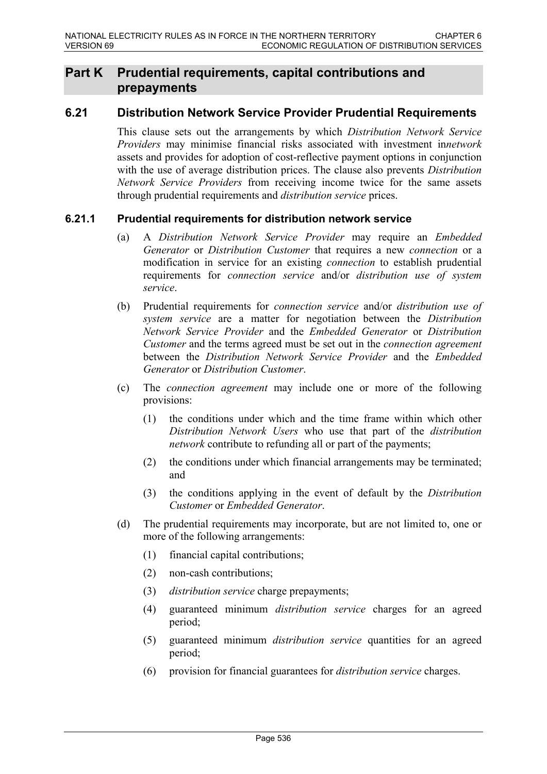# **Part K Prudential requirements, capital contributions and prepayments**

# **6.21 Distribution Network Service Provider Prudential Requirements**

This clause sets out the arrangements by which *Distribution Network Service Providers* may minimise financial risks associated with investment in*network* assets and provides for adoption of cost-reflective payment options in conjunction with the use of average distribution prices. The clause also prevents *Distribution Network Service Providers* from receiving income twice for the same assets through prudential requirements and *distribution service* prices.

## **6.21.1 Prudential requirements for distribution network service**

- (a) A *Distribution Network Service Provider* may require an *Embedded Generator* or *Distribution Customer* that requires a new *connection* or a modification in service for an existing *connection* to establish prudential requirements for *connection service* and/or *distribution use of system service*.
- (b) Prudential requirements for *connection service* and/or *distribution use of system service* are a matter for negotiation between the *Distribution Network Service Provider* and the *Embedded Generator* or *Distribution Customer* and the terms agreed must be set out in the *connection agreement* between the *Distribution Network Service Provider* and the *Embedded Generator* or *Distribution Customer*.
- (c) The *connection agreement* may include one or more of the following provisions:
	- (1) the conditions under which and the time frame within which other *Distribution Network Users* who use that part of the *distribution network* contribute to refunding all or part of the payments;
	- (2) the conditions under which financial arrangements may be terminated; and
	- (3) the conditions applying in the event of default by the *Distribution Customer* or *Embedded Generator*.
- (d) The prudential requirements may incorporate, but are not limited to, one or more of the following arrangements:
	- (1) financial capital contributions;
	- (2) non-cash contributions;
	- (3) *distribution service* charge prepayments;
	- (4) guaranteed minimum *distribution service* charges for an agreed period;
	- (5) guaranteed minimum *distribution service* quantities for an agreed period;
	- (6) provision for financial guarantees for *distribution service* charges.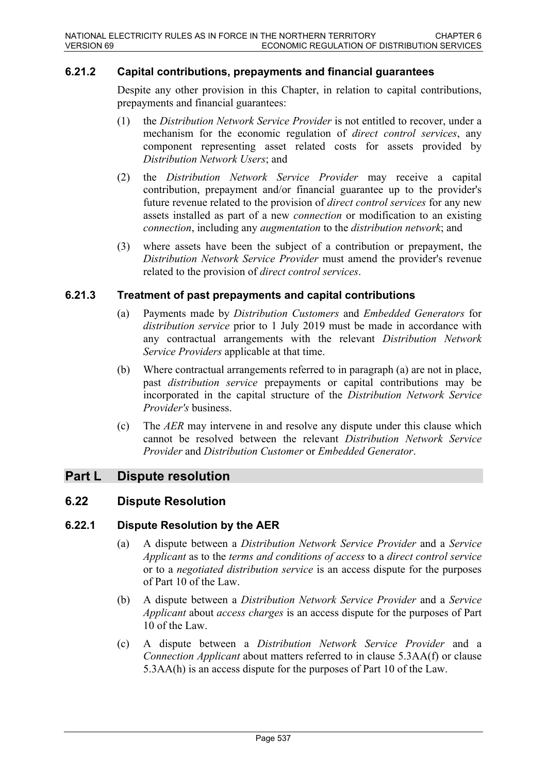### **6.21.2 Capital contributions, prepayments and financial guarantees**

Despite any other provision in this Chapter, in relation to capital contributions, prepayments and financial guarantees:

- (1) the *Distribution Network Service Provider* is not entitled to recover, under a mechanism for the economic regulation of *direct control services*, any component representing asset related costs for assets provided by *Distribution Network Users*; and
- (2) the *Distribution Network Service Provider* may receive a capital contribution, prepayment and/or financial guarantee up to the provider's future revenue related to the provision of *direct control services* for any new assets installed as part of a new *connection* or modification to an existing *connection*, including any *augmentation* to the *distribution network*; and
- (3) where assets have been the subject of a contribution or prepayment, the *Distribution Network Service Provider* must amend the provider's revenue related to the provision of *direct control services*.

### **6.21.3 Treatment of past prepayments and capital contributions**

- (a) Payments made by *Distribution Customers* and *Embedded Generators* for *distribution service* prior to 1 July 2019 must be made in accordance with any contractual arrangements with the relevant *Distribution Network Service Providers* applicable at that time.
- (b) Where contractual arrangements referred to in paragraph (a) are not in place, past *distribution service* prepayments or capital contributions may be incorporated in the capital structure of the *Distribution Network Service Provider's* business.
- (c) The *AER* may intervene in and resolve any dispute under this clause which cannot be resolved between the relevant *Distribution Network Service Provider* and *Distribution Customer* or *Embedded Generator*.

# **Part L Dispute resolution**

## **6.22 Dispute Resolution**

### **6.22.1 Dispute Resolution by the AER**

- (a) A dispute between a *Distribution Network Service Provider* and a *Service Applicant* as to the *terms and conditions of access* to a *direct control service* or to a *negotiated distribution service* is an access dispute for the purposes of Part 10 of the Law.
- (b) A dispute between a *Distribution Network Service Provider* and a *Service Applicant* about *access charges* is an access dispute for the purposes of Part 10 of the Law.
- (c) A dispute between a *Distribution Network Service Provider* and a *Connection Applicant* about matters referred to in clause 5.3AA(f) or clause 5.3AA(h) is an access dispute for the purposes of Part 10 of the Law.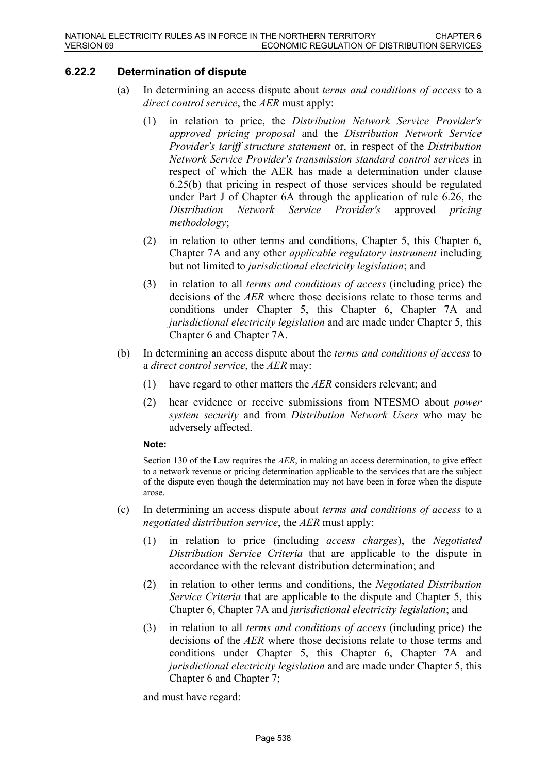# **6.22.2 Determination of dispute**

- (a) In determining an access dispute about *terms and conditions of access* to a *direct control service*, the *AER* must apply:
	- (1) in relation to price, the *Distribution Network Service Provider's approved pricing proposal* and the *Distribution Network Service Provider's tariff structure statement* or, in respect of the *Distribution Network Service Provider's transmission standard control services* in respect of which the AER has made a determination under clause 6.25(b) that pricing in respect of those services should be regulated under Part J of Chapter 6A through the application of rule 6.26, the *Distribution Network Service Provider's* approved *pricing methodology*;
	- (2) in relation to other terms and conditions, Chapter 5, this Chapter 6, Chapter 7A and any other *applicable regulatory instrument* including but not limited to *jurisdictional electricity legislation*; and
	- (3) in relation to all *terms and conditions of access* (including price) the decisions of the *AER* where those decisions relate to those terms and conditions under Chapter 5, this Chapter 6, Chapter 7A and *jurisdictional electricity legislation* and are made under Chapter 5, this Chapter 6 and Chapter 7A.
- (b) In determining an access dispute about the *terms and conditions of access* to a *direct control service*, the *AER* may:
	- (1) have regard to other matters the *AER* considers relevant; and
	- (2) hear evidence or receive submissions from NTESMO about *power system security* and from *Distribution Network Users* who may be adversely affected.

### **Note:**

Section 130 of the Law requires the *AER*, in making an access determination, to give effect to a network revenue or pricing determination applicable to the services that are the subject of the dispute even though the determination may not have been in force when the dispute arose.

- (c) In determining an access dispute about *terms and conditions of access* to a *negotiated distribution service*, the *AER* must apply:
	- (1) in relation to price (including *access charges*), the *Negotiated Distribution Service Criteria* that are applicable to the dispute in accordance with the relevant distribution determination; and
	- (2) in relation to other terms and conditions, the *Negotiated Distribution Service Criteria* that are applicable to the dispute and Chapter 5, this Chapter 6, Chapter 7A and *jurisdictional electricity legislation*; and
	- (3) in relation to all *terms and conditions of access* (including price) the decisions of the *AER* where those decisions relate to those terms and conditions under Chapter 5, this Chapter 6, Chapter 7A and *jurisdictional electricity legislation* and are made under Chapter 5, this Chapter 6 and Chapter 7;

and must have regard: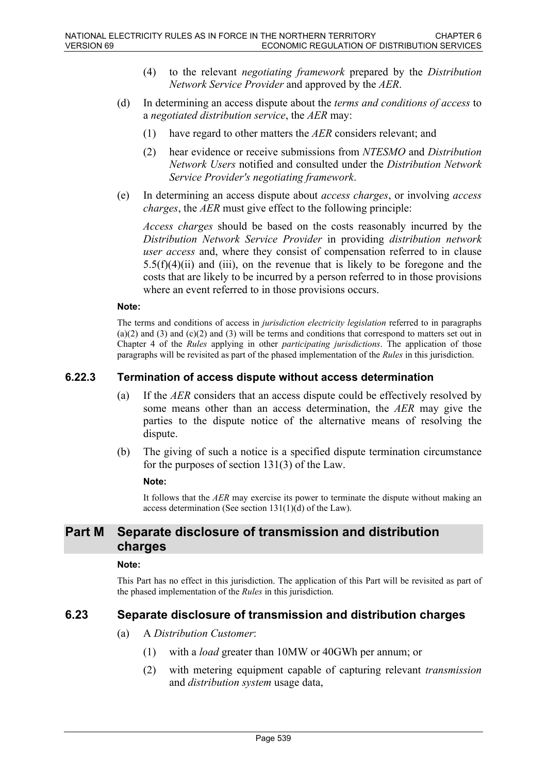- (4) to the relevant *negotiating framework* prepared by the *Distribution Network Service Provider* and approved by the *AER*.
- (d) In determining an access dispute about the *terms and conditions of access* to a *negotiated distribution service*, the *AER* may:
	- (1) have regard to other matters the *AER* considers relevant; and
	- (2) hear evidence or receive submissions from *NTESMO* and *Distribution Network Users* notified and consulted under the *Distribution Network Service Provider's negotiating framework*.
- (e) In determining an access dispute about *access charges*, or involving *access charges*, the *AER* must give effect to the following principle:

*Access charges* should be based on the costs reasonably incurred by the *Distribution Network Service Provider* in providing *distribution network user access* and, where they consist of compensation referred to in clause  $5.5(f)(4)(ii)$  and (iii), on the revenue that is likely to be foregone and the costs that are likely to be incurred by a person referred to in those provisions where an event referred to in those provisions occurs.

#### **Note:**

The terms and conditions of access in *jurisdiction electricity legislation* referred to in paragraphs  $(a)(2)$  and  $(3)$  and  $(c)(2)$  and  $(3)$  will be terms and conditions that correspond to matters set out in Chapter 4 of the *Rules* applying in other *participating jurisdictions*. The application of those paragraphs will be revisited as part of the phased implementation of the *Rules* in this jurisdiction.

### **6.22.3 Termination of access dispute without access determination**

- (a) If the *AER* considers that an access dispute could be effectively resolved by some means other than an access determination, the *AER* may give the parties to the dispute notice of the alternative means of resolving the dispute.
- (b) The giving of such a notice is a specified dispute termination circumstance for the purposes of section 131(3) of the Law.

#### **Note:**

It follows that the *AER* may exercise its power to terminate the dispute without making an access determination (See section 131(1)(d) of the Law).

# **Part M Separate disclosure of transmission and distribution charges**

#### **Note:**

This Part has no effect in this jurisdiction. The application of this Part will be revisited as part of the phased implementation of the *Rules* in this jurisdiction.

## **6.23 Separate disclosure of transmission and distribution charges**

- (a) A *Distribution Customer*:
	- (1) with a *load* greater than 10MW or 40GWh per annum; or
	- (2) with metering equipment capable of capturing relevant *transmission* and *distribution system* usage data,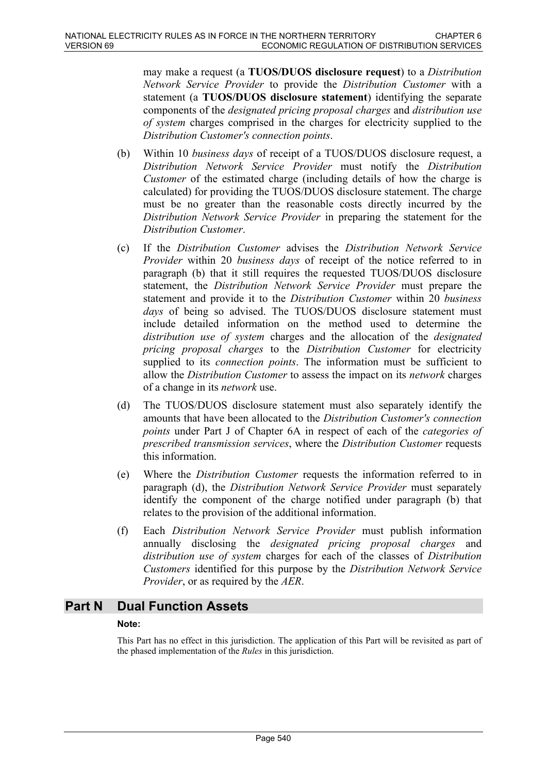may make a request (a **TUOS/DUOS disclosure request**) to a *Distribution Network Service Provider* to provide the *Distribution Customer* with a statement (a **TUOS/DUOS disclosure statement**) identifying the separate components of the *designated pricing proposal charges* and *distribution use of system* charges comprised in the charges for electricity supplied to the *Distribution Customer's connection points*.

- (b) Within 10 *business days* of receipt of a TUOS/DUOS disclosure request, a *Distribution Network Service Provider* must notify the *Distribution Customer* of the estimated charge (including details of how the charge is calculated) for providing the TUOS/DUOS disclosure statement. The charge must be no greater than the reasonable costs directly incurred by the *Distribution Network Service Provider* in preparing the statement for the *Distribution Customer*.
- (c) If the *Distribution Customer* advises the *Distribution Network Service Provider* within 20 *business days* of receipt of the notice referred to in paragraph (b) that it still requires the requested TUOS/DUOS disclosure statement, the *Distribution Network Service Provider* must prepare the statement and provide it to the *Distribution Customer* within 20 *business days* of being so advised. The TUOS/DUOS disclosure statement must include detailed information on the method used to determine the *distribution use of system* charges and the allocation of the *designated pricing proposal charges* to the *Distribution Customer* for electricity supplied to its *connection points*. The information must be sufficient to allow the *Distribution Customer* to assess the impact on its *network* charges of a change in its *network* use.
- (d) The TUOS/DUOS disclosure statement must also separately identify the amounts that have been allocated to the *Distribution Customer's connection points* under Part J of Chapter 6A in respect of each of the *categories of prescribed transmission services*, where the *Distribution Customer* requests this information.
- (e) Where the *Distribution Customer* requests the information referred to in paragraph (d), the *Distribution Network Service Provider* must separately identify the component of the charge notified under paragraph (b) that relates to the provision of the additional information.
- (f) Each *Distribution Network Service Provider* must publish information annually disclosing the *designated pricing proposal charges* and *distribution use of system* charges for each of the classes of *Distribution Customers* identified for this purpose by the *Distribution Network Service Provider*, or as required by the *AER*.

## **Part N Dual Function Assets**

#### **Note:**

This Part has no effect in this jurisdiction. The application of this Part will be revisited as part of the phased implementation of the *Rules* in this jurisdiction.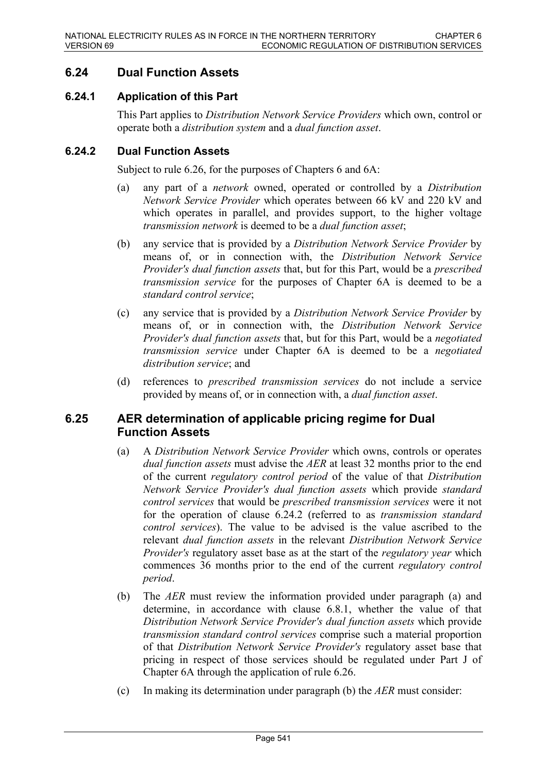# **6.24 Dual Function Assets**

## **6.24.1 Application of this Part**

This Part applies to *Distribution Network Service Providers* which own, control or operate both a *distribution system* and a *dual function asset*.

## **6.24.2 Dual Function Assets**

Subject to rule 6.26, for the purposes of Chapters 6 and 6A:

- (a) any part of a *network* owned, operated or controlled by a *Distribution Network Service Provider* which operates between 66 kV and 220 kV and which operates in parallel, and provides support, to the higher voltage *transmission network* is deemed to be a *dual function asset*;
- (b) any service that is provided by a *Distribution Network Service Provider* by means of, or in connection with, the *Distribution Network Service Provider's dual function assets* that, but for this Part, would be a *prescribed transmission service* for the purposes of Chapter 6A is deemed to be a *standard control service*;
- (c) any service that is provided by a *Distribution Network Service Provider* by means of, or in connection with, the *Distribution Network Service Provider's dual function assets* that, but for this Part, would be a *negotiated transmission service* under Chapter 6A is deemed to be a *negotiated distribution service*; and
- (d) references to *prescribed transmission services* do not include a service provided by means of, or in connection with, a *dual function asset*.

## **6.25 AER determination of applicable pricing regime for Dual Function Assets**

- (a) A *Distribution Network Service Provider* which owns, controls or operates *dual function assets* must advise the *AER* at least 32 months prior to the end of the current *regulatory control period* of the value of that *Distribution Network Service Provider's dual function assets* which provide *standard control services* that would be *prescribed transmission services* were it not for the operation of clause 6.24.2 (referred to as *transmission standard control services*). The value to be advised is the value ascribed to the relevant *dual function assets* in the relevant *Distribution Network Service Provider's* regulatory asset base as at the start of the *regulatory year* which commences 36 months prior to the end of the current *regulatory control period*.
- (b) The *AER* must review the information provided under paragraph (a) and determine, in accordance with clause 6.8.1, whether the value of that *Distribution Network Service Provider's dual function assets* which provide *transmission standard control services* comprise such a material proportion of that *Distribution Network Service Provider's* regulatory asset base that pricing in respect of those services should be regulated under Part J of Chapter 6A through the application of rule 6.26.
- (c) In making its determination under paragraph (b) the *AER* must consider: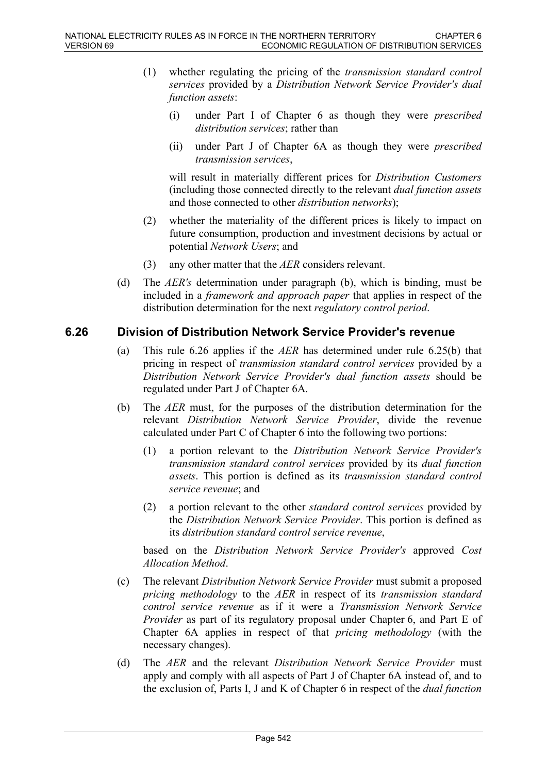- (1) whether regulating the pricing of the *transmission standard control services* provided by a *Distribution Network Service Provider's dual function assets*:
	- (i) under Part I of Chapter 6 as though they were *prescribed distribution services*; rather than
	- (ii) under Part J of Chapter 6A as though they were *prescribed transmission services*,

will result in materially different prices for *Distribution Customers* (including those connected directly to the relevant *dual function assets* and those connected to other *distribution networks*);

- (2) whether the materiality of the different prices is likely to impact on future consumption, production and investment decisions by actual or potential *Network Users*; and
- (3) any other matter that the *AER* considers relevant.
- (d) The *AER's* determination under paragraph (b), which is binding, must be included in a *framework and approach paper* that applies in respect of the distribution determination for the next *regulatory control period*.

## **6.26 Division of Distribution Network Service Provider's revenue**

- (a) This rule 6.26 applies if the *AER* has determined under rule 6.25(b) that pricing in respect of *transmission standard control services* provided by a *Distribution Network Service Provider's dual function assets* should be regulated under Part J of Chapter 6A.
- (b) The *AER* must, for the purposes of the distribution determination for the relevant *Distribution Network Service Provider*, divide the revenue calculated under Part C of Chapter 6 into the following two portions:
	- (1) a portion relevant to the *Distribution Network Service Provider's transmission standard control services* provided by its *dual function assets*. This portion is defined as its *transmission standard control service revenue*; and
	- (2) a portion relevant to the other *standard control services* provided by the *Distribution Network Service Provider*. This portion is defined as its *distribution standard control service revenue*,

based on the *Distribution Network Service Provider's* approved *Cost Allocation Method*.

- (c) The relevant *Distribution Network Service Provider* must submit a proposed *pricing methodology* to the *AER* in respect of its *transmission standard control service revenue* as if it were a *Transmission Network Service Provider* as part of its regulatory proposal under Chapter 6, and Part E of Chapter 6A applies in respect of that *pricing methodology* (with the necessary changes).
- (d) The *AER* and the relevant *Distribution Network Service Provider* must apply and comply with all aspects of Part J of Chapter 6A instead of, and to the exclusion of, Parts I, J and K of Chapter 6 in respect of the *dual function*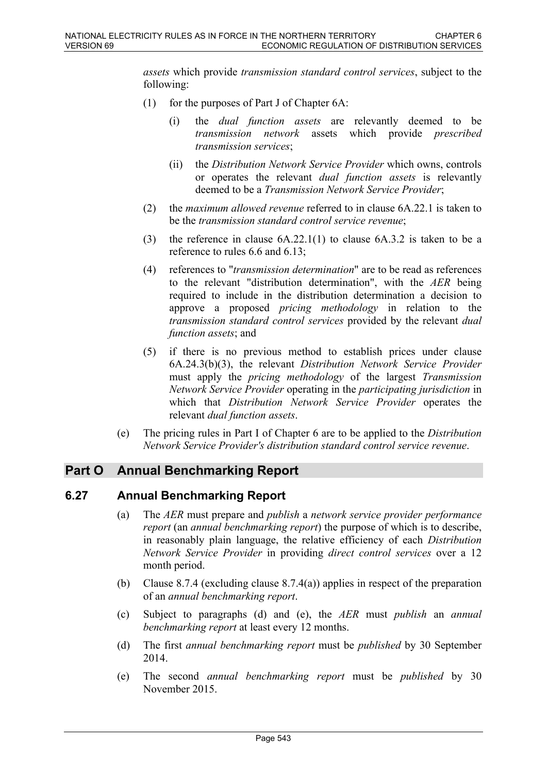*assets* which provide *transmission standard control services*, subject to the following:

- (1) for the purposes of Part J of Chapter 6A:
	- (i) the *dual function assets* are relevantly deemed to be *transmission network* assets which provide *prescribed transmission services*;
	- (ii) the *Distribution Network Service Provider* which owns, controls or operates the relevant *dual function assets* is relevantly deemed to be a *Transmission Network Service Provider*;
- (2) the *maximum allowed revenue* referred to in clause 6A.22.1 is taken to be the *transmission standard control service revenue*;
- (3) the reference in clause 6A.22.1(1) to clause 6A.3.2 is taken to be a reference to rules 6.6 and 6.13;
- (4) references to "*transmission determination*" are to be read as references to the relevant "distribution determination", with the *AER* being required to include in the distribution determination a decision to approve a proposed *pricing methodology* in relation to the *transmission standard control services* provided by the relevant *dual function assets*; and
- (5) if there is no previous method to establish prices under clause 6A.24.3(b)(3), the relevant *Distribution Network Service Provider* must apply the *pricing methodology* of the largest *Transmission Network Service Provider* operating in the *participating jurisdiction* in which that *Distribution Network Service Provider* operates the relevant *dual function assets*.
- (e) The pricing rules in Part I of Chapter 6 are to be applied to the *Distribution Network Service Provider's distribution standard control service revenue*.

## **Part O Annual Benchmarking Report**

## **6.27 Annual Benchmarking Report**

- (a) The *AER* must prepare and *publish* a *network service provider performance report* (an *annual benchmarking report*) the purpose of which is to describe, in reasonably plain language, the relative efficiency of each *Distribution Network Service Provider* in providing *direct control services* over a 12 month period.
- (b) Clause 8.7.4 (excluding clause 8.7.4(a)) applies in respect of the preparation of an *annual benchmarking report*.
- (c) Subject to paragraphs (d) and (e), the *AER* must *publish* an *annual benchmarking report* at least every 12 months.
- (d) The first *annual benchmarking report* must be *published* by 30 September 2014.
- (e) The second *annual benchmarking report* must be *published* by 30 November 2015.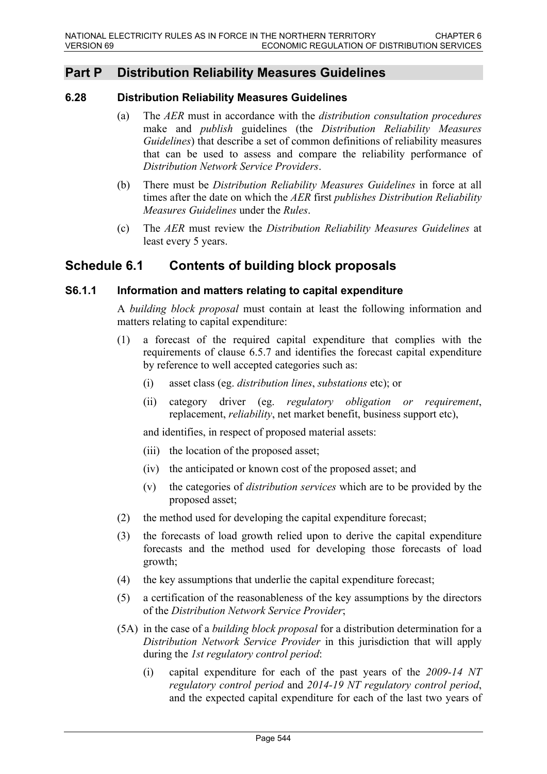# **Part P Distribution Reliability Measures Guidelines**

## **6.28 Distribution Reliability Measures Guidelines**

- (a) The *AER* must in accordance with the *distribution consultation procedures* make and *publish* guidelines (the *Distribution Reliability Measures Guidelines*) that describe a set of common definitions of reliability measures that can be used to assess and compare the reliability performance of *Distribution Network Service Providers*.
- (b) There must be *Distribution Reliability Measures Guidelines* in force at all times after the date on which the *AER* first *publishes Distribution Reliability Measures Guidelines* under the *Rules*.
- (c) The *AER* must review the *Distribution Reliability Measures Guidelines* at least every 5 years.

# **Schedule 6.1 Contents of building block proposals**

### **S6.1.1 Information and matters relating to capital expenditure**

A *building block proposal* must contain at least the following information and matters relating to capital expenditure:

- (1) a forecast of the required capital expenditure that complies with the requirements of clause 6.5.7 and identifies the forecast capital expenditure by reference to well accepted categories such as:
	- (i) asset class (eg. *distribution lines*, *substations* etc); or
	- (ii) category driver (eg. *regulatory obligation or requirement*, replacement, *reliability*, net market benefit, business support etc),

and identifies, in respect of proposed material assets:

- (iii) the location of the proposed asset;
- (iv) the anticipated or known cost of the proposed asset; and
- (v) the categories of *distribution services* which are to be provided by the proposed asset;
- (2) the method used for developing the capital expenditure forecast;
- (3) the forecasts of load growth relied upon to derive the capital expenditure forecasts and the method used for developing those forecasts of load growth;
- (4) the key assumptions that underlie the capital expenditure forecast;
- (5) a certification of the reasonableness of the key assumptions by the directors of the *Distribution Network Service Provider*;
- (5A) in the case of a *building block proposal* for a distribution determination for a *Distribution Network Service Provider* in this jurisdiction that will apply during the *1st regulatory control period*:
	- (i) capital expenditure for each of the past years of the *2009-14 NT regulatory control period* and *2014-19 NT regulatory control period*, and the expected capital expenditure for each of the last two years of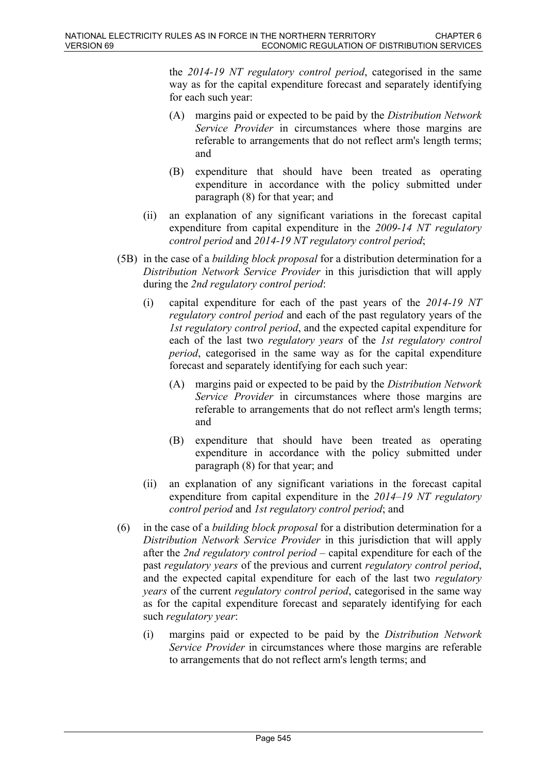the *2014-19 NT regulatory control period*, categorised in the same way as for the capital expenditure forecast and separately identifying for each such year:

- (A) margins paid or expected to be paid by the *Distribution Network Service Provider* in circumstances where those margins are referable to arrangements that do not reflect arm's length terms; and
- (B) expenditure that should have been treated as operating expenditure in accordance with the policy submitted under paragraph (8) for that year; and
- (ii) an explanation of any significant variations in the forecast capital expenditure from capital expenditure in the *2009-14 NT regulatory control period* and *2014-19 NT regulatory control period*;
- (5B) in the case of a *building block proposal* for a distribution determination for a *Distribution Network Service Provider* in this jurisdiction that will apply during the *2nd regulatory control period*:
	- (i) capital expenditure for each of the past years of the *2014-19 NT regulatory control period* and each of the past regulatory years of the *1st regulatory control period*, and the expected capital expenditure for each of the last two *regulatory years* of the *1st regulatory control period*, categorised in the same way as for the capital expenditure forecast and separately identifying for each such year:
		- (A) margins paid or expected to be paid by the *Distribution Network Service Provider* in circumstances where those margins are referable to arrangements that do not reflect arm's length terms; and
		- (B) expenditure that should have been treated as operating expenditure in accordance with the policy submitted under paragraph (8) for that year; and
	- (ii) an explanation of any significant variations in the forecast capital expenditure from capital expenditure in the *2014–19 NT regulatory control period* and *1st regulatory control period*; and
- (6) in the case of a *building block proposal* for a distribution determination for a *Distribution Network Service Provider* in this jurisdiction that will apply after the *2nd regulatory control period* – capital expenditure for each of the past *regulatory years* of the previous and current *regulatory control period*, and the expected capital expenditure for each of the last two *regulatory years* of the current *regulatory control period*, categorised in the same way as for the capital expenditure forecast and separately identifying for each such *regulatory year*:
	- (i) margins paid or expected to be paid by the *Distribution Network Service Provider* in circumstances where those margins are referable to arrangements that do not reflect arm's length terms; and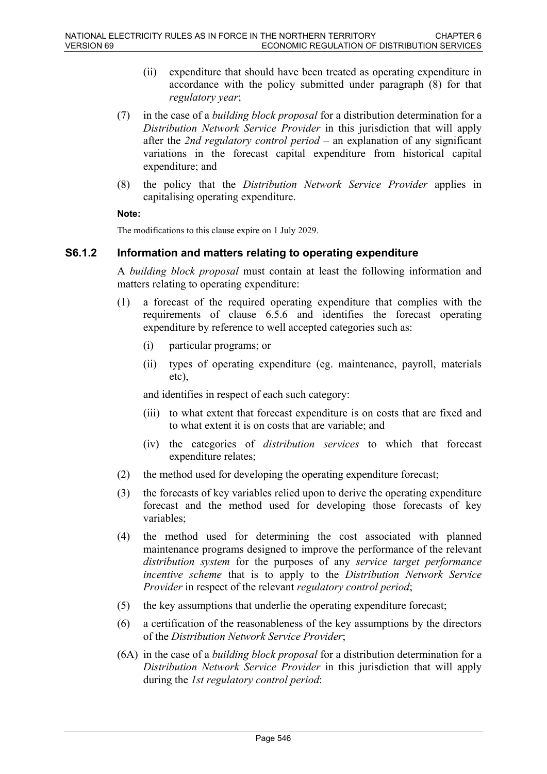- (ii) expenditure that should have been treated as operating expenditure in accordance with the policy submitted under paragraph (8) for that *regulatory year*;
- (7) in the case of a *building block proposal* for a distribution determination for a *Distribution Network Service Provider* in this jurisdiction that will apply after the *2nd regulatory control period* – an explanation of any significant variations in the forecast capital expenditure from historical capital expenditure; and
- (8) the policy that the *Distribution Network Service Provider* applies in capitalising operating expenditure.

#### **Note:**

The modifications to this clause expire on 1 July 2029.

## **S6.1.2 Information and matters relating to operating expenditure**

A *building block proposal* must contain at least the following information and matters relating to operating expenditure:

- (1) a forecast of the required operating expenditure that complies with the requirements of clause 6.5.6 and identifies the forecast operating expenditure by reference to well accepted categories such as:
	- (i) particular programs; or
	- (ii) types of operating expenditure (eg. maintenance, payroll, materials etc),

and identifies in respect of each such category:

- (iii) to what extent that forecast expenditure is on costs that are fixed and to what extent it is on costs that are variable; and
- (iv) the categories of *distribution services* to which that forecast expenditure relates;
- (2) the method used for developing the operating expenditure forecast;
- (3) the forecasts of key variables relied upon to derive the operating expenditure forecast and the method used for developing those forecasts of key variables;
- (4) the method used for determining the cost associated with planned maintenance programs designed to improve the performance of the relevant *distribution system* for the purposes of any *service target performance incentive scheme* that is to apply to the *Distribution Network Service Provider* in respect of the relevant *regulatory control period*;
- (5) the key assumptions that underlie the operating expenditure forecast;
- (6) a certification of the reasonableness of the key assumptions by the directors of the *Distribution Network Service Provider*;
- (6A) in the case of a *building block proposal* for a distribution determination for a *Distribution Network Service Provider* in this jurisdiction that will apply during the *1st regulatory control period*: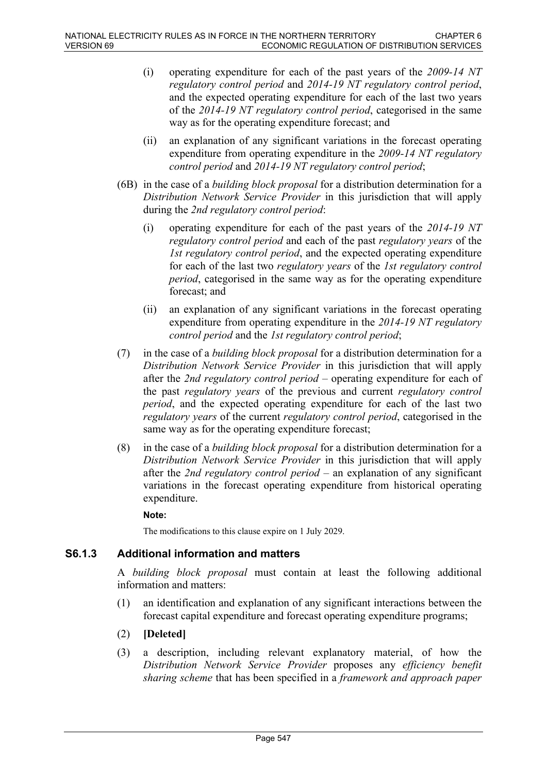- (i) operating expenditure for each of the past years of the *2009-14 NT regulatory control period* and *2014-19 NT regulatory control period*, and the expected operating expenditure for each of the last two years of the *2014-19 NT regulatory control period*, categorised in the same way as for the operating expenditure forecast; and
- (ii) an explanation of any significant variations in the forecast operating expenditure from operating expenditure in the *2009-14 NT regulatory control period* and *2014-19 NT regulatory control period*;
- (6B) in the case of a *building block proposal* for a distribution determination for a *Distribution Network Service Provider* in this jurisdiction that will apply during the *2nd regulatory control period*:
	- (i) operating expenditure for each of the past years of the *2014-19 NT regulatory control period* and each of the past *regulatory years* of the *1st regulatory control period*, and the expected operating expenditure for each of the last two *regulatory years* of the *1st regulatory control period*, categorised in the same way as for the operating expenditure forecast; and
	- (ii) an explanation of any significant variations in the forecast operating expenditure from operating expenditure in the *2014-19 NT regulatory control period* and the *1st regulatory control period*;
- (7) in the case of a *building block proposal* for a distribution determination for a *Distribution Network Service Provider* in this jurisdiction that will apply after the *2nd regulatory control period* – operating expenditure for each of the past *regulatory years* of the previous and current *regulatory control period*, and the expected operating expenditure for each of the last two *regulatory years* of the current *regulatory control period*, categorised in the same way as for the operating expenditure forecast;
- (8) in the case of a *building block proposal* for a distribution determination for a *Distribution Network Service Provider* in this jurisdiction that will apply after the *2nd regulatory control period* – an explanation of any significant variations in the forecast operating expenditure from historical operating expenditure.

#### **Note:**

The modifications to this clause expire on 1 July 2029.

## **S6.1.3 Additional information and matters**

A *building block proposal* must contain at least the following additional information and matters:

- (1) an identification and explanation of any significant interactions between the forecast capital expenditure and forecast operating expenditure programs;
- (2) **[Deleted]**
- (3) a description, including relevant explanatory material, of how the *Distribution Network Service Provider* proposes any *efficiency benefit sharing scheme* that has been specified in a *framework and approach paper*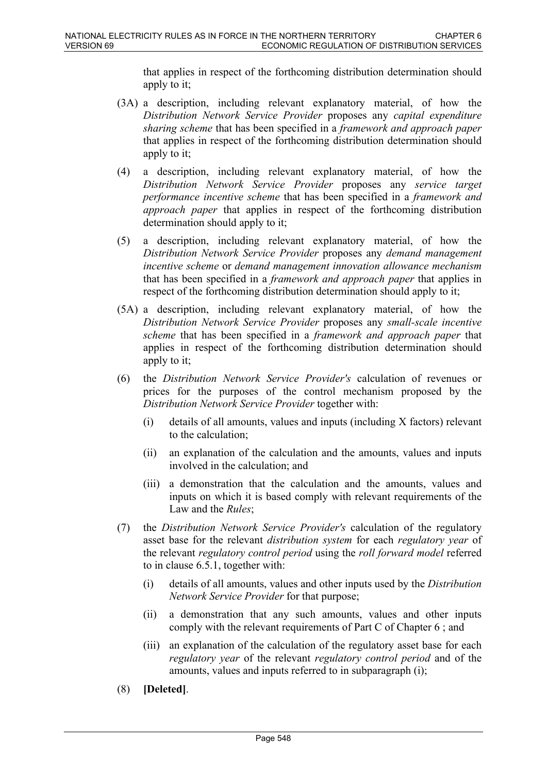that applies in respect of the forthcoming distribution determination should apply to it;

- (3A) a description, including relevant explanatory material, of how the *Distribution Network Service Provider* proposes any *capital expenditure sharing scheme* that has been specified in a *framework and approach paper* that applies in respect of the forthcoming distribution determination should apply to it;
- (4) a description, including relevant explanatory material, of how the *Distribution Network Service Provider* proposes any *service target performance incentive scheme* that has been specified in a *framework and approach paper* that applies in respect of the forthcoming distribution determination should apply to it;
- (5) a description, including relevant explanatory material, of how the *Distribution Network Service Provider* proposes any *demand management incentive scheme* or *demand management innovation allowance mechanism* that has been specified in a *framework and approach paper* that applies in respect of the forthcoming distribution determination should apply to it;
- (5A) a description, including relevant explanatory material, of how the *Distribution Network Service Provider* proposes any *small-scale incentive scheme* that has been specified in a *framework and approach paper* that applies in respect of the forthcoming distribution determination should apply to it;
- (6) the *Distribution Network Service Provider's* calculation of revenues or prices for the purposes of the control mechanism proposed by the *Distribution Network Service Provider* together with:
	- (i) details of all amounts, values and inputs (including X factors) relevant to the calculation;
	- (ii) an explanation of the calculation and the amounts, values and inputs involved in the calculation; and
	- (iii) a demonstration that the calculation and the amounts, values and inputs on which it is based comply with relevant requirements of the Law and the *Rules*;
- (7) the *Distribution Network Service Provider's* calculation of the regulatory asset base for the relevant *distribution system* for each *regulatory year* of the relevant *regulatory control period* using the *roll forward model* referred to in clause 6.5.1, together with:
	- (i) details of all amounts, values and other inputs used by the *Distribution Network Service Provider* for that purpose;
	- (ii) a demonstration that any such amounts, values and other inputs comply with the relevant requirements of Part C of Chapter 6 ; and
	- (iii) an explanation of the calculation of the regulatory asset base for each *regulatory year* of the relevant *regulatory control period* and of the amounts, values and inputs referred to in subparagraph (i);
- (8) **[Deleted]**.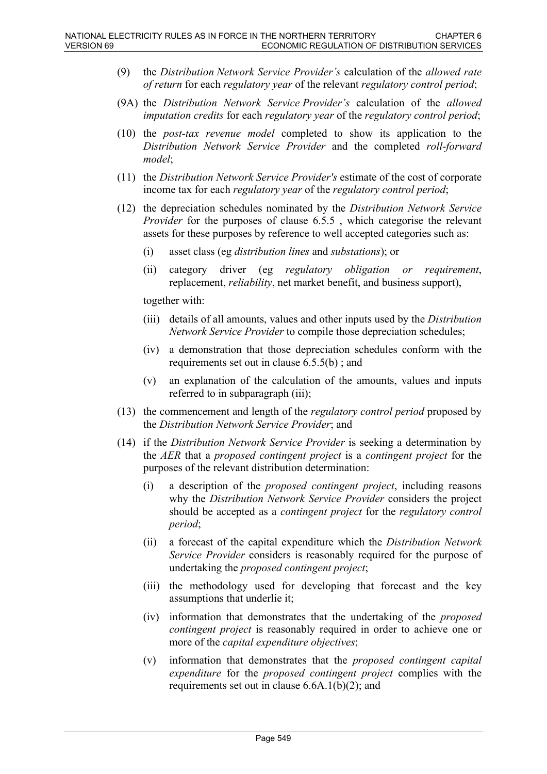- (9) the *Distribution Network Service Provider's* calculation of the *allowed rate of return* for each *regulatory year* of the relevant *regulatory control period*;
- (9A) the *Distribution Network Service Provider's* calculation of the *allowed imputation credits* for each *regulatory year* of the *regulatory control period*;
- (10) the *post-tax revenue model* completed to show its application to the *Distribution Network Service Provider* and the completed *roll-forward model*;
- (11) the *Distribution Network Service Provider's* estimate of the cost of corporate income tax for each *regulatory year* of the *regulatory control period*;
- (12) the depreciation schedules nominated by the *Distribution Network Service Provider* for the purposes of clause 6.5.5 , which categorise the relevant assets for these purposes by reference to well accepted categories such as:
	- (i) asset class (eg *distribution lines* and *substations*); or
	- (ii) category driver (eg *regulatory obligation or requirement*, replacement, *reliability*, net market benefit, and business support),

together with:

- (iii) details of all amounts, values and other inputs used by the *Distribution Network Service Provider* to compile those depreciation schedules;
- (iv) a demonstration that those depreciation schedules conform with the requirements set out in clause 6.5.5(b) ; and
- (v) an explanation of the calculation of the amounts, values and inputs referred to in subparagraph (iii);
- (13) the commencement and length of the *regulatory control period* proposed by the *Distribution Network Service Provider*; and
- (14) if the *Distribution Network Service Provider* is seeking a determination by the *AER* that a *proposed contingent project* is a *contingent project* for the purposes of the relevant distribution determination:
	- (i) a description of the *proposed contingent project*, including reasons why the *Distribution Network Service Provider* considers the project should be accepted as a *contingent project* for the *regulatory control period*;
	- (ii) a forecast of the capital expenditure which the *Distribution Network Service Provider* considers is reasonably required for the purpose of undertaking the *proposed contingent project*;
	- (iii) the methodology used for developing that forecast and the key assumptions that underlie it;
	- (iv) information that demonstrates that the undertaking of the *proposed contingent project* is reasonably required in order to achieve one or more of the *capital expenditure objectives*;
	- (v) information that demonstrates that the *proposed contingent capital expenditure* for the *proposed contingent project* complies with the requirements set out in clause 6.6A.1(b)(2); and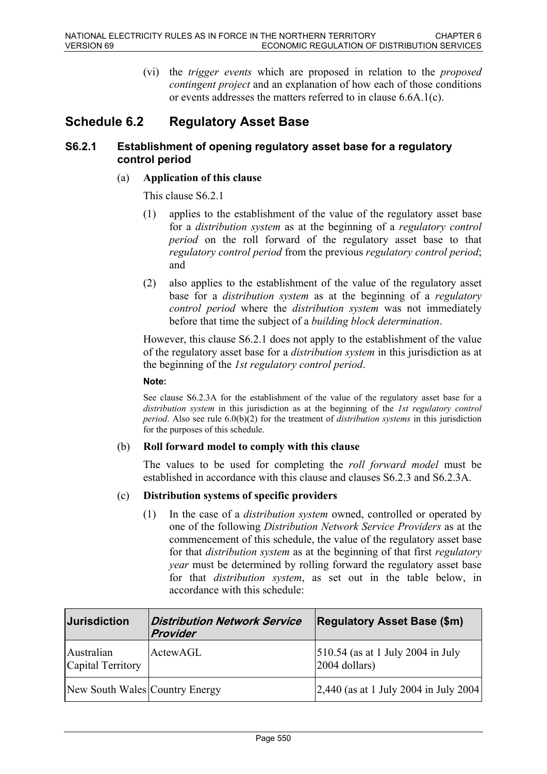(vi) the *trigger events* which are proposed in relation to the *proposed contingent project* and an explanation of how each of those conditions or events addresses the matters referred to in clause 6.6A.1(c).

# **Schedule 6.2 Regulatory Asset Base**

## **S6.2.1 Establishment of opening regulatory asset base for a regulatory control period**

#### (a) **Application of this clause**

This clause S6.2.1

- (1) applies to the establishment of the value of the regulatory asset base for a *distribution system* as at the beginning of a *regulatory control period* on the roll forward of the regulatory asset base to that *regulatory control period* from the previous *regulatory control period*; and
- (2) also applies to the establishment of the value of the regulatory asset base for a *distribution system* as at the beginning of a *regulatory control period* where the *distribution system* was not immediately before that time the subject of a *building block determination*.

However, this clause S6.2.1 does not apply to the establishment of the value of the regulatory asset base for a *distribution system* in this jurisdiction as at the beginning of the *1st regulatory control period*.

#### **Note:**

See clause S6.2.3A for the establishment of the value of the regulatory asset base for a *distribution system* in this jurisdiction as at the beginning of the *1st regulatory control period*. Also see rule 6.0(b)(2) for the treatment of *distribution systems* in this jurisdiction for the purposes of this schedule.

#### (b) **Roll forward model to comply with this clause**

The values to be used for completing the *roll forward model* must be established in accordance with this clause and clauses S6.2.3 and S6.2.3A.

#### (c) **Distribution systems of specific providers**

(1) In the case of a *distribution system* owned, controlled or operated by one of the following *Distribution Network Service Providers* as at the commencement of this schedule, the value of the regulatory asset base for that *distribution system* as at the beginning of that first *regulatory year* must be determined by rolling forward the regulatory asset base for that *distribution system*, as set out in the table below, in accordance with this schedule:

| <b>Jurisdiction</b>             | <b>Distribution Network Service</b><br>Provider | <b>Regulatory Asset Base (\$m)</b>                       |
|---------------------------------|-------------------------------------------------|----------------------------------------------------------|
| Australian<br>Capital Territory | ActewAGL                                        | $ 510.54$ (as at 1 July 2004 in July<br>$ 2004$ dollars) |
| New South Wales Country Energy  |                                                 | $ 2,440$ (as at 1 July 2004 in July 2004)                |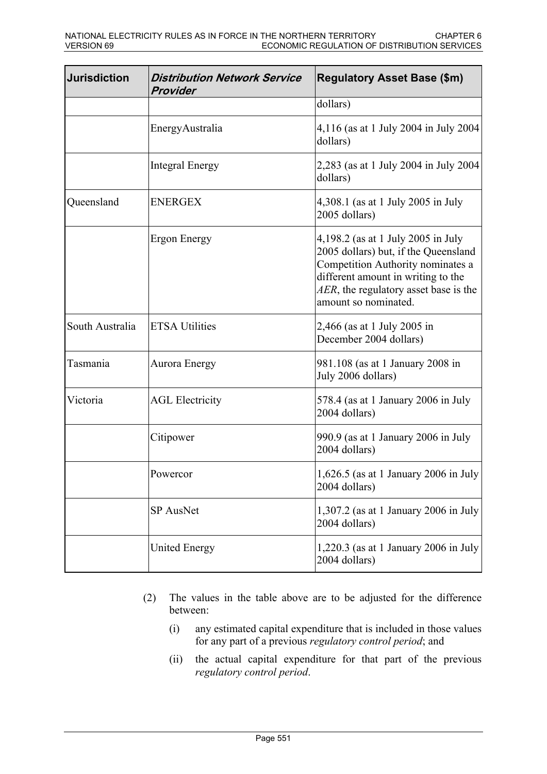| Jurisdiction    | <b>Distribution Network Service</b><br>Provider | <b>Regulatory Asset Base (\$m)</b>                                                                                                                                                                                     |
|-----------------|-------------------------------------------------|------------------------------------------------------------------------------------------------------------------------------------------------------------------------------------------------------------------------|
|                 |                                                 | dollars)                                                                                                                                                                                                               |
|                 | EnergyAustralia                                 | 4,116 (as at 1 July 2004 in July 2004<br>dollars)                                                                                                                                                                      |
|                 | <b>Integral Energy</b>                          | 2,283 (as at 1 July 2004 in July 2004<br>dollars)                                                                                                                                                                      |
| Queensland      | <b>ENERGEX</b>                                  | 4,308.1 (as at 1 July 2005 in July<br>2005 dollars)                                                                                                                                                                    |
|                 | Ergon Energy                                    | 4,198.2 (as at 1 July 2005 in July<br>2005 dollars) but, if the Queensland<br>Competition Authority nominates a<br>different amount in writing to the<br>AER, the regulatory asset base is the<br>amount so nominated. |
| South Australia | <b>ETSA Utilities</b>                           | 2,466 (as at 1 July 2005 in<br>December 2004 dollars)                                                                                                                                                                  |
| Tasmania        | Aurora Energy                                   | 981.108 (as at 1 January 2008 in<br>July 2006 dollars)                                                                                                                                                                 |
| Victoria        | <b>AGL Electricity</b>                          | 578.4 (as at 1 January 2006 in July<br>2004 dollars)                                                                                                                                                                   |
|                 | Citipower                                       | 990.9 (as at 1 January 2006 in July<br>2004 dollars)                                                                                                                                                                   |
|                 | Powercor                                        | 1,626.5 (as at 1 January 2006 in July<br>2004 dollars)                                                                                                                                                                 |
|                 | SP AusNet                                       | 1,307.2 (as at 1 January 2006 in July<br>2004 dollars)                                                                                                                                                                 |
|                 | <b>United Energy</b>                            | $1,220.3$ (as at 1 January 2006 in July<br>2004 dollars)                                                                                                                                                               |

- (2) The values in the table above are to be adjusted for the difference between:
	- (i) any estimated capital expenditure that is included in those values for any part of a previous *regulatory control period*; and
	- (ii) the actual capital expenditure for that part of the previous *regulatory control period*.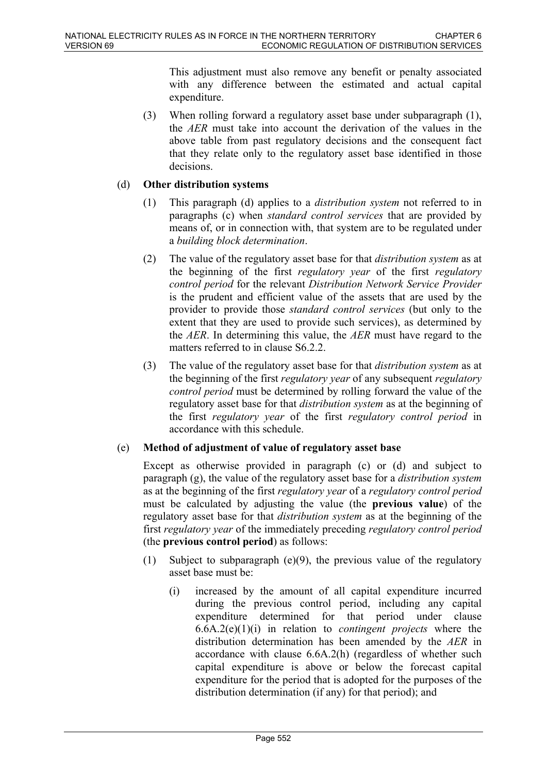This adjustment must also remove any benefit or penalty associated with any difference between the estimated and actual capital expenditure.

(3) When rolling forward a regulatory asset base under subparagraph (1), the *AER* must take into account the derivation of the values in the above table from past regulatory decisions and the consequent fact that they relate only to the regulatory asset base identified in those decisions.

### (d) **Other distribution systems**

- (1) This paragraph (d) applies to a *distribution system* not referred to in paragraphs (c) when *standard control services* that are provided by means of, or in connection with, that system are to be regulated under a *building block determination*.
- (2) The value of the regulatory asset base for that *distribution system* as at the beginning of the first *regulatory year* of the first *regulatory control period* for the relevant *Distribution Network Service Provider* is the prudent and efficient value of the assets that are used by the provider to provide those *standard control services* (but only to the extent that they are used to provide such services), as determined by the *AER*. In determining this value, the *AER* must have regard to the matters referred to in clause S6.2.2.
- (3) The value of the regulatory asset base for that *distribution system* as at the beginning of the first *regulatory year* of any subsequent *regulatory control period* must be determined by rolling forward the value of the regulatory asset base for that *distribution system* as at the beginning of the first *regulatory year* of the first *regulatory control period* in accordance with this schedule.

## (e) **Method of adjustment of value of regulatory asset base**

Except as otherwise provided in paragraph (c) or (d) and subject to paragraph (g), the value of the regulatory asset base for a *distribution system* as at the beginning of the first *regulatory year* of a *regulatory control period* must be calculated by adjusting the value (the **previous value**) of the regulatory asset base for that *distribution system* as at the beginning of the first *regulatory year* of the immediately preceding *regulatory control period* (the **previous control period**) as follows:

- (1) Subject to subparagraph (e)(9), the previous value of the regulatory asset base must be:
	- (i) increased by the amount of all capital expenditure incurred during the previous control period, including any capital expenditure determined for that period under clause 6.6A.2(e)(1)(i) in relation to *contingent projects* where the distribution determination has been amended by the *AER* in accordance with clause 6.6A.2(h) (regardless of whether such capital expenditure is above or below the forecast capital expenditure for the period that is adopted for the purposes of the distribution determination (if any) for that period); and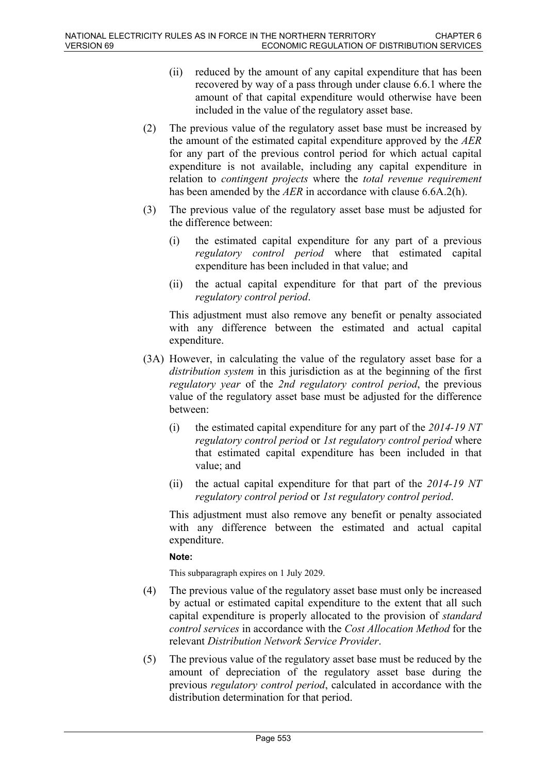- (ii) reduced by the amount of any capital expenditure that has been recovered by way of a pass through under clause 6.6.1 where the amount of that capital expenditure would otherwise have been included in the value of the regulatory asset base.
- (2) The previous value of the regulatory asset base must be increased by the amount of the estimated capital expenditure approved by the *AER* for any part of the previous control period for which actual capital expenditure is not available, including any capital expenditure in relation to *contingent projects* where the *total revenue requirement* has been amended by the *AER* in accordance with clause 6.6A.2(h).
- (3) The previous value of the regulatory asset base must be adjusted for the difference between:
	- (i) the estimated capital expenditure for any part of a previous *regulatory control period* where that estimated capital expenditure has been included in that value; and
	- (ii) the actual capital expenditure for that part of the previous *regulatory control period*.

This adjustment must also remove any benefit or penalty associated with any difference between the estimated and actual capital expenditure.

- (3A) However, in calculating the value of the regulatory asset base for a *distribution system* in this jurisdiction as at the beginning of the first *regulatory year* of the *2nd regulatory control period*, the previous value of the regulatory asset base must be adjusted for the difference between:
	- (i) the estimated capital expenditure for any part of the *2014-19 NT regulatory control period* or *1st regulatory control period* where that estimated capital expenditure has been included in that value; and
	- (ii) the actual capital expenditure for that part of the *2014-19 NT regulatory control period* or *1st regulatory control period*.

This adjustment must also remove any benefit or penalty associated with any difference between the estimated and actual capital expenditure.

#### **Note:**

This subparagraph expires on 1 July 2029.

- (4) The previous value of the regulatory asset base must only be increased by actual or estimated capital expenditure to the extent that all such capital expenditure is properly allocated to the provision of *standard control services* in accordance with the *Cost Allocation Method* for the relevant *Distribution Network Service Provider*.
- (5) The previous value of the regulatory asset base must be reduced by the amount of depreciation of the regulatory asset base during the previous *regulatory control period*, calculated in accordance with the distribution determination for that period.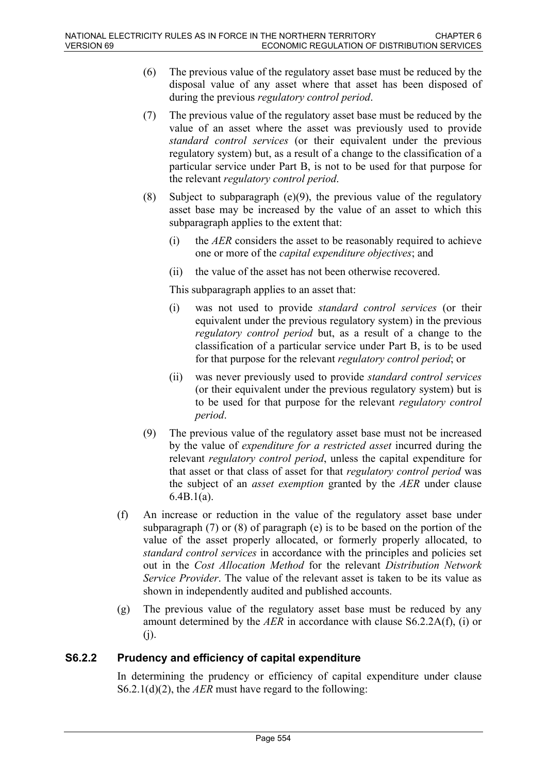- (6) The previous value of the regulatory asset base must be reduced by the disposal value of any asset where that asset has been disposed of during the previous *regulatory control period*.
- (7) The previous value of the regulatory asset base must be reduced by the value of an asset where the asset was previously used to provide *standard control services* (or their equivalent under the previous regulatory system) but, as a result of a change to the classification of a particular service under Part B, is not to be used for that purpose for the relevant *regulatory control period*.
- (8) Subject to subparagraph (e)(9), the previous value of the regulatory asset base may be increased by the value of an asset to which this subparagraph applies to the extent that:
	- (i) the *AER* considers the asset to be reasonably required to achieve one or more of the *capital expenditure objectives*; and
	- (ii) the value of the asset has not been otherwise recovered.

This subparagraph applies to an asset that:

- (i) was not used to provide *standard control services* (or their equivalent under the previous regulatory system) in the previous *regulatory control period* but, as a result of a change to the classification of a particular service under Part B, is to be used for that purpose for the relevant *regulatory control period*; or
- (ii) was never previously used to provide *standard control services* (or their equivalent under the previous regulatory system) but is to be used for that purpose for the relevant *regulatory control period*.
- (9) The previous value of the regulatory asset base must not be increased by the value of *expenditure for a restricted asset* incurred during the relevant *regulatory control period*, unless the capital expenditure for that asset or that class of asset for that *regulatory control period* was the subject of an *asset exemption* granted by the *AER* under clause 6.4B.1(a).
- (f) An increase or reduction in the value of the regulatory asset base under subparagraph (7) or (8) of paragraph (e) is to be based on the portion of the value of the asset properly allocated, or formerly properly allocated, to *standard control services* in accordance with the principles and policies set out in the *Cost Allocation Method* for the relevant *Distribution Network Service Provider*. The value of the relevant asset is taken to be its value as shown in independently audited and published accounts.
- (g) The previous value of the regulatory asset base must be reduced by any amount determined by the *AER* in accordance with clause S6.2.2A(f), (i) or (j).

## **S6.2.2 Prudency and efficiency of capital expenditure**

In determining the prudency or efficiency of capital expenditure under clause S6.2.1(d)(2), the *AER* must have regard to the following: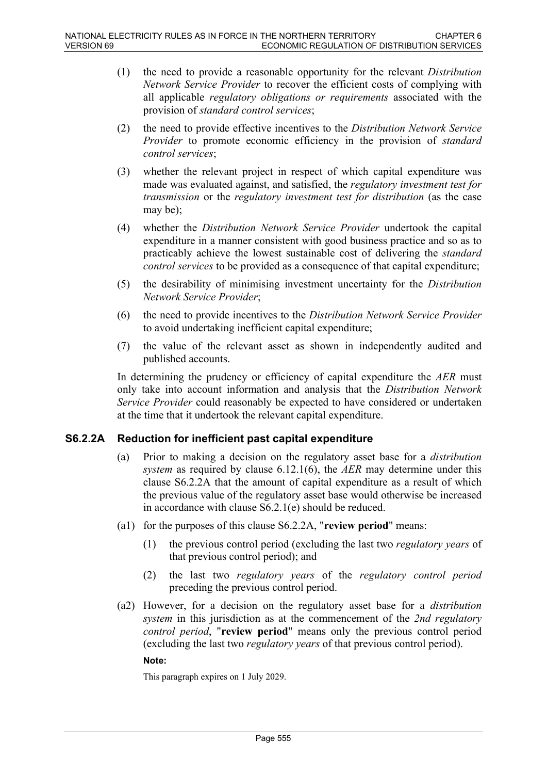- (1) the need to provide a reasonable opportunity for the relevant *Distribution Network Service Provider* to recover the efficient costs of complying with all applicable *regulatory obligations or requirements* associated with the provision of *standard control services*;
- (2) the need to provide effective incentives to the *Distribution Network Service Provider* to promote economic efficiency in the provision of *standard control services*;
- (3) whether the relevant project in respect of which capital expenditure was made was evaluated against, and satisfied, the *regulatory investment test for transmission* or the *regulatory investment test for distribution* (as the case may be);
- (4) whether the *Distribution Network Service Provider* undertook the capital expenditure in a manner consistent with good business practice and so as to practicably achieve the lowest sustainable cost of delivering the *standard control services* to be provided as a consequence of that capital expenditure;
- (5) the desirability of minimising investment uncertainty for the *Distribution Network Service Provider*;
- (6) the need to provide incentives to the *Distribution Network Service Provider* to avoid undertaking inefficient capital expenditure;
- (7) the value of the relevant asset as shown in independently audited and published accounts.

In determining the prudency or efficiency of capital expenditure the *AER* must only take into account information and analysis that the *Distribution Network Service Provider* could reasonably be expected to have considered or undertaken at the time that it undertook the relevant capital expenditure.

## **S6.2.2A Reduction for inefficient past capital expenditure**

- (a) Prior to making a decision on the regulatory asset base for a *distribution system* as required by clause 6.12.1(6), the *AER* may determine under this clause S6.2.2A that the amount of capital expenditure as a result of which the previous value of the regulatory asset base would otherwise be increased in accordance with clause S6.2.1(e) should be reduced.
- (a1) for the purposes of this clause S6.2.2A, "**review period**" means:
	- (1) the previous control period (excluding the last two *regulatory years* of that previous control period); and
	- (2) the last two *regulatory years* of the *regulatory control period* preceding the previous control period.
- (a2) However, for a decision on the regulatory asset base for a *distribution system* in this jurisdiction as at the commencement of the *2nd regulatory control period*, "**review period**" means only the previous control period (excluding the last two *regulatory years* of that previous control period).

#### **Note:**

This paragraph expires on 1 July 2029.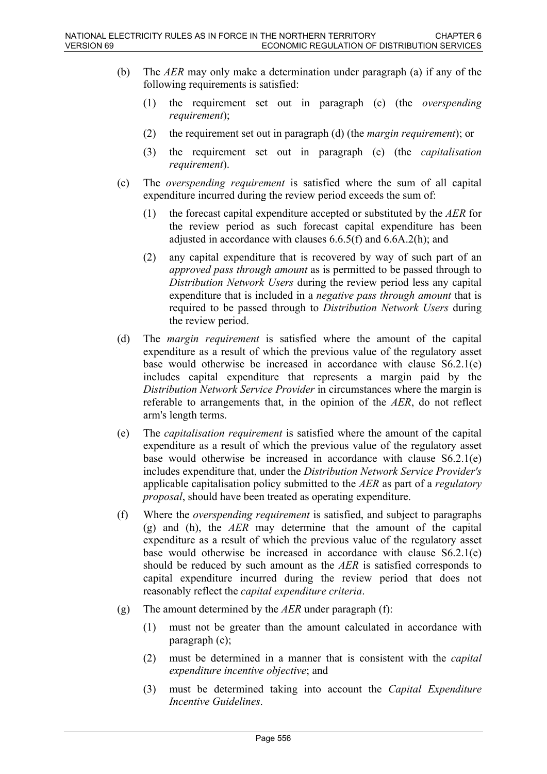- (b) The *AER* may only make a determination under paragraph (a) if any of the following requirements is satisfied:
	- (1) the requirement set out in paragraph (c) (the *overspending requirement*);
	- (2) the requirement set out in paragraph (d) (the *margin requirement*); or
	- (3) the requirement set out in paragraph (e) (the *capitalisation requirement*).
- (c) The *overspending requirement* is satisfied where the sum of all capital expenditure incurred during the review period exceeds the sum of:
	- (1) the forecast capital expenditure accepted or substituted by the *AER* for the review period as such forecast capital expenditure has been adjusted in accordance with clauses 6.6.5(f) and 6.6A.2(h); and
	- (2) any capital expenditure that is recovered by way of such part of an *approved pass through amount* as is permitted to be passed through to *Distribution Network Users* during the review period less any capital expenditure that is included in a *negative pass through amount* that is required to be passed through to *Distribution Network Users* during the review period.
- (d) The *margin requirement* is satisfied where the amount of the capital expenditure as a result of which the previous value of the regulatory asset base would otherwise be increased in accordance with clause S6.2.1(e) includes capital expenditure that represents a margin paid by the *Distribution Network Service Provider* in circumstances where the margin is referable to arrangements that, in the opinion of the *AER*, do not reflect arm's length terms.
- (e) The *capitalisation requirement* is satisfied where the amount of the capital expenditure as a result of which the previous value of the regulatory asset base would otherwise be increased in accordance with clause S6.2.1(e) includes expenditure that, under the *Distribution Network Service Provider's* applicable capitalisation policy submitted to the *AER* as part of a *regulatory proposal*, should have been treated as operating expenditure.
- (f) Where the *overspending requirement* is satisfied, and subject to paragraphs (g) and (h), the *AER* may determine that the amount of the capital expenditure as a result of which the previous value of the regulatory asset base would otherwise be increased in accordance with clause S6.2.1(e) should be reduced by such amount as the *AER* is satisfied corresponds to capital expenditure incurred during the review period that does not reasonably reflect the *capital expenditure criteria*.
- (g) The amount determined by the *AER* under paragraph (f):
	- (1) must not be greater than the amount calculated in accordance with paragraph (c);
	- (2) must be determined in a manner that is consistent with the *capital expenditure incentive objective*; and
	- (3) must be determined taking into account the *Capital Expenditure Incentive Guidelines*.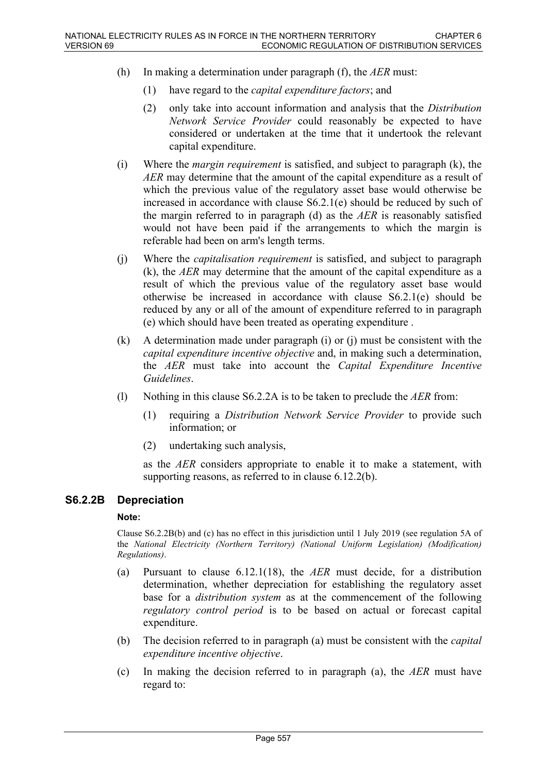- (h) In making a determination under paragraph (f), the *AER* must:
	- (1) have regard to the *capital expenditure factors*; and
	- (2) only take into account information and analysis that the *Distribution Network Service Provider* could reasonably be expected to have considered or undertaken at the time that it undertook the relevant capital expenditure.
- (i) Where the *margin requirement* is satisfied, and subject to paragraph (k), the *AER* may determine that the amount of the capital expenditure as a result of which the previous value of the regulatory asset base would otherwise be increased in accordance with clause S6.2.1(e) should be reduced by such of the margin referred to in paragraph (d) as the *AER* is reasonably satisfied would not have been paid if the arrangements to which the margin is referable had been on arm's length terms.
- (j) Where the *capitalisation requirement* is satisfied, and subject to paragraph (k), the *AER* may determine that the amount of the capital expenditure as a result of which the previous value of the regulatory asset base would otherwise be increased in accordance with clause S6.2.1(e) should be reduced by any or all of the amount of expenditure referred to in paragraph (e) which should have been treated as operating expenditure .
- (k) A determination made under paragraph (i) or (j) must be consistent with the *capital expenditure incentive objective* and, in making such a determination, the *AER* must take into account the *Capital Expenditure Incentive Guidelines*.
- (l) Nothing in this clause S6.2.2A is to be taken to preclude the *AER* from:
	- (1) requiring a *Distribution Network Service Provider* to provide such information; or
	- (2) undertaking such analysis,

as the *AER* considers appropriate to enable it to make a statement, with supporting reasons, as referred to in clause 6.12.2(b).

## **S6.2.2B Depreciation**

#### **Note:**

Clause S6.2.2B(b) and (c) has no effect in this jurisdiction until 1 July 2019 (see regulation 5A of the *National Electricity (Northern Territory) (National Uniform Legislation) (Modification) Regulations)*.

- (a) Pursuant to clause 6.12.1(18), the *AER* must decide, for a distribution determination, whether depreciation for establishing the regulatory asset base for a *distribution system* as at the commencement of the following *regulatory control period* is to be based on actual or forecast capital expenditure.
- (b) The decision referred to in paragraph (a) must be consistent with the *capital expenditure incentive objective*.
- (c) In making the decision referred to in paragraph (a), the *AER* must have regard to: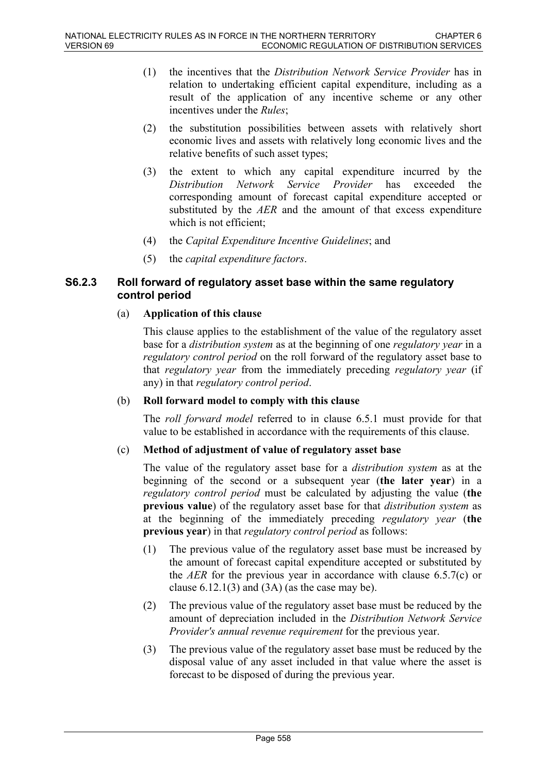- (1) the incentives that the *Distribution Network Service Provider* has in relation to undertaking efficient capital expenditure, including as a result of the application of any incentive scheme or any other incentives under the *Rules*;
- (2) the substitution possibilities between assets with relatively short economic lives and assets with relatively long economic lives and the relative benefits of such asset types;
- (3) the extent to which any capital expenditure incurred by the *Distribution Network Service Provider* has exceeded the corresponding amount of forecast capital expenditure accepted or substituted by the *AER* and the amount of that excess expenditure which is not efficient;
- (4) the *Capital Expenditure Incentive Guidelines*; and
- (5) the *capital expenditure factors*.

## **S6.2.3 Roll forward of regulatory asset base within the same regulatory control period**

### (a) **Application of this clause**

This clause applies to the establishment of the value of the regulatory asset base for a *distribution system* as at the beginning of one *regulatory year* in a *regulatory control period* on the roll forward of the regulatory asset base to that *regulatory year* from the immediately preceding *regulatory year* (if any) in that *regulatory control period*.

#### (b) **Roll forward model to comply with this clause**

The *roll forward model* referred to in clause 6.5.1 must provide for that value to be established in accordance with the requirements of this clause.

## (c) **Method of adjustment of value of regulatory asset base**

The value of the regulatory asset base for a *distribution system* as at the beginning of the second or a subsequent year (**the later year**) in a *regulatory control period* must be calculated by adjusting the value (**the previous value**) of the regulatory asset base for that *distribution system* as at the beginning of the immediately preceding *regulatory year* (**the previous year**) in that *regulatory control period* as follows:

- (1) The previous value of the regulatory asset base must be increased by the amount of forecast capital expenditure accepted or substituted by the *AER* for the previous year in accordance with clause 6.5.7(c) or clause  $6.12.1(3)$  and  $(3A)$  (as the case may be).
- (2) The previous value of the regulatory asset base must be reduced by the amount of depreciation included in the *Distribution Network Service Provider's annual revenue requirement* for the previous year.
- (3) The previous value of the regulatory asset base must be reduced by the disposal value of any asset included in that value where the asset is forecast to be disposed of during the previous year.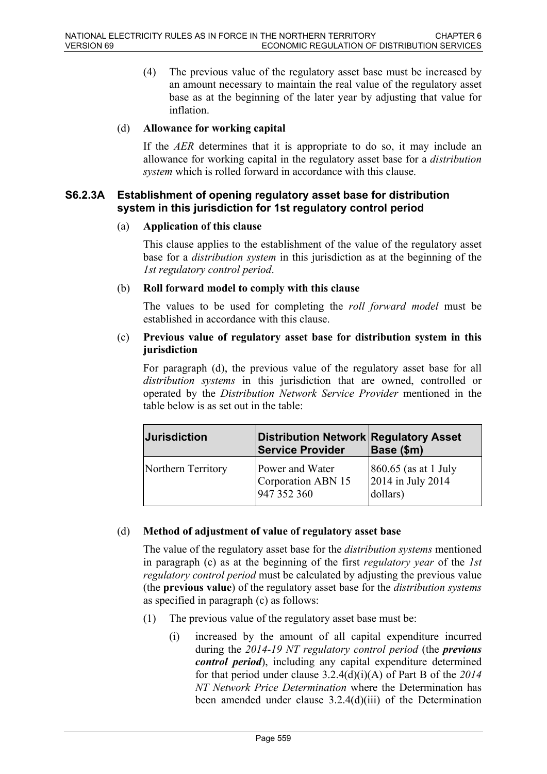(4) The previous value of the regulatory asset base must be increased by an amount necessary to maintain the real value of the regulatory asset base as at the beginning of the later year by adjusting that value for inflation.

#### (d) **Allowance for working capital**

If the *AER* determines that it is appropriate to do so, it may include an allowance for working capital in the regulatory asset base for a *distribution system* which is rolled forward in accordance with this clause.

### **S6.2.3A Establishment of opening regulatory asset base for distribution system in this jurisdiction for 1st regulatory control period**

#### (a) **Application of this clause**

This clause applies to the establishment of the value of the regulatory asset base for a *distribution system* in this jurisdiction as at the beginning of the *1st regulatory control period*.

#### (b) **Roll forward model to comply with this clause**

The values to be used for completing the *roll forward model* must be established in accordance with this clause.

### (c) **Previous value of regulatory asset base for distribution system in this jurisdiction**

For paragraph (d), the previous value of the regulatory asset base for all *distribution systems* in this jurisdiction that are owned, controlled or operated by the *Distribution Network Service Provider* mentioned in the table below is as set out in the table:

| <b>Jurisdiction</b> | <b>Distribution Network Regulatory Asset</b><br><b>Service Provider</b> | Base (\$m)                                               |
|---------------------|-------------------------------------------------------------------------|----------------------------------------------------------|
| Northern Territory  | Power and Water<br>Corporation ABN 15<br>947 352 360                    | $ 860.65$ (as at 1 July<br>2014 in July 2014<br>dollars) |

#### (d) **Method of adjustment of value of regulatory asset base**

The value of the regulatory asset base for the *distribution systems* mentioned in paragraph (c) as at the beginning of the first *regulatory year* of the *1st regulatory control period* must be calculated by adjusting the previous value (the **previous value**) of the regulatory asset base for the *distribution systems* as specified in paragraph (c) as follows:

- (1) The previous value of the regulatory asset base must be:
	- (i) increased by the amount of all capital expenditure incurred during the *2014-19 NT regulatory control period* (the *previous control period*), including any capital expenditure determined for that period under clause 3.2.4(d)(i)(A) of Part B of the *2014 NT Network Price Determination* where the Determination has been amended under clause 3.2.4(d)(iii) of the Determination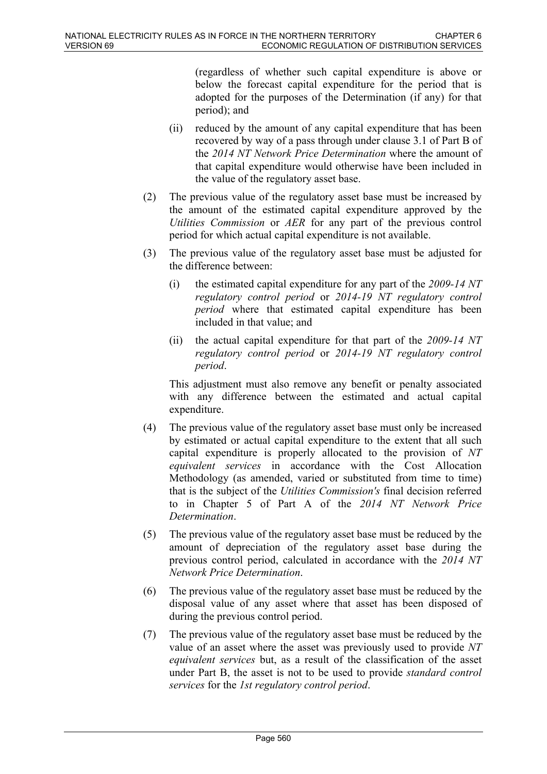(regardless of whether such capital expenditure is above or below the forecast capital expenditure for the period that is adopted for the purposes of the Determination (if any) for that period); and

- (ii) reduced by the amount of any capital expenditure that has been recovered by way of a pass through under clause 3.1 of Part B of the *2014 NT Network Price Determination* where the amount of that capital expenditure would otherwise have been included in the value of the regulatory asset base.
- (2) The previous value of the regulatory asset base must be increased by the amount of the estimated capital expenditure approved by the *Utilities Commission* or *AER* for any part of the previous control period for which actual capital expenditure is not available.
- (3) The previous value of the regulatory asset base must be adjusted for the difference between:
	- (i) the estimated capital expenditure for any part of the *2009-14 NT regulatory control period* or *2014-19 NT regulatory control period* where that estimated capital expenditure has been included in that value; and
	- (ii) the actual capital expenditure for that part of the *2009-14 NT regulatory control period* or *2014-19 NT regulatory control period*.

This adjustment must also remove any benefit or penalty associated with any difference between the estimated and actual capital expenditure.

- (4) The previous value of the regulatory asset base must only be increased by estimated or actual capital expenditure to the extent that all such capital expenditure is properly allocated to the provision of *NT equivalent services* in accordance with the Cost Allocation Methodology (as amended, varied or substituted from time to time) that is the subject of the *Utilities Commission's* final decision referred to in Chapter 5 of Part A of the *2014 NT Network Price Determination*.
- (5) The previous value of the regulatory asset base must be reduced by the amount of depreciation of the regulatory asset base during the previous control period, calculated in accordance with the *2014 NT Network Price Determination*.
- (6) The previous value of the regulatory asset base must be reduced by the disposal value of any asset where that asset has been disposed of during the previous control period.
- (7) The previous value of the regulatory asset base must be reduced by the value of an asset where the asset was previously used to provide *NT equivalent services* but, as a result of the classification of the asset under Part B, the asset is not to be used to provide *standard control services* for the *1st regulatory control period*.